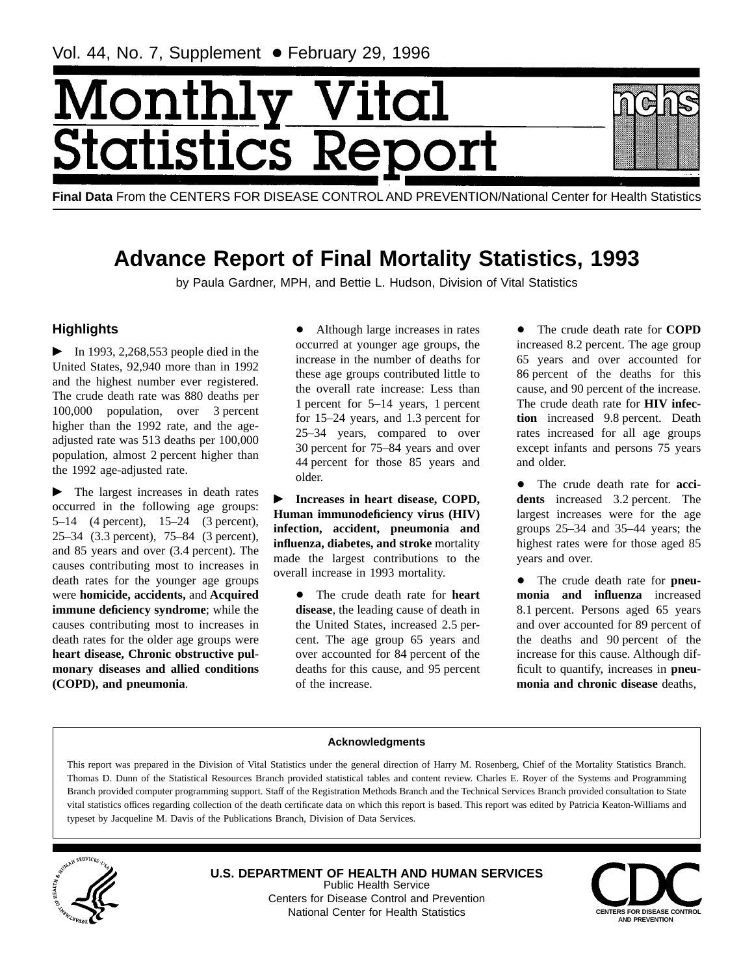# Monthl ital **Statistics R**

**Final Data** From the CENTERS FOR DISEASE CONTROL AND PREVENTION/National Center for Health Statistics

# **Advance Report of Final Mortality Statistics, 1993**

by Paula Gardner, MPH, and Bettie L. Hudson, Division of Vital Statistics

# **Highlights**

 $\blacktriangleright$  In 1993, 2,268,553 people died in the United States, 92,940 more than in 1992 and the highest number ever registered. The crude death rate was 880 deaths per 100,000 population, over 3 percent higher than the 1992 rate, and the ageadjusted rate was 513 deaths per 100,000 population, almost 2 percent higher than the 1992 age-adjusted rate.

 $\blacktriangleright$  The largest increases in death rates occurred in the following age groups: 5–14 (4 percent), 15–24 (3 percent), 25–34 (3.3 percent), 75–84 (3 percent), and 85 years and over (3.4 percent). The causes contributing most to increases in death rates for the younger age groups were **homicide, accidents,** and **Acquired immune deficiency syndrome**; while the causes contributing most to increases in death rates for the older age groups were **heart disease, Chronic obstructive pulmonary diseases and allied conditions (COPD), and pneumonia**.

• Although large increases in rates occurred at younger age groups, the increase in the number of deaths for these age groups contributed little to the overall rate increase: Less than 1 percent for 5–14 years, 1 percent for 15–24 years, and 1.3 percent for 25–34 years, compared to over 30 percent for 75–84 years and over 44 percent for those 85 years and older.

**FINCREASE IS NOTE THAT IS EXECUTE:** Increases in heart disease, COPD, **Human immunodeficiency virus (HIV) infection, accident, pneumonia and influenza, diabetes, and stroke** mortality made the largest contributions to the overall increase in 1993 mortality.

> • The crude death rate for **heart disease**, the leading cause of death in the United States, increased 2.5 percent. The age group 65 years and over accounted for 84 percent of the deaths for this cause, and 95 percent of the increase.

• The crude death rate for **COPD** increased 8.2 percent. The age group 65 years and over accounted for 86 percent of the deaths for this cause, and 90 percent of the increase. The crude death rate for **HIV infection** increased 9.8 percent. Death rates increased for all age groups except infants and persons 75 years and older.

• The crude death rate for **accidents** increased 3.2 percent. The largest increases were for the age groups 25–34 and 35–44 years; the highest rates were for those aged 85 years and over.

• The crude death rate for **pneumonia and influenza** increased 8.1 percent. Persons aged 65 years and over accounted for 89 percent of the deaths and 90 percent of the increase for this cause. Although difficult to quantify, increases in **pneumonia and chronic disease** deaths,

# **Acknowledgments**

This report was prepared in the Division of Vital Statistics under the general direction of Harry M. Rosenberg, Chief of the Mortality Statistics Branch. Thomas D. Dunn of the Statistical Resources Branch provided statistical tables and content review. Charles E. Royer of the Systems and Programming Branch provided computer programming support. Staff of the Registration Methods Branch and the Technical Services Branch provided consultation to State vital statistics offices regarding collection of the death certificate data on which this report is based. This report was edited by Patricia Keaton-Williams and typeset by Jacqueline M. Davis of the Publications Branch, Division of Data Services.



**U.S. DEPARTMENT OF HEALTH AND HUMAN SERVICES** Public Health Service Centers for Disease Control and Prevention National Center for Health Statistics **CENTERS FOR DISEASE CONTROL** 

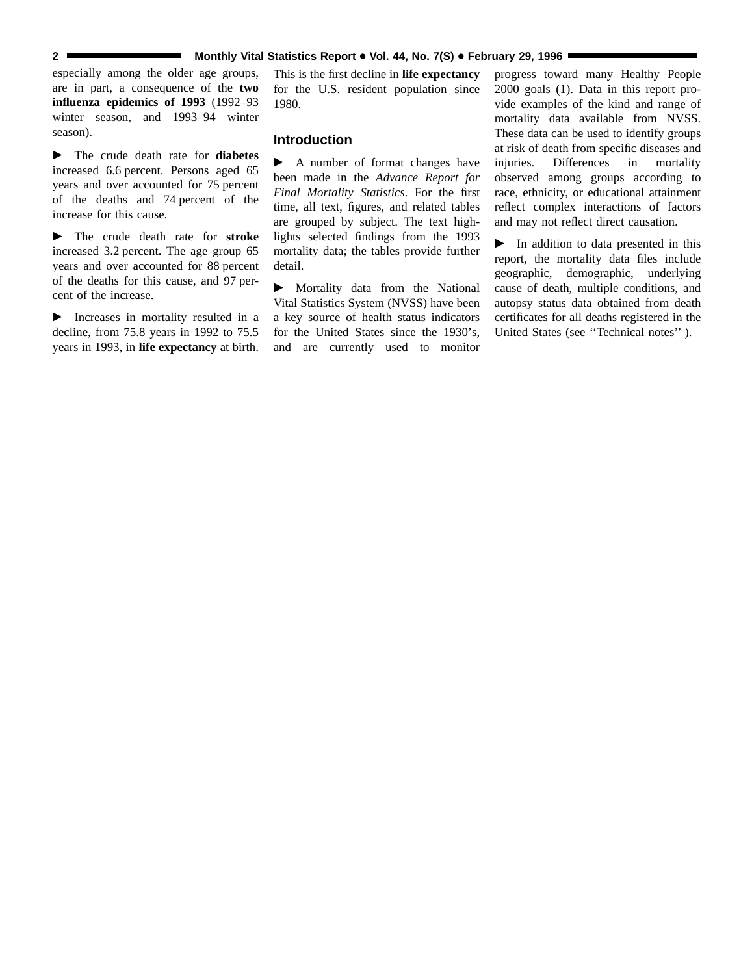#### **2** Monthly Vital Statistics Report • Vol. 44, No. 7(S) • February 29, 1996

especially among the older age groups, are in part, a consequence of the **two influenza epidemics of 1993** (1992–93 winter season, and 1993–94 winter season).

 $\blacktriangleright$  The crude death rate for **diabetes** increased 6.6 percent. Persons aged 65 years and over accounted for 75 percent of the deaths and 74 percent of the increase for this cause.

 $\blacktriangleright$  The crude death rate for **stroke** increased 3.2 percent. The age group 65 years and over accounted for 88 percent of the deaths for this cause, and 97 percent of the increase.

 $\blacktriangleright$  Increases in mortality resulted in a decline, from 75.8 years in 1992 to 75.5 years in 1993, in **life expectancy** at birth.

This is the first decline in **life expectancy** for the U.S. resident population since 1980.

### **Introduction**

 $\blacktriangleright$  A number of format changes have been made in the *Advance Report for Final Mortality Statistics*. For the first time, all text, figures, and related tables are grouped by subject. The text highlights selected findings from the 1993 mortality data; the tables provide further detail.

 $\blacktriangleright$  Mortality data from the National Vital Statistics System (NVSS) have been a key source of health status indicators for the United States since the 1930's, and are currently used to monitor

progress toward many Healthy People 2000 goals (1). Data in this report provide examples of the kind and range of mortality data available from NVSS. These data can be used to identify groups at risk of death from specific diseases and injuries. Differences in mortality observed among groups according to race, ethnicity, or educational attainment reflect complex interactions of factors and may not reflect direct causation.

 $\blacktriangleright$  In addition to data presented in this report, the mortality data files include geographic, demographic, underlying cause of death, multiple conditions, and autopsy status data obtained from death certificates for all deaths registered in the United States (see ''Technical notes'' ).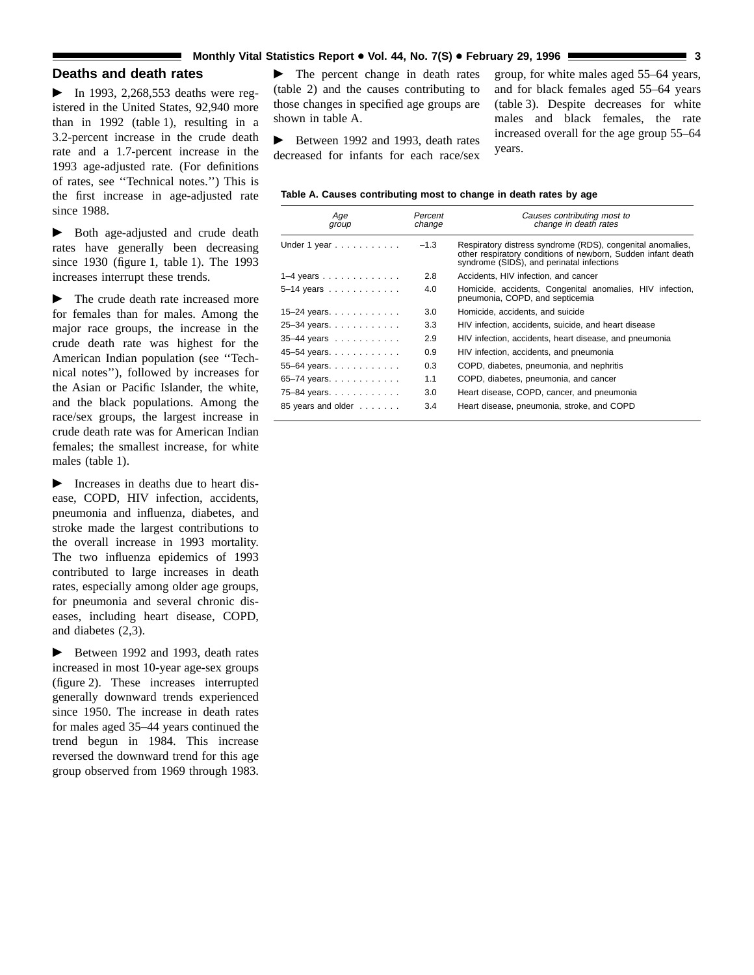# **Deaths and death rates**

 $\blacktriangleright$  In 1993, 2,268,553 deaths were registered in the United States, 92,940 more than in 1992 (table 1), resulting in a 3.2-percent increase in the crude death rate and a 1.7-percent increase in the 1993 age-adjusted rate. (For definitions of rates, see ''Technical notes.'') This is the first increase in age-adjusted rate since 1988.

 $\blacktriangleright$  Both age-adjusted and crude death rates have generally been decreasing since 1930 (figure 1, table 1). The 1993 increases interrupt these trends.

 $\blacktriangleright$  The crude death rate increased more for females than for males. Among the major race groups, the increase in the crude death rate was highest for the American Indian population (see ''Technical notes''), followed by increases for the Asian or Pacific Islander, the white, and the black populations. Among the race/sex groups, the largest increase in crude death rate was for American Indian females; the smallest increase, for white males (table 1).

 $\blacktriangleright$  Increases in deaths due to heart disease, COPD, HIV infection, accidents, pneumonia and influenza, diabetes, and stroke made the largest contributions to the overall increase in 1993 mortality. The two influenza epidemics of 1993 contributed to large increases in death rates, especially among older age groups, for pneumonia and several chronic diseases, including heart disease, COPD, and diabetes (2,3).

 $\blacktriangleright$  Between 1992 and 1993, death rates increased in most 10-year age-sex groups (figure 2). These increases interrupted generally downward trends experienced since 1950. The increase in death rates for males aged 35–44 years continued the trend begun in 1984. This increase reversed the downward trend for this age group observed from 1969 through 1983.

 $\blacktriangleright$  The percent change in death rates (table 2) and the causes contributing to those changes in specified age groups are shown in table A.

 $\blacktriangleright$  Between 1992 and 1993, death rates decreased for infants for each race/sex

group, for white males aged 55–64 years, and for black females aged 55–64 years (table 3). Despite decreases for white males and black females, the rate increased overall for the age group 55–64 years.

#### **Table A. Causes contributing most to change in death rates by age**

| Age<br>group                        | Percent<br>change | Causes contributing most to<br>change in death rates                                                                                                                    |
|-------------------------------------|-------------------|-------------------------------------------------------------------------------------------------------------------------------------------------------------------------|
| Under 1 year $\ldots \ldots \ldots$ | $-1.3$            | Respiratory distress syndrome (RDS), congenital anomalies,<br>other respiratory conditions of newborn, Sudden infant death<br>syndrome (SIDS), and perinatal infections |
| $1-4$ years                         | 2.8               | Accidents, HIV infection, and cancer                                                                                                                                    |
| 5-14 years                          | 4.0               | Homicide, accidents, Congenital anomalies, HIV infection,<br>pneumonia, COPD, and septicemia                                                                            |
| 15-24 years                         | 3.0               | Homicide, accidents, and suicide                                                                                                                                        |
| 25–34 years.                        | 3.3               | HIV infection, accidents, suicide, and heart disease                                                                                                                    |
| 35-44 years                         | 2.9               | HIV infection, accidents, heart disease, and pneumonia                                                                                                                  |
| 45–54 years.                        | 0.9               | HIV infection, accidents, and pneumonia                                                                                                                                 |
| 55-64 years.                        | 0.3               | COPD, diabetes, pneumonia, and nephritis                                                                                                                                |
| 65–74 years                         | 1.1               | COPD, diabetes, pneumonia, and cancer                                                                                                                                   |
| 75-84 years.                        | 3.0               | Heart disease, COPD, cancer, and pneumonia                                                                                                                              |
| 85 years and older                  | 3.4               | Heart disease, pneumonia, stroke, and COPD                                                                                                                              |
|                                     |                   |                                                                                                                                                                         |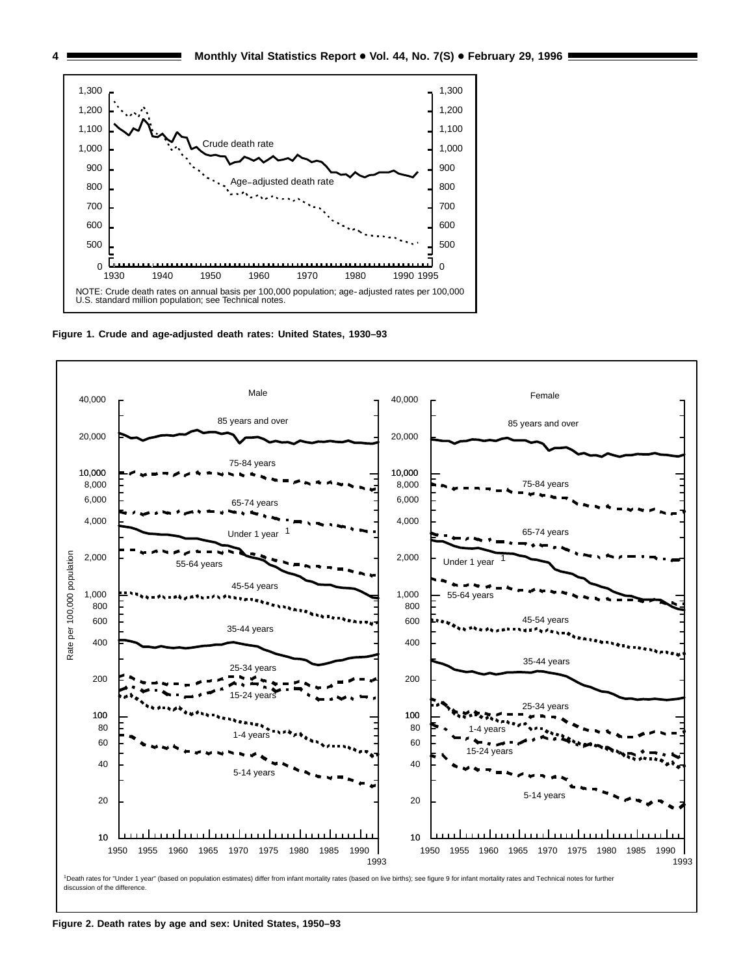

**Figure 1. Crude and age-adjusted death rates: United States, 1930–93**



**Figure 2. Death rates by age and sex: United States, 1950–93**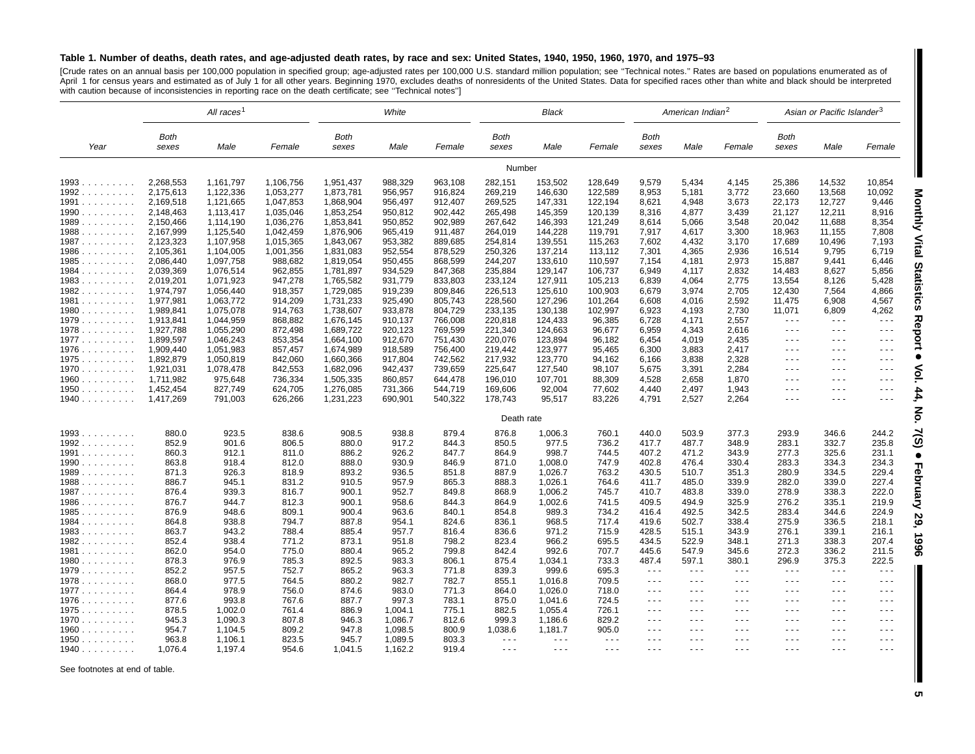#### Table 1. Number of deaths, death rates, and age-adjusted death rates, by race and sex: United States, 1940, 1950, 1960, 1970, and 1975-93

[Crude rates on an annual basis per 100,000 population in specified group; age-adjusted rates per 100,000 U.S. standard million population; see "Technical notes." Rates are based on populations enumerated as of<br>April 1 for with caution because of inconsistencies in reporting race on the death certificate; see ''Technical notes'']

|        | All races <sup>1</sup> |           | White     |                      | <b>Black</b> |         |                      | American Indian <sup>2</sup> |          |                      | Asian or Pacific Islander <sup>3</sup> |                                                                                                |                                                                                                                                                                                                                                                                                                                                                                                                                      |                                                                                                                                                                                                                                                                                                                                                                                                                                                |                                              |
|--------|------------------------|-----------|-----------|----------------------|--------------|---------|----------------------|------------------------------|----------|----------------------|----------------------------------------|------------------------------------------------------------------------------------------------|----------------------------------------------------------------------------------------------------------------------------------------------------------------------------------------------------------------------------------------------------------------------------------------------------------------------------------------------------------------------------------------------------------------------|------------------------------------------------------------------------------------------------------------------------------------------------------------------------------------------------------------------------------------------------------------------------------------------------------------------------------------------------------------------------------------------------------------------------------------------------|----------------------------------------------|
| Year   | Both<br>sexes          | Male      | Female    | <b>Both</b><br>sexes | Male         | Female  | <b>Both</b><br>sexes | Male                         | Female   | <b>Both</b><br>sexes | Male                                   | Female                                                                                         | Both<br>sexes                                                                                                                                                                                                                                                                                                                                                                                                        | Male                                                                                                                                                                                                                                                                                                                                                                                                                                           | Female                                       |
|        |                        |           |           |                      |              |         | Number               |                              |          |                      |                                        |                                                                                                |                                                                                                                                                                                                                                                                                                                                                                                                                      |                                                                                                                                                                                                                                                                                                                                                                                                                                                |                                              |
| 1993   | 2,268,553              | 1,161,797 | 1,106,756 | 1,951,437            | 988,329      | 963,108 | 282,151              | 153,502                      | 128,649  | 9,579                | 5,434                                  | 4,145                                                                                          | 25,386                                                                                                                                                                                                                                                                                                                                                                                                               | 14,532                                                                                                                                                                                                                                                                                                                                                                                                                                         | 10,854                                       |
| 1992   | 2,175,613              | 1,122,336 | 1,053,277 | 1,873,781            | 956,957      | 916,824 | 269,219              | 146,630                      | 122,589  | 8,953                | 5,181                                  | 3,772                                                                                          | 23,660                                                                                                                                                                                                                                                                                                                                                                                                               | 13,568                                                                                                                                                                                                                                                                                                                                                                                                                                         | 10,092                                       |
| 1991   | 2,169,518              | 1,121,665 | 1,047,853 | 1,868,904            | 956,497      | 912,407 | 269,525              | 147,331                      | 122,194  | 8,621                | 4,948                                  | 3,673                                                                                          | 22,173                                                                                                                                                                                                                                                                                                                                                                                                               | 12,727                                                                                                                                                                                                                                                                                                                                                                                                                                         | 9,446                                        |
| 1990   | 2,148,463              | 1,113,417 | 1,035,046 | 1,853,254            | 950,812      | 902,442 | 265,498              | 145,359                      | 120,139  | 8,316                | 4,877                                  | 3,439                                                                                          | 21,127                                                                                                                                                                                                                                                                                                                                                                                                               | 12,211                                                                                                                                                                                                                                                                                                                                                                                                                                         | 8,916                                        |
| 1989   | 2,150,466              | 1,114,190 | 1,036,276 | 1,853,841            | 950,852      | 902,989 | 267,642              | 146,393                      | 121,249  | 8,614                | 5,066                                  | 3,548                                                                                          | 20,042                                                                                                                                                                                                                                                                                                                                                                                                               | 11,688                                                                                                                                                                                                                                                                                                                                                                                                                                         | 8,354                                        |
| 1988   | 2,167,999              | 1,125,540 | 1,042,459 | 1,876,906            | 965,419      | 911,487 | 264,019              | 144,228                      | 119,791  | 7,917                | 4,617                                  | 3,300                                                                                          | 18,963                                                                                                                                                                                                                                                                                                                                                                                                               | 11,155                                                                                                                                                                                                                                                                                                                                                                                                                                         | 7,808                                        |
| 1987   | 2,123,323              | 1,107,958 | 1,015,365 | 1,843,067            | 953,382      | 889,685 | 254,814              | 139,551                      | 115,263  | 7,602                | 4,432                                  | 3,170                                                                                          | 17,689                                                                                                                                                                                                                                                                                                                                                                                                               | 10,496                                                                                                                                                                                                                                                                                                                                                                                                                                         | 7,193                                        |
| 1986   | 2,105,361              | 1,104,005 | 1,001,356 | 1,831,083            | 952,554      | 878,529 | 250,326              | 137,214                      | 113,112  | 7,301                | 4,365                                  | 2,936                                                                                          | 16,514                                                                                                                                                                                                                                                                                                                                                                                                               | 9,795                                                                                                                                                                                                                                                                                                                                                                                                                                          | 6,719                                        |
| 1985   | 2,086,440              | 1,097,758 | 988,682   | 1,819,054            | 950,455      | 868,599 | 244,207              | 133,610                      | 110,597  | 7,154                | 4,181                                  | 2,973                                                                                          | 15,887                                                                                                                                                                                                                                                                                                                                                                                                               | 9,441                                                                                                                                                                                                                                                                                                                                                                                                                                          | 6,446                                        |
| 1984   | 2,039,369              | 1,076,514 | 962,855   | 1,781,897            | 934,529      | 847,368 | 235,884              | 129,147                      | 106,737  | 6,949                | 4,117                                  | 2,832                                                                                          | 14,483                                                                                                                                                                                                                                                                                                                                                                                                               | 8,627                                                                                                                                                                                                                                                                                                                                                                                                                                          | 5,856                                        |
| 1983   | 2,019,201              | 1,071,923 | 947,278   | 1,765,582            | 931,779      | 833,803 | 233,124              | 127,911                      | 105,213  | 6,839                | 4,064                                  | 2,775                                                                                          | 13,554                                                                                                                                                                                                                                                                                                                                                                                                               | 8,126                                                                                                                                                                                                                                                                                                                                                                                                                                          | 5,428                                        |
| 1982   | 1,974,797              | 1,056,440 | 918,357   | 1,729,085            | 919,239      | 809,846 | 226,513              | 125,610                      | 100,903  | 6,679                | 3,974                                  | 2,705                                                                                          | 12,430                                                                                                                                                                                                                                                                                                                                                                                                               | 7,564                                                                                                                                                                                                                                                                                                                                                                                                                                          | 4,866                                        |
| 1981   | 1,977,981              | 1,063,772 | 914,209   | 1,731,233            | 925,490      | 805,743 | 228,560              | 127,296                      | 101,264  | 6,608                | 4,016                                  | 2,592                                                                                          | 11,475                                                                                                                                                                                                                                                                                                                                                                                                               | 6,908                                                                                                                                                                                                                                                                                                                                                                                                                                          | 4,567                                        |
| 1980   | 1,989,841              | 1,075,078 | 914,763   | 1,738,607            | 933,878      | 804,729 | 233,135              | 130,138                      | 102,997  | 6,923                | 4,193                                  | 2,730                                                                                          | 11,071                                                                                                                                                                                                                                                                                                                                                                                                               | 6,809                                                                                                                                                                                                                                                                                                                                                                                                                                          | 4,262                                        |
| 1979   | 1,913,841              | 1,044,959 | 868,882   | 1,676,145            | 910,137      | 766,008 | 220,818              | 124,433                      | 96,385   | 6,728                | 4,171                                  | 2,557                                                                                          | $\sim$ $\sim$ $\sim$                                                                                                                                                                                                                                                                                                                                                                                                 | $\sim$ $\sim$ $\sim$                                                                                                                                                                                                                                                                                                                                                                                                                           | $\sim$ $\sim$ $\sim$                         |
| 1978   | 1,927,788              | 1,055,290 | 872,498   | 1,689,722            | 920,123      | 769,599 | 221,340              | 124,663                      | 96,677   | 6,959                | 4,343                                  | 2,616                                                                                          | $\sim$ $\sim$ $\sim$                                                                                                                                                                                                                                                                                                                                                                                                 | $\sim$ $\sim$ $\sim$                                                                                                                                                                                                                                                                                                                                                                                                                           | $\sim$ $\sim$ $\sim$                         |
| 1977   | 1,899,597              | 1,046,243 | 853,354   | 1,664,100            | 912,670      | 751,430 | 220,076              | 123,894                      | 96,182   | 6,454                | 4,019                                  | 2,435                                                                                          | $\frac{1}{2} \frac{1}{2} \frac{1}{2} \frac{1}{2} \frac{1}{2} \frac{1}{2} \frac{1}{2} \frac{1}{2} \frac{1}{2} \frac{1}{2} \frac{1}{2} \frac{1}{2} \frac{1}{2} \frac{1}{2} \frac{1}{2} \frac{1}{2} \frac{1}{2} \frac{1}{2} \frac{1}{2} \frac{1}{2} \frac{1}{2} \frac{1}{2} \frac{1}{2} \frac{1}{2} \frac{1}{2} \frac{1}{2} \frac{1}{2} \frac{1}{2} \frac{1}{2} \frac{1}{2} \frac{1}{2} \frac{$                         | $\sim$ $\sim$ $\sim$                                                                                                                                                                                                                                                                                                                                                                                                                           | $\sim$ $\sim$ $\sim$                         |
| 1976   | 1,909,440              | 1,051,983 | 857,457   | 1,674,989            | 918,589      | 756,400 | 219,442              | 123,977                      | 95,465   | 6,300                | 3,883                                  | 2,417                                                                                          | $- - -$                                                                                                                                                                                                                                                                                                                                                                                                              | $\frac{1}{2} \left( \frac{1}{2} \right) \left( \frac{1}{2} \right) = \frac{1}{2}$                                                                                                                                                                                                                                                                                                                                                              | $\sim$ $\sim$ $\sim$                         |
| 1975   | 1,892,879              | 1,050,819 | 842,060   | 1,660,366            | 917,804      | 742,562 | 217,932              | 123,770                      | 94,162   | 6,166                | 3,838                                  | 2,328                                                                                          | $\sim$ $\sim$ $\sim$                                                                                                                                                                                                                                                                                                                                                                                                 | $\frac{1}{2} \left( \frac{1}{2} \right) + \frac{1}{2} \left( \frac{1}{2} \right) + \frac{1}{2} \left( \frac{1}{2} \right) + \frac{1}{2} \left( \frac{1}{2} \right) + \frac{1}{2} \left( \frac{1}{2} \right) + \frac{1}{2} \left( \frac{1}{2} \right) + \frac{1}{2} \left( \frac{1}{2} \right) + \frac{1}{2} \left( \frac{1}{2} \right) + \frac{1}{2} \left( \frac{1}{2} \right) + \frac{1}{2} \left( \frac{1}{2} \right) + \frac{1}{2} \left($ | $\sim$ $\sim$ $\sim$                         |
|        |                        |           |           |                      |              |         |                      |                              |          |                      |                                        |                                                                                                |                                                                                                                                                                                                                                                                                                                                                                                                                      |                                                                                                                                                                                                                                                                                                                                                                                                                                                |                                              |
| 1970   | 1,921,031              | 1,078,478 | 842,553   | 1,682,096            | 942,437      | 739,659 | 225,647              | 127,540                      | 98,107   | 5,675                | 3,391                                  | 2,284                                                                                          | $\frac{1}{2} \frac{1}{2} \frac{1}{2} \frac{1}{2} \frac{1}{2} \frac{1}{2} \frac{1}{2} \frac{1}{2} \frac{1}{2} \frac{1}{2} \frac{1}{2} \frac{1}{2} \frac{1}{2} \frac{1}{2} \frac{1}{2} \frac{1}{2} \frac{1}{2} \frac{1}{2} \frac{1}{2} \frac{1}{2} \frac{1}{2} \frac{1}{2} \frac{1}{2} \frac{1}{2} \frac{1}{2} \frac{1}{2} \frac{1}{2} \frac{1}{2} \frac{1}{2} \frac{1}{2} \frac{1}{2} \frac{$<br>$\sim$ $\sim$ $\sim$ | $  -$<br>$\sim$ $\sim$ $\sim$                                                                                                                                                                                                                                                                                                                                                                                                                  | $\sim$ $\sim$ $\sim$<br>$\sim$ $\sim$ $\sim$ |
| 1960   | 1,711,982              | 975,648   | 736,334   | 1,505,335            | 860,857      | 644,478 | 196,010              | 107,701                      | 88,309   | 4,528                | 2,658                                  | 1,870                                                                                          | $\sim$ $\sim$ $\sim$                                                                                                                                                                                                                                                                                                                                                                                                 | $\sim$ $\sim$ $\sim$                                                                                                                                                                                                                                                                                                                                                                                                                           | $\sim$ $\sim$ $\sim$                         |
| 1950   | 1,452,454              | 827,749   | 624,705   | 1,276,085            | 731,366      | 544,719 | 169,606              | 92,004                       | 77,602   | 4,440                | 2,497                                  | 1,943                                                                                          |                                                                                                                                                                                                                                                                                                                                                                                                                      |                                                                                                                                                                                                                                                                                                                                                                                                                                                |                                              |
| 1940   | 1,417,269              | 791,003   | 626,266   | 1,231,223            | 690,901      | 540,322 | 178,743              | 95,517                       | 83,226   | 4,791                | 2,527                                  | 2,264                                                                                          | $\frac{1}{2} \frac{1}{2} \frac{1}{2} \frac{1}{2} \frac{1}{2} \frac{1}{2} \frac{1}{2} \frac{1}{2} \frac{1}{2} \frac{1}{2} \frac{1}{2} \frac{1}{2} \frac{1}{2} \frac{1}{2} \frac{1}{2} \frac{1}{2} \frac{1}{2} \frac{1}{2} \frac{1}{2} \frac{1}{2} \frac{1}{2} \frac{1}{2} \frac{1}{2} \frac{1}{2} \frac{1}{2} \frac{1}{2} \frac{1}{2} \frac{1}{2} \frac{1}{2} \frac{1}{2} \frac{1}{2} \frac{$                         | $  -$                                                                                                                                                                                                                                                                                                                                                                                                                                          | $\sim$ $\sim$ $\sim$                         |
|        |                        |           |           |                      |              |         | Death rate           |                              |          |                      |                                        |                                                                                                |                                                                                                                                                                                                                                                                                                                                                                                                                      |                                                                                                                                                                                                                                                                                                                                                                                                                                                |                                              |
| $1993$ | 880.0                  | 923.5     | 838.6     | 908.5                | 938.8        | 879.4   | 876.8                | 1,006.3                      | 760.1    | 440.0                | 503.9                                  | 377.3                                                                                          | 293.9                                                                                                                                                                                                                                                                                                                                                                                                                | 346.6                                                                                                                                                                                                                                                                                                                                                                                                                                          | 244.2                                        |
| 1992   | 852.9                  | 901.6     | 806.5     | 880.0                | 917.2        | 844.3   | 850.5                | 977.5                        | 736.2    | 417.7                | 487.7                                  | 348.9                                                                                          | 283.1                                                                                                                                                                                                                                                                                                                                                                                                                | 332.7                                                                                                                                                                                                                                                                                                                                                                                                                                          | 235.8                                        |
| 1991   | 860.3                  | 912.1     | 811.0     | 886.2                | 926.2        | 847.7   | 864.9                | 998.7                        | 744.5    | 407.2                | 471.2                                  | 343.9                                                                                          | 277.3                                                                                                                                                                                                                                                                                                                                                                                                                | 325.6                                                                                                                                                                                                                                                                                                                                                                                                                                          | 231.1                                        |
| $1990$ | 863.8                  | 918.4     | 812.0     | 888.0                | 930.9        | 846.9   | 871.0                | 1,008.0                      | 747.9    | 402.8                | 476.4                                  | 330.4                                                                                          | 283.3                                                                                                                                                                                                                                                                                                                                                                                                                | 334.3                                                                                                                                                                                                                                                                                                                                                                                                                                          | 234.3                                        |
| 1989   | 871.3                  | 926.3     | 818.9     | 893.2                | 936.5        | 851.8   | 887.9                | 1,026.7                      | 763.2    | 430.5                | 510.7                                  | 351.3                                                                                          | 280.9                                                                                                                                                                                                                                                                                                                                                                                                                | 334.5                                                                                                                                                                                                                                                                                                                                                                                                                                          | 229.4                                        |
| 1988   | 886.7                  | 945.1     | 831.2     | 910.5                | 957.9        | 865.3   | 888.3                | 1,026.1                      | 764.6    | 411.7                | 485.0                                  | 339.9                                                                                          | 282.0                                                                                                                                                                                                                                                                                                                                                                                                                | 339.0                                                                                                                                                                                                                                                                                                                                                                                                                                          | 227.4                                        |
| 1987   | 876.4                  | 939.3     | 816.7     | 900.1                | 952.7        | 849.8   | 868.9                | 1,006.2                      | 745.7    | 410.7                | 483.8                                  | 339.0                                                                                          | 278.9                                                                                                                                                                                                                                                                                                                                                                                                                | 338.3                                                                                                                                                                                                                                                                                                                                                                                                                                          | 222.0                                        |
| $1986$ | 876.7                  | 944.7     | 812.3     | 900.1                | 958.6        | 844.3   | 864.9                | 1,002.6                      | 741.5    | 409.5                | 494.9                                  | 325.9                                                                                          | 276.2                                                                                                                                                                                                                                                                                                                                                                                                                | 335.1                                                                                                                                                                                                                                                                                                                                                                                                                                          | 219.9                                        |
| 1985   | 876.9                  | 948.6     | 809.1     | 900.4                | 963.6        | 840.1   | 854.8                | 989.3                        | 734.2    | 416.4                | 492.5                                  | 342.5                                                                                          | 283.4                                                                                                                                                                                                                                                                                                                                                                                                                | 344.6                                                                                                                                                                                                                                                                                                                                                                                                                                          | 224.9                                        |
| 1984   | 864.8                  | 938.8     | 794.7     | 887.8                | 954.1        | 824.6   | 836.1                | 968.5                        | 717.4    | 419.6                | 502.7                                  | 338.4                                                                                          | 275.9                                                                                                                                                                                                                                                                                                                                                                                                                | 336.5                                                                                                                                                                                                                                                                                                                                                                                                                                          | 218.1                                        |
| 1983   | 863.7                  | 943.2     | 788.4     | 885.4                | 957.7        | 816.4   | 836.6                | 971.2                        | 715.9    | 428.5                | 515.1                                  | 343.9                                                                                          | 276.1                                                                                                                                                                                                                                                                                                                                                                                                                | 339.1                                                                                                                                                                                                                                                                                                                                                                                                                                          | 216.1                                        |
| 1982   | 852.4                  | 938.4     | 771.2     | 873.1                | 951.8        | 798.2   | 823.4                | 966.2                        | 695.5    | 434.5                | 522.9                                  | 348.1                                                                                          | 271.3                                                                                                                                                                                                                                                                                                                                                                                                                | 338.3                                                                                                                                                                                                                                                                                                                                                                                                                                          | 207.4                                        |
| 1981   | 862.0                  | 954.0     | 775.0     | 880.4                | 965.2        | 799.8   | 842.4                | 992.6                        | 707.7    | 445.6                | 547.9                                  | 345.6                                                                                          | 272.3                                                                                                                                                                                                                                                                                                                                                                                                                | 336.2                                                                                                                                                                                                                                                                                                                                                                                                                                          | 211.5                                        |
| 1980   | 878.3                  | 976.9     | 785.3     | 892.5                | 983.3        | 806.1   | 875.4                | 1,034.1                      | 733.3    | 487.4                | 597.1                                  | 380.1                                                                                          | 296.9                                                                                                                                                                                                                                                                                                                                                                                                                | 375.3                                                                                                                                                                                                                                                                                                                                                                                                                                          | 222.5                                        |
| 1979   | 852.2                  | 957.5     | 752.7     | 865.2                | 963.3        | 771.8   | 839.3                | 999.6                        | 695.3    | $\sim$ $\sim$ $\sim$ | $\sim$ $\sim$ $\sim$                   | $\sim$ $\sim$ $\sim$                                                                           | $\sim$ $\sim$ $\sim$                                                                                                                                                                                                                                                                                                                                                                                                 | $\sim$ $\sim$ $\sim$                                                                                                                                                                                                                                                                                                                                                                                                                           | $\sim$ $\sim$ $\sim$                         |
| 1978   | 868.0                  | 977.5     | 764.5     | 880.2                | 982.7        | 782.7   | 855.1                | 1,016.8                      | 709.5    | $\sim$ $\sim$ $\sim$ | $\sim$ $\sim$ $\sim$                   | $\cdots$                                                                                       | $\sim$ $\sim$ $\sim$                                                                                                                                                                                                                                                                                                                                                                                                 | $\sim$ $\sim$ $\sim$                                                                                                                                                                                                                                                                                                                                                                                                                           | $\sim$ $\sim$ $\sim$                         |
| 1977   | 864.4                  | 978.9     | 756.0     | 874.6                | 983.0        | 771.3   | 864.0                | 1,026.0                      | 718.0    | $\sim$ $\sim$ $\sim$ | $\sim$ $\sim$ $\sim$                   | $\sim$ $\sim$ $\sim$                                                                           | $\frac{1}{2} \frac{1}{2} \frac{1}{2} \frac{1}{2} \frac{1}{2} \frac{1}{2} \frac{1}{2} \frac{1}{2} \frac{1}{2} \frac{1}{2} \frac{1}{2} \frac{1}{2} \frac{1}{2} \frac{1}{2} \frac{1}{2} \frac{1}{2} \frac{1}{2} \frac{1}{2} \frac{1}{2} \frac{1}{2} \frac{1}{2} \frac{1}{2} \frac{1}{2} \frac{1}{2} \frac{1}{2} \frac{1}{2} \frac{1}{2} \frac{1}{2} \frac{1}{2} \frac{1}{2} \frac{1}{2} \frac{$                         | $\sim$ $\sim$ $\sim$                                                                                                                                                                                                                                                                                                                                                                                                                           | $\sim$ $\sim$ $\sim$                         |
|        |                        | 993.8     | 767.6     | 887.7                | 997.3        | 783.1   | 875.0                | 1,041.6                      | 724.5    | $\sim$ $\sim$ $\sim$ | $  -$                                  | $\cdots$                                                                                       | $  -$                                                                                                                                                                                                                                                                                                                                                                                                                | $\sim$ $\sim$ $\sim$                                                                                                                                                                                                                                                                                                                                                                                                                           | $  -$                                        |
| 1976   | 877.6                  |           |           | 886.9                |              | 775.1   |                      |                              |          | $\sim$ $\sim$ $\sim$ | $\sim$ $\sim$ $\sim$                   | $\frac{1}{2} \left( \frac{1}{2} \right) \left( \frac{1}{2} \right) \left( \frac{1}{2} \right)$ | $  -$                                                                                                                                                                                                                                                                                                                                                                                                                | $\frac{1}{2} \left( \frac{1}{2} \right) \left( \frac{1}{2} \right) = \frac{1}{2}$                                                                                                                                                                                                                                                                                                                                                              | $\sim$ $\sim$ $\sim$                         |
| 1975   | 878.5                  | 1,002.0   | 761.4     |                      | 1,004.1      |         | 882.5                | 1,055.4                      | 726.1    |                      |                                        |                                                                                                |                                                                                                                                                                                                                                                                                                                                                                                                                      |                                                                                                                                                                                                                                                                                                                                                                                                                                                |                                              |
| 1970   | 945.3                  | 1,090.3   | 807.8     | 946.3                | 1,086.7      | 812.6   | 999.3                | 1,186.6                      | 829.2    | $\sim$ $\sim$ $\sim$ | $\sim$ $\sim$ $\sim$                   | $\sim$ $\sim$ $\sim$                                                                           | $\frac{1}{2} \frac{1}{2} \frac{1}{2} \frac{1}{2} \frac{1}{2} \frac{1}{2} \frac{1}{2} \frac{1}{2} \frac{1}{2} \frac{1}{2} \frac{1}{2} \frac{1}{2} \frac{1}{2} \frac{1}{2} \frac{1}{2} \frac{1}{2} \frac{1}{2} \frac{1}{2} \frac{1}{2} \frac{1}{2} \frac{1}{2} \frac{1}{2} \frac{1}{2} \frac{1}{2} \frac{1}{2} \frac{1}{2} \frac{1}{2} \frac{1}{2} \frac{1}{2} \frac{1}{2} \frac{1}{2} \frac{$                         | $\sim$ $\sim$ $\sim$                                                                                                                                                                                                                                                                                                                                                                                                                           | $  -$                                        |
| 1960   | 954.7                  | 1,104.5   | 809.2     | 947.8                | 1,098.5      | 800.9   | 1,038.6              | 1,181.7                      | 905.0    | $\sim$ $\sim$ $\sim$ | $  -$                                  | $\sim$ $\sim$ $\sim$                                                                           | $ -$                                                                                                                                                                                                                                                                                                                                                                                                                 | $\frac{1}{2} \left( \frac{1}{2} \right) + \frac{1}{2} \left( \frac{1}{2} \right) + \frac{1}{2} \left( \frac{1}{2} \right) + \frac{1}{2} \left( \frac{1}{2} \right) + \frac{1}{2} \left( \frac{1}{2} \right) + \frac{1}{2} \left( \frac{1}{2} \right) + \frac{1}{2} \left( \frac{1}{2} \right) + \frac{1}{2} \left( \frac{1}{2} \right) + \frac{1}{2} \left( \frac{1}{2} \right) + \frac{1}{2} \left( \frac{1}{2} \right) + \frac{1}{2} \left($ | $\sim$ $\sim$ $\sim$                         |
| 1950   | 963.8                  | 1,106.1   | 823.5     | 945.7                | 1,089.5      | 803.3   | $\sim$ $\sim$ $\sim$ | $\sim$ $\sim$ $\sim$         | $\cdots$ | $\sim$ $\sim$ $\sim$ | $\cdots$                               | $\frac{1}{2} \left( \frac{1}{2} \right) \left( \frac{1}{2} \right) \left( \frac{1}{2} \right)$ | $  -$                                                                                                                                                                                                                                                                                                                                                                                                                | $\frac{1}{2} \left( \frac{1}{2} \right) \left( \frac{1}{2} \right) = \frac{1}{2}$                                                                                                                                                                                                                                                                                                                                                              | $\sim$ $\sim$ $\sim$                         |
| $1940$ | 1,076.4                | 1,197.4   | 954.6     | 1,041.5              | 1,162.2      | 919.4   | $\sim$ $\sim$ $\sim$ |                              | - - -    | - - -                | ---                                    | $  -$                                                                                          | $  -$                                                                                                                                                                                                                                                                                                                                                                                                                | $\sim$ $\sim$ $\sim$                                                                                                                                                                                                                                                                                                                                                                                                                           |                                              |

See footnotes at end of table.

**Monthly Vital** 

**Statistics**

 **Report** +

**Vol. 44, No. 7(S)**

 $\bullet$ 

**February 29, 1996**

IF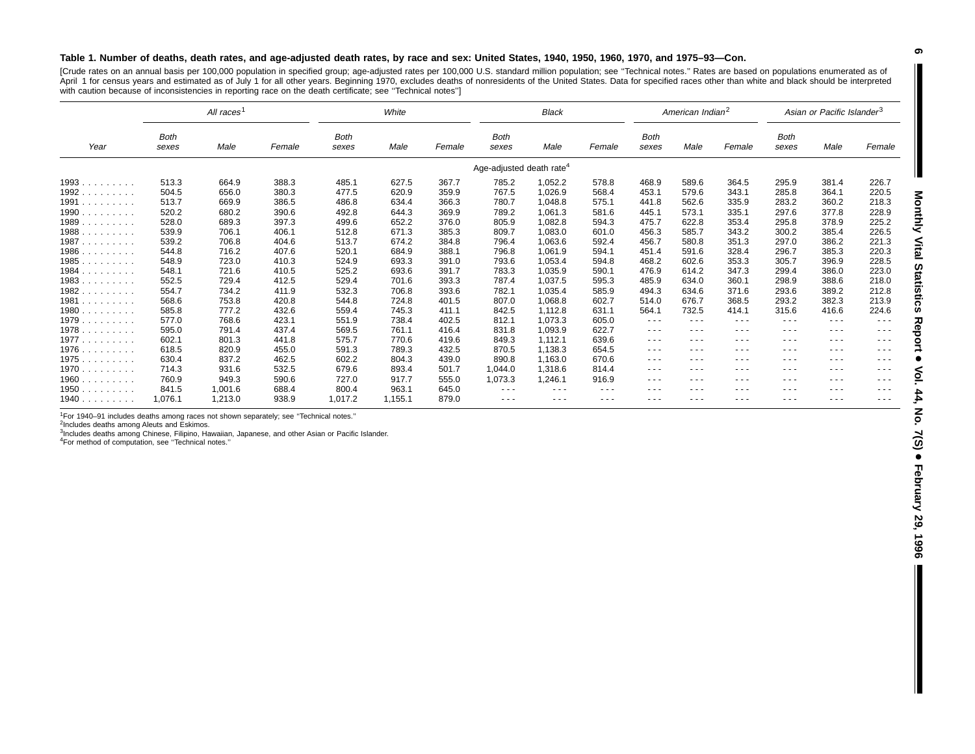#### Table 1. Number of deaths, death rates, and age-adjusted death rates, by race and sex: United States, 1940, 1950, 1960, 1970, and 1975-93-Con.

[Crude rates on an annual basis per 100,000 population in specified group; age-adjusted rates per 100,000 U.S. standard million population; see ''Technical notes.'' Rates are based on populations enumerated as of April 1 for census years and estimated as of July 1 for all other years. Beginning 1970, excludes deaths of nonresidents of the United States. Data for specified races other than white and black should be interpreted with caution because of inconsistencies in reporting race on the death certificate; see ''Technical notes'']

|                                                                            |                      | All races <sup>1</sup> |        |               | White   |        |                                      | <b>Black</b> |               |                      | American Indian <sup>2</sup> |          |               | Asian or Pacific Islander <sup>3</sup> |                                                                                                |
|----------------------------------------------------------------------------|----------------------|------------------------|--------|---------------|---------|--------|--------------------------------------|--------------|---------------|----------------------|------------------------------|----------|---------------|----------------------------------------|------------------------------------------------------------------------------------------------|
| Year                                                                       | <b>Both</b><br>sexes | Male                   | Female | Both<br>sexes | Male    | Female | <b>Both</b><br>sexes                 | Male         | Female        | <b>Both</b><br>sexes | Male                         | Female   | Both<br>sexes | Male                                   | Female                                                                                         |
|                                                                            |                      |                        |        |               |         |        | Age-adjusted death rate <sup>4</sup> |              |               |                      |                              |          |               |                                        |                                                                                                |
| 1993                                                                       | 513.3                | 664.9                  | 388.3  | 485.1         | 627.5   | 367.7  | 785.2                                | 1,052.2      | 578.8         | 468.9                | 589.6                        | 364.5    | 295.9         | 381.4                                  | 226.7                                                                                          |
| 1992                                                                       | 504.5                | 656.0                  | 380.3  | 477.5         | 620.9   | 359.9  | 767.5                                | 1,026.9      | 568.4         | 453.1                | 579.6                        | 343.1    | 285.8         | 364.1                                  | 220.5                                                                                          |
| 1991                                                                       | 513.7                | 669.9                  | 386.5  | 486.8         | 634.4   | 366.3  | 780.7                                | 1,048.8      | 575.1         | 441.8                | 562.6                        | 335.9    | 283.2         | 360.2                                  | 218.3                                                                                          |
| 1990                                                                       | 520.2                | 680.2                  | 390.6  | 492.8         | 644.3   | 369.9  | 789.2                                | 1,061.3      | 581.6         | 445.1                | 573.1                        | 335.1    | 297.6         | 377.8                                  | 228.9                                                                                          |
| 1989                                                                       | 528.0                | 689.3                  | 397.3  | 499.6         | 652.2   | 376.0  | 805.9                                | 1,082.8      | 594.3         | 475.7                | 622.8                        | 353.4    | 295.8         | 378.9                                  | 225.2                                                                                          |
| 1988.<br>$\mathcal{L}^{\mathcal{A}}$ . The set of the set of $\mathcal{A}$ | 539.9                | 706.1                  | 406.1  | 512.8         | 671.3   | 385.3  | 809.7                                | 1,083.0      | 601.0         | 456.3                | 585.7                        | 343.2    | 300.2         | 385.4                                  | 226.5                                                                                          |
| 1987                                                                       | 539.2                | 706.8                  | 404.6  | 513.7         | 674.2   | 384.8  | 796.4                                | 1,063.6      | 592.4         | 456.7                | 580.8                        | 351.3    | 297.0         | 386.2                                  | 221.3                                                                                          |
| $1986$                                                                     | 544.8                | 716.2                  | 407.6  | 520.1         | 684.9   | 388.1  | 796.8                                | 1,061.9      | 594.1         | 451.4                | 591.6                        | 328.4    | 296.7         | 385.3                                  | 220.3                                                                                          |
| 1985                                                                       | 548.9                | 723.0                  | 410.3  | 524.9         | 693.3   | 391.0  | 793.6                                | 1,053.4      | 594.8         | 468.2                | 602.6                        | 353.3    | 305.7         | 396.9                                  | 228.5                                                                                          |
| 1984                                                                       | 548.1                | 721.6                  | 410.5  | 525.2         | 693.6   | 391.7  | 783.3                                | 1,035.9      | 590.1         | 476.9                | 614.2                        | 347.3    | 299.4         | 386.0                                  | 223.0                                                                                          |
| 1983.<br>and a contract of                                                 | 552.5                | 729.4                  | 412.5  | 529.4         | 701.6   | 393.3  | 787.4                                | 1,037.5      | 595.3         | 485.9                | 634.0                        | 360.1    | 298.9         | 388.6                                  | 218.0                                                                                          |
| 1982                                                                       | 554.7                | 734.2                  | 411.9  | 532.3         | 706.8   | 393.6  | 782.1                                | 1,035.4      | 585.9         | 494.3                | 634.6                        | 371.6    | 293.6         | 389.2                                  | 212.8                                                                                          |
| 1981                                                                       | 568.6                | 753.8                  | 420.8  | 544.8         | 724.8   | 401.5  | 807.0                                | 1,068.8      | 602.7         | 514.0                | 676.7                        | 368.5    | 293.2         | 382.3                                  | 213.9                                                                                          |
| 1980                                                                       | 585.8                | 777.2                  | 432.6  | 559.4         | 745.3   | 411.1  | 842.5                                | 1,112.8      | 631.1         | 564.1                | 732.5                        | 414.1    | 315.6         | 416.6                                  | 224.6                                                                                          |
| 1979                                                                       | 577.0                | 768.6                  | 423.1  | 551.9         | 738.4   | 402.5  | 812.1                                | 1,073.3      | 605.0         | $\frac{1}{2}$        | $\cdots$                     | $\cdots$ | $\frac{1}{2}$ | $\frac{1}{2}$                          | $\cdots$                                                                                       |
| 1978                                                                       | 595.0                | 791.4                  | 437.4  | 569.5         | 761.1   | 416.4  | 831.8                                | 1,093.9      | 622.7         | $\cdots$             | $- - -$                      | $- - -$  | $- - -$       | $\cdots$                               | $\cdots$                                                                                       |
| 1977                                                                       | 602.1                | 801.3                  | 441.8  | 575.7         | 770.6   | 419.6  | 849.3                                | 1,112.1      | 639.6         | $\cdots$             | $\cdots$                     | $\cdots$ | $\cdots$      | $  -$                                  | $\cdots$                                                                                       |
| 1976                                                                       | 618.5                | 820.9                  | 455.0  | 591.3         | 789.3   | 432.5  | 870.5                                | 1,138.3      | 654.5         | $\cdots$             | $\cdots$                     | ---      | $  -$         | $  -$                                  | $\cdots$                                                                                       |
| 1975                                                                       | 630.4                | 837.2                  | 462.5  | 602.2         | 804.3   | 439.0  | 890.8                                | 1,163.0      | 670.6         | $\cdots$             | $\cdots$                     | $\cdots$ | $  -$         | $  -$                                  | $\cdots$                                                                                       |
| 1970                                                                       | 714.3                | 931.6                  | 532.5  | 679.6         | 893.4   | 501.7  | 1,044.0                              | 1,318.6      | 814.4         | $\cdots$             | $\cdots$                     | $- - -$  | $\frac{1}{2}$ | $  -$                                  | $\frac{1}{2} \left( \frac{1}{2} \right) \left( \frac{1}{2} \right) \left( \frac{1}{2} \right)$ |
| 1960                                                                       | 760.9                | 949.3                  | 590.6  | 727.0         | 917.7   | 555.0  | 1,073.3                              | 1,246.1      | 916.9         | ---                  | $\cdots$                     | $\cdots$ | $\cdots$      | ---                                    | ---                                                                                            |
| 1950                                                                       | 841.5                | 1,001.6                | 688.4  | 800.4         | 963.1   | 645.0  | $\frac{1}{2}$                        | $\cdots$     | $\frac{1}{2}$ | ---                  | $\cdots$                     | $\cdots$ | $\cdots$      | ---                                    | ---                                                                                            |
| 1940.<br>and a state of the                                                | 1,076.1              | 1,213.0                | 938.9  | 1,017.2       | 1,155.1 | 879.0  | $\cdots$                             | $\cdots$     | $\cdots$      | $- - -$              | $- - -$                      | ---      | ---           | ---                                    | $\cdots$                                                                                       |

<sup>1</sup>For 1940–91 includes deaths among races not shown separately; see "Technical notes."

2Includes deaths among Aleuts and Eskimos.

<sup>3</sup>Includes deaths among Chinese, Filipino, Hawaiian, Japanese, and other Asian or Pacific Islander.

4For method of computation, see ''Technical notes.''

I

**6**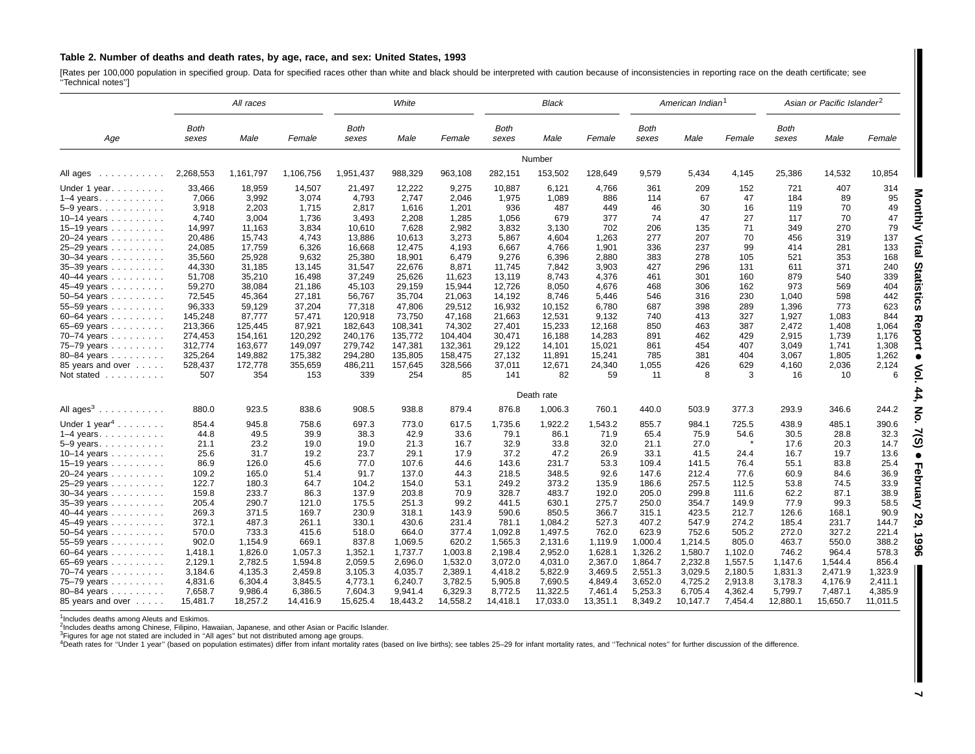#### Table 2. Number of deaths and death rates, by age, race, and sex: United States, 1993

[Rates per 100,000 population in specified group. Data for specified races other than white and black should be interpreted with caution because of inconsistencies in reporting race on the death certificate; see<br>"Technical

|                                                                                             |               | All races |           | White         |          |          | <b>Black</b>  |            |          | American Indian <sup>1</sup> |          |         | Asian or Pacific Islander <sup>2</sup> |          |          |
|---------------------------------------------------------------------------------------------|---------------|-----------|-----------|---------------|----------|----------|---------------|------------|----------|------------------------------|----------|---------|----------------------------------------|----------|----------|
| Age                                                                                         | Both<br>sexes | Male      | Female    | Both<br>sexes | Male     | Female   | Both<br>sexes | Male       | Female   | Both<br>sexes                | Male     | Female  | <b>Both</b><br>sexes                   | Male     | Female   |
|                                                                                             |               |           |           |               |          |          |               | Number     |          |                              |          |         |                                        |          |          |
| All ages                                                                                    | 2,268,553     | 1,161,797 | 1,106,756 | 1,951,437     | 988,329  | 963,108  | 282,151       | 153,502    | 128,649  | 9,579                        | 5,434    | 4,145   | 25,386                                 | 14,532   | 10,854   |
| Under 1 year. $\ldots$                                                                      | 33,466        | 18,959    | 14,507    | 21,497        | 12,222   | 9,275    | 10,887        | 6,121      | 4,766    | 361                          | 209      | 152     | 721                                    | 407      | 314      |
| $1-4$ years.                                                                                | 7,066         | 3,992     | 3,074     | 4,793         | 2,747    | 2,046    | 1,975         | 1,089      | 886      | 114                          | 67       | 47      | 184                                    | 89       | 95       |
| $5-9$ years. $\ldots$                                                                       | 3,918         | 2,203     | 1,715     | 2,817         | 1,616    | 1,201    | 936           | 487        | 449      | 46                           | 30       | 16      | 119                                    | 70       | 49       |
| 10-14 years                                                                                 | 4,740         | 3,004     | 1,736     | 3,493         | 2,208    | 1,285    | 1,056         | 679        | 377      | 74                           | 47       | 27      | 117                                    | 70       | 47       |
| 15–19 years $\ldots \ldots \ldots$                                                          | 14,997        | 11,163    | 3,834     | 10,610        | 7,628    | 2,982    | 3,832         | 3,130      | 702      | 206                          | 135      | 71      | 349                                    | 270      | 79       |
| 20-24 years                                                                                 | 20,486        | 15,743    | 4,743     | 13,886        | 10,613   | 3,273    | 5,867         | 4,604      | 1,263    | 277                          | 207      | 70      | 456                                    | 319      | 137      |
| 25-29 years                                                                                 | 24,085        | 17,759    | 6,326     | 16,668        | 12,475   | 4,193    | 6,667         | 4,766      | 1,901    | 336                          | 237      | 99      | 414                                    | 281      | 133      |
| 30-34 years                                                                                 | 35,560        | 25,928    | 9,632     | 25,380        | 18,901   | 6,479    | 9,276         | 6,396      | 2,880    | 383                          | 278      | 105     | 521                                    | 353      | 168      |
| 35-39 years                                                                                 | 44,330        | 31,185    | 13,145    | 31,547        | 22,676   | 8,871    | 11,745        | 7,842      | 3,903    | 427                          | 296      | 131     | 611                                    | 371      | 240      |
| 40–44 years                                                                                 | 51,708        | 35,210    | 16,498    | 37,249        | 25,626   | 11,623   | 13,119        | 8,743      | 4,376    | 461                          | 301      | 160     | 879                                    | 540      | 339      |
| 45-49 years                                                                                 | 59,270        | 38,084    | 21,186    | 45,103        | 29,159   | 15,944   | 12,726        | 8,050      | 4,676    | 468                          | 306      | 162     | 973                                    | 569      | 404      |
| $50 - 54$ years                                                                             | 72,545        | 45,364    | 27,181    | 56,767        | 35,704   | 21,063   | 14,192        | 8,746      | 5,446    | 546                          | 316      | 230     | 1,040                                  | 598      | 442      |
| 55-59 years                                                                                 | 96,333        | 59,129    | 37,204    | 77,318        | 47,806   | 29,512   | 16,932        | 10,152     | 6.780    | 687                          | 398      | 289     | 1,396                                  | 773      | 623      |
| 60-64 years                                                                                 | 145,248       | 87,777    | 57,471    | 120,918       | 73,750   | 47,168   | 21,663        | 12,531     | 9,132    | 740                          | 413      | 327     | 1,927                                  | 1,083    | 844      |
| 65-69 years                                                                                 | 213,366       | 125,445   | 87,921    | 182,643       | 108,341  | 74,302   | 27,401        | 15,233     | 12,168   | 850                          | 463      | 387     | 2,472                                  | 1,408    | 1,064    |
| 70-74 years                                                                                 | 274,453       | 154,161   | 120.292   | 240,176       | 135.772  | 104,404  | 30,471        | 16,188     | 14,283   | 891                          | 462      | 429     | 2,915                                  | 1,739    | 1,176    |
| 75-79 years                                                                                 | 312,774       | 163,677   | 149,097   | 279,742       | 147,381  | 132,361  | 29,122        | 14,101     | 15,021   | 861                          | 454      | 407     | 3,049                                  | 1,741    | 1,308    |
| 80-84 years                                                                                 | 325,264       | 149,882   | 175,382   | 294,280       | 135,805  | 158,475  | 27,132        | 11,891     | 15,241   | 785                          | 381      | 404     | 3,067                                  | 1,805    | 1,262    |
| 85 years and over                                                                           | 528,437       | 172,778   | 355,659   | 486,211       | 157,645  | 328,566  | 37,011        | 12,671     | 24,340   | 1,055                        | 426      | 629     | 4,160                                  | 2,036    | 2,124    |
| Not stated                                                                                  | 507           | 354       | 153       | 339           | 254      | 85       | 141           | 82         | 59       | 11                           | 8        | 3       | 16                                     | 10       | 6        |
|                                                                                             |               |           |           |               |          |          |               | Death rate |          |                              |          |         |                                        |          |          |
| All ages <sup>3</sup><br>$\mathcal{A}$ . The set of the set of the set of the $\mathcal{A}$ | 880.0         | 923.5     | 838.6     | 908.5         | 938.8    | 879.4    | 876.8         | 1,006.3    | 760.1    | 440.0                        | 503.9    | 377.3   | 293.9                                  | 346.6    | 244.2    |
| Under 1 year <sup>4</sup>                                                                   | 854.4         | 945.8     | 758.6     | 697.3         | 773.0    | 617.5    | 1,735.6       | 1,922.2    | 1,543.2  | 855.7                        | 984.1    | 725.5   | 438.9                                  | 485.1    | 390.6    |
| $1-4$ years.                                                                                | 44.8          | 49.5      | 39.9      | 38.3          | 42.9     | 33.6     | 79.1          | 86.1       | 71.9     | 65.4                         | 75.9     | 54.6    | 30.5                                   | 28.8     | 32.3     |
| $5-9$ years. $\ldots$                                                                       | 21.1          | 23.2      | 19.0      | 19.0          | 21.3     | 16.7     | 32.9          | 33.8       | 32.0     | 21.1                         | 27.0     |         | 17.6                                   | 20.3     | 14.7     |
| 10-14 years                                                                                 | 25.6          | 31.7      | 19.2      | 23.7          | 29.1     | 17.9     | 37.2          | 47.2       | 26.9     | 33.1                         | 41.5     | 24.4    | 16.7                                   | 19.7     | 13.6     |
| 15–19 years $\ldots$                                                                        | 86.9          | 126.0     | 45.6      | 77.0          | 107.6    | 44.6     | 143.6         | 231.7      | 53.3     | 109.4                        | 141.5    | 76.4    | 55.1                                   | 83.8     | 25.4     |
| 20-24 years                                                                                 | 109.2         | 165.0     | 51.4      | 91.7          | 137.0    | 44.3     | 218.5         | 348.5      | 92.6     | 147.6                        | 212.4    | 77.6    | 60.9                                   | 84.6     | 36.9     |
| 25-29 years                                                                                 | 122.7         | 180.3     | 64.7      | 104.2         | 154.0    | 53.1     | 249.2         | 373.2      | 135.9    | 186.6                        | 257.5    | 112.5   | 53.8                                   | 74.5     | 33.9     |
| $30 - 34$ years                                                                             | 159.8         | 233.7     | 86.3      | 137.9         | 203.8    | 70.9     | 328.7         | 483.7      | 192.0    | 205.0                        | 299.8    | 111.6   | 62.2                                   | 87.1     | 38.9     |
| 35-39 years                                                                                 | 205.4         | 290.7     | 121.0     | 175.5         | 251.3    | 99.2     | 441.5         | 630.1      | 275.7    | 250.0                        | 354.7    | 149.9   | 77.9                                   | 99.3     | 58.5     |
| 40-44 years                                                                                 | 269.3         | 371.5     | 169.7     | 230.9         | 318.1    | 143.9    | 590.6         | 850.5      | 366.7    | 315.1                        | 423.5    | 212.7   | 126.6                                  | 168.1    | 90.9     |
| 45-49 years                                                                                 | 372.1         | 487.3     | 261.1     | 330.1         | 430.6    | 231.4    | 781.1         | 1,084.2    | 527.3    | 407.2                        | 547.9    | 274.2   | 185.4                                  | 231.7    | 144.7    |
| 50–54 years $\ldots$                                                                        | 570.0         | 733.3     | 415.6     | 518.0         | 664.0    | 377.4    | 1,092.8       | 1,497.5    | 762.0    | 623.9                        | 752.6    | 505.2   | 272.0                                  | 327.2    | 221.4    |
| 55-59 years                                                                                 | 902.0         | 1,154.9   | 669.1     | 837.8         | 1,069.5  | 620.2    | 1,565.3       | 2,131.6    | 1,119.9  | 1,000.4                      | 1,214.5  | 805.0   | 463.7                                  | 550.0    | 388.2    |
| $60 - 64$ years                                                                             | 1,418.1       | 1,826.0   | 1,057.3   | 1,352.1       | 1,737.7  | 1,003.8  | 2,198.4       | 2,952.0    | 1,628.1  | 1,326.2                      | 1,580.7  | 1,102.0 | 746.2                                  | 964.4    | 578.3    |
| 65-69 years                                                                                 | 2,129.1       | 2,782.5   | 1,594.8   | 2,059.5       | 2,696.0  | 1,532.0  | 3,072.0       | 4,031.0    | 2,367.0  | 1,864.7                      | 2,232.8  | 1,557.5 | 1,147.6                                | 1,544.4  | 856.4    |
| 70-74 years                                                                                 | 3,184.6       | 4,135.3   | 2,459.8   | 3,105.3       | 4,035.7  | 2,389.1  | 4,418.2       | 5,822.9    | 3,469.5  | 2,551.3                      | 3,029.5  | 2,180.5 | 1,831.3                                | 2,471.9  | 1,323.9  |
| 75-79 years                                                                                 | 4,831.6       | 6,304.4   | 3,845.5   | 4,773.1       | 6,240.7  | 3,782.5  | 5,905.8       | 7,690.5    | 4,849.4  | 3,652.0                      | 4,725.2  | 2,913.8 | 3,178.3                                | 4,176.9  | 2,411.1  |
| 80-84 years                                                                                 | 7.658.7       | 9.986.4   | 6.386.5   | 7.604.3       | 9.941.4  | 6.329.3  | 8,772.5       | 11,322.5   | 7.461.4  | 5.253.3                      | 6.705.4  | 4.362.4 | 5,799.7                                | 7.487.1  | 4.385.9  |
| 85 years and over                                                                           | 15,481.7      | 18,257.2  | 14,416.9  | 15,625.4      | 18,443.2 | 14,558.2 | 14,418.1      | 17,033.0   | 13,351.1 | 8,349.2                      | 10,147.7 | 7,454.4 | 12,880.1                               | 15,650.7 | 11,011.5 |

<sup>1</sup>Includes deaths among Aleuts and Eskimos.

2Includes deaths among Chinese, Filipino, Hawaiian, Japanese, and other Asian or Pacific Islander.

<sup>3</sup>Figures for age not stated are included in "All ages" but not distributed among age groups.<br><sup>4</sup>Death rates for "Under 1 year" (based on population estimates) differ from infant mortality rates (based on live births); se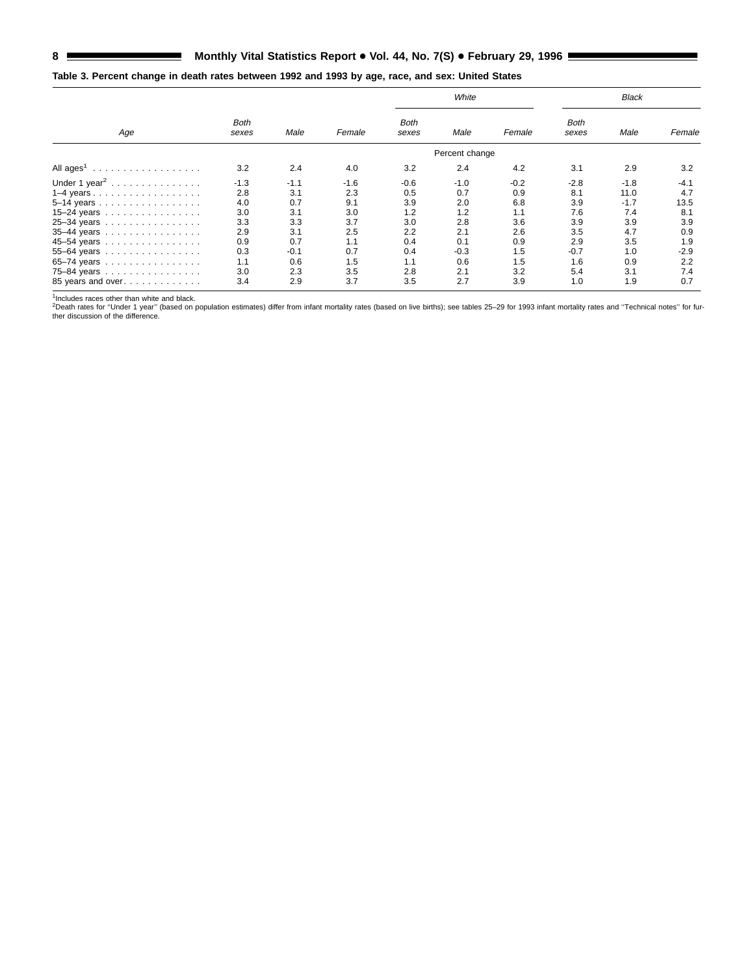# 8 Monthly Vital Statistics Report . Vol. 44, No. 7(S) . February 29, 1996 **Example 20**

# **Table 3. Percent change in death rates between 1992 and 1993 by age, race, and sex: United States**

|                           |                      |        |        |                      | White          |        |               | Black  |        |
|---------------------------|----------------------|--------|--------|----------------------|----------------|--------|---------------|--------|--------|
| Age                       | <b>Both</b><br>sexes | Male   | Female | <b>Both</b><br>sexes | Male           | Female | Both<br>sexes | Male   | Female |
|                           |                      |        |        |                      | Percent change |        |               |        |        |
|                           | 3.2                  | 2.4    | 4.0    | 3.2                  | 2.4            | 4.2    | 3.1           | 2.9    | 3.2    |
| Under 1 year <sup>2</sup> | $-1.3$               | $-1.1$ | $-1.6$ | $-0.6$               | $-1.0$         | $-0.2$ | $-2.8$        | $-1.8$ | $-4.1$ |
|                           | 2.8                  | 3.1    | 2.3    | 0.5                  | 0.7            | 0.9    | 8.1           | 11.0   | 4.7    |
| $5-14$ years              | 4.0                  | 0.7    | 9.1    | 3.9                  | 2.0            | 6.8    | 3.9           | $-1.7$ | 13.5   |
| 15-24 years               | 3.0                  | 3.1    | 3.0    | 1.2                  | 1.2            | 1.1    | 7.6           | 7.4    | 8.1    |
| 25-34 years               | 3.3                  | 3.3    | 3.7    | 3.0                  | 2.8            | 3.6    | 3.9           | 3.9    | 3.9    |
| 35-44 years               | 2.9                  | 3.1    | 2.5    | 2.2                  | 2.1            | 2.6    | 3.5           | 4.7    | 0.9    |
| 45-54 years               | 0.9                  | 0.7    | 1.1    | 0.4                  | 0.1            | 0.9    | 2.9           | 3.5    | 1.9    |
| 55-64 years               | 0.3                  | -0.1   | 0.7    | 0.4                  | $-0.3$         | 1.5    | $-0.7$        | 1.0    | $-2.9$ |
| 65-74 years               | 1.1                  | 0.6    | 1.5    | 1.1                  | 0.6            | 1.5    | 1.6           | 0.9    | 2.2    |
| 75-84 years               | 3.0                  | 2.3    | 3.5    | 2.8                  | 2.1            | 3.2    | 5.4           | 3.1    | 7.4    |
| 85 years and over         | 3.4                  | 2.9    | 3.7    | 3.5                  | 2.7            | 3.9    | 1.0           | 1.9    | 0.7    |

<sup>1</sup>Includes races other than white and black.<br><sup>2</sup>Death rates for "Under 1 year" (based on population estimates) differ from infant mortality rates (based on live births); see tables 25–29 for 1993 infant mortality rates an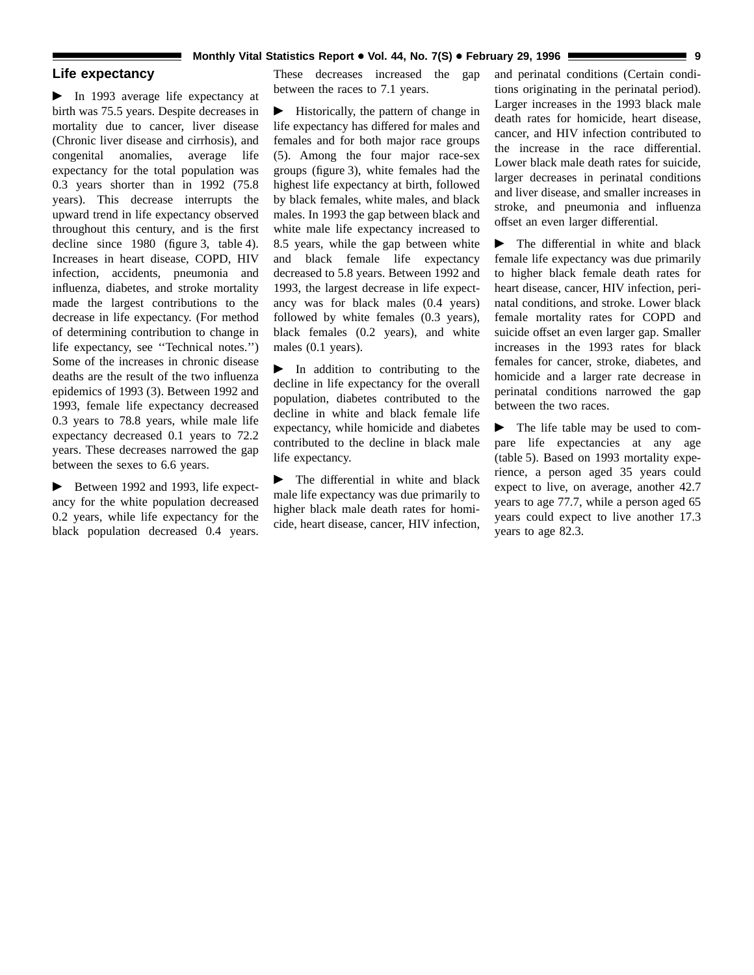# **Life expectancy**

 $\blacktriangleright$  In 1993 average life expectancy at birth was 75.5 years. Despite decreases in mortality due to cancer, liver disease (Chronic liver disease and cirrhosis), and congenital anomalies, average life expectancy for the total population was 0.3 years shorter than in 1992 (75.8 years). This decrease interrupts the upward trend in life expectancy observed throughout this century, and is the first decline since 1980 (figure 3, table 4). Increases in heart disease, COPD, HIV infection, accidents, pneumonia and influenza, diabetes, and stroke mortality made the largest contributions to the decrease in life expectancy. (For method of determining contribution to change in life expectancy, see ''Technical notes.'') Some of the increases in chronic disease deaths are the result of the two influenza epidemics of 1993 (3). Between 1992 and 1993, female life expectancy decreased 0.3 years to 78.8 years, while male life expectancy decreased 0.1 years to 72.2 years. These decreases narrowed the gap between the sexes to 6.6 years.

 $\blacktriangleright$  Between 1992 and 1993, life expectancy for the white population decreased 0.2 years, while life expectancy for the black population decreased 0.4 years. These decreases increased the gap between the races to 7.1 years.

 $\blacktriangleright$  Historically, the pattern of change in life expectancy has differed for males and females and for both major race groups (5). Among the four major race-sex groups (figure 3), white females had the highest life expectancy at birth, followed by black females, white males, and black males. In 1993 the gap between black and white male life expectancy increased to 8.5 years, while the gap between white and black female life expectancy decreased to 5.8 years. Between 1992 and 1993, the largest decrease in life expectancy was for black males (0.4 years) followed by white females (0.3 years), black females (0.2 years), and white males (0.1 years).

 $\blacktriangleright$  In addition to contributing to the decline in life expectancy for the overall population, diabetes contributed to the decline in white and black female life expectancy, while homicide and diabetes contributed to the decline in black male life expectancy.

 $\blacktriangleright$  The differential in white and black male life expectancy was due primarily to higher black male death rates for homicide, heart disease, cancer, HIV infection, and perinatal conditions (Certain conditions originating in the perinatal period). Larger increases in the 1993 black male death rates for homicide, heart disease, cancer, and HIV infection contributed to the increase in the race differential. Lower black male death rates for suicide, larger decreases in perinatal conditions and liver disease, and smaller increases in stroke, and pneumonia and influenza offset an even larger differential.

 $\blacktriangleright$  The differential in white and black female life expectancy was due primarily to higher black female death rates for heart disease, cancer, HIV infection, perinatal conditions, and stroke. Lower black female mortality rates for COPD and suicide offset an even larger gap. Smaller increases in the 1993 rates for black females for cancer, stroke, diabetes, and homicide and a larger rate decrease in perinatal conditions narrowed the gap between the two races.

 $\blacktriangleright$  The life table may be used to compare life expectancies at any age (table 5). Based on 1993 mortality experience, a person aged 35 years could expect to live, on average, another 42.7 years to age 77.7, while a person aged 65 years could expect to live another 17.3 years to age 82.3.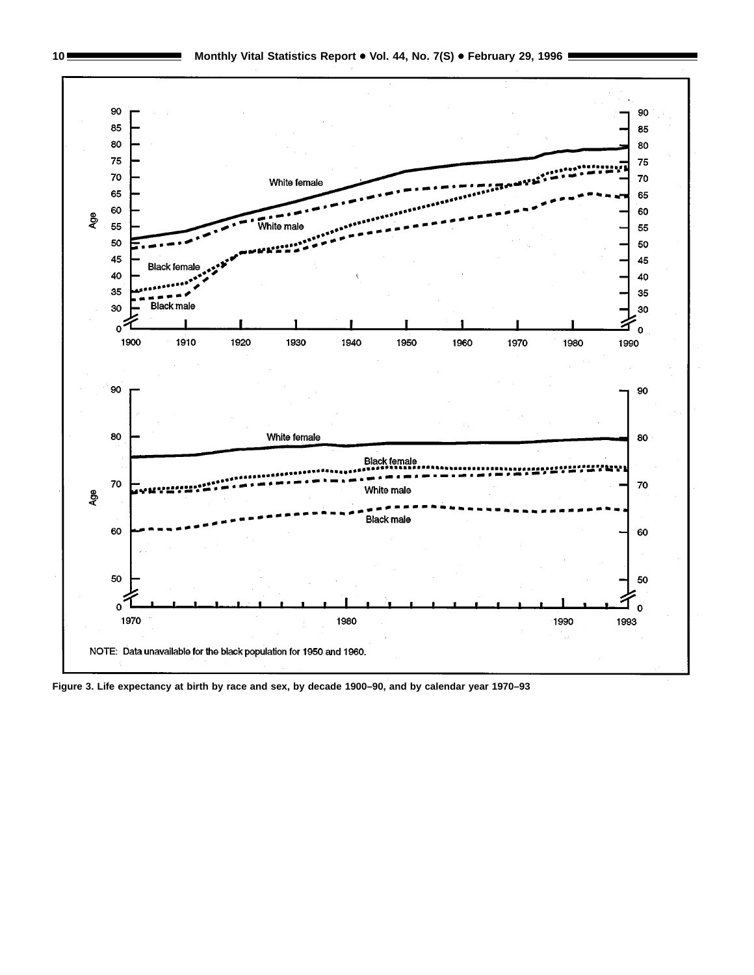

10 Monthly Vital Statistics Report . Vol. 44, No. 7(S) . February 29, 1996

**Figure 3. Life expectancy at birth by race and sex, by decade 1900–90, and by calendar year 1970–93**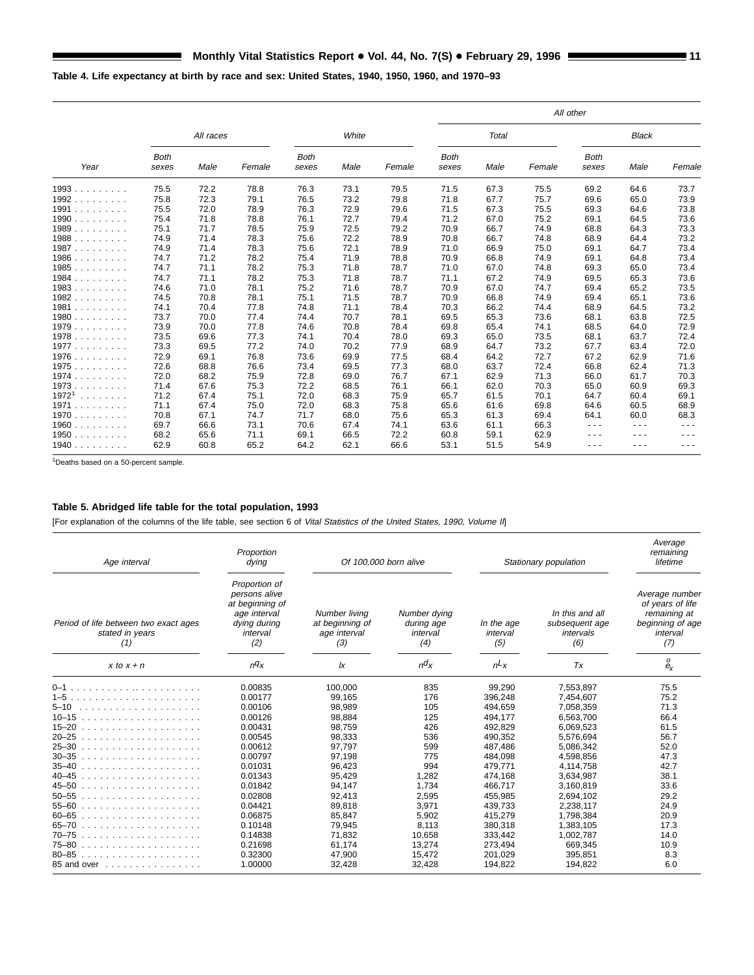# **Table 4. Life expectancy at birth by race and sex: United States, 1940, 1950, 1960, and 1970–93**

|                        |                      |           |        |                      |       |        |                      |       |        | All other            |              |        |
|------------------------|----------------------|-----------|--------|----------------------|-------|--------|----------------------|-------|--------|----------------------|--------------|--------|
|                        |                      | All races |        |                      | White |        |                      | Total |        |                      | <b>Black</b> |        |
| Year                   | <b>Both</b><br>sexes | Male      | Female | <b>Both</b><br>sexes | Male  | Female | <b>Both</b><br>sexes | Male  | Female | <b>Both</b><br>sexes | Male         | Female |
| 1993                   | 75.5                 | 72.2      | 78.8   | 76.3                 | 73.1  | 79.5   | 71.5                 | 67.3  | 75.5   | 69.2                 | 64.6         | 73.7   |
| 1992                   | 75.8                 | 72.3      | 79.1   | 76.5                 | 73.2  | 79.8   | 71.8                 | 67.7  | 75.7   | 69.6                 | 65.0         | 73.9   |
| 1991                   | 75.5                 | 72.0      | 78.9   | 76.3                 | 72.9  | 79.6   | 71.5                 | 67.3  | 75.5   | 69.3                 | 64.6         | 73.8   |
| 1990                   | 75.4                 | 71.8      | 78.8   | 76.1                 | 72.7  | 79.4   | 71.2                 | 67.0  | 75.2   | 69.1                 | 64.5         | 73.6   |
| 1989                   | 75.1                 | 71.7      | 78.5   | 75.9                 | 72.5  | 79.2   | 70.9                 | 66.7  | 74.9   | 68.8                 | 64.3         | 73.3   |
| 1988                   | 74.9                 | 71.4      | 78.3   | 75.6                 | 72.2  | 78.9   | 70.8                 | 66.7  | 74.8   | 68.9                 | 64.4         | 73.2   |
| 1987                   | 74.9                 | 71.4      | 78.3   | 75.6                 | 72.1  | 78.9   | 71.0                 | 66.9  | 75.0   | 69.1                 | 64.7         | 73.4   |
| 1986.<br>1.1.1.1.1.1.1 | 74.7                 | 71.2      | 78.2   | 75.4                 | 71.9  | 78.8   | 70.9                 | 66.8  | 74.9   | 69.1                 | 64.8         | 73.4   |
| 1985                   | 74.7                 | 71.1      | 78.2   | 75.3                 | 71.8  | 78.7   | 71.0                 | 67.0  | 74.8   | 69.3                 | 65.0         | 73.4   |
| $1984$                 | 74.7                 | 71.1      | 78.2   | 75.3                 | 71.8  | 78.7   | 71.1                 | 67.2  | 74.9   | 69.5                 | 65.3         | 73.6   |
| 1983                   | 74.6                 | 71.0      | 78.1   | 75.2                 | 71.6  | 78.7   | 70.9                 | 67.0  | 74.7   | 69.4                 | 65.2         | 73.5   |
| 1982                   | 74.5                 | 70.8      | 78.1   | 75.1                 | 71.5  | 78.7   | 70.9                 | 66.8  | 74.9   | 69.4                 | 65.1         | 73.6   |
| $1981$                 | 74.1                 | 70.4      | 77.8   | 74.8                 | 71.1  | 78.4   | 70.3                 | 66.2  | 74.4   | 68.9                 | 64.5         | 73.2   |
| 1980                   | 73.7                 | 70.0      | 77.4   | 74.4                 | 70.7  | 78.1   | 69.5                 | 65.3  | 73.6   | 68.1                 | 63.8         | 72.5   |
| 1979                   | 73.9                 | 70.0      | 77.8   | 74.6                 | 70.8  | 78.4   | 69.8                 | 65.4  | 74.1   | 68.5                 | 64.0         | 72.9   |
| 1978                   | 73.5                 | 69.6      | 77.3   | 74.1                 | 70.4  | 78.0   | 69.3                 | 65.0  | 73.5   | 68.1                 | 63.7         | 72.4   |
| 1977                   | 73.3                 | 69.5      | 77.2   | 74.0                 | 70.2  | 77.9   | 68.9                 | 64.7  | 73.2   | 67.7                 | 63.4         | 72.0   |
| 1976                   | 72.9                 | 69.1      | 76.8   | 73.6                 | 69.9  | 77.5   | 68.4                 | 64.2  | 72.7   | 67.2                 | 62.9         | 71.6   |
| 1975                   | 72.6                 | 68.8      | 76.6   | 73.4                 | 69.5  | 77.3   | 68.0                 | 63.7  | 72.4   | 66.8                 | 62.4         | 71.3   |
| 1974                   | 72.0                 | 68.2      | 75.9   | 72.8                 | 69.0  | 76.7   | 67.1                 | 62.9  | 71.3   | 66.0                 | 61.7         | 70.3   |
| 1973                   | 71.4                 | 67.6      | 75.3   | 72.2                 | 68.5  | 76.1   | 66.1                 | 62.0  | 70.3   | 65.0                 | 60.9         | 69.3   |
| 19721<br>1.1.1.1.1.1.1 | 71.2                 | 67.4      | 75.1   | 72.0                 | 68.3  | 75.9   | 65.7                 | 61.5  | 70.1   | 64.7                 | 60.4         | 69.1   |
| 1971                   | 71.1                 | 67.4      | 75.0   | 72.0                 | 68.3  | 75.8   | 65.6                 | 61.6  | 69.8   | 64.6                 | 60.5         | 68.9   |
| 1970                   | 70.8                 | 67.1      | 74.7   | 71.7                 | 68.0  | 75.6   | 65.3                 | 61.3  | 69.4   | 64.1                 | 60.0         | 68.3   |
| 1960                   | 69.7                 | 66.6      | 73.1   | 70.6                 | 67.4  | 74.1   | 63.6                 | 61.1  | 66.3   | .                    | ---          | ---    |
| 1950                   | 68.2                 | 65.6      | 71.1   | 69.1                 | 66.5  | 72.2   | 60.8                 | 59.1  | 62.9   | .                    | .            | ---    |
| 1940                   | 62.9                 | 60.8      | 65.2   | 64.2                 | 62.1  | 66.6   | 53.1                 | 51.5  | 54.9   | .                    | .            | .      |

1Deaths based on a 50-percent sample.

# **Table 5. Abridged life table for the total population, 1993**

 $\blacksquare$ 

[For explanation of the columns of the life table, see section 6 of Vital Statistics of the United States, 1990, Volume II]

| Age interval                                                                                                                                                                                                                               | Proportion<br>dying                                                                                  | Of 100,000 born alive                                   |                                               |                               | Stationary population                                 | Average<br>remaining<br>lifetime                                                          |
|--------------------------------------------------------------------------------------------------------------------------------------------------------------------------------------------------------------------------------------------|------------------------------------------------------------------------------------------------------|---------------------------------------------------------|-----------------------------------------------|-------------------------------|-------------------------------------------------------|-------------------------------------------------------------------------------------------|
| Period of life between two exact ages<br>stated in years<br>(1)                                                                                                                                                                            | Proportion of<br>persons alive<br>at beginning of<br>age interval<br>dying during<br>interval<br>(2) | Number living<br>at beginning of<br>age interval<br>(3) | Number dying<br>during age<br>interval<br>(4) | In the age<br>interval<br>(5) | In this and all<br>subsequent age<br>intervals<br>(6) | Average number<br>of years of life<br>remaining at<br>beginning of age<br>interval<br>(7) |
| $x$ to $x + n$                                                                                                                                                                                                                             | $nq_X$                                                                                               | Ιx                                                      | $n\alpha$                                     | $n\lambda x$                  | Tx                                                    | 0<br>$e_{x}$                                                                              |
|                                                                                                                                                                                                                                            | 0.00835                                                                                              | 100.000                                                 | 835                                           | 99,290                        | 7,553,897                                             | 75.5                                                                                      |
|                                                                                                                                                                                                                                            | 0.00177                                                                                              | 99.165                                                  | 176                                           | 396.248                       | 7.454.607                                             | 75.2                                                                                      |
| $5 - 10$<br>.                                                                                                                                                                                                                              | 0.00106                                                                                              | 98,989                                                  | 105                                           | 494.659                       | 7,058,359                                             | 71.3                                                                                      |
| $10 - 15$                                                                                                                                                                                                                                  | 0.00126                                                                                              | 98,884                                                  | 125                                           | 494,177                       | 6,563,700                                             | 66.4                                                                                      |
| $15 - 20$<br>.                                                                                                                                                                                                                             | 0.00431                                                                                              | 98.759                                                  | 426                                           | 492.829                       | 6.069.523                                             | 61.5                                                                                      |
| $20 - 25$<br>.                                                                                                                                                                                                                             | 0.00545                                                                                              | 98.333                                                  | 536                                           | 490.352                       | 5.576.694                                             | 56.7                                                                                      |
| $25 - 30$<br>distributions of the contract of the contract of the contract of the contract of the contract of the contract of the contract of the contract of the contract of the contract of the contract of the contract of the contract | 0.00612                                                                                              | 97,797                                                  | 599                                           | 487.486                       | 5,086,342                                             | 52.0                                                                                      |
| $30 - 35$<br>distributions of the contract of the contract of the contract of the contract of the contract of the contract of the contract of the contract of the contract of the contract of the contract of the contract of the contract | 0.00797                                                                                              | 97,198                                                  | 775                                           | 484.098                       | 4.598.856                                             | 47.3                                                                                      |
| $35 - 40$<br>.                                                                                                                                                                                                                             | 0.01031                                                                                              | 96.423                                                  | 994                                           | 479.771                       | 4.114.758                                             | 42.7                                                                                      |
| $40 - 45$                                                                                                                                                                                                                                  | 0.01343                                                                                              | 95.429                                                  | 1,282                                         | 474,168                       | 3.634.987                                             | 38.1                                                                                      |
| $45 - 50$                                                                                                                                                                                                                                  | 0.01842                                                                                              | 94,147                                                  | 1,734                                         | 466.717                       | 3,160,819                                             | 33.6                                                                                      |
| $50 - 55$<br>.                                                                                                                                                                                                                             | 0.02808                                                                                              | 92.413                                                  | 2,595                                         | 455.985                       | 2.694.102                                             | 29.2                                                                                      |
| $55 - 60$<br>.                                                                                                                                                                                                                             | 0.04421                                                                                              | 89,818                                                  | 3,971                                         | 439.733                       | 2.238.117                                             | 24.9                                                                                      |
| $60 - 65$                                                                                                                                                                                                                                  | 0.06875                                                                                              | 85.847                                                  | 5,902                                         | 415.279                       | 1.798.384                                             | 20.9                                                                                      |
| $65 - 70$                                                                                                                                                                                                                                  | 0.10148                                                                                              | 79,945                                                  | 8,113                                         | 380,318                       | 1,383,105                                             | 17.3                                                                                      |
| $70 - 75$<br>.                                                                                                                                                                                                                             | 0.14838                                                                                              | 71.832                                                  | 10.658                                        | 333.442                       | 1.002.787                                             | 14.0                                                                                      |
| $75 - 80$<br>.                                                                                                                                                                                                                             | 0.21698                                                                                              | 61,174                                                  | 13,274                                        | 273.494                       | 669,345                                               | 10.9                                                                                      |
| $80 - 85$<br>.                                                                                                                                                                                                                             | 0.32300                                                                                              | 47,900                                                  | 15,472                                        | 201.029                       | 395,851                                               | 8.3                                                                                       |
| 85 and over                                                                                                                                                                                                                                | 1.00000                                                                                              | 32,428                                                  | 32,428                                        | 194,822                       | 194,822                                               | 6.0                                                                                       |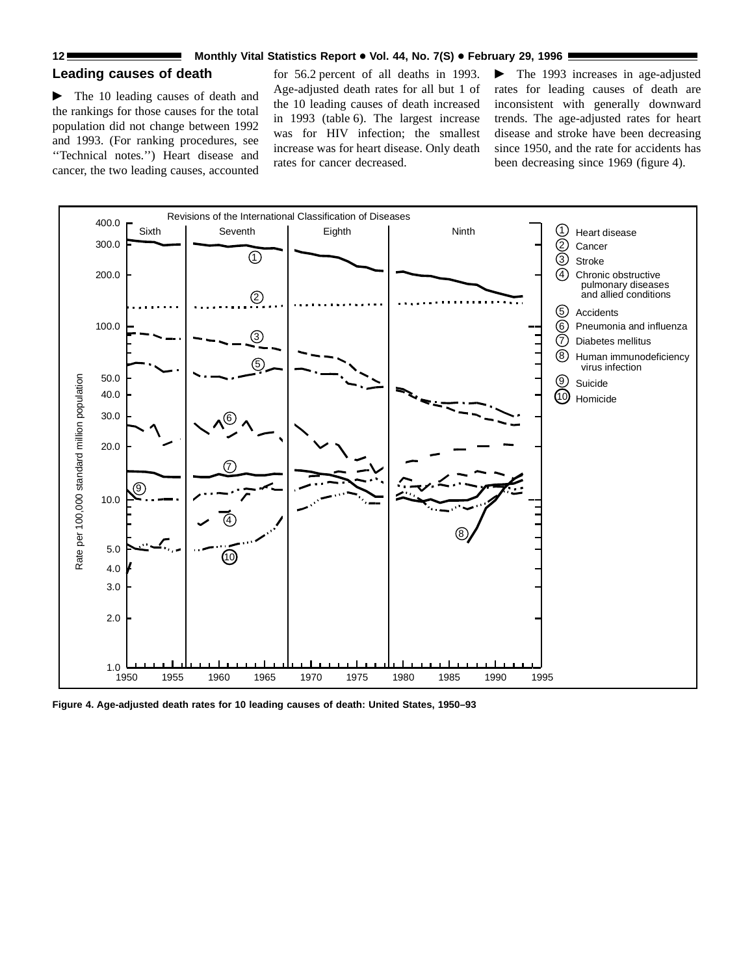# **Leading causes of death**

 $\blacktriangleright$  The 10 leading causes of death and the rankings for those causes for the total population did not change between 1992 and 1993. (For ranking procedures, see ''Technical notes.'') Heart disease and cancer, the two leading causes, accounted

for 56.2 percent of all deaths in 1993. Age-adjusted death rates for all but 1 of the 10 leading causes of death increased in 1993 (table 6). The largest increase was for HIV infection; the smallest increase was for heart disease. Only death rates for cancer decreased.

 $\blacktriangleright$  The 1993 increases in age-adjusted rates for leading causes of death are inconsistent with generally downward trends. The age-adjusted rates for heart disease and stroke have been decreasing since 1950, and the rate for accidents has been decreasing since 1969 (figure 4).



**Figure 4. Age-adjusted death rates for 10 leading causes of death: United States, 1950–93**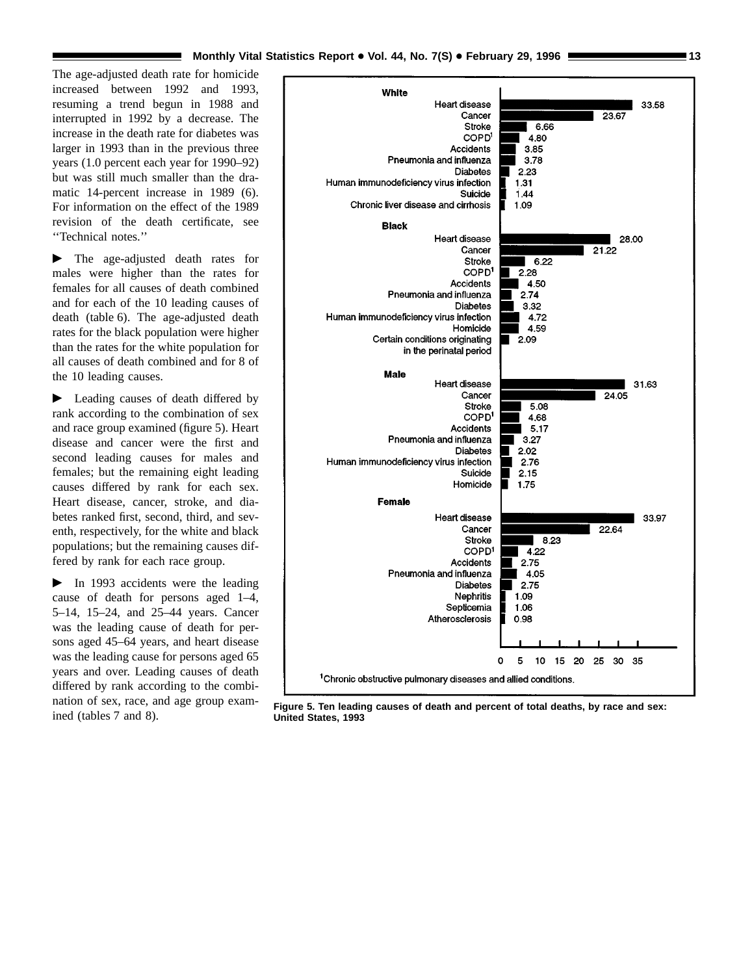The age-adjusted death rate for homicide increased between 1992 and 1993, resuming a trend begun in 1988 and interrupted in 1992 by a decrease. The increase in the death rate for diabetes was larger in 1993 than in the previous three years (1.0 percent each year for 1990–92) but was still much smaller than the dramatic 14-percent increase in 1989 (6). For information on the effect of the 1989 revision of the death certificate, see ''Technical notes.''

 $\blacktriangleright$  The age-adjusted death rates for males were higher than the rates for females for all causes of death combined and for each of the 10 leading causes of death (table 6). The age-adjusted death rates for the black population were higher than the rates for the white population for all causes of death combined and for 8 of the 10 leading causes.

 $\blacktriangleright$  Leading causes of death differed by rank according to the combination of sex and race group examined (figure 5). Heart disease and cancer were the first and second leading causes for males and females; but the remaining eight leading causes differed by rank for each sex. Heart disease, cancer, stroke, and diabetes ranked first, second, third, and seventh, respectively, for the white and black populations; but the remaining causes differed by rank for each race group.

 $\blacktriangleright$  In 1993 accidents were the leading cause of death for persons aged 1–4, 5–14, 15–24, and 25–44 years. Cancer was the leading cause of death for persons aged 45–64 years, and heart disease was the leading cause for persons aged 65 years and over. Leading causes of death differed by rank according to the combination of sex, race, and age group exam-



ined (tables 7 and 8). **Figure 5. Ten leading causes of death and percent of total deaths, by race and sex: United States, 1993**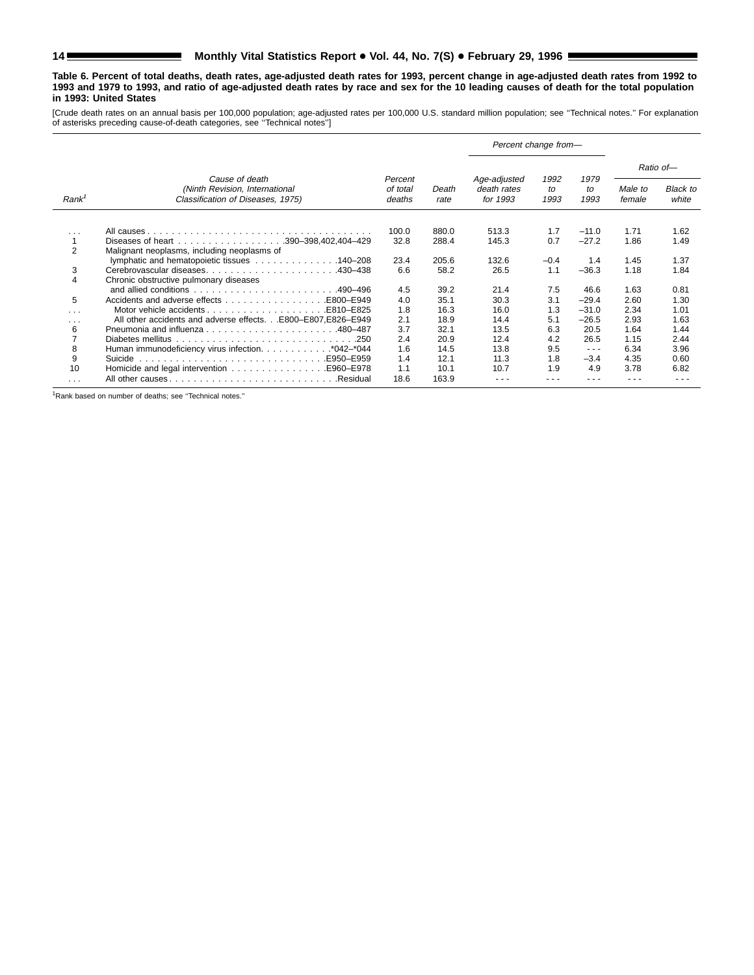# 14 Monthly Vital Statistics Report . Vol. 44, No. 7(S) . February 29, 1996

**Table 6. Percent of total deaths, death rates, age-adjusted death rates for 1993, percent change in age-adjusted death rates from 1992 to 1993 and 1979 to 1993, and ratio of age-adjusted death rates by race and sex for the 10 leading causes of death for the total population in 1993: United States**

[Crude death rates on an annual basis per 100,000 population; age-adjusted rates per 100,000 U.S. standard million population; see "Technical notes." For explanation<br>of asterisks preceding cause-of-death categories, see "T

|                   |                                                                                         |                               |               | Percent change from-                    |                    |                      |                   |                          |
|-------------------|-----------------------------------------------------------------------------------------|-------------------------------|---------------|-----------------------------------------|--------------------|----------------------|-------------------|--------------------------|
|                   |                                                                                         |                               |               |                                         |                    |                      |                   | Ratio of-                |
| Rank <sup>1</sup> | Cause of death<br>(Ninth Revision, International<br>Classification of Diseases, 1975)   | Percent<br>of total<br>deaths | Death<br>rate | Age-adjusted<br>death rates<br>for 1993 | 1992<br>to<br>1993 | 1979<br>to<br>1993   | Male to<br>female | <b>Black to</b><br>white |
|                   |                                                                                         | 100.0                         | 880.0         | 513.3                                   | 1.7                | $-11.0$              | 1.71              | 1.62                     |
| $\cdots$          |                                                                                         | 32.8                          | 288.4         | 145.3                                   | 0.7                | $-27.2$              | 1.86              | 1.49                     |
| $\overline{2}$    | Malignant neoplasms, including neoplasms of                                             |                               |               |                                         |                    |                      |                   |                          |
|                   | lymphatic and hematopoietic tissues 140–208                                             | 23.4                          | 205.6         | 132.6                                   | $-0.4$             | 1.4                  | 1.45              | 1.37                     |
| 3                 |                                                                                         | 6.6                           | 58.2          | 26.5                                    | 1.1                | $-36.3$              | 1.18              | 1.84                     |
| 4                 | Chronic obstructive pulmonary diseases                                                  |                               |               |                                         |                    |                      |                   |                          |
|                   | and allied conditions $\ldots \ldots \ldots \ldots \ldots \ldots \ldots \ldots$ 490–496 | 4.5                           | 39.2          | 21.4                                    | 7.5                | 46.6                 | 1.63              | 0.81                     |
| 5                 |                                                                                         | 4.0                           | 35.1          | 30.3                                    | 3.1                | $-29.4$              | 2.60              | 1.30                     |
| .                 |                                                                                         | 1.8                           | 16.3          | 16.0                                    | 1.3                | $-31.0$              | 2.34              | 1.01                     |
| $\cdots$          | All other accidents and adverse effects.E800-E807.E826-E949                             | 2.1                           | 18.9          | 14.4                                    | 5.1                | $-26.5$              | 2.93              | 1.63                     |
| 6                 |                                                                                         | 3.7                           | 32.1          | 13.5                                    | 6.3                | 20.5                 | 1.64              | 1.44                     |
| 7                 | -250                                                                                    | 2.4                           | 20.9          | 12.4                                    | 4.2                | 26.5                 | 1.15              | 2.44                     |
| 8                 | Human immunodeficiency virus infection. *042-*044                                       | 1.6                           | 14.5          | 13.8                                    | 9.5                | $\sim$ $\sim$ $\sim$ | 6.34              | 3.96                     |
| 9                 |                                                                                         | 1.4                           | 12.1          | 11.3                                    | 1.8                | $-3.4$               | 4.35              | 0.60                     |
| 10                |                                                                                         | 1.1                           | 10.1          | 10.7                                    | 1.9                | 4.9                  | 3.78              | 6.82                     |
| $\cdots$          |                                                                                         | 18.6                          | 163.9         |                                         |                    |                      |                   |                          |

1Rank based on number of deaths; see ''Technical notes.''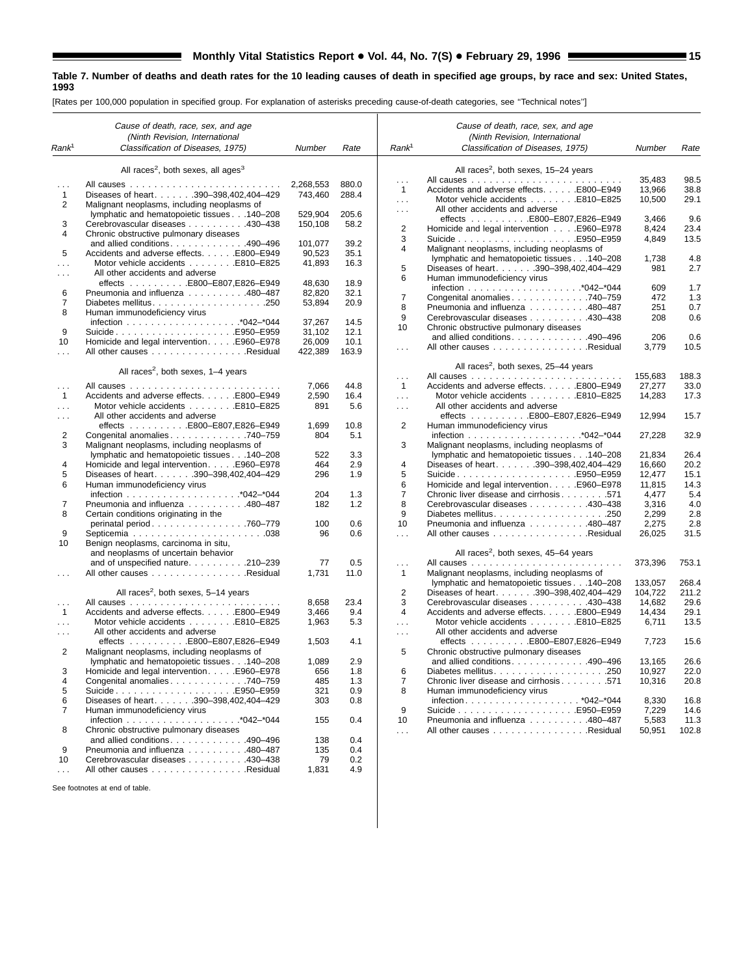[Rates per 100,000 population in specified group. For explanation of asterisks preceding cause-of-death categories, see ''Technical notes'']

 $\blacksquare$ 

|                   | Cause of death, race, sex, and age                         |           |       |                      | Cause of death, race, sex, and age               |         |       |
|-------------------|------------------------------------------------------------|-----------|-------|----------------------|--------------------------------------------------|---------|-------|
|                   | (Ninth Revision, International                             |           |       |                      | (Ninth Revision, International                   |         |       |
| Rank <sup>1</sup> | Classification of Diseases, 1975)                          | Number    | Rate  | Rank <sup>1</sup>    | Classification of Diseases, 1975)                | Number  | Rate  |
|                   | All races <sup>2</sup> , both sexes, all ages <sup>3</sup> |           |       |                      | All races <sup>2</sup> , both sexes, 15-24 years |         |       |
|                   |                                                            | 2,268,553 | 880.0 | $\sim$ $\sim$ $\sim$ |                                                  | 35,483  | 98.5  |
| .<br>1            | Diseases of heart. 390-398,402,404-429                     | 743,460   | 288.4 | $\mathbf{1}$         | Accidents and adverse effects. E800-E949         | 13,966  | 38.8  |
| 2                 | Malignant neoplasms, including neoplasms of                |           |       | $\sim 100$           |                                                  | 10,500  | 29.1  |
|                   |                                                            |           |       | $\sim$ $\sim$ $\sim$ | All other accidents and adverse                  |         |       |
|                   | lymphatic and hematopoietic tissues 140-208                | 529,904   | 205.6 |                      | effects E800-E807,E826-E949                      | 3,466   | 9.6   |
| 3                 | Cerebrovascular diseases 430-438                           | 150,108   | 58.2  | $\overline{2}$       | Homicide and legal intervention E960–E978        | 8,424   | 23.4  |
| 4                 | Chronic obstructive pulmonary diseases                     |           |       | 3                    |                                                  | 4,849   | 13.5  |
|                   | and allied conditions490-496                               | 101.077   | 39.2  | 4                    | Malignant neoplasms, including neoplasms of      |         |       |
| 5                 | Accidents and adverse effects. E800-E949                   | 90,523    | 35.1  |                      | lymphatic and hematopoietic tissues140-208       | 1,738   | 4.8   |
| .                 | Motor vehicle accidents E810-E825                          | 41,893    | 16.3  | 5                    | Diseases of heart. 390-398,402,404-429           | 981     | 2.7   |
| .                 | All other accidents and adverse                            |           |       | 6                    | Human immunodeficiency virus                     |         |       |
|                   |                                                            | 48,630    | 18.9  |                      |                                                  | 609     | 1.7   |
| 6                 | Pneumonia and influenza 480-487                            | 82,820    | 32.1  | $\overline{7}$       | Congenital anomalies 740–759                     | 472     | 1.3   |
| 7                 |                                                            | 53,894    | 20.9  | 8                    | Pneumonia and influenza 480-487                  | 251     | 0.7   |
| 8                 | Human immunodeficiency virus                               |           |       | 9                    | Cerebrovascular diseases 430-438                 | 208     | 0.6   |
|                   |                                                            | 37,267    | 14.5  | 10                   | Chronic obstructive pulmonary diseases           |         |       |
| 9                 | SuicideE950–E959                                           | 31,102    | 12.1  |                      |                                                  |         |       |
| 10                | Homicide and legal intervention. E960–E978                 | 26,009    | 10.1  |                      | and allied conditions. 490–496                   | 206     | 0.6   |
| .                 | All other causes Residual                                  | 422,389   | 163.9 | $\sim$ $\sim$ $\sim$ | All other causes Residual                        | 3,779   | 10.5  |
|                   | All races <sup>2</sup> , both sexes, $1-4$ years           |           |       |                      | All races <sup>2</sup> , both sexes, 25-44 years |         |       |
|                   |                                                            |           |       | $\sim$ $\sim$ $\sim$ |                                                  | 155,683 | 188.3 |
| $\sim$ .          |                                                            | 7,066     | 44.8  | $\mathbf{1}$         | Accidents and adverse effects. E800-E949         | 27,277  | 33.0  |
| $\mathbf{1}$      | Accidents and adverse effects. E800-E949                   | 2,590     | 16.4  | $\sim 100$           | Motor vehicle accidents E810-E825                | 14,283  | 17.3  |
| .                 | Motor vehicle accidents E810-E825                          | 891       | 5.6   | $\sim 100$           | All other accidents and adverse                  |         |       |
| $\cdots$          | All other accidents and adverse                            |           |       |                      | effects E800-E807,E826-E949                      | 12,994  | 15.7  |
|                   | effects E800-E807,E826-E949                                | 1,699     | 10.8  | $\overline{2}$       | Human immunodeficiency virus                     |         |       |
| 2                 | Congenital anomalies 740–759                               | 804       | 5.1   |                      |                                                  | 27,228  | 32.9  |
| 3                 | Malignant neoplasms, including neoplasms of                |           |       | 3                    | Malignant neoplasms, including neoplasms of      |         |       |
|                   | lymphatic and hematopoietic tissues 140-208                | 522       | 3.3   |                      | lymphatic and hematopoietic tissues 140-208      | 21,834  | 26.4  |
| 4                 | Homicide and legal intervention. E960-E978                 | 464       | 2.9   | 4                    | Diseases of heart. 390-398,402,404-429           | 16,660  | 20.2  |
| 5                 | Diseases of heart. 390-398,402,404-429                     | 296       | 1.9   | 5                    | SuicideE950-E959                                 | 12,477  | 15.1  |
| 6                 | Human immunodeficiency virus                               |           |       | 6                    | Homicide and legal intervention. E960–E978       | 11,815  | 14.3  |
|                   |                                                            | 204       | 1.3   | 7                    | Chronic liver disease and cirrhosis 571          | 4,477   | 5.4   |
| 7                 | Pneumonia and influenza 480-487                            | 182       | 1.2   | 8                    | Cerebrovascular diseases 430–438                 | 3,316   | 4.0   |
| 8                 | Certain conditions originating in the                      |           |       | 9                    | Diabetes mellitus.<br>.250                       | 2,299   | 2.8   |
|                   | perinatal period760-779                                    | 100       | 0.6   | 10                   | Pneumonia and influenza 480-487                  | 2,275   | 2.8   |
| 9                 |                                                            | 96        | 0.6   |                      | All other causes Residual                        | 26,025  | 31.5  |
| 10                | Benign neoplasms, carcinoma in situ,                       |           |       | $\sim$ $\sim$ $\sim$ |                                                  |         |       |
|                   | and neoplasms of uncertain behavior                        |           |       |                      | All races <sup>2</sup> , both sexes, 45–64 years |         |       |
|                   | and of unspecified nature. 210–239                         | 77        | 0.5   | $\sim$ $\sim$ $\sim$ |                                                  | 373,396 | 753.1 |
| .                 | All other causes Residual                                  | 1,731     | 11.0  | $\mathbf{1}$         | Malignant neoplasms, including neoplasms of      |         |       |
|                   |                                                            |           |       |                      | lymphatic and hematopoietic tissues 140-208      | 133,057 | 268.4 |
|                   | All races <sup>2</sup> , both sexes, $5-14$ years          |           |       | 2                    | Diseases of heart. 390-398,402,404-429           | 104,722 | 211.2 |
| $\cdots$          |                                                            | 8,658     | 23.4  | 3                    | Cerebrovascular diseases 430-438                 | 14.682  | 29.6  |
| $\mathbf{1}$      | Accidents and adverse effects. E800-E949                   | 3,466     | 9.4   | 4                    | Accidents and adverse effects. E800-E949         | 14,434  | 29.1  |
| $\cdots$          | Motor vehicle accidents E810-E825                          | 1,963     | 5.3   | $\cdots$             | Motor vehicle accidents E810-E825                | 6,711   | 13.5  |
| $\cdots$          | All other accidents and adverse                            |           |       | $\sim$ $\sim$ $\sim$ | All other accidents and adverse                  |         |       |
|                   |                                                            | 1,503     | 4.1   |                      | effects E800-E807,E826-E949                      | 7,723   | 15.6  |
| 2                 | Malignant neoplasms, including neoplasms of                |           |       | 5                    | Chronic obstructive pulmonary diseases           |         |       |
|                   | lymphatic and hematopoietic tissues 140-208                | 1,089     | 2.9   |                      | and allied conditions. 490-496                   | 13,165  | 26.6  |
| 3                 | Homicide and legal interventionE960–E978                   | 656       | 1.8   | 6                    | Diabetes mellitus250                             | 10,927  | 22.0  |
| 4                 | Congenital anomalies 740-759                               | 485       | 1.3   | 7                    | Chronic liver disease and cirrhosis 571          | 10,316  | 20.8  |
| 5                 | SuicideE950–E959                                           | 321       | 0.9   | 8                    | Human immunodeficiency virus                     |         |       |
| 6                 | Diseases of heart. 390-398,402,404-429                     | 303       | 0.8   |                      |                                                  | 8,330   | 16.8  |
| 7                 | Human immunodeficiency virus                               |           |       | 9                    |                                                  | 7,229   | 14.6  |
|                   |                                                            | 155       | 0.4   | 10                   | Pneumonia and influenza 480–487                  | 5,583   | 11.3  |
| 8                 | Chronic obstructive pulmonary diseases                     |           |       | $\sim 100$           | All other causes Residual                        | 50,951  | 102.8 |
|                   | and allied conditions. 490-496                             | 138       | 0.4   |                      |                                                  |         |       |
| 9                 | Pneumonia and influenza 480-487                            | 135       | 0.4   |                      |                                                  |         |       |
| 10                | Cerebrovascular diseases 430-438                           | 79        | 0.2   |                      |                                                  |         |       |
| $\ldots$          | All other causes Residual                                  | 1,831     | 4.9   |                      |                                                  |         |       |
|                   |                                                            |           |       |                      |                                                  |         |       |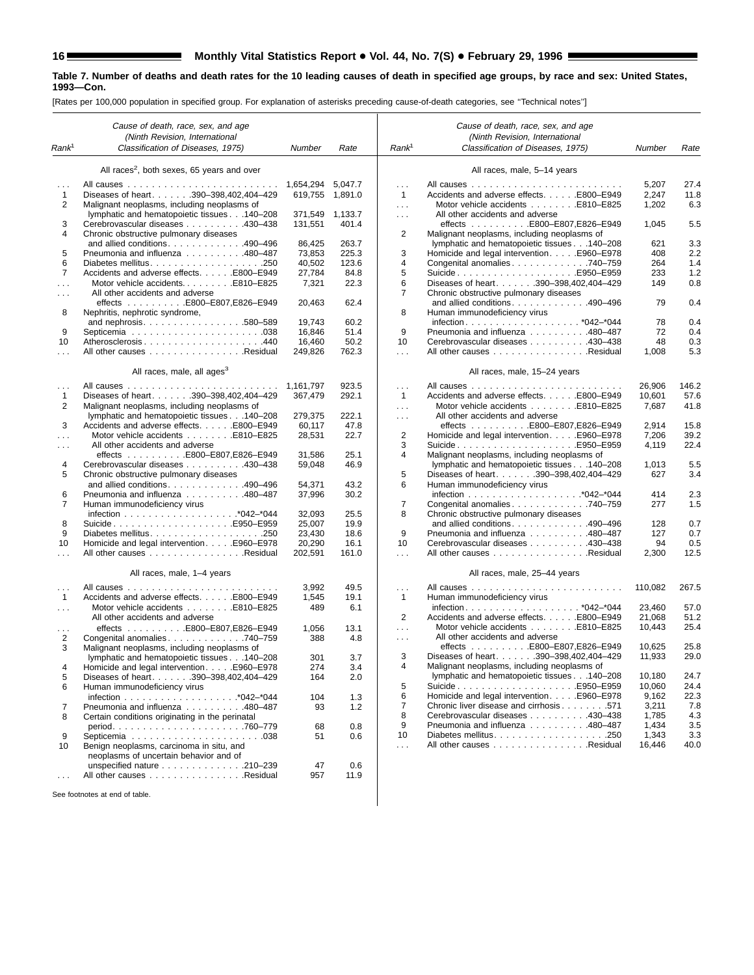۳

#### **Table 7. Number of deaths and death rates for the 10 leading causes of death in specified age groups, by race and sex: United States, 1993—Con.**

[Rates per 100,000 population in specified group. For explanation of asterisks preceding cause-of-death categories, see ''Technical notes'']

|                          | Cause of death, race, sex, and age<br>(Ninth Revision, International               |                   |                |                          | Cause of death, race, sex, and age<br>(Ninth Revision, International                       |                |             |
|--------------------------|------------------------------------------------------------------------------------|-------------------|----------------|--------------------------|--------------------------------------------------------------------------------------------|----------------|-------------|
| Rank <sup>1</sup>        | Classification of Diseases, 1975)                                                  | Number            | Rate           | Rank <sup>1</sup>        | Classification of Diseases, 1975)                                                          | Number         | Rate        |
|                          | All races <sup>2</sup> , both sexes, 65 years and over                             |                   |                |                          | All races, male, 5-14 years                                                                |                |             |
|                          |                                                                                    | 1,654,294         | 5,047.7        | .                        |                                                                                            | 5,207          | 27.4        |
| $\mathbf{1}$             | Diseases of heart. 390-398,402,404-429                                             | 619,755           | 1,891.0        | $\mathbf{1}$             | Accidents and adverse effects. E800-E949                                                   | 2,247          | 11.8        |
| 2                        | Malignant neoplasms, including neoplasms of                                        |                   |                | $\cdots$                 | Motor vehicle accidents E810-E825                                                          | 1,202          | 6.3         |
|                          | lymphatic and hematopoietic tissues 140-208                                        | 371,549           | 1,133.7        | $\cdots$                 | All other accidents and adverse                                                            |                |             |
| 3                        | Cerebrovascular diseases 430-438                                                   | 131,551           | 401.4          |                          | effects E800-E807,E826-E949                                                                | 1,045          | 5.5         |
| 4                        | Chronic obstructive pulmonary diseases                                             |                   |                | 2                        | Malignant neoplasms, including neoplasms of<br>lymphatic and hematopoietic tissues 140-208 |                |             |
| 5                        | and allied conditions. $\ldots$ . 490–496<br>Pneumonia and influenza 480-487       | 86,425<br>73,853  | 263.7<br>225.3 | 3                        | Homicide and legal intervention. E960–E978                                                 | 621<br>408     | 3.3<br>2.2  |
| 6                        | Diabetes mellitus250                                                               | 40.502            | 123.6          | 4                        | Congenital anomalies 740–759                                                               | 264            | 1.4         |
| 7                        | Accidents and adverse effects. E800-E949                                           | 27,784            | 84.8           | 5                        | SuicideE950-E959                                                                           | 233            | 1.2         |
| $\cdots$                 | Motor vehicle accidentsE810-E825                                                   | 7,321             | 22.3           | 6                        | Diseases of heart. 390-398,402,404-429                                                     | 149            | 0.8         |
| $\cdots$                 | All other accidents and adverse                                                    |                   |                | 7                        | Chronic obstructive pulmonary diseases                                                     |                |             |
|                          | effects E800-E807,E826-E949                                                        | 20,463            | 62.4           |                          | and allied conditions. 490-496                                                             | 79             | 0.4         |
| 8                        | Nephritis, nephrotic syndrome,                                                     |                   |                | 8                        | Human immunodeficiency virus                                                               |                |             |
|                          | and nephrosis580-589                                                               | 19,743            | 60.2           |                          |                                                                                            | 78             | 0.4         |
| 9                        |                                                                                    | 16,846            | 51.4           | 9                        | Pneumonia and influenza 480-487                                                            | 72             | 0.4         |
| 10                       | Atherosclerosis440<br>All other causes Residual                                    | 16,460<br>249,826 | 50.2<br>762.3  | 10                       | Cerebrovascular diseases 430-438<br>All other causes Residual                              | 48<br>1,008    | 0.3<br>5.3  |
|                          |                                                                                    |                   |                | $\sim$                   |                                                                                            |                |             |
|                          | All races, male, all ages <sup>3</sup><br>All causes<br>and a straight             | 1.161.797         | 923.5          |                          | All races, male, 15-24 years                                                               | 26,906         | 146.2       |
| $\cdots$<br>$\mathbf{1}$ | Diseases of heart. 390-398,402,404-429                                             | 367.479           | 292.1          | $\cdots$<br>$\mathbf{1}$ | Accidents and adverse effects. E800-E949                                                   | 10,601         | 57.6        |
| 2                        | Malignant neoplasms, including neoplasms of                                        |                   |                | $\sim$                   | Motor vehicle accidents E810-E825                                                          | 7,687          | 41.8        |
|                          | lymphatic and hematopoietic tissues 140-208                                        | 279,375           | 222.1          | $\cdots$                 | All other accidents and adverse                                                            |                |             |
| 3                        | Accidents and adverse effects. E800-E949                                           | 60,117            | 47.8           |                          | effects E800-E807,E826-E949                                                                | 2,914          | 15.8        |
| $\cdots$                 | Motor vehicle accidents E810-E825                                                  | 28,531            | 22.7           | 2                        | Homicide and legal intervention. E960-E978                                                 | 7,206          | 39.2        |
| $\cdots$                 | All other accidents and adverse                                                    |                   |                | 3                        | SuicideE950-E959                                                                           | 4,119          | 22.4        |
| 4                        | effects E800-E807,E826-E949                                                        | 31,586<br>59.048  | 25.1           | 4                        | Malignant neoplasms, including neoplasms of                                                |                |             |
| 5                        | Cerebrovascular diseases 430-438<br>Chronic obstructive pulmonary diseases         |                   | 46.9           | 5                        | lymphatic and hematopoietic tissues 140-208<br>Diseases of heart. 390-398,402,404-429      | 1,013<br>627   | 5.5<br>3.4  |
|                          | and allied conditions. 490-496                                                     | 54,371            | 43.2           | 6                        | Human immunodeficiency virus                                                               |                |             |
| 6                        | Pneumonia and influenza 480-487                                                    | 37,996            | 30.2           |                          |                                                                                            | 414            | 2.3         |
| 7                        | Human immunodeficiency virus                                                       |                   |                | 7                        | Congenital anomalies. 740-759                                                              | 277            | 1.5         |
|                          |                                                                                    | 32,093            | 25.5           | 8                        | Chronic obstructive pulmonary diseases                                                     |                |             |
| 8                        | SuicideE950–E959                                                                   | 25,007            | 19.9           |                          | and allied conditions. $\ldots$ . 490–496                                                  | 128            | 0.7         |
| 9                        |                                                                                    | 23,430            | 18.6           | 9                        | Pneumonia and influenza 480-487                                                            | 127            | 0.7         |
| 10                       | Homicide and legal interventionE960–E978                                           | 20,290            | 16.1           | 10                       | Cerebrovascular diseases 430-438                                                           | 94             | 0.5         |
|                          | All other causes Residual                                                          | 202,591           | 161.0          | $\sim$                   | All other causes Residual                                                                  | 2,300          | 12.5        |
|                          | All races, male, 1-4 years                                                         |                   |                |                          | All races, male, 25-44 years                                                               |                |             |
| $\cdots$<br>$\mathbf{1}$ | Accidents and adverse effects. E800-E949                                           | 3,992<br>1,545    | 49.5<br>19.1   | $\cdots$<br>1            | Human immunodeficiency virus                                                               | 110,082        | 267.5       |
| $\sim 100$               |                                                                                    | 489               | 6.1            |                          |                                                                                            | 23,460         | 57.0        |
|                          | All other accidents and adverse                                                    |                   |                | 2                        | Accidents and adverse effects. E800–E949                                                   | 21,068         | 51.2        |
|                          | effects E800-E807,E826-E949                                                        | 1,056             | 13.1           | $\sim$                   |                                                                                            | 10,443         | 25.4        |
| 2                        | Congenital anomalies. 740-759                                                      | 388               | 4.8            | $\cdots$                 | All other accidents and adverse                                                            |                |             |
| 3                        | Malignant neoplasms, including neoplasms of                                        |                   |                |                          | effects $\ldots \ldots \ldots$ . E800-E807,E826-E949                                       | 10,625         | 25.8        |
|                          | lymphatic and hematopoietic tissues 140-208                                        | 301               | 3.7            | 3                        | Diseases of heart. 390-398,402,404-429                                                     | 11,933         | 29.0        |
| 4                        | Homicide and legal interventionE960–E978                                           | 274               | 3.4            |                          | Malignant neoplasms, including neoplasms of                                                |                |             |
| 5                        | Diseases of heart. 390-398,402,404-429                                             | 164               | 2.0            |                          | lymphatic and hematopoietic tissues 140-208                                                | 10,180         | 24.7        |
| 6                        | Human immunodeficiency virus                                                       |                   |                | 5                        | SuicideE950–E959                                                                           | 10.060         | 24.4        |
|                          |                                                                                    | 104               | 1.3            | 6<br>7                   | Homicide and legal intervention. E960-E978<br>Chronic liver disease and cirrhosis571       | 9,162<br>3,211 | 22.3<br>7.8 |
| 7<br>8                   | Pneumonia and influenza 480-487<br>Certain conditions originating in the perinatal | 93                | 1.2            | 8                        | Cerebrovascular diseases 430-438                                                           | 1,785          | 4.3         |
|                          |                                                                                    | 68                | 0.8            | 9                        | Pneumonia and influenza 480-487                                                            | 1,434          | 3.5         |
| 9                        |                                                                                    | 51                | 0.6            | 10                       |                                                                                            | 1,343          | 3.3         |
| 10                       | Benign neoplasms, carcinoma in situ, and<br>neoplasms of uncertain behavior and of |                   |                | $\cdots$                 | All other causes Residual                                                                  | 16,446         | 40.0        |
|                          | unspecified nature 210-239                                                         | 47                | 0.6            |                          |                                                                                            |                |             |
| $\cdots$                 | All other causes Residual                                                          | 957               | 11.9           |                          |                                                                                            |                |             |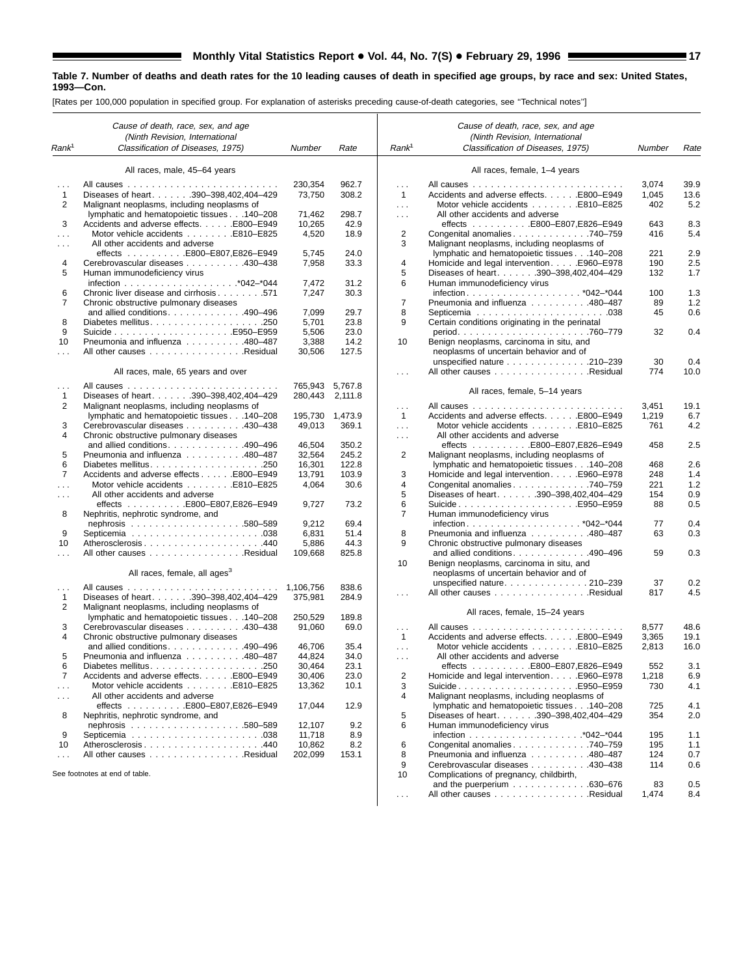|                   | Cause of death, race, sex, and age<br>(Ninth Revision, International |                      |              |                      | Cause of death, race, sex, and age<br>(Ninth Revision, International                       |            |            |
|-------------------|----------------------------------------------------------------------|----------------------|--------------|----------------------|--------------------------------------------------------------------------------------------|------------|------------|
| Rank <sup>1</sup> | Classification of Diseases, 1975)                                    | Number               | Rate         | Rank <sup>1</sup>    | Classification of Diseases, 1975)                                                          | Number     | Rate       |
|                   | All races, male, 45-64 years                                         |                      |              |                      | All races, female, 1-4 years                                                               |            |            |
| $\cdots$          |                                                                      | 230,354              | 962.7        | $\sim$               |                                                                                            | 3,074      | 39.9       |
| 1                 | Diseases of heart. 390-398,402,404-429                               | 73,750               | 308.2        | $\overline{1}$       | Accidents and adverse effects. E800-E949                                                   | 1,045      | 13.6       |
| 2                 | Malignant neoplasms, including neoplasms of                          |                      |              | $\cdots$             | Motor vehicle accidents E810-E825                                                          | 402        | 5.2        |
|                   | lymphatic and hematopoietic tissues 140-208                          | 71,462               | 298.7        | $\cdots$             | All other accidents and adverse                                                            |            |            |
| 3                 | Accidents and adverse effects. E800-E949                             | 10,265               | 42.9         |                      | effects E800-E807,E826-E949<br>Congenital anomalies 740–759                                | 643<br>416 | 8.3        |
|                   | Motor vehicle accidents E810-E825                                    | 4,520                | 18.9         | 2<br>3               |                                                                                            |            | 5.4        |
| $\cdots$          | All other accidents and adverse<br>effects E800-E807,E826-E949       | 5,745                | 24.0         |                      | Malignant neoplasms, including neoplasms of<br>lymphatic and hematopoietic tissues 140-208 | 221        | 2.9        |
| 4                 | Cerebrovascular diseases 430-438                                     | 7,958                | 33.3         | 4                    | Homicide and legal intervention. E960–E978                                                 | 190        | 2.5        |
| 5                 | Human immunodeficiency virus                                         |                      |              | 5                    | Diseases of heart. 390-398,402,404-429                                                     | 132        | 1.7        |
|                   |                                                                      | 7,472                | 31.2         | 6                    | Human immunodeficiency virus                                                               |            |            |
| 6                 | Chronic liver disease and cirrhosis 571                              | 7,247                | 30.3         |                      |                                                                                            | 100        | 1.3        |
| $\overline{7}$    | Chronic obstructive pulmonary diseases                               |                      |              | $\overline{7}$       | Pneumonia and influenza 480-487                                                            | 89         | 1.2        |
|                   | and allied conditions. 490-496                                       | 7,099                | 29.7         | 8                    |                                                                                            | 45         | 0.6        |
| 8                 |                                                                      | 5,701                | 23.8         | 9                    | Certain conditions originating in the perinatal                                            |            |            |
| 9                 |                                                                      | 5,506                | 23.0         |                      |                                                                                            | 32         | 0.4        |
| 10                | Pneumonia and influenza 480-487                                      | 3,388                | 14.2         | 10                   | Benign neoplasms, carcinoma in situ, and                                                   |            |            |
|                   | All other causes Residual                                            | 30,506               | 127.5        |                      | neoplasms of uncertain behavior and of                                                     |            |            |
|                   |                                                                      |                      |              |                      | unspecified nature 210-239                                                                 | 30         | 0.4        |
|                   | All races, male, 65 years and over                                   |                      |              | $\cdots$             | All other causes Residual                                                                  | 774        | 10.0       |
| $\cdots$          |                                                                      | 765,943              | 5,767.8      |                      |                                                                                            |            |            |
| 1                 | Diseases of heart. 390-398,402,404-429                               | 280,443              | 2,111.8      |                      | All races, female, 5-14 years                                                              |            |            |
| 2                 | Malignant neoplasms, including neoplasms of                          |                      |              | $\cdots$             |                                                                                            | 3,451      | 19.1       |
|                   | lymphatic and hematopoietic tissues 140-208                          | 195.730 1.473.9      |              | $\overline{1}$       | Accidents and adverse effects. E800-E949                                                   | 1,219      | 6.7        |
| 3                 | Cerebrovascular diseases 430-438                                     | 49,013               | 369.1        | $\ldots$             | Motor vehicle accidents E810-E825                                                          | 761        | 4.2        |
| 4                 | Chronic obstructive pulmonary diseases                               |                      |              | $\cdots$             | All other accidents and adverse                                                            |            |            |
|                   | and allied conditions. $\ldots$ . 490–496                            | 46,504               | 350.2        |                      | effects E800–E807,E826–E949                                                                | 458        | 2.5        |
| 5                 | Pneumonia and influenza 480-487                                      | 32,564               | 245.2        | 2                    | Malignant neoplasms, including neoplasms of                                                |            |            |
| 6                 |                                                                      | 16,301               | 122.8        |                      | lymphatic and hematopoietic tissues 140-208                                                | 468        | 2.6        |
| $\overline{7}$    | Accidents and adverse effects E800–E949                              | 13,791               | 103.9        | 3                    | Homicide and legal intervention. E960-E978                                                 | 248        | 1.4        |
|                   | Motor vehicle accidents E810-E825                                    | 4,064                | 30.6         | 4                    | Congenital anomalies. 740-759                                                              | 221        | 1.2        |
| $\cdots$          | All other accidents and adverse                                      |                      |              | 5                    | Diseases of heart. 390-398,402,404-429                                                     | 154        | 0.9        |
|                   | effects E800-E807,E826-E949                                          | 9,727                | 73.2         | 6<br>7               | SuicideE950-E959                                                                           | 88         | 0.5        |
| 8                 | Nephritis, nephrotic syndrome, and                                   | 9,212                | 69.4         |                      | Human immunodeficiency virus                                                               | 77         | 0.4        |
| 9                 |                                                                      | 6,831                | 51.4         | 8                    | Pneumonia and influenza 480-487                                                            | 63         | 0.3        |
| 10                | Atherosclerosis440                                                   | 5,886                | 44.3         | 9                    | Chronic obstructive pulmonary diseases                                                     |            |            |
|                   | All other causes Residual                                            | 109,668              | 825.8        |                      | and allied conditions. 490-496                                                             | 59         | 0.3        |
|                   |                                                                      |                      |              | 10                   | Benign neoplasms, carcinoma in situ, and                                                   |            |            |
|                   | All races, female, all ages <sup>3</sup>                             |                      |              |                      | neoplasms of uncertain behavior and of                                                     |            |            |
|                   |                                                                      |                      | 838.6        |                      | unspecified nature210-239                                                                  | 37         | 0.2        |
| .<br>$\mathbf{1}$ | Diseases of heart. 390-398,402,404-429                               | 1,106,756<br>375,981 | 284.9        | $\cdots$             | All other causes Residual                                                                  | 817        | 4.5        |
| 2                 | Malignant neoplasms, including neoplasms of                          |                      |              |                      |                                                                                            |            |            |
|                   | lymphatic and hematopoietic tissues 140-208                          | 250,529              | 189.8        |                      | All races, female, 15-24 years                                                             |            |            |
| 3                 | Cerebrovascular diseases 430-438                                     | 91,060               | 69.0         | $\cdots$             |                                                                                            | 8,577      | 48.6       |
| 4                 | Chronic obstructive pulmonary diseases                               |                      |              | $\mathbf{1}$         | Accidents and adverse effects. E800-E949                                                   | 3,365      | 19.1       |
|                   | and allied conditions. 490-496                                       | 46,706               | 35.4         | $\sim$               | Motor vehicle accidents E810-E825                                                          | 2,813      | 16.0       |
| 5                 | Pneumonia and influenza 480-487                                      | 44,824               | 34.0         | $\cdots$             | All other accidents and adverse                                                            |            |            |
| 6                 |                                                                      | 30,464               | 23.1         |                      | effects E800-E807,E826-E949                                                                | 552        | 3.1        |
| 7                 | Accidents and adverse effects. E800-E949                             | 30,406               | 23.0         | 2                    | Homicide and legal intervention. E960–E978                                                 | 1,218      | 6.9        |
| $\cdots$          | Motor vehicle accidents E810–E825                                    | 13,362               | 10.1         | 3                    | SuicideE950–E959                                                                           | 730        | 4.1        |
| $\sim$ $\sim$     | All other accidents and adverse                                      |                      |              | 4                    | Malignant neoplasms, including neoplasms of                                                |            |            |
|                   | effects E800-E807,E826-E949                                          | 17,044               | 12.9         |                      | lymphatic and hematopoietic tissues 140-208                                                | 725        | 4.1        |
| 8                 | Nephritis, nephrotic syndrome, and                                   |                      |              | 5                    | Diseases of heart. 390-398,402,404-429                                                     | 354        | 2.0        |
|                   |                                                                      | 12,107               | 9.2          | 6                    | Human immunodeficiency virus                                                               |            |            |
| 9                 |                                                                      | 11,718               | 8.9          | 6                    |                                                                                            | 195        | 1.1        |
| 10                | Atherosclerosis440<br>All other causes Residual                      | 10,862<br>202,099    | 8.2<br>153.1 | 8                    | Congenital anomalies 740–759<br>Pneumonia and influenza 480–487                            | 195<br>124 | 1.1<br>0.7 |
| $\cdots$          |                                                                      |                      |              | 9                    | Cerebrovascular diseases 430-438                                                           | 114        | 0.6        |
|                   | See footnotes at end of table.                                       |                      |              | 10                   | Complications of pregnancy, childbirth,                                                    |            |            |
|                   |                                                                      |                      |              |                      | and the puerperium $\ldots \ldots \ldots \ldots$ . 630–676                                 | 83         | 0.5        |
|                   |                                                                      |                      |              | $\sim$ $\sim$ $\sim$ | All other causes Residual                                                                  | 1,474      | 8.4        |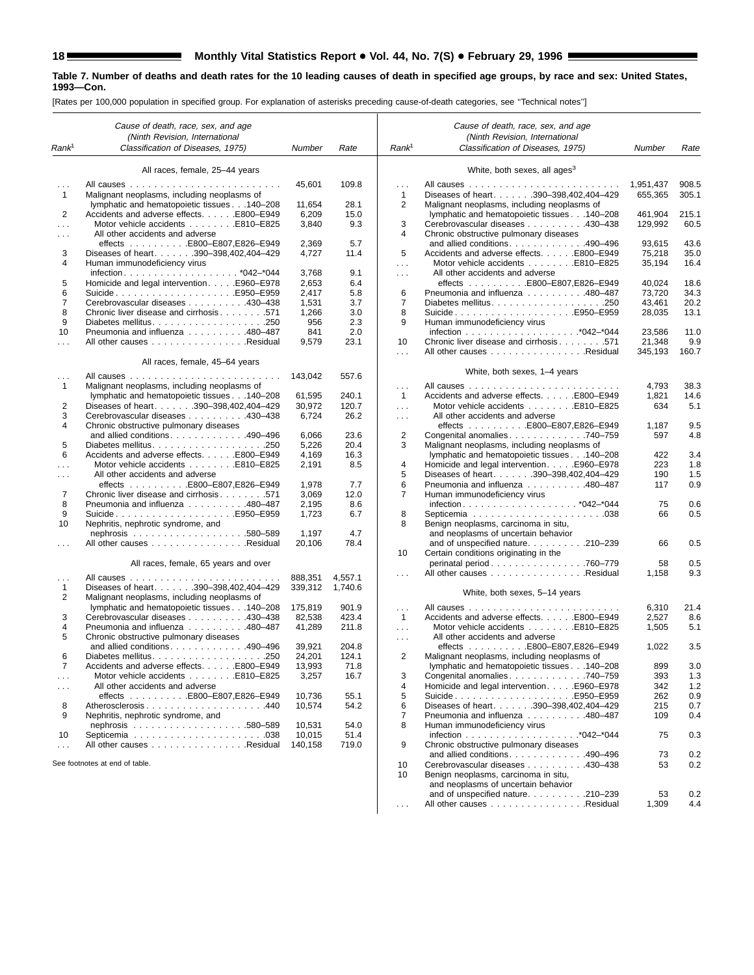|                      | Cause of death, race, sex, and age                                     |         |         |                   | Cause of death, race, sex, and age                                            |                      |                |
|----------------------|------------------------------------------------------------------------|---------|---------|-------------------|-------------------------------------------------------------------------------|----------------------|----------------|
|                      | (Ninth Revision, International                                         |         |         |                   | (Ninth Revision, International                                                |                      |                |
| Rank <sup>1</sup>    | Classification of Diseases, 1975)                                      | Number  | Rate    | Rank <sup>1</sup> | Classification of Diseases, 1975)                                             | Number               | Rate           |
|                      | All races, female, 25-44 years                                         |         |         |                   | White, both sexes, all ages <sup>3</sup>                                      |                      |                |
| .<br>1               | Malignant neoplasms, including neoplasms of                            | 45,601  | 109.8   | .<br>$\mathbf{1}$ | Diseases of heart. 390-398,402,404-429                                        | 1,951,437<br>655.365 | 908.5<br>305.1 |
|                      | lymphatic and hematopoietic tissues 140-208                            | 11,654  | 28.1    | 2                 | Malignant neoplasms, including neoplasms of                                   |                      |                |
| 2                    | Accidents and adverse effects. E800-E949                               | 6,209   | 15.0    |                   | lymphatic and hematopoietic tissues 140-208                                   | 461,904              | 215.1          |
| .                    | Motor vehicle accidents E810-E825                                      | 3,840   | 9.3     | 3                 | Cerebrovascular diseases 430-438                                              | 129,992              | 60.5           |
| .                    | All other accidents and adverse                                        |         |         | 4                 | Chronic obstructive pulmonary diseases                                        |                      |                |
|                      | effects E800-E807,E826-E949                                            | 2,369   | 5.7     |                   | and allied conditions. 490-496                                                | 93,615               | 43.6<br>35.0   |
| 3<br>4               | Diseases of heart. 390-398,402,404-429<br>Human immunodeficiency virus | 4,727   | 11.4    | 5                 | Accidents and adverse effects. E800-E949<br>Motor vehicle accidents E810-E825 | 75,218<br>35,194     | 16.4           |
|                      |                                                                        | 3,768   | 9.1     | $\mathbf{1}$<br>. | All other accidents and adverse                                               |                      |                |
| 5                    | Homicide and legal interventionE960-E978                               | 2,653   | 6.4     |                   |                                                                               | 40,024               | 18.6           |
| 6                    | SuicideE950–E959                                                       | 2,417   | 5.8     | 6                 | Pneumonia and influenza 480-487                                               | 73,720               | 34.3           |
| $\overline{7}$       | Cerebrovascular diseases 430–438                                       | 1,531   | 3.7     | $\overline{7}$    |                                                                               | 43,461               | 20.2           |
| 8                    | Chronic liver disease and cirrhosis 571                                | 1,266   | 3.0     | 8                 | SuicideE950–E959                                                              | 28,035               | 13.1           |
| 9                    |                                                                        | 956     | 2.3     | 9                 | Human immunodeficiency virus                                                  |                      |                |
| 10                   | Pneumonia and influenza 480-487                                        | 841     | 2.0     |                   |                                                                               | 23,586               | 11.0           |
| .                    | All other causes Residual                                              | 9,579   | 23.1    | 10                | Chronic liver disease and cirrhosis 571                                       | 21,348               | 9.9            |
|                      | All races, female, 45-64 years                                         |         |         | .                 | All other causes Residual                                                     | 345,193              | 160.7          |
|                      |                                                                        | 143,042 | 557.6   |                   | White, both sexes, 1-4 years                                                  |                      |                |
| 1                    | Malignant neoplasms, including neoplasms of                            |         |         | .                 |                                                                               | 4,793                | 38.3           |
|                      | lymphatic and hematopoietic tissues 140-208                            | 61,595  | 240.1   | $\mathbf{1}$      | Accidents and adverse effects. E800-E949                                      | 1,821                | 14.6           |
| 2                    | Diseases of heart. 390-398,402,404-429                                 | 30,972  | 120.7   | $\cdots$          | Motor vehicle accidents E810-E825                                             | 634                  | 5.1            |
| 3                    | Cerebrovascular diseases 430-438                                       | 6,724   | 26.2    | $\cdots$          | All other accidents and adverse                                               |                      |                |
| 4                    | Chronic obstructive pulmonary diseases                                 |         |         |                   | effects E800-E807,E826-E949                                                   | 1,187                | 9.5            |
|                      | and allied conditions. 490-496                                         | 6,066   | 23.6    | $\overline{2}$    | Congenital anomalies 740-759                                                  | 597                  | 4.8            |
| 5                    |                                                                        | 5,226   | 20.4    | 3                 | Malignant neoplasms, including neoplasms of                                   |                      |                |
| 6                    | Accidents and adverse effects. E800-E949                               | 4,169   | 16.3    |                   | lymphatic and hematopoietic tissues 140-208                                   | 422                  | 3.4            |
| .                    | Motor vehicle accidents E810-E825                                      | 2,191   | 8.5     | 4                 | Homicide and legal interventionE960-E978                                      | 223                  | 1.8            |
| $\cdots$             | All other accidents and adverse<br>effects E800-E807,E826-E949         | 1,978   | 7.7     | 5<br>6            | Diseases of heart. 390-398,402,404-429<br>Pneumonia and influenza 480-487     | 190<br>117           | 1.5<br>0.9     |
| 7                    | Chronic liver disease and cirrhosis 571                                | 3,069   | 12.0    | 7                 | Human immunodeficiency virus                                                  |                      |                |
| 8                    | Pneumonia and influenza 480-487                                        | 2,195   | 8.6     |                   |                                                                               | 75                   | 0.6            |
| 9                    | SuicideE950–E959                                                       | 1,723   | 6.7     | 8                 |                                                                               | 66                   | 0.5            |
| 10                   | Nephritis, nephrotic syndrome, and                                     |         |         | 8                 | Benign neoplasms, carcinoma in situ,                                          |                      |                |
|                      |                                                                        | 1,197   | 4.7     |                   | and neoplasms of uncertain behavior                                           |                      |                |
|                      | All other causes Residual                                              | 20,106  | 78.4    |                   | and of unspecified nature. 210-239                                            | 66                   | 0.5            |
|                      |                                                                        |         |         | 10                | Certain conditions originating in the                                         |                      |                |
|                      | All races, female, 65 years and over                                   |         |         |                   | perinatal period760-779                                                       | 58                   | 0.5            |
| .                    | All causes                                                             | 888,351 | 4,557.1 | .                 | All other causes Residual                                                     | 1,158                | 9.3            |
| 1                    | Diseases of heart. 390-398,402,404-429                                 | 339,312 | 1,740.6 |                   |                                                                               |                      |                |
| 2                    | Malignant neoplasms, including neoplasms of                            |         |         |                   | White, both sexes, 5-14 years                                                 |                      |                |
|                      | lymphatic and hematopoietic tissues 140-208                            | 175,819 | 901.9   | $\cdots$          |                                                                               | 6,310                | 21.4           |
| 3                    | Cerebrovascular diseases 430–438                                       | 82,538  | 423.4   | $\mathbf{1}$      | Accidents and adverse effects. E800-E949                                      | 2,527                | 8.6            |
| 4                    | Pneumonia and influenza 480-487                                        | 41,289  | 211.8   | $\sim 100$        | Motor vehicle accidents E810-E825                                             | 1,505                | 5.1            |
| 5                    | Chronic obstructive pulmonary diseases                                 |         |         | $\cdots$          | All other accidents and adverse                                               |                      |                |
|                      | and allied conditions. 490-496                                         | 39,921  | 204.8   |                   | effects $\ldots \ldots \ldots$ . E800-E807, E826-E949                         | 1,022                | 3.5            |
| 6                    |                                                                        | 24,201  | 124.1   | $\overline{2}$    | Malignant neoplasms, including neoplasms of                                   |                      |                |
|                      | Accidents and adverse effects. E800-E949                               | 13,993  | 71.8    |                   | lymphatic and hematopoietic tissues 140-208                                   | 899                  | 3.0            |
| $\sim$ $\sim$ $\sim$ | Motor vehicle accidents E810-E825<br>All other accidents and adverse   | 3,257   | 16.7    | 3<br>4            | Congenital anomalies 740–759<br>Homicide and legal interventionE960-E978      | 393<br>342           | 1.3<br>1.2     |
| $\sim$ $\sim$        | effects E800-E807,E826-E949                                            | 10.736  | 55.1    | 5                 |                                                                               | 262                  | 0.9            |
| 8                    | Atherosclerosis440                                                     | 10,574  | 54.2    | 6                 | Diseases of heart. 390-398,402,404-429                                        | 215                  | 0.7            |
| 9                    | Nephritis, nephrotic syndrome, and                                     |         |         | 7                 | Pneumonia and influenza 480-487                                               | 109                  | 0.4            |
|                      |                                                                        | 10,531  | 54.0    | 8                 | Human immunodeficiency virus                                                  |                      |                |
| 10                   |                                                                        | 10,015  | 51.4    |                   |                                                                               | 75                   | 0.3            |
| $\cdots$             | All other causes Residual                                              | 140,158 | 719.0   | 9                 | Chronic obstructive pulmonary diseases                                        |                      |                |
|                      |                                                                        |         |         |                   | and allied conditions. 490-496                                                | 73                   | 0.2            |
|                      | See footnotes at end of table.                                         |         |         | 10                | Cerebrovascular diseases 430-438                                              | 53                   | 0.2            |
|                      |                                                                        |         |         | 10                | Benign neoplasms, carcinoma in situ,                                          |                      |                |
|                      |                                                                        |         |         |                   | and neoplasms of uncertain behavior                                           |                      |                |
|                      |                                                                        |         |         |                   | and of unspecified nature. 210-239                                            | 53                   | 0.2            |
|                      |                                                                        |         |         |                   | All other causes Residual                                                     | 1,309                | 4.4            |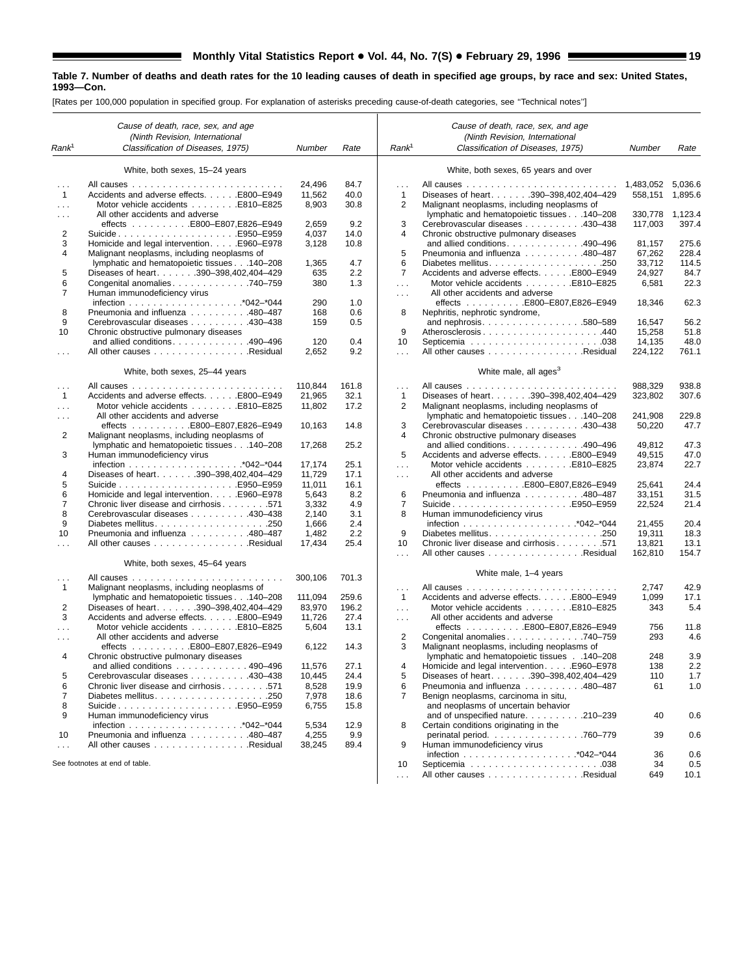|                      | Cause of death, race, sex, and age<br>(Ninth Revision, International |                |             |                      | Cause of death, race, sex, and age<br>(Ninth Revision, International            |           |         |
|----------------------|----------------------------------------------------------------------|----------------|-------------|----------------------|---------------------------------------------------------------------------------|-----------|---------|
| Rank <sup>1</sup>    | Classification of Diseases, 1975)                                    | Number         | Rate        | Rank <sup>1</sup>    | Classification of Diseases, 1975)                                               | Number    | Rate    |
|                      | White, both sexes, 15-24 years                                       |                |             |                      | White, both sexes, 65 years and over                                            |           |         |
|                      |                                                                      | 24,496         | 84.7        | $\cdots$             |                                                                                 | 1,483,052 | 5,036.6 |
| $\mathbf{1}$         | Accidents and adverse effects. E800-E949                             | 11,562         | 40.0        | $\mathbf{1}$         | Diseases of heart. 390-398,402,404-429                                          | 558.151   | 1,895.6 |
| $\sim$ $\sim$ $\sim$ | Motor vehicle accidents E810-E825                                    | 8,903          | 30.8        | $\overline{2}$       | Malignant neoplasms, including neoplasms of                                     |           |         |
| $\cdots$             | All other accidents and adverse                                      |                |             |                      | lymphatic and hematopoietic tissues 140-208                                     | 330,778   | 1,123.4 |
|                      |                                                                      | 2,659          | 9.2         | 3                    | Cerebrovascular diseases 430-438                                                | 117,003   | 397.4   |
| 2                    | SuicideE950–E959                                                     | 4,037          | 14.0        | 4                    | Chronic obstructive pulmonary diseases                                          |           |         |
| 3                    | Homicide and legal intervention. E960-E978                           | 3,128          | 10.8        |                      | and allied conditions. 490-496                                                  | 81,157    | 275.6   |
| 4                    | Malignant neoplasms, including neoplasms of                          |                |             | 5                    | Pneumonia and influenza 480-487                                                 | 67,262    | 228.4   |
|                      | lymphatic and hematopoietic tissues 140-208                          | 1,365          | 4.7         | 6                    |                                                                                 | 33,712    | 114.5   |
| 5                    | Diseases of heart. 390-398,402,404-429                               | 635            | 2.2         | $\overline{7}$       | Accidents and adverse effects. E800-E949                                        | 24,927    | 84.7    |
| 6                    | Congenital anomalies 740-759                                         | 380            | 1.3         | $\sim 100$           | Motor vehicle accidents E810-E825<br>All other accidents and adverse            | 6,581     | 22.3    |
| 7                    | Human immunodeficiency virus                                         | 290            | 1.0         | $\sim$ $\sim$ $\sim$ |                                                                                 | 18,346    | 62.3    |
| 8                    | Pneumonia and influenza 480–487                                      | 168            | 0.6         | 8                    | Nephritis, nephrotic syndrome,                                                  |           |         |
| 9                    | Cerebrovascular diseases 430–438                                     | 159            | 0.5         |                      | and nephrosis. 580-589                                                          | 16,547    | 56.2    |
| 10                   | Chronic obstructive pulmonary diseases                               |                |             | 9                    | Atherosclerosis440                                                              | 15,258    | 51.8    |
|                      | and allied conditions. $\ldots$ . 490–496                            | 120            | 0.4         | 10                   |                                                                                 | 14,135    | 48.0    |
| $\cdots$             | All other causes Residual                                            | 2,652          | 9.2         | $\ldots$             | All other causes Residual                                                       | 224,122   | 761.1   |
|                      | White, both sexes, 25-44 years                                       |                |             |                      | White male, all ages <sup>3</sup>                                               |           |         |
|                      |                                                                      |                |             |                      |                                                                                 |           |         |
| $\cdots$             |                                                                      | 110,844        | 161.8       | $\sim$ .             |                                                                                 | 988,329   | 938.8   |
| $\mathbf{1}$         | Accidents and adverse effects. E800-E949                             | 21,965         | 32.1        | $\mathbf{1}$         | Diseases of heart. 390-398,402,404-429                                          | 323,802   | 307.6   |
|                      | Motor vehicle accidents E810-E825<br>All other accidents and adverse | 11,802         | 17.2        | $\overline{2}$       | Malignant neoplasms, including neoplasms of                                     | 241,908   | 229.8   |
| $\cdots$             | effects E800-E807,E826-E949                                          | 10,163         | 14.8        | 3                    | lymphatic and hematopoietic tissues 140-208<br>Cerebrovascular diseases 430–438 | 50,220    | 47.7    |
| 2                    | Malignant neoplasms, including neoplasms of                          |                |             | $\overline{4}$       | Chronic obstructive pulmonary diseases                                          |           |         |
|                      | lymphatic and hematopoietic tissues 140-208                          | 17,268         | 25.2        |                      | and allied conditions. 490–496                                                  | 49,812    | 47.3    |
| 3                    | Human immunodeficiency virus                                         |                |             | 5                    | Accidents and adverse effects. E800-E949                                        | 49,515    | 47.0    |
|                      |                                                                      | 17,174         | 25.1        | $\cdots$             | Motor vehicle accidents E810-E825                                               | 23,874    | 22.7    |
| 4                    | Diseases of heart. 390-398,402,404-429                               | 11,729         | 17.1        | $\sim 100$           | All other accidents and adverse                                                 |           |         |
| 5                    |                                                                      | 11,011         | 16.1        |                      |                                                                                 | 25,641    | 24.4    |
| 6                    | Homicide and legal intervention. E960-E978                           | 5,643          | 8.2         | 6                    | Pneumonia and influenza 480-487                                                 | 33,151    | 31.5    |
| $\overline{7}$       | Chronic liver disease and cirrhosis 571                              | 3,332          | 4.9         | 7                    | SuicideE950–E959                                                                | 22,524    | 21.4    |
| 8                    | Cerebrovascular diseases 430–438                                     | 2,140          | 3.1         | 8                    | Human immunodeficiency virus                                                    |           |         |
| 9                    |                                                                      | 1,666          | 2.4         |                      |                                                                                 | 21,455    | 20.4    |
| 10                   | Pneumonia and influenza 480-487                                      | 1,482          | 2.2         | 9                    |                                                                                 | 19,311    | 18.3    |
| $\sim 10$            | All other causes Residual                                            | 17,434         | 25.4        | 10                   | Chronic liver disease and cirrhosis 571                                         | 13,821    | 13.1    |
|                      | White, both sexes, 45-64 years                                       |                |             | $\cdots$             | All other causes Residual                                                       | 162,810   | 154.7   |
|                      |                                                                      | 300,106        | 701.3       |                      | White male, 1–4 years                                                           |           |         |
| $\mathbf{1}$         | Malignant neoplasms, including neoplasms of                          |                |             | $\sim 10$            |                                                                                 | 2,747     | 42.9    |
|                      | lymphatic and hematopoietic tissues 140-208                          | 111,094        | 259.6       | $\mathbf{1}$         | Accidents and adverse effects. E800-E949                                        | 1,099     | 17.1    |
| 2                    | Diseases of heart. 390-398,402,404-429                               | 83,970         | 196.2       | $\cdots$             | Motor vehicle accidents E810–E825                                               | 343       | 5.4     |
| 3                    | Accidents and adverse effects. E800–E949                             | 11,726         | 27.4        | $\sim$ $\sim$ $\sim$ | All other accidents and adverse                                                 |           |         |
|                      | Motor vehicle accidents E810-E825                                    | 5,604          | 13.1        |                      | effects E800-E807,E826-E949                                                     | 756       | 11.8    |
| $\cdots$             | All other accidents and adverse                                      |                |             | 2                    | Congenital anomalies. 740-759                                                   | 293       | 4.6     |
|                      | effects E800-E807, E826-E949                                         | 6,122          | 14.3        | 3                    | Malignant neoplasms, including neoplasms of                                     |           |         |
| 4                    | Chronic obstructive pulmonary diseases                               |                |             |                      | lymphatic and hematopoietic tissues 140-208                                     | 248       | 3.9     |
|                      | and allied conditions $\ldots \ldots \ldots \ldots 490-496$          | 11,576         | 27.1        |                      | Homicide and legal intervention. E960-E978                                      | 138       | 2.2     |
| 5                    | Cerebrovascular diseases 430-438                                     | 10,445         | 24.4        | 5                    | Diseases of heart. 390-398,402,404-429                                          | 110       | 1.7     |
| 6                    | Chronic liver disease and cirrhosis 571                              | 8,528          | 19.9        | 6                    | Pneumonia and influenza 480-487                                                 | 61        | 1.0     |
| $\overline{7}$       |                                                                      | 7,978          | 18.6        | 7                    | Benign neoplasms, carcinoma in situ,                                            |           |         |
| 8                    |                                                                      | 6,755          | 15.8        |                      | and neoplasms of uncertain behavior                                             |           |         |
| 9                    | Human immunodeficiency virus                                         |                |             |                      | and of unspecified nature210-239                                                | 40        | 0.6     |
| 10                   | Pneumonia and influenza 480-487                                      | 5,534<br>4,255 | 12.9<br>9.9 | 8                    | Certain conditions originating in the<br>perinatal period. 760–779              | 39        | 0.6     |
| $\sim 100$           | All other causes Residual                                            | 38,245         | 89.4        | 9                    | Human immunodeficiency virus                                                    |           |         |
|                      |                                                                      |                |             |                      |                                                                                 | 36        | 0.6     |
|                      | See footnotes at end of table.                                       |                |             | 10                   |                                                                                 | 34        | 0.5     |
|                      |                                                                      |                |             | $\ldots$             | All other causes Residual                                                       | 649       | 10.1    |
|                      |                                                                      |                |             |                      |                                                                                 |           |         |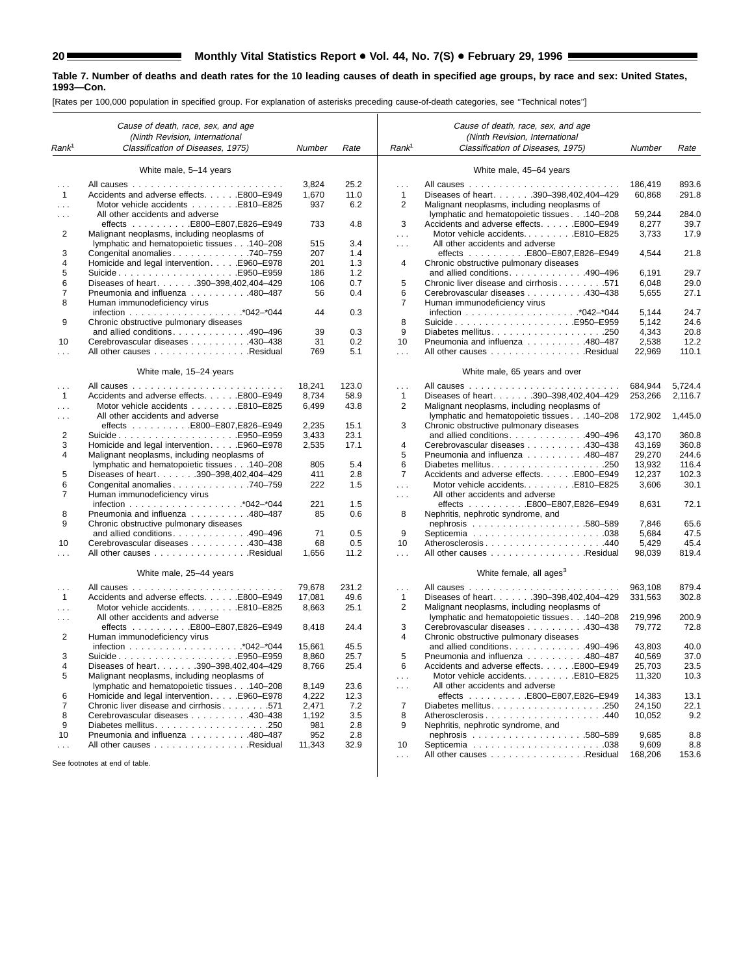۳

#### **Table 7. Number of deaths and death rates for the 10 leading causes of death in specified age groups, by race and sex: United States, 1993—Con.**

|                      | Cause of death, race, sex, and age                                          |                |            |                      | Cause of death, race, sex, and age                                          |                  |              |
|----------------------|-----------------------------------------------------------------------------|----------------|------------|----------------------|-----------------------------------------------------------------------------|------------------|--------------|
| Rank <sup>1</sup>    | (Ninth Revision, International<br>Classification of Diseases, 1975)         | Number         | Rate       | Rank <sup>1</sup>    | (Ninth Revision, International<br>Classification of Diseases, 1975)         | Number           | Rate         |
|                      |                                                                             |                |            |                      |                                                                             |                  |              |
|                      | White male, 5-14 years                                                      |                |            |                      | White male, 45-64 years                                                     |                  |              |
|                      |                                                                             | 3,824          | 25.2       | $\sim$ .             |                                                                             | 186,419          | 893.6        |
| $\mathbf{1}$         | Accidents and adverse effects. E800-E949                                    | 1,670          | 11.0       | $\mathbf{1}$         | Diseases of heart. 390-398,402,404-429                                      | 60,868           | 291.8        |
| $\sim$ $\sim$ $\sim$ | Motor vehicle accidents E810-E825                                           | 937            | 6.2        | 2                    | Malignant neoplasms, including neoplasms of                                 |                  |              |
| $\sim$ $\sim$ $\sim$ | All other accidents and adverse                                             |                |            |                      | lymphatic and hematopoietic tissues 140-208                                 | 59,244           | 284.0        |
|                      |                                                                             | 733            | 4.8        | 3                    | Accidents and adverse effects. E800-E949                                    | 8,277            | 39.7         |
| 2                    | Malignant neoplasms, including neoplasms of                                 |                |            | $\cdots$             | Motor vehicle accidentsE810-E825                                            | 3,733            | 17.9         |
|                      | lymphatic and hematopoietic tissues 140-208                                 | 515            | 3.4        | $\sim 100$           | All other accidents and adverse                                             |                  |              |
| 3                    | Congenital anomalies 740-759                                                | 207            | 1.4        |                      |                                                                             | 4,544            | 21.8         |
| 4                    | Homicide and legal intervention. E960–E978                                  | 201            | 1.3        | 4                    | Chronic obstructive pulmonary diseases                                      |                  |              |
| 5                    |                                                                             | 186            | 1.2        |                      | and allied conditions. 490–496                                              | 6,191            | 29.7         |
| 6<br>7               | Diseases of heart. 390-398,402,404-429<br>Pneumonia and influenza 480-487   | 106<br>56      | 0.7<br>0.4 | 5<br>6               | Chronic liver disease and cirrhosis 571<br>Cerebrovascular diseases 430-438 | 6,048            | 29.0<br>27.1 |
| 8                    | Human immunodeficiency virus                                                |                |            | 7                    | Human immunodeficiency virus                                                | 5,655            |              |
|                      |                                                                             | 44             | 0.3        |                      |                                                                             | 5,144            | 24.7         |
| 9                    | Chronic obstructive pulmonary diseases                                      |                |            | 8                    |                                                                             | 5,142            | 24.6         |
|                      | and allied conditions. 490-496                                              | 39             | 0.3        | 9                    |                                                                             | 4,343            | 20.8         |
| 10                   | Cerebrovascular diseases 430–438                                            | 31             | 0.2        | 10                   | Pneumonia and influenza 480–487                                             | 2,538            | 12.2         |
|                      | All other causes Residual                                                   | 769            | 5.1        | $\cdots$             | All other causes Residual                                                   | 22,969           | 110.1        |
|                      |                                                                             |                |            |                      |                                                                             |                  |              |
|                      | White male, 15-24 years                                                     |                |            |                      | White male, 65 years and over                                               |                  |              |
| $\sim$ $\sim$ $\sim$ |                                                                             | 18,241         | 123.0      | $\sim$ .             |                                                                             | 684.944          | 5.724.4      |
| $\mathbf{1}$         | Accidents and adverse effects. E800-E949                                    | 8,734          | 58.9       | $\mathbf{1}$         | Diseases of heart. 390-398,402,404-429                                      | 253.266          | 2,116.7      |
| $\cdots$             | Motor vehicle accidents E810-E825                                           | 6,499          | 43.8       | 2                    | Malignant neoplasms, including neoplasms of                                 |                  |              |
| $\sim$ $\sim$ $\sim$ | All other accidents and adverse<br>effects E800-E807,E826-E949              |                | 15.1       | 3                    | lymphatic and hematopoietic tissues 140-208                                 | 172.902          | 1,445.0      |
| 2                    |                                                                             | 2,235<br>3,433 | 23.1       |                      | Chronic obstructive pulmonary diseases<br>and allied conditions490-496      | 43,170           | 360.8        |
| 3                    | Homicide and legal intervention. E960–E978                                  | 2,535          | 17.1       | 4                    | Cerebrovascular diseases 430-438                                            | 43,169           | 360.8        |
| 4                    | Malignant neoplasms, including neoplasms of                                 |                |            | 5                    | Pneumonia and influenza 480-487                                             | 29,270           | 244.6        |
|                      | lymphatic and hematopoietic tissues 140-208                                 | 805            | 5.4        | 6                    | Diabetes mellitus250                                                        | 13,932           | 116.4        |
| 5                    | Diseases of heart. 390-398,402,404-429                                      | 411            | 2.8        | 7                    | Accidents and adverse effects. E800-E949                                    | 12,237           | 102.3        |
| 6                    | Congenital anomalies 740–759                                                | 222            | 1.5        | $\ldots$             | Motor vehicle accidentsE810-E825                                            | 3,606            | 30.1         |
| 7                    | Human immunodeficiency virus                                                |                |            | $\cdots$             | All other accidents and adverse                                             |                  |              |
|                      |                                                                             | 221            | 1.5        |                      | effects E800-E807,E826-E949                                                 | 8,631            | 72.1         |
| 8                    | Pneumonia and influenza 480-487                                             | 85             | 0.6        | 8                    | Nephritis, nephrotic syndrome, and                                          |                  |              |
| 9                    | Chronic obstructive pulmonary diseases                                      |                |            |                      |                                                                             | 7,846            | 65.6         |
|                      | and allied conditions. 490-496                                              | 71             | 0.5        | 9                    |                                                                             | 5,684            | 47.5         |
| 10                   | Cerebrovascular diseases 430-438                                            | 68             | 0.5        | 10                   | Atherosclerosis440                                                          | 5,429            | 45.4         |
| $\cdots$             | All other causes Residual                                                   | 1,656          | 11.2       | $\cdots$             | All other causes Residual                                                   | 98,039           | 819.4        |
|                      | White male, 25-44 years                                                     |                |            |                      | White female, all ages <sup>3</sup>                                         |                  |              |
| $\sim$ $\sim$ $\sim$ |                                                                             | 79,678         | 231.2      | $\sim$ $\sim$ $\sim$ |                                                                             | 963,108          | 879.4        |
| $\mathbf{1}$         | Accidents and adverse effects. E800-E949                                    | 17,081         | 49.6       | $\mathbf{1}$         | Diseases of heart. 390-398,402,404-429                                      | 331,563          | 302.8        |
| $\cdots$             | Motor vehicle accidentsE810-E825                                            | 8,663          | 25.1       | 2                    | Malignant neoplasms, including neoplasms of                                 |                  |              |
| $\sim$ $\sim$ $\sim$ | All other accidents and adverse                                             |                |            |                      | lymphatic and hematopoietic tissues 140-208                                 | 219,996          | 200.9        |
|                      |                                                                             | 8,418          | 24.4       | 3                    | Cerebrovascular diseases 430-438                                            | 79,772           | 72.8         |
| 2                    | Human immunodeficiency virus                                                |                |            | 4                    | Chronic obstructive pulmonary diseases                                      |                  |              |
|                      |                                                                             | 15,661         | 45.5       |                      | and allied conditions490-496                                                | 43,803           | 40.0         |
| 3                    |                                                                             | 8,860          | 25.7       | 5                    | Pneumonia and influenza 480-487                                             | 40,569           | 37.0         |
|                      | Diseases of heart. 390-398,402,404-429                                      | 8,766          | 25.4       | 6                    | Accidents and adverse effects. E800-E949                                    | 25,703           | 23.5         |
| 5                    | Malignant neoplasms, including neoplasms of                                 |                |            | $\sim$ $\sim$        | Motor vehicle accidentsE810-E825                                            | 11,320           | 10.3         |
|                      | lymphatic and hematopoietic tissues 140-208                                 | 8,149          | 23.6       | $\sim$ $\sim$        | All other accidents and adverse                                             |                  |              |
| 6<br>7               | Homicide and legal intervention. E960-E978                                  | 4,222          | 12.3       | 7                    | effects E800-E807,E826-E949                                                 | 14,383           | 13.1         |
| 8                    | Chronic liver disease and cirrhosis 571<br>Cerebrovascular diseases 430–438 | 2,471<br>1,192 | 7.2<br>3.5 | 8                    | Atherosclerosis440                                                          | 24,150<br>10,052 | 22.1<br>9.2  |
| 9                    |                                                                             | 981            | 2.8        | 9                    | Nephritis, nephrotic syndrome, and                                          |                  |              |
| 10                   | Pneumonia and influenza 480–487                                             | 952            | 2.8        |                      |                                                                             | 9,685            | 8.8          |
| $\sim$ $\sim$ $\sim$ | All other causes Residual                                                   | 11,343         | 32.9       | 10                   |                                                                             | 9,609            | 8.8          |
|                      |                                                                             |                |            | $\cdots$             | All other causes Residual                                                   | 168,206          | 153.6        |
|                      | See footnotes at end of table.                                              |                |            |                      |                                                                             |                  |              |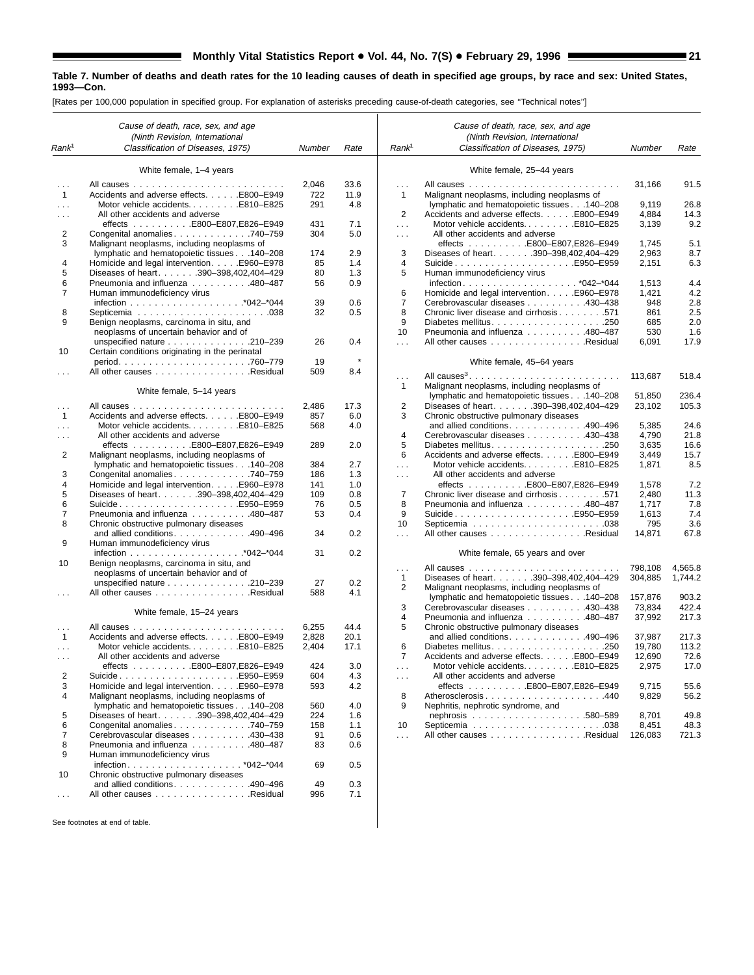[Rates per 100,000 population in specified group. For explanation of asterisks preceding cause-of-death categories, see ''Technical notes'']

|                                      | Cause of death, race, sex, and age                                                 |              |              |                   | Cause of death, race, sex, and age                                                         |                  |                |
|--------------------------------------|------------------------------------------------------------------------------------|--------------|--------------|-------------------|--------------------------------------------------------------------------------------------|------------------|----------------|
| Rank <sup>1</sup>                    | (Ninth Revision, International<br>Classification of Diseases, 1975)                | Number       | Rate         | Rank <sup>1</sup> | (Ninth Revision, International<br>Classification of Diseases, 1975)                        | Number           | Rate           |
|                                      |                                                                                    |              |              |                   |                                                                                            |                  |                |
|                                      | White female, 1-4 years                                                            |              |              |                   | White female, 25-44 years                                                                  |                  |                |
| $\sim$ $\sim$ $\sim$<br>$\mathbf{1}$ | Accidents and adverse effects. E800–E949                                           | 2,046<br>722 | 33.6<br>11.9 | .<br>$\mathbf{1}$ |                                                                                            | 31,166           | 91.5           |
|                                      | Motor vehicle accidentsE810-E825                                                   | 291          | 4.8          |                   | Malignant neoplasms, including neoplasms of<br>lymphatic and hematopoietic tissues 140-208 | 9,119            | 26.8           |
| $\cdots$<br>$\cdots$                 | All other accidents and adverse                                                    |              |              | 2                 | Accidents and adverse effects. E800-E949                                                   | 4,884            | 14.3           |
|                                      |                                                                                    | 431          | 7.1          | .                 | Motor vehicle accidentsE810-E825                                                           | 3,139            | 9.2            |
| 2                                    | Congenital anomalies 740–759                                                       | 304          | 5.0          | $\cdots$          | All other accidents and adverse                                                            |                  |                |
| 3                                    | Malignant neoplasms, including neoplasms of                                        |              |              |                   | effects E800-E807,E826-E949                                                                | 1,745            | 5.1            |
|                                      | lymphatic and hematopoietic tissues 140-208                                        | 174          | 2.9          | 3                 | Diseases of heart. 390-398,402,404-429                                                     | 2,963            | 8.7            |
| 4                                    | Homicide and legal intervention. E960-E978                                         | 85           | 1.4          | 4                 | SuicideE950–E959                                                                           | 2,151            | 6.3            |
| 5                                    | Diseases of heart. 390-398,402,404-429                                             | 80           | 1.3          | 5                 | Human immunodeficiency virus                                                               |                  |                |
| 6                                    | Pneumonia and influenza 480-487                                                    | 56           | 0.9          |                   |                                                                                            | 1,513            | 4.4            |
| $\overline{7}$                       | Human immunodeficiency virus                                                       |              |              | 6                 | Homicide and legal intervention. E960-E978                                                 | 1,421            | 4.2            |
|                                      |                                                                                    | 39           | 0.6          | $\overline{7}$    | Cerebrovascular diseases 430-438                                                           | 948              | 2.8            |
| 8<br>9                               |                                                                                    | 32           | 0.5          | 8                 | Chronic liver disease and cirrhosis 571                                                    | 861              | 2.5            |
|                                      | Benign neoplasms, carcinoma in situ, and<br>neoplasms of uncertain behavior and of |              |              | 9<br>10           | Pneumonia and influenza 480-487                                                            | 685<br>530       | 2.0<br>1.6     |
|                                      | unspecified nature 210-239                                                         | 26           | 0.4          | $\mathbf{1}$      | All other causes Residual                                                                  | 6,091            | 17.9           |
| 10                                   | Certain conditions originating in the perinatal                                    |              |              |                   |                                                                                            |                  |                |
|                                      |                                                                                    | 19           | $\star$      |                   | White female, 45-64 years                                                                  |                  |                |
| $\cdots$                             | All other causes Residual                                                          | 509          | 8.4          |                   |                                                                                            |                  |                |
|                                      |                                                                                    |              |              | .                 |                                                                                            | 113,687          | 518.4          |
|                                      | White female, 5-14 years                                                           |              |              | $\mathbf{1}$      | Malignant neoplasms, including neoplasms of<br>lymphatic and hematopoietic tissues 140-208 | 51,850           | 236.4          |
|                                      |                                                                                    | 2,486        | 17.3         | 2                 | Diseases of heart. 390-398,402,404-429                                                     | 23,102           | 105.3          |
| $\cdots$<br>$\mathbf{1}$             | Accidents and adverse effects. E800-E949                                           | 857          | 6.0          | 3                 | Chronic obstructive pulmonary diseases                                                     |                  |                |
| $\cdots$                             | Motor vehicle accidentsE810-E825                                                   | 568          | 4.0          |                   | and allied conditions490-496                                                               | 5,385            | 24.6           |
| .                                    | All other accidents and adverse                                                    |              |              | 4                 | Cerebrovascular diseases 430-438                                                           | 4,790            | 21.8           |
|                                      | effects E800-E807,E826-E949                                                        | 289          | 2.0          | 5                 |                                                                                            | 3,635            | 16.6           |
| 2                                    | Malignant neoplasms, including neoplasms of                                        |              |              | 6                 | Accidents and adverse effects. E800-E949                                                   | 3,449            | 15.7           |
|                                      | lymphatic and hematopoietic tissues 140-208                                        | 384          | 2.7          | $\mathbf{1}$      | Motor vehicle accidentsE810-E825                                                           | 1,871            | 8.5            |
| 3                                    | Congenital anomalies 740–759                                                       | 186          | 1.3          | $\cdots$          | All other accidents and adverse                                                            |                  |                |
| 4                                    | Homicide and legal intervention. E960–E978                                         | 141          | 1.0          |                   | effects E800-E807,E826-E949                                                                | 1,578            | 7.2            |
| 5                                    | Diseases of heart. 390-398,402,404-429                                             | 109          | 0.8          | 7                 | Chronic liver disease and cirrhosis 571                                                    | 2,480            | 11.3           |
| 6                                    | SuicideE950–E959                                                                   | 76           | 0.5          | 8                 | Pneumonia and influenza 480-487                                                            | 1,717            | 7.8            |
| 7<br>8                               | Pneumonia and influenza 480-487                                                    | 53           | 0.4          | 9<br>10           | SuicideE950–E959                                                                           | 1,613<br>795     | 7.4<br>3.6     |
|                                      | Chronic obstructive pulmonary diseases<br>and allied conditions. 490-496           | 34           | 0.2          | $\mathbf{1}$      | All other causes Residual                                                                  | 14,871           | 67.8           |
| 9                                    | Human immunodeficiency virus                                                       |              |              |                   |                                                                                            |                  |                |
| 10                                   | Benign neoplasms, carcinoma in situ, and                                           | 31           | 0.2          |                   | White female, 65 years and over                                                            |                  |                |
|                                      | neoplasms of uncertain behavior and of                                             |              |              | .                 |                                                                                            | 798,108          | 4,565.8        |
|                                      | unspecified nature $\ldots \ldots \ldots \ldots 210-239$                           | 27           | 0.2          | $\mathbf{1}$      | Diseases of heart. 390-398,402,404-429                                                     | 304,885          | 1,744.2        |
| $\sim$ $\sim$ $\sim$                 | All other causes Residual                                                          | 588          | 4.1          | 2                 | Malignant neoplasms, including neoplasms of                                                |                  |                |
|                                      |                                                                                    |              |              | 3                 | lymphatic and hematopoietic tissues 140-208<br>Cerebrovascular diseases 430-438            | 157,876          | 903.2<br>422.4 |
|                                      | White female, 15-24 years                                                          |              |              | 4                 | Pneumonia and influenza 480-487                                                            | 73,834<br>37,992 | 217.3          |
| $\cdots$                             |                                                                                    | 6,255        | 44.4         | 5                 | Chronic obstructive pulmonary diseases                                                     |                  |                |
| 1                                    | Accidents and adverse effects. E800-E949                                           | 2,828        | 20.1         |                   | and allied conditions. $\ldots$ . 490–496                                                  | 37,987           | 217.3          |
| $\cdots$                             | Motor vehicle accidentsE810-E825                                                   | 2,404        | 17.1         | 6                 |                                                                                            | 19,780           | 113.2          |
| $\cdots$                             | All other accidents and adverse                                                    |              |              | $\overline{7}$    | Accidents and adverse effects. E800-E949                                                   | 12,690           | 72.6           |
|                                      | effects E800-E807,E826-E949                                                        | 424          | 3.0          | $\sim$ $\sim$     | Motor vehicle accidentsE810-E825                                                           | 2,975            | 17.0           |
| 2                                    | SuicideE950–E959                                                                   | 604          | 4.3          | .                 | All other accidents and adverse                                                            |                  |                |
| 3                                    | Homicide and legal intervention. E960-E978                                         | 593          | 4.2          |                   | effects E800-E807,E826-E949                                                                | 9,715            | 55.6           |
| 4                                    | Malignant neoplasms, including neoplasms of                                        |              |              | 8                 | Atherosclerosis440                                                                         | 9,829            | 56.2           |
|                                      | lymphatic and hematopoietic tissues 140-208                                        | 560          | 4.0          | 9                 | Nephritis, nephrotic syndrome, and                                                         |                  |                |
| 5<br>6                               | Diseases of heart. 390-398,402,404-429<br>Congenital anomalies 740-759             | 224          | 1.6<br>1.1   | 10                |                                                                                            | 8,701<br>8,451   | 49.8<br>48.3   |
| 7                                    | Cerebrovascular diseases 430-438                                                   | 158<br>91    | 0.6          | $\mathbf{1}$      | All other causes Residual                                                                  | 126,083          | 721.3          |
| 8                                    | Pneumonia and influenza 480-487                                                    | 83           | 0.6          |                   |                                                                                            |                  |                |
| 9                                    | Human immunodeficiency virus                                                       |              |              |                   |                                                                                            |                  |                |
|                                      |                                                                                    | 69           | 0.5          |                   |                                                                                            |                  |                |
| 10                                   | Chronic obstructive pulmonary diseases                                             |              |              |                   |                                                                                            |                  |                |
|                                      | and allied conditions. 490-496                                                     | 49           | 0.3          |                   |                                                                                            |                  |                |
| $\sim$ $\sim$                        | All other causes Residual                                                          | 996          | 7.1          |                   |                                                                                            |                  |                |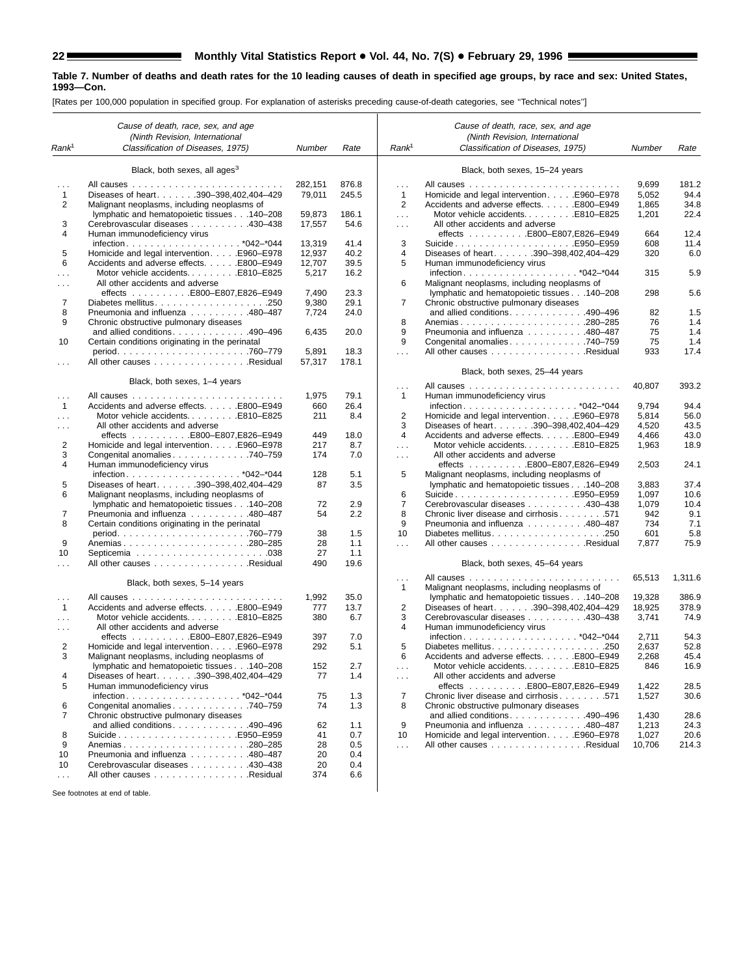ш

#### **Table 7. Number of deaths and death rates for the 10 leading causes of death in specified age groups, by race and sex: United States, 1993—Con.**

[Rates per 100,000 population in specified group. For explanation of asterisks preceding cause-of-death categories, see ''Technical notes'']

|                      | Cause of death, race, sex, and age<br>(Ninth Revision, International      |            |              |                         | Cause of death, race, sex, and age<br>(Ninth Revision, International                       |                |              |
|----------------------|---------------------------------------------------------------------------|------------|--------------|-------------------------|--------------------------------------------------------------------------------------------|----------------|--------------|
| Rank <sup>1</sup>    | Classification of Diseases, 1975)                                         | Number     | Rate         | Rank <sup>1</sup>       | Classification of Diseases, 1975)                                                          | Number         | Rate         |
|                      | Black, both sexes, all ages <sup>3</sup>                                  |            |              |                         | Black, both sexes, 15-24 years                                                             |                |              |
|                      |                                                                           | 282.151    | 876.8        | $\cdots$                |                                                                                            | 9,699          | 181.2        |
| $\mathbf{1}$         | Diseases of heart. 390-398,402,404-429                                    | 79,011     | 245.5        | $\mathbf{1}$            | Homicide and legal intervention. E960–E978                                                 | 5,052          | 94.4         |
| 2                    | Malignant neoplasms, including neoplasms of                               |            |              | $\overline{2}$          | Accidents and adverse effects. E800-E949                                                   | 1,865          | 34.8         |
|                      | lymphatic and hematopoietic tissues 140-208                               | 59,873     | 186.1        | $\cdots$                | Motor vehicle accidentsE810-E825                                                           | 1,201          | 22.4         |
| 3                    | Cerebrovascular diseases 430-438                                          | 17,557     | 54.6         | $\sim$ $\sim$ $\sim$    | All other accidents and adverse                                                            |                |              |
| 4                    | Human immunodeficiency virus                                              |            |              |                         | effects E800-E807,E826-E949                                                                | 664            | 12.4         |
|                      |                                                                           | 13,319     | 41.4         | 3                       | SuicideE950–E959                                                                           | 608            | 11.4         |
| 5                    | Homicide and legal intervention. E960-E978                                | 12,937     | 40.2         | 4                       | Diseases of heart. 390-398,402,404-429                                                     | 320            | 6.0          |
| 6                    | Accidents and adverse effects. E800-E949                                  | 12,707     | 39.5         | 5                       | Human immunodeficiency virus                                                               |                |              |
|                      | Motor vehicle accidentsE810-E825                                          | 5,217      | 16.2         |                         |                                                                                            | 315            | 5.9          |
| $\sim$ $\sim$ $\sim$ | All other accidents and adverse                                           |            |              | 6                       | Malignant neoplasms, including neoplasms of                                                |                |              |
|                      | effects E800-E807,E826-E949                                               | 7,490      | 23.3         |                         | lymphatic and hematopoietic tissues 140-208                                                | 298            | 5.6          |
| 7<br>8               |                                                                           | 9,380      | 29.1<br>24.0 | 7                       | Chronic obstructive pulmonary diseases<br>and allied conditions. $\ldots$ . 490–496        |                |              |
| 9                    | Pneumonia and influenza 480-487<br>Chronic obstructive pulmonary diseases | 7,724      |              | 8                       | Anemias280-285                                                                             | 82<br>76       | 1.5<br>1.4   |
|                      | and allied conditions. $\ldots$ . 490–496                                 | 6,435      | 20.0         | 9                       | Pneumonia and influenza 480–487                                                            | 75             | 1.4          |
| 10                   | Certain conditions originating in the perinatal                           |            |              | 9                       | Congenital anomalies 740-759                                                               | 75             | 1.4          |
|                      |                                                                           | 5,891      | 18.3         | $\cdots$                | All other causes Residual                                                                  | 933            | 17.4         |
|                      | All other causes Residual                                                 | 57,317     | 178.1        |                         |                                                                                            |                |              |
|                      |                                                                           |            |              |                         | Black, both sexes, 25-44 years                                                             |                |              |
|                      | Black, both sexes, 1-4 years                                              |            |              | $\cdots$                |                                                                                            | 40,807         | 393.2        |
| $\cdots$             |                                                                           | 1,975      | 79.1         | $\mathbf{1}$            | Human immunodeficiency virus                                                               |                |              |
| $\mathbf{1}$         | Accidents and adverse effects. E800-E949                                  | 660        | 26.4         |                         |                                                                                            | 9,794          | 94.4         |
| $\sim 10$            | Motor vehicle accidentsE810-E825                                          | 211        | 8.4          | 2                       | Homicide and legal intervention. E960–E978                                                 | 5,814          | 56.0         |
| $\cdots$             | All other accidents and adverse                                           |            |              | 3<br>4                  | Diseases of heart. 390-398,402,404-429                                                     | 4,520          | 43.5         |
| 2                    | effects E800-E807,E826-E949<br>Homicide and legal intervention. E960–E978 | 449<br>217 | 18.0<br>8.7  |                         | Accidents and adverse effects. E800-E949<br>Motor vehicle accidentsE810-E825               | 4,466          | 43.0<br>18.9 |
| 3                    | Congenital anomalies 740-759                                              | 174        | 7.0          | $\sim$                  | All other accidents and adverse                                                            | 1,963          |              |
| 4                    | Human immunodeficiency virus                                              | 128        | 5.1          | $\cdots$<br>5           | effects E800-E807,E826-E949                                                                | 2,503          | 24.1         |
| 5                    | infection*042-*044<br>Diseases of heart. 390-398,402,404-429              | 87         | 3.5          |                         | Malignant neoplasms, including neoplasms of<br>lymphatic and hematopoietic tissues 140-208 | 3,883          | 37.4         |
| 6                    | Malignant neoplasms, including neoplasms of                               |            |              | 6                       | SuicideE950–E959                                                                           | 1,097          | 10.6         |
|                      | lymphatic and hematopoietic tissues 140-208                               | 72         | 2.9          | 7                       | Cerebrovascular diseases 430-438                                                           | 1,079          | 10.4         |
| 7                    | Pneumonia and influenza 480-487                                           | 54         | 2.2          | 8                       | Chronic liver disease and cirrhosis 571                                                    | 942            | 9.1          |
| 8                    | Certain conditions originating in the perinatal                           |            |              | 9                       | Pneumonia and influenza 480-487                                                            | 734            | 7.1          |
|                      |                                                                           | 38         | 1.5          | 10                      |                                                                                            | 601            | 5.8          |
| 9                    |                                                                           | 28         | 1.1          | $\sim$ .                | All other causes Residual                                                                  | 7,877          | 75.9         |
| 10                   |                                                                           | 27         | 1.1          |                         |                                                                                            |                |              |
| $\sim$ $\sim$ $\sim$ | All other causes Residual                                                 | 490        | 19.6         |                         | Black, both sexes, 45–64 years                                                             |                |              |
|                      | Black, both sexes, 5-14 years                                             |            |              | $\cdots$<br>1           | All causes<br>and and and and a<br>Malignant neoplasms, including neoplasms of             | 65,513         | 1,311.6      |
| $\sim$ $\sim$ $\sim$ |                                                                           | 1,992      | 35.0         |                         | lymphatic and hematopoietic tissues 140-208                                                | 19,328         | 386.9        |
| $\mathbf{1}$         | Accidents and adverse effects. E800-E949                                  | 777        | 13.7         | $\overline{\mathbf{c}}$ | Diseases of heart. 390-398,402,404-429                                                     | 18,925         | 378.9        |
| $\cdots$             | Motor vehicle accidentsE810-E825                                          | 380        | 6.7          | 3                       | Cerebrovascular diseases 430–438                                                           | 3,741          | 74.9         |
| $\sim$ $\sim$ $\sim$ | All other accidents and adverse                                           |            |              | 4                       | Human immunodeficiency virus                                                               |                |              |
|                      |                                                                           | 397        | 7.0          |                         |                                                                                            | 2,711          | 54.3         |
| 2                    | Homicide and legal intervention. E960-E978                                | 292        | 5.1          | 5                       |                                                                                            | 2,637          | 52.8         |
| 3                    | Malignant neoplasms, including neoplasms of                               |            |              | 6                       | Accidents and adverse effects. E800-E949                                                   | 2,268          | 45.4         |
|                      | lymphatic and hematopoietic tissues 140-208                               | 152        | 2.7          | $\sim$ $\sim$           | Motor vehicle accidents. E810-E825                                                         | 846            | 16.9         |
| 4                    | Diseases of heart. 390-398,402,404-429                                    | 77         | 1.4          | $\sim$ .                | All other accidents and adverse                                                            |                |              |
| 5                    | Human immunodeficiency virus                                              |            |              |                         | effects E800-E807,E826-E949                                                                | 1,422          | 28.5         |
|                      |                                                                           | 75         | 1.3          | $\overline{7}$          | Chronic liver disease and cirrhosis 571                                                    | 1,527          | 30.6         |
| 6                    | Congenital anomalies 740-759                                              | 74         | 1.3          | 8                       | Chronic obstructive pulmonary diseases<br>and allied conditions. 490-496                   |                |              |
| 7                    | Chronic obstructive pulmonary diseases<br>and allied conditions. 490-496  | 62         | 1.1          | 9                       | Pneumonia and influenza 480-487                                                            | 1,430<br>1,213 | 28.6<br>24.3 |
| 8                    | SuicideE950–E959                                                          | 41         | 0.7          | 10                      | Homicide and legal intervention. E960–E978                                                 | 1,027          | 20.6         |
| 9                    | Anemias280-285                                                            | 28         | 0.5          | $\sim$ $\sim$ $\sim$    | All other causes Residual                                                                  | 10,706         | 214.3        |
| 10                   | Pneumonia and influenza 480-487                                           | 20         | 0.4          |                         |                                                                                            |                |              |
| 10                   | Cerebrovascular diseases 430-438                                          | 20         | 0.4          |                         |                                                                                            |                |              |
| $\sim$ $\sim$        | All other causes Residual                                                 | 374        | 6.6          |                         |                                                                                            |                |              |
|                      |                                                                           |            |              |                         |                                                                                            |                |              |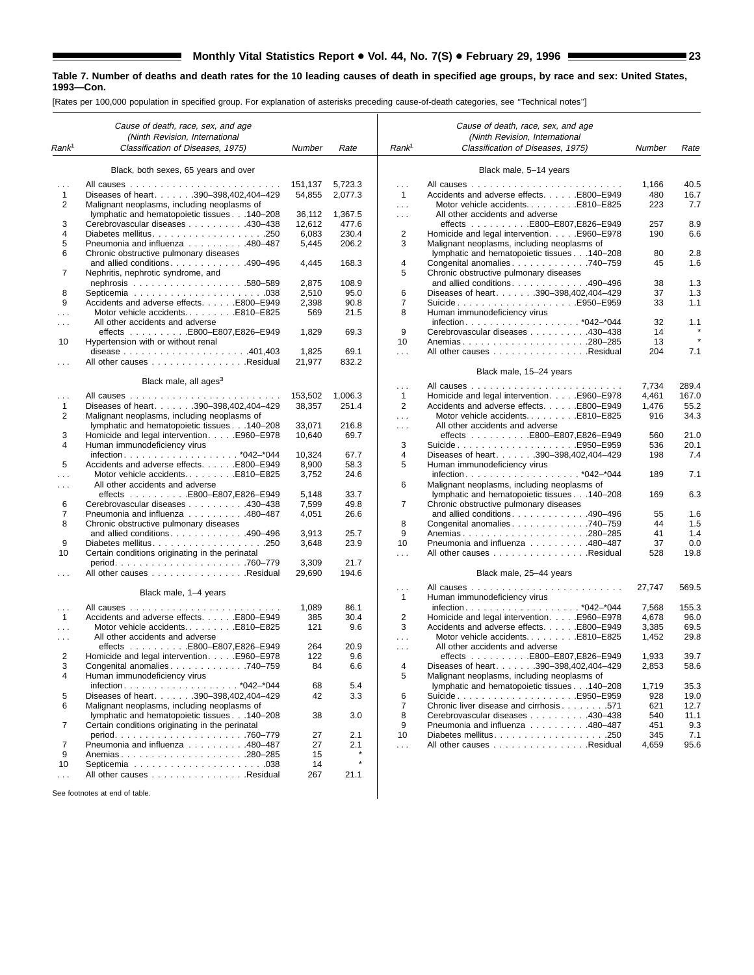[Rates per 100,000 population in specified group. For explanation of asterisks preceding cause-of-death categories, see ''Technical notes'']

|                           | Cause of death, race, sex, and age<br>(Ninth Revision, International |                 |               |                                  | Cause of death, race, sex, and age<br>(Ninth Revision, International |        |              |
|---------------------------|----------------------------------------------------------------------|-----------------|---------------|----------------------------------|----------------------------------------------------------------------|--------|--------------|
| Rank <sup>1</sup>         | Classification of Diseases, 1975)                                    | Number          | Rate          | Rank <sup>1</sup>                | Classification of Diseases, 1975)                                    | Number | Rate         |
|                           | Black, both sexes, 65 years and over                                 |                 |               |                                  | Black male, 5-14 years                                               |        |              |
|                           |                                                                      | 151,137         | 5,723.3       | $\cdots$                         |                                                                      | 1,166  | 40.5         |
| 1                         | Diseases of heart. 390-398,402,404-429                               | 54,855          | 2,077.3       | $\mathbf{1}$                     | Accidents and adverse effects. E800-E949                             | 480    | 16.7         |
| 2                         | Malignant neoplasms, including neoplasms of                          |                 |               | $\sim$ $\sim$ $\sim$             | Motor vehicle accidentsE810-E825                                     | 223    | 7.7          |
|                           | lymphatic and hematopoietic tissues 140-208                          | 36,112          | 1,367.5       | $\cdots$                         | All other accidents and adverse                                      |        |              |
| 3                         | Cerebrovascular diseases 430-438                                     | 12,612          | 477.6         |                                  | effects E800-E807,E826-E949                                          | 257    | 8.9          |
| 4                         |                                                                      | 6,083           | 230.4         | 2                                | Homicide and legal intervention. E960–E978                           | 190    | 6.6          |
| 5                         | Pneumonia and influenza 480-487                                      | 5,445           | 206.2         | 3                                | Malignant neoplasms, including neoplasms of                          |        |              |
| 6                         | Chronic obstructive pulmonary diseases                               |                 |               |                                  | lymphatic and hematopoietic tissues 140-208                          | 80     | 2.8          |
|                           | and allied conditions490-496                                         | 4,445           | 168.3         | 4                                | Congenital anomalies 740-759                                         | 45     | 1.6          |
| 7                         | Nephritis, nephrotic syndrome, and                                   |                 |               | 5                                | Chronic obstructive pulmonary diseases                               |        |              |
|                           |                                                                      | 2,875           | 108.9         |                                  | and allied conditions. 490-496                                       | 38     | 1.3          |
| 8                         |                                                                      | 2,510           | 95.0          | 6                                | Diseases of heart. 390-398,402,404-429                               | 37     | 1.3          |
| 9                         | Accidents and adverse effects. E800-E949                             | 2,398           | 90.8          | $\overline{7}$                   | SuicideE950–E959                                                     | 33     | 1.1          |
|                           | Motor vehicle accidentsE810-E825                                     | 569             | 21.5          | 8                                | Human immunodeficiency virus                                         |        |              |
| $\cdots$                  | All other accidents and adverse                                      |                 |               |                                  |                                                                      | 32     | 1.1          |
|                           | effects E800-E807,E826-E949                                          | 1,829           | 69.3          | 9                                | Cerebrovascular diseases 430–438                                     | 14     |              |
| 10                        | Hypertension with or without renal                                   |                 |               | 10                               | Anemias280-285                                                       | 13     | $\pmb{\ast}$ |
|                           |                                                                      | 1,825           | 69.1          | $\ldots$                         | All other causes Residual                                            | 204    | 7.1          |
|                           | All other causes Residual                                            | 21,977          | 832.2         |                                  |                                                                      |        |              |
|                           |                                                                      |                 |               |                                  | Black male, 15-24 years                                              |        |              |
|                           | Black male, all ages <sup>3</sup>                                    |                 |               | .                                |                                                                      | 7,734  | 289.4        |
| $\cdots$                  |                                                                      | 153,502         | 1.006.3       | $\mathbf{1}$                     | Homicide and legal intervention. E960–E978                           | 4,461  | 167.0        |
| 1                         | Diseases of heart. 390-398,402,404-429                               | 38,357          | 251.4         | 2                                | Accidents and adverse effects. E800-E949                             | 1,476  | 55.2         |
| 2                         | Malignant neoplasms, including neoplasms of                          |                 |               | .                                | Motor vehicle accidentsE810-E825                                     | 916    | 34.3         |
|                           | lymphatic and hematopoietic tissues 140-208                          | 33.071          | 216.8         | $\cdots$                         | All other accidents and adverse                                      |        |              |
| 3                         | Homicide and legal intervention. E960–E978                           | 10,640          | 69.7          |                                  | effects E800-E807,E826-E949                                          | 560    | 21.0         |
| 4                         | Human immunodeficiency virus                                         |                 |               | 3                                | SuicideE950–E959                                                     | 536    | 20.1         |
|                           |                                                                      | 10,324          | 67.7          | 4                                | Diseases of heart. 390-398,402,404-429                               | 198    | 7.4          |
| 5                         | Accidents and adverse effects. E800-E949                             | 8,900           | 58.3          | 5                                | Human immunodeficiency virus                                         |        |              |
|                           | Motor vehicle accidents. E810-E825                                   | 3,752           | 24.6          |                                  |                                                                      | 189    | 7.1          |
| $\cdots$                  | All other accidents and adverse                                      |                 |               | 6                                | Malignant neoplasms, including neoplasms of                          |        |              |
|                           | effects E800-E807,E826-E949                                          | 5,148           | 33.7          |                                  | lymphatic and hematopoietic tissues 140-208                          | 169    | 6.3          |
| 6                         | Cerebrovascular diseases 430-438                                     | 7,599           | 49.8          | 7                                | Chronic obstructive pulmonary diseases                               |        |              |
| 7                         | Pneumonia and influenza 480-487                                      | 4,051           | 26.6          |                                  | and allied conditions. 490-496                                       | 55     | 1.6          |
| 8                         | Chronic obstructive pulmonary diseases                               |                 |               | 8                                | Congenital anomalies 740-759                                         | 44     | 1.5          |
|                           | and allied conditions490-496                                         | 3,913           | 25.7          | 9                                |                                                                      | 41     | 1.4          |
| 9                         |                                                                      | 3,648           | 23.9          | 10                               | Pneumonia and influenza 480-487                                      | 37     | 0.0          |
| 10                        | Certain conditions originating in the perinatal                      |                 |               | $\sim$                           | All other causes Residual                                            | 528    | 19.8         |
|                           |                                                                      | 3,309<br>29,690 | 21.7<br>194.6 |                                  |                                                                      |        |              |
| $\cdots$                  | All other causes Residual                                            |                 |               |                                  | Black male, 25-44 years                                              |        |              |
|                           | Black male, 1-4 years                                                |                 |               | $\cdots$                         | Human immunodeficiency virus                                         | 27,747 | 569.5        |
|                           |                                                                      | 1,089           | 86.1          | 1                                |                                                                      | 7,568  | 155.3        |
| $\sim$ $\sim$ $\sim$<br>1 | Accidents and adverse effects. E800-E949                             | 385             | 30.4          | $\overline{2}$                   | Homicide and legal intervention. E960–E978                           | 4,678  | 96.0         |
|                           | Motor vehicle accidentsE810-E825                                     | 121             | 9.6           | 3                                | Accidents and adverse effects. E800-E949                             | 3,385  | 69.5         |
| $\sim 10$                 | All other accidents and adverse                                      |                 |               |                                  | Motor vehicle accidentsE810-E825                                     | 1,452  | 29.8         |
| $\sim$ $\sim$ $\sim$      | effects E800-E807,E826-E949                                          | 264             | 20.9          | $\cdots$<br>$\sim$ $\sim$ $\sim$ | All other accidents and adverse                                      |        |              |
| 2                         | Homicide and legal intervention. E960-E978                           | 122             | 9.6           |                                  | effects E800-E807.E826-E949                                          | 1,933  | 39.7         |
| 3                         | Congenital anomalies. 740-759                                        | 84              | 6.6           | 4                                | Diseases of heart. 390-398,402,404-429                               | 2,853  | 58.6         |
| 4                         | Human immunodeficiency virus                                         |                 |               | 5                                | Malignant neoplasms, including neoplasms of                          |        |              |
|                           |                                                                      | 68              | 5.4           |                                  | Ivmphatic and hematopoietic tissues 140-208                          | 1,719  | 35.3         |
| 5                         | Diseases of heart. 390-398,402,404-429                               | 42              | 3.3           | 6                                | SuicideE950–E959                                                     | 928    | 19.0         |
| 6                         | Malignant neoplasms, including neoplasms of                          |                 |               | $\overline{7}$                   | Chronic liver disease and cirrhosis 571                              | 621    | 12.7         |
|                           | lymphatic and hematopoietic tissues 140-208                          | 38              | 3.0           | 8                                | Cerebrovascular diseases 430-438                                     | 540    | 11.1         |
| 7                         | Certain conditions originating in the perinatal                      |                 |               | 9                                | Pneumonia and influenza 480-487                                      | 451    | 9.3          |
|                           |                                                                      | 27              | 2.1           | 10                               |                                                                      | 345    | 7.1          |
| 7                         | Pneumonia and influenza 480-487                                      | 27              | 2.1           | $\sim$                           | All other causes Residual                                            | 4,659  | 95.6         |
| 9                         | Anemias280-285                                                       | 15              | $\star$       |                                  |                                                                      |        |              |
| 10                        |                                                                      | 14              | $\star$       |                                  |                                                                      |        |              |
| $\cdots$                  | All other causes Residual                                            | 267             | 21.1          |                                  |                                                                      |        |              |
|                           |                                                                      |                 |               |                                  |                                                                      |        |              |
|                           | See footnotes at end of table.                                       |                 |               |                                  |                                                                      |        |              |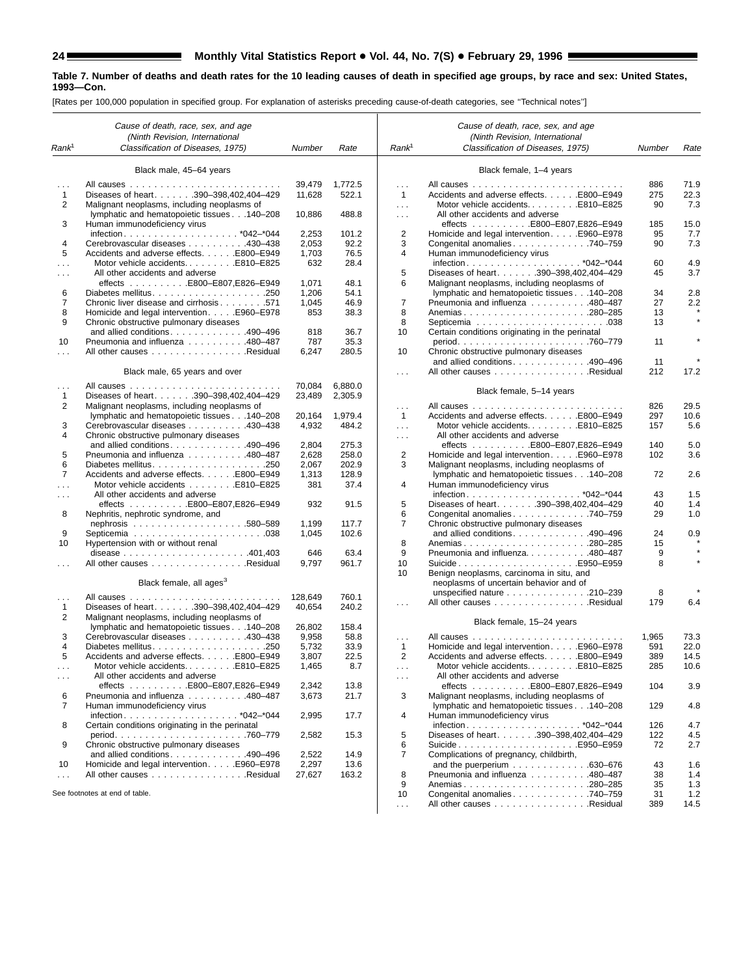۳

#### **Table 7. Number of deaths and death rates for the 10 leading causes of death in specified age groups, by race and sex: United States, 1993—Con.**

|                      | Cause of death, race, sex, and age<br>(Ninth Revision, International |              |               |                             | Cause of death, race, sex, and age<br>(Ninth Revision, International |        |       |
|----------------------|----------------------------------------------------------------------|--------------|---------------|-----------------------------|----------------------------------------------------------------------|--------|-------|
| Rank <sup>1</sup>    | Classification of Diseases, 1975)                                    | Number       | Rate          | Rank <sup>1</sup>           | Classification of Diseases, 1975)                                    | Number | Rate  |
|                      | Black male, 45-64 years                                              |              |               |                             | Black female, 1-4 years                                              |        |       |
| $\cdots$             |                                                                      | 39,479       | 1,772.5       | $\sim$                      |                                                                      | 886    | 71.9  |
| $\mathbf{1}$         | Diseases of heart. 390-398,402,404-429                               | 11,628       | 522.1         | $\mathbf{1}$                | Accidents and adverse effects. E800-E949                             | 275    | 22.3  |
| $\overline{2}$       | Malignant neoplasms, including neoplasms of                          |              |               | $\sim 100$                  | Motor vehicle accidentsE810-E825                                     | 90     | 7.3   |
|                      | lymphatic and hematopoietic tissues 140-208                          | 10,886       | 488.8         | $\sim 100$                  | All other accidents and adverse                                      |        |       |
| 3                    | Human immunodeficiency virus                                         |              |               |                             | effects E800-E807,E826-E949                                          | 185    | 15.0  |
|                      |                                                                      | 2,253        | 101.2         | $\overline{2}$              | Homicide and legal intervention. E960–E978                           | 95     | 7.7   |
| 4                    | Cerebrovascular diseases 430–438                                     | 2,053        | 92.2          | 3                           | Congenital anomalies740-759                                          | 90     | 7.3   |
| 5                    | Accidents and adverse effects. E800–E949                             | 1,703        | 76.5          | 4                           | Human immunodeficiency virus                                         |        |       |
| $\cdots$             |                                                                      | 632          | 28.4          |                             |                                                                      | 60     | 4.9   |
| $\cdots$             | All other accidents and adverse                                      |              |               | 5                           | Diseases of heart. 390-398,402,404-429                               | 45     | 3.7   |
|                      |                                                                      | 1,071        | 48.1          | 6                           | Malignant neoplasms, including neoplasms of                          |        |       |
| 6                    |                                                                      | 1,206        | 54.1          |                             | lymphatic and hematopoietic tissues 140-208                          | 34     | 2.8   |
| 7                    | Chronic liver disease and cirrhosis 571                              | 1,045        | 46.9          | $\overline{7}$              | Pneumonia and influenza 480-487                                      | 27     | 2.2   |
| 8                    | Homicide and legal intervention. E960–E978                           | 853          | 38.3          | 8                           | Anemias280-285                                                       | 13     |       |
| 9                    | Chronic obstructive pulmonary diseases                               |              |               | 8                           |                                                                      | 13     |       |
|                      | and allied conditions490-496                                         | 818          | 36.7          | 10                          | Certain conditions originating in the perinatal                      |        |       |
| 10                   | Pneumonia and influenza 480-487                                      | 787          | 35.3          |                             |                                                                      | 11     |       |
| $\cdots$             | All other causes Residual                                            | 6,247        | 280.5         | 10                          | Chronic obstructive pulmonary diseases                               | 11     |       |
|                      | Black male, 65 years and over                                        |              |               |                             | and allied conditions490-496<br>All other causes Residual            | 212    | 17.2  |
|                      |                                                                      |              |               | $\sim$ $\sim$ $\sim$        |                                                                      |        |       |
| $\cdots$             |                                                                      | 70,084       | 6,880.0       |                             | Black female, 5-14 years                                             |        |       |
| 1                    | Diseases of heart. 390-398.402.404-429                               | 23,489       | 2,305.9       |                             |                                                                      |        |       |
| 2                    | Malignant neoplasms, including neoplasms of                          |              |               | $\cdots$                    |                                                                      | 826    | 29.5  |
|                      | lymphatic and hematopoietic tissues 140-208                          | 20,164       | 1.979.4       | $\mathbf{1}$                | Accidents and adverse effects. E800-E949                             | 297    | 10.6  |
| 3                    | Cerebrovascular diseases 430-438                                     | 4,932        | 484.2         | $\sim 100$                  | Motor vehicle accidentsE810-E825                                     | 157    | 5.6   |
| 4                    | Chronic obstructive pulmonary diseases                               |              |               | $\cdots$                    | All other accidents and adverse                                      |        |       |
|                      | and allied conditions. 490-496                                       | 2,804        | 275.3         |                             | effects E800-E807,E826-E949                                          | 140    | 5.0   |
| 5                    | Pneumonia and influenza 480-487                                      | 2,628        | 258.0         | 2                           | Homicide and legal intervention. E960-E978                           | 102    | 3.6   |
| 6<br>$\overline{7}$  |                                                                      | 2,067        | 202.9         | 3                           | Malignant neoplasms, including neoplasms of                          |        |       |
|                      | Accidents and adverse effects. E800-E949                             | 1,313<br>381 | 128.9<br>37.4 | 4                           | lymphatic and hematopoietic tissues 140-208                          | 72     | 2.6   |
| $\cdots$             | All other accidents and adverse                                      |              |               |                             | Human immunodeficiency virus                                         | 43     | 1.5   |
| $\cdots$             |                                                                      | 932          | 91.5          | 5                           | Diseases of heart. 390-398,402,404-429                               | 40     | 1.4   |
| 8                    | Nephritis, nephrotic syndrome, and                                   |              |               | 6                           | Congenital anomalies740-759                                          | 29     | 1.0   |
|                      |                                                                      | 1.199        | 117.7         | $\overline{7}$              | Chronic obstructive pulmonary diseases                               |        |       |
| 9                    |                                                                      | 1,045        | 102.6         |                             | and allied conditions. 490-496                                       | 24     | 0.9   |
| 10                   | Hypertension with or without renal                                   |              |               | 8                           | Anemias280-285                                                       | 15     |       |
|                      |                                                                      | 646          | 63.4          | 9                           | Pneumonia and influenza480-487                                       | 9      |       |
| $\cdots$             | All other causes Residual                                            | 9,797        | 961.7         | 10                          |                                                                      | 8      |       |
|                      |                                                                      |              |               | 10                          | Benign neoplasms, carcinoma in situ, and                             |        |       |
|                      | Black female, all ages <sup>3</sup>                                  |              |               |                             | neoplasms of uncertain behavior and of                               |        |       |
|                      |                                                                      | 128,649      | 760.1         |                             | unspecified nature 210-239                                           | 8      |       |
| $\cdots$<br>1        | Diseases of heart. 390-398,402,404-429                               | 40,654       | 240.2         | $\sim$ $\sim$ $\sim$        | All other causes Residual                                            | 179    | 6.4   |
| 2                    | Malignant neoplasms, including neoplasms of                          |              |               |                             |                                                                      |        |       |
|                      | lymphatic and hematopoietic tissues 140-208                          | 26,802       | 158.4         |                             | Black female, 15-24 years                                            |        |       |
| 3                    | Cerebrovascular diseases 430-438                                     | 9,958        | 58.8          | $\cdots$                    |                                                                      | 1,965  | 73.3  |
| 4                    |                                                                      | 5,732        | 33.9          | 1                           | Homicide and legal interventionE960-E978                             | 591    | 22.0  |
| 5                    | Accidents and adverse effects. E800-E949                             | 3,807        | 22.5          | 2                           | Accidents and adverse effects. E800-E949                             | 389    | 14.5  |
| $\sim$ $\sim$ $\sim$ | Motor vehicle accidentsE810-E825                                     | 1,465        | 8.7           | $\sim$ $\sim$ $\sim$        | Motor vehicle accidentsE810-E825                                     | 285    | 10.6  |
| $\sim$ $\sim$ $\sim$ | All other accidents and adverse                                      |              |               | $\sim$ $\sim$ $\sim$        | All other accidents and adverse                                      |        |       |
|                      |                                                                      | 2,342        | 13.8          |                             | effects E800-E807,E826-E949                                          | 104    | 3.9   |
| 6                    | Pneumonia and influenza 480-487                                      | 3,673        | 21.7          | 3                           | Malignant neoplasms, including neoplasms of                          |        |       |
| 7                    | Human immunodeficiency virus                                         |              |               |                             | lymphatic and hematopoietic tissues 140-208                          | 129    | 4.8   |
|                      |                                                                      | 2,995        | 17.7          | 4                           | Human immunodeficiency virus                                         |        |       |
| 8                    | Certain conditions originating in the perinatal                      |              |               |                             |                                                                      | 126    | 4.7   |
|                      |                                                                      | 2,582        | 15.3          | 5                           | Diseases of heart. 390-398,402,404-429                               | 122    | 4.5   |
| 9                    | Chronic obstructive pulmonary diseases                               |              |               | 6                           | SuicideE950–E959                                                     | 72     | 2.7   |
|                      | and allied conditions. 490-496                                       | 2,522        | 14.9          | 7                           | Complications of pregnancy, childbirth,                              |        |       |
| 10                   | Homicide and legal intervention. E960-E978                           | 2,297        | 13.6          |                             | and the puerperium $\ldots \ldots \ldots \ldots$ . 630-676           | 43     | 1.6   |
| $\cdots$             | All other causes Residual                                            | 27,627       | 163.2         | 8                           | Pneumonia and influenza 480-487                                      | 38     | 1.4   |
|                      | See footnotes at end of table.                                       |              |               | 9                           |                                                                      | 35     | 1.3   |
|                      |                                                                      |              |               | 10                          | Congenital anomalies 740–759                                         | 31     | $1.2$ |
|                      |                                                                      |              |               | $\mathcal{L}^{\mathcal{L}}$ | All other causes Residual                                            | 389    | 14.5  |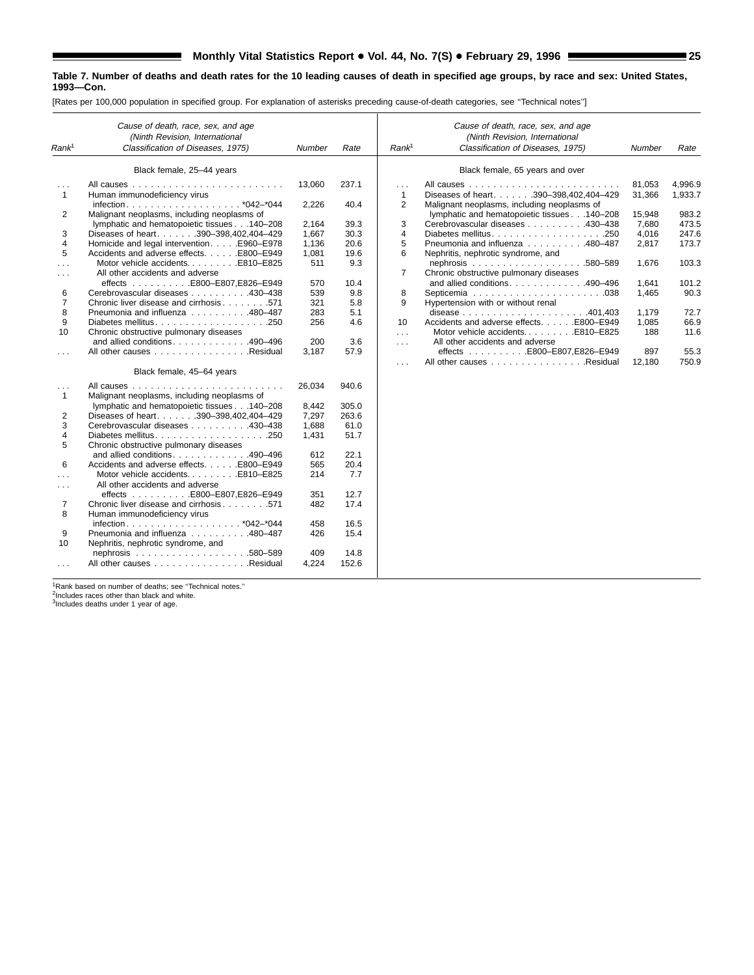[Rates per 100,000 population in specified group. For explanation of asterisks preceding cause-of-death categories, see ''Technical notes'']

| Rank <sup>1</sup>                    | Cause of death, race, sex, and age<br>(Ninth Revision, International<br>Classification of Diseases, 1975) | Number | Rate  | Rank <sup>1</sup>        | Cause of death, race, sex, and age<br>(Ninth Revision, International<br>Classification of Diseases, 1975) | Number           | Rate               |
|--------------------------------------|-----------------------------------------------------------------------------------------------------------|--------|-------|--------------------------|-----------------------------------------------------------------------------------------------------------|------------------|--------------------|
|                                      | Black female, 25-44 years                                                                                 |        |       |                          | Black female, 65 years and over                                                                           |                  |                    |
| $\sim$ $\sim$ $\sim$<br>$\mathbf{1}$ | Human immunodeficiency virus                                                                              | 13,060 | 237.1 | $\cdots$<br>$\mathbf{1}$ | Diseases of heart. 390-398,402,404-429                                                                    | 81,053<br>31,366 | 4,996.9<br>1,933.7 |
|                                      |                                                                                                           | 2,226  | 40.4  | 2                        | Malignant neoplasms, including neoplasms of                                                               |                  |                    |
| 2                                    | Malignant neoplasms, including neoplasms of                                                               |        |       |                          | lymphatic and hematopoietic tissues 140-208                                                               | 15.948           | 983.2              |
|                                      | lymphatic and hematopoietic tissues 140-208                                                               | 2,164  | 39.3  | 3                        | Cerebrovascular diseases 430-438                                                                          | 7,680            | 473.5              |
| 3                                    | Diseases of heart. 390-398,402,404-429                                                                    | 1,667  | 30.3  | 4                        |                                                                                                           | 4,016            | 247.6              |
| 4                                    | Homicide and legal intervention. E960-E978                                                                | 1,136  | 20.6  | 5                        | Pneumonia and influenza 480-487                                                                           | 2,817            | 173.7              |
| 5                                    | Accidents and adverse effects. E800-E949                                                                  | 1,081  | 19.6  | 6                        | Nephritis, nephrotic syndrome, and                                                                        |                  |                    |
| $\cdots$                             | Motor vehicle accidentsE810-E825                                                                          | 511    | 9.3   |                          |                                                                                                           | 1.676            | 103.3              |
| $\cdots$                             | All other accidents and adverse                                                                           |        |       | 7                        | Chronic obstructive pulmonary diseases                                                                    |                  |                    |
|                                      |                                                                                                           | 570    | 10.4  |                          | and allied conditions. 490-496                                                                            | 1,641            | 101.2              |
| 6                                    | Cerebrovascular diseases 430-438                                                                          | 539    | 9.8   | 8                        |                                                                                                           | 1,465            | 90.3               |
| $\overline{7}$                       | Chronic liver disease and cirrhosis 571                                                                   | 321    | 5.8   | 9                        | Hypertension with or without renal                                                                        |                  |                    |
| 8                                    | Pneumonia and influenza 480-487                                                                           | 283    | 5.1   |                          |                                                                                                           | 1,179            | 72.7               |
| 9                                    |                                                                                                           | 256    | 4.6   | 10                       | Accidents and adverse effects. E800-E949                                                                  | 1,085            | 66.9               |
| 10                                   | Chronic obstructive pulmonary diseases                                                                    |        |       | $\sim$                   | Motor vehicle accidentsE810-E825                                                                          | 188              | 11.6               |
|                                      | and allied conditions. 490-496                                                                            | 200    | 3.6   | $\cdots$                 | All other accidents and adverse                                                                           |                  |                    |
| $\cdots$                             | All other causes Residual                                                                                 | 3,187  | 57.9  |                          | effects E800-E807,E826-E949                                                                               | 897              | 55.3               |
|                                      | Black female, 45-64 years                                                                                 |        |       | $\cdots$                 | All other causes Residual                                                                                 | 12,180           | 750.9              |
|                                      |                                                                                                           | 26,034 | 940.6 |                          |                                                                                                           |                  |                    |
| $\sim 10$<br>1                       | Malignant neoplasms, including neoplasms of                                                               |        |       |                          |                                                                                                           |                  |                    |
|                                      | lymphatic and hematopoietic tissues 140-208                                                               | 8,442  | 305.0 |                          |                                                                                                           |                  |                    |
| 2                                    | Diseases of heart. 390-398,402,404-429                                                                    | 7,297  | 263.6 |                          |                                                                                                           |                  |                    |
| 3                                    | Cerebrovascular diseases 430-438                                                                          | 1.688  | 61.0  |                          |                                                                                                           |                  |                    |
| 4                                    |                                                                                                           | 1,431  | 51.7  |                          |                                                                                                           |                  |                    |
| 5                                    | Chronic obstructive pulmonary diseases                                                                    |        |       |                          |                                                                                                           |                  |                    |
|                                      | and allied conditions. 490-496                                                                            | 612    | 22.1  |                          |                                                                                                           |                  |                    |
| 6                                    | Accidents and adverse effects. E800-E949                                                                  | 565    | 20.4  |                          |                                                                                                           |                  |                    |
| $\cdots$                             | Motor vehicle accidentsE810-E825                                                                          | 214    | 7.7   |                          |                                                                                                           |                  |                    |
| $\cdots$                             | All other accidents and adverse                                                                           |        |       |                          |                                                                                                           |                  |                    |
|                                      |                                                                                                           | 351    | 12.7  |                          |                                                                                                           |                  |                    |
| 7                                    | Chronic liver disease and cirrhosis 571                                                                   | 482    | 17.4  |                          |                                                                                                           |                  |                    |
| 8                                    | Human immunodeficiency virus                                                                              |        |       |                          |                                                                                                           |                  |                    |
|                                      |                                                                                                           | 458    | 16.5  |                          |                                                                                                           |                  |                    |
| 9                                    | Pneumonia and influenza 480-487                                                                           | 426    | 15.4  |                          |                                                                                                           |                  |                    |
| 10                                   | Nephritis, nephrotic syndrome, and                                                                        |        |       |                          |                                                                                                           |                  |                    |
|                                      |                                                                                                           | 409    | 14.8  |                          |                                                                                                           |                  |                    |
| $\sim$ $\sim$ $\sim$                 | All other causes Residual                                                                                 | 4,224  | 152.6 |                          |                                                                                                           |                  |                    |

<sup>1</sup>Rank based on number of deaths; see "Technical notes."<br><sup>2</sup>Includes races other than black and white.<br><sup>3</sup>Includes deaths under 1 year of age.

ш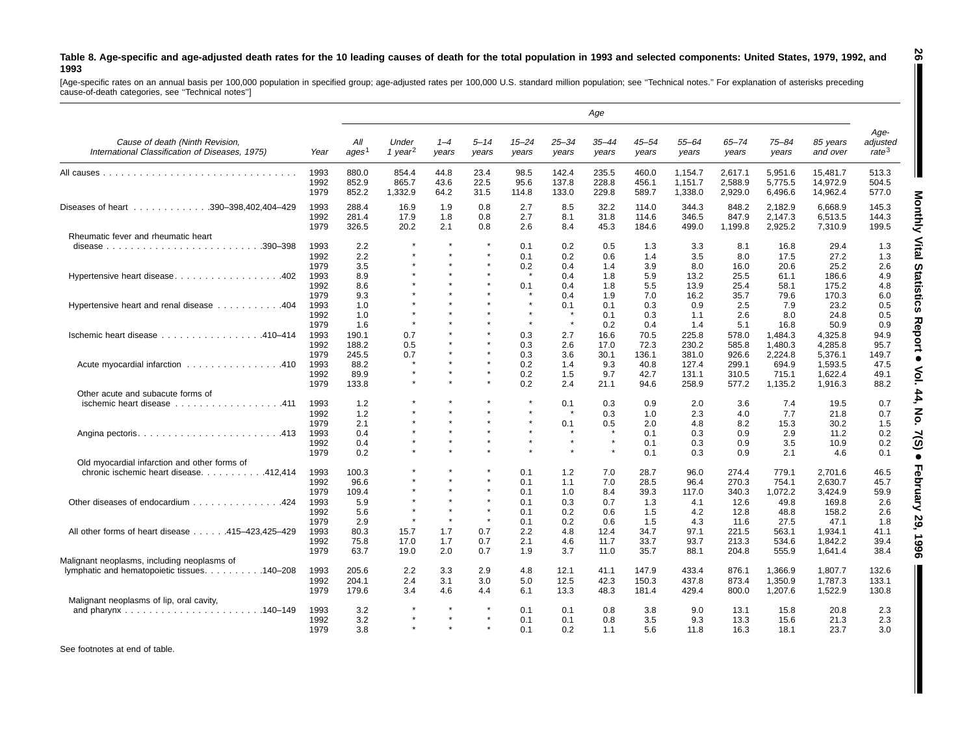#### Table 8. Age-specific and age-adjusted death rates for the 10 leading causes of death for the total population in 1993 and selected components: United States, 1979, 1992, and **1993**

[Age-specific rates on an annual basis per 100,000 population in specified group; age-adjusted rates per 100,000 U.S. standard million population; see "Technical notes." For explanation of asterisks preceding<br>cause-of-deat

|                                                                                             |                      |                          |                              |                      |                      |                       |                               | Age                     |                         |                               |                               |                               |                                  |                                       |
|---------------------------------------------------------------------------------------------|----------------------|--------------------------|------------------------------|----------------------|----------------------|-----------------------|-------------------------------|-------------------------|-------------------------|-------------------------------|-------------------------------|-------------------------------|----------------------------------|---------------------------------------|
| Cause of death (Ninth Revision,<br>International Classification of Diseases, 1975)          | Year                 | All<br>ages <sup>1</sup> | Under<br>1 year <sup>2</sup> | $1 - 4$<br>years     | $5 - 14$<br>years    | $15 - 24$<br>years    | $25 - 34$<br>years            | $35 - 44$<br>years      | 45–54<br>years          | $55 - 64$<br>years            | $65 - 74$<br>years            | 75–84<br>years                | 85 years<br>and over             | Age-<br>adjusted<br>rate <sup>3</sup> |
|                                                                                             | 1993<br>1992<br>1979 | 880.0<br>852.9<br>852.2  | 854.4<br>865.7<br>1,332.9    | 44.8<br>43.6<br>64.2 | 23.4<br>22.5<br>31.5 | 98.5<br>95.6<br>114.8 | 142.4<br>137.8<br>133.0       | 235.5<br>228.8<br>229.8 | 460.0<br>456.1<br>589.7 | 1.154.7<br>1,151.7<br>1,338.0 | 2.617.1<br>2,588.9<br>2,929.0 | 5.951.6<br>5,775.5<br>6,496.6 | 15.481.7<br>14,972.9<br>14,962.4 | 513.3<br>504.5<br>577.0               |
| Diseases of heart 390-398,402,404-429                                                       | 1993<br>1992<br>1979 | 288.4<br>281.4<br>326.5  | 16.9<br>17.9<br>20.2         | 1.9<br>1.8<br>2.1    | 0.8<br>0.8<br>0.8    | 2.7<br>2.7<br>2.6     | 8.5<br>8.1<br>8.4             | 32.2<br>31.8<br>45.3    | 114.0<br>114.6<br>184.6 | 344.3<br>346.5<br>499.0       | 848.2<br>847.9<br>1,199.8     | 2.182.9<br>2.147.3<br>2,925.2 | 6.668.9<br>6.513.5<br>7,310.9    | 145.3<br>144.3<br>199.5               |
| Rheumatic fever and rheumatic heart                                                         |                      |                          |                              |                      |                      |                       |                               |                         |                         |                               |                               |                               |                                  |                                       |
|                                                                                             | 1993<br>1992<br>1979 | 2.2<br>2.2<br>3.5        |                              |                      |                      | 0.1<br>0.1<br>0.2     | 0.2<br>0.2<br>0.4             | 0.5<br>0.6<br>1.4       | 1.3<br>1.4<br>3.9       | 3.3<br>3.5<br>8.0             | 8.1<br>8.0<br>16.0            | 16.8<br>17.5<br>20.6          | 29.4<br>27.2<br>25.2             | 1.3<br>1.3<br>2.6                     |
| Hypertensive heart disease402                                                               | 1993<br>1992<br>1979 | 8.9<br>8.6<br>9.3        |                              |                      |                      | $\star$<br>0.1        | 0.4<br>0.4<br>0.4             | 1.8<br>1.8<br>1.9       | 5.9<br>5.5<br>7.0       | 13.2<br>13.9<br>16.2          | 25.5<br>25.4<br>35.7          | 61.1<br>58.1<br>79.6          | 186.6<br>175.2<br>170.3          | 4.9<br>4.8<br>6.0                     |
| Hypertensive heart and renal disease 404                                                    | 1993<br>1992<br>1979 | 1.0<br>1.0<br>1.6        | $\star$                      |                      |                      | $\star$               | 0.1<br>$\star$                | 0.1<br>0.1<br>0.2       | 0.3<br>0.3<br>0.4       | 0.9<br>1.1<br>1.4             | 2.5<br>2.6<br>5.1             | 7.9<br>8.0<br>16.8            | 23.2<br>24.8<br>50.9             | 0.5<br>0.5<br>0.9                     |
| Ischemic heart disease 410-414                                                              | 1993<br>1992<br>1979 | 190.1<br>188.2<br>245.5  | 0.7<br>0.5<br>0.7            |                      |                      | 0.3<br>0.3<br>0.3     | 2.7<br>2.6<br>3.6             | 16.6<br>17.0<br>30.1    | 70.5<br>72.3<br>136.1   | 225.8<br>230.2<br>381.0       | 578.0<br>585.8<br>926.6       | 1,484.3<br>1.480.3<br>2,224.8 | 4,325.8<br>4.285.8<br>5,376.1    | 94.9<br>95.7<br>149.7                 |
| Acute myocardial infarction 410                                                             | 1993<br>1992<br>1979 | 88.2<br>89.9<br>133.8    | $\star$                      |                      |                      | 0.2<br>0.2<br>0.2     | 1.4<br>1.5<br>2.4             | 9.3<br>9.7<br>21.1      | 40.8<br>42.7<br>94.6    | 127.4<br>131.1<br>258.9       | 299.1<br>310.5<br>577.2       | 694.9<br>715.1<br>1.135.2     | 1.593.5<br>1,622.4<br>1.916.3    | 47.5<br>49.1<br>88.2                  |
| Other acute and subacute forms of                                                           |                      |                          |                              |                      |                      |                       |                               |                         |                         |                               |                               |                               |                                  |                                       |
| ischemic heart disease 411                                                                  | 1993<br>1992<br>1979 | 1.2<br>1.2<br>2.1        |                              |                      |                      |                       | 0.1<br>$\star$<br>0.1         | 0.3<br>0.3<br>0.5       | 0.9<br>1.0<br>2.0       | 2.0<br>2.3<br>4.8             | 3.6<br>4.0<br>8.2             | 7.4<br>7.7<br>15.3            | 19.5<br>21.8<br>30.2             | 0.7<br>0.7<br>1.5                     |
|                                                                                             | 1993<br>1992<br>1979 | 0.4<br>0.4<br>0.2        |                              |                      |                      |                       | $\star$<br>$\star$<br>$\star$ | $\star$                 | 0.1<br>0.1<br>0.1       | 0.3<br>0.3<br>0.3             | 0.9<br>0.9<br>0.9             | 2.9<br>3.5<br>2.1             | 11.2<br>10.9<br>4.6              | 0.2<br>0.2<br>0.1                     |
| Old myocardial infarction and other forms of<br>chronic ischemic heart disease. 412,414     | 1993<br>1992         | 100.3<br>96.6            |                              |                      |                      | 0.1<br>0.1            | 1.2<br>1.1                    | 7.0<br>7.0              | 28.7<br>28.5            | 96.0<br>96.4                  | 274.4<br>270.3                | 779.1<br>754.1                | 2,701.6<br>2,630.7               | 46.5<br>45.7                          |
| Other diseases of endocardium 424                                                           | 1979<br>1993<br>1992 | 109.4<br>5.9<br>5.6      |                              |                      | $\star$              | 0.1<br>0.1<br>0.1     | 1.0<br>0.3<br>0.2             | 8.4<br>0.7<br>0.6       | 39.3<br>1.3<br>1.5      | 117.0<br>4.1<br>4.2           | 340.3<br>12.6<br>12.8         | 1,072.2<br>49.8<br>48.8       | 3,424.9<br>169.8<br>158.2        | 59.9<br>2.6<br>2.6                    |
| All other forms of heart disease 415-423,425-429                                            | 1979<br>1993<br>1992 | 2.9<br>80.3<br>75.8      | 15.7<br>17.0                 | 1.7<br>1.7           | 0.7<br>0.7           | 0.1<br>2.2<br>2.1     | 0.2<br>4.8<br>4.6             | 0.6<br>12.4<br>11.7     | 1.5<br>34.7<br>33.7     | 4.3<br>97.1<br>93.7           | 11.6<br>221.5<br>213.3        | 27.5<br>563.1<br>534.6        | 47.1<br>1.934.1<br>1.842.2       | 1.8<br>41.1<br>39.4                   |
| Malignant neoplasms, including neoplasms of<br>lymphatic and hematopoietic tissues. 140–208 | 1979<br>1993         | 63.7<br>205.6            | 19.0<br>2.2                  | 2.0<br>3.3           | 0.7<br>2.9           | 1.9<br>4.8            | 3.7<br>12.1                   | 11.0<br>41.1            | 35.7<br>147.9           | 88.1<br>433.4                 | 204.8<br>876.1                | 555.9<br>1,366.9              | 1,641.4<br>1.807.7               | 38.4<br>132.6                         |
|                                                                                             | 1992<br>1979         | 204.1<br>179.6           | 2.4<br>3.4                   | 3.1<br>4.6           | 3.0<br>4.4           | 5.0<br>6.1            | 12.5<br>13.3                  | 42.3<br>48.3            | 150.3<br>181.4          | 437.8<br>429.4                | 873.4<br>800.0                | 1,350.9<br>1,207.6            | 1,787.3<br>1,522.9               | 133.1<br>130.8                        |
| Malignant neoplasms of lip, oral cavity,                                                    |                      |                          |                              |                      |                      |                       |                               |                         |                         |                               |                               |                               |                                  |                                       |
|                                                                                             | 1993<br>1992<br>1979 | 3.2<br>3.2<br>3.8        |                              |                      |                      | 0.1<br>0.1<br>0.1     | 0.1<br>0.1<br>0.2             | 0.8<br>0.8<br>1.1       | 3.8<br>3.5<br>5.6       | 9.0<br>9.3<br>11.8            | 13.1<br>13.3<br>16.3          | 15.8<br>15.6<br>18.1          | 20.8<br>21.3<br>23.7             | 2.3<br>2.3<br>3.0                     |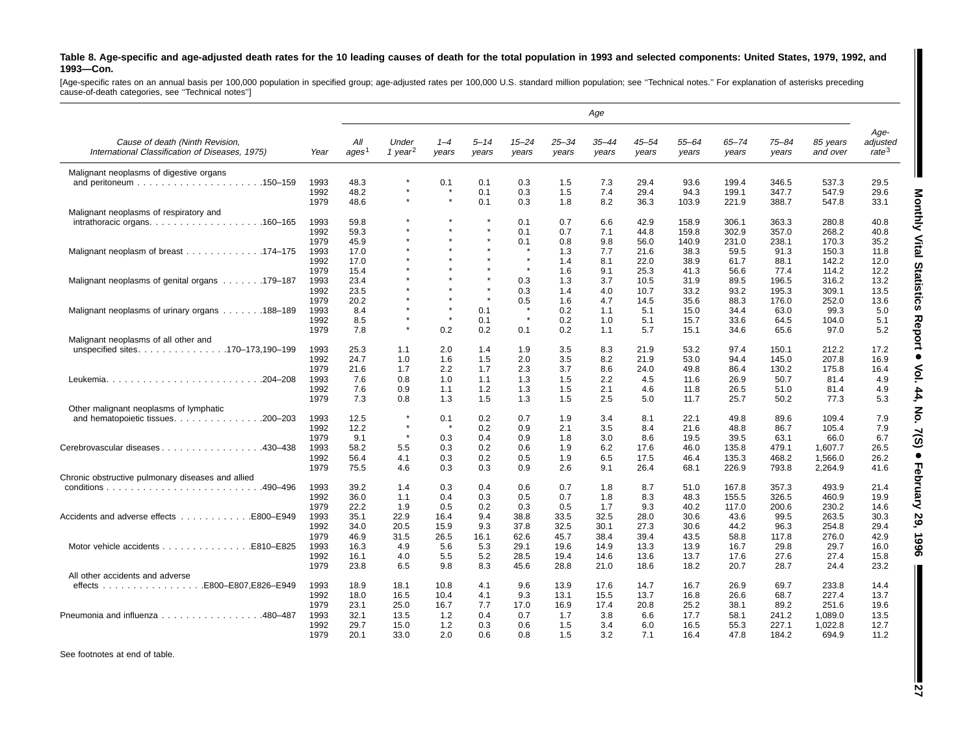#### Table 8. Age-specific and age-adjusted death rates for the 10 leading causes of death for the total population in 1993 and selected components: United States, 1979, 1992, and **1993—Con.**

[Age-specific rates on an annual basis per 100,000 population in specified group; age-adjusted rates per 100,000 U.S. standard million population; see "Technical notes." For explanation of asterisks preceding<br>cause-of-deat

|                                                                                         |              |                   |                     |            |                         |                |            | Age        |              |              |              |                |                |                   |
|-----------------------------------------------------------------------------------------|--------------|-------------------|---------------------|------------|-------------------------|----------------|------------|------------|--------------|--------------|--------------|----------------|----------------|-------------------|
| Cause of death (Ninth Revision,                                                         |              | All               | Under               | $1 - 4$    | $5 - 14$                | $15 - 24$      | $25 - 34$  | $35 - 44$  | 45–54        | $55 - 64$    | $65 - 74$    | $75 - 84$      | 85 years       | Age-<br>adjusted  |
| International Classification of Diseases, 1975)                                         | Year         | ages <sup>1</sup> | 1 year <sup>2</sup> | years      | years                   | years          | years      | years      | vears        | years        | years        | years          | and over       | rate <sup>3</sup> |
| Malignant neoplasms of digestive organs                                                 |              |                   |                     |            |                         |                |            |            |              |              |              |                |                |                   |
|                                                                                         | 1993         | 48.3              | $\star$             | 0.1        | 0.1                     | 0.3            | 1.5        | 7.3        | 29.4         | 93.6         | 199.4        | 346.5          | 537.3          | 29.5              |
|                                                                                         | 1992         | 48.2              |                     |            | 0.1                     | 0.3            | 1.5        | 7.4        | 29.4         | 94.3         | 199.1        | 347.7          | 547.9          | 29.6              |
|                                                                                         | 1979         | 48.6              | $\star$             | $\star$    | 0.1                     | 0.3            | 1.8        | 8.2        | 36.3         | 103.9        | 221.9        | 388.7          | 547.8          | 33.1              |
| Malignant neoplasms of respiratory and                                                  |              |                   |                     |            |                         |                |            |            |              |              |              |                |                |                   |
| $intrathoracic organs. \ldots \ldots \ldots \ldots \ldots \ldots \ldots \ldots 160-165$ | 1993         | 59.8              |                     |            | $\star$<br>$\pmb{\ast}$ | 0.1            | 0.7        | 6.6        | 42.9         | 158.9        | 306.1        | 363.3          | 280.8          | 40.8              |
|                                                                                         | 1992         | 59.3              |                     |            | $\star$                 | 0.1            | 0.7        | 7.1        | 44.8         | 159.8        | 302.9        | 357.0          | 268.2          | 40.8              |
|                                                                                         | 1979         | 45.9              |                     | $\star$    | $\star$                 | 0.1<br>$\star$ | 0.8        | 9.8        | 56.0         | 140.9        | 231.0        | 238.1          | 170.3          | 35.2              |
| Malignant neoplasm of breast 174–175                                                    | 1993         | 17.0              |                     |            |                         | $\star$        | 1.3        | 7.7        | 21.6         | 38.3         | 59.5         | 91.3           | 150.3          | 11.8              |
|                                                                                         | 1992         | 17.0              |                     |            | $\ddot{\phantom{a}}$    | $\star$        | 1.4        | 8.1        | 22.0         | 38.9         | 61.7         | 88.1           | 142.2          | 12.0              |
|                                                                                         | 1979         | 15.4              |                     |            |                         |                | 1.6        | 9.1        | 25.3         | 41.3         | 56.6         | 77.4           | 114.2          | 12.2              |
| Malignant neoplasms of genital organs 179–187                                           | 1993         | 23.4              |                     |            |                         | 0.3            | 1.3        | 3.7        | 10.5         | 31.9         | 89.5         | 196.5          | 316.2          | 13.2              |
|                                                                                         | 1992         | 23.5              |                     |            | $\star$                 | 0.3            | 1.4        | 4.0        | 10.7         | 33.2         | 93.2         | 195.3          | 309.1          | 13.5              |
|                                                                                         | 1979         | 20.2              |                     | $\star$    |                         | 0.5<br>$\star$ | 1.6        | 4.7        | 14.5         | 35.6         | 88.3         | 176.0          | 252.0          | 13.6              |
| Malignant neoplasms of urinary organs 188–189                                           | 1993         | 8.4               |                     | $\star$    | 0.1                     | $\star$        | 0.2        | 1.1        | 5.1          | 15.0         | 34.4         | 63.0           | 99.3           | 5.0               |
|                                                                                         | 1992         | 8.5               | $\star$             |            | 0.1                     |                | 0.2        | 1.0        | 5.1          | 15.7         | 33.6         | 64.5           | 104.0          | 5.1               |
|                                                                                         | 1979         | 7.8               |                     | 0.2        | 0.2                     | 0.1            | 0.2        | 1.1        | 5.7          | 15.1         | 34.6         | 65.6           | 97.0           | 5.2               |
| Malignant neoplasms of all other and                                                    |              |                   |                     |            |                         |                |            |            |              |              |              |                |                |                   |
| unspecified sites170–173,190–199                                                        | 1993<br>1992 | 25.3              | 1.1<br>1.0          | 2.0        | 1.4                     | 1.9<br>2.0     | 3.5<br>3.5 | 8.3<br>8.2 | 21.9<br>21.9 | 53.2<br>53.0 | 97.4<br>94.4 | 150.1<br>145.0 | 212.2<br>207.8 | 17.2<br>16.9      |
|                                                                                         | 1979         | 24.7<br>21.6      | 1.7                 | 1.6<br>2.2 | 1.5                     | 2.3            | 3.7        | 8.6        | 24.0         | 49.8         | 86.4         | 130.2          | 175.8          |                   |
| Leukemia204-208                                                                         | 1993         | 7.6               | 0.8                 | 1.0        | 1.7<br>1.1              | 1.3            | 1.5        | 2.2        | 4.5          | 11.6         | 26.9         | 50.7           | 81.4           | 16.4<br>4.9       |
|                                                                                         | 1992         | 7.6               | 0.9                 | 1.1        | 1.2                     | 1.3            | 1.5        | 2.1        | 4.6          | 11.8         | 26.5         | 51.0           | 81.4           | 4.9               |
|                                                                                         | 1979         | 7.3               | 0.8                 | 1.3        | 1.5                     | 1.3            | 1.5        | 2.5        | 5.0          | 11.7         | 25.7         | 50.2           | 77.3           | 5.3               |
| Other malignant neoplasms of lymphatic                                                  |              |                   |                     |            |                         |                |            |            |              |              |              |                |                |                   |
| and hematopoietic tissues. 200-203                                                      | 1993         | 12.5              | $\star$             | 0.1        | 0.2                     | 0.7            | 1.9        | 3.4        | 8.1          | 22.1         | 49.8         | 89.6           | 109.4          | 7.9               |
|                                                                                         | 1992         | 12.2              | $\star$             | $\star$    | 0.2                     | 0.9            | 2.1        | 3.5        | 8.4          | 21.6         | 48.8         | 86.7           | 105.4          | 7.9               |
|                                                                                         | 1979         | 9.1               | $\star$             | 0.3        | 0.4                     | 0.9            | 1.8        | 3.0        | 8.6          | 19.5         | 39.5         | 63.1           | 66.0           | 6.7               |
| Cerebrovascular diseases 430–438                                                        | 1993         | 58.2              | 5.5                 | 0.3        | 0.2                     | 0.6            | 1.9        | 6.2        | 17.6         | 46.0         | 135.8        | 479.1          | 1.607.7        | 26.5              |
|                                                                                         | 1992         | 56.4              | 4.1                 | 0.3        | 0.2                     | 0.5            | 1.9        | 6.5        | 17.5         | 46.4         | 135.3        | 468.2          | 1,566.0        | 26.2              |
|                                                                                         | 1979         | 75.5              | 4.6                 | 0.3        | 0.3                     | 0.9            | 2.6        | 9.1        | 26.4         | 68.1         | 226.9        | 793.8          | 2,264.9        | 41.6              |
| Chronic obstructive pulmonary diseases and allied                                       |              |                   |                     |            |                         |                |            |            |              |              |              |                |                |                   |
|                                                                                         | 1993         | 39.2              | 1.4                 | 0.3        | 0.4                     | 0.6            | 0.7        | 1.8        | 8.7          | 51.0         | 167.8        | 357.3          | 493.9          | 21.4              |
|                                                                                         | 1992         | 36.0              | 1.1                 | 0.4        | 0.3                     | 0.5            | 0.7        | 1.8        | 8.3          | 48.3         | 155.5        | 326.5          | 460.9          | 19.9              |
|                                                                                         | 1979         | 22.2              | 1.9                 | 0.5        | 0.2                     | 0.3            | 0.5        | 1.7        | 9.3          | 40.2         | 117.0        | 200.6          | 230.2          | 14.6              |
| Accidents and adverse effects<br>E800-E949                                              | 1993         | 35.1              | 22.9                | 16.4       | 9.4                     | 38.8           | 33.5       | 32.5       | 28.0         | 30.6         | 43.6         | 99.5           | 263.5          | 30.3              |
|                                                                                         | 1992         | 34.0              | 20.5                | 15.9       | 9.3                     | 37.8           | 32.5       | 30.1       | 27.3         | 30.6         | 44.2         | 96.3           | 254.8          | 29.4              |
|                                                                                         | 1979         | 46.9              | 31.5                | 26.5       | 16.1                    | 62.6           | 45.7       | 38.4       | 39.4         | 43.5         | 58.8         | 117.8          | 276.0          | 42.9              |
|                                                                                         | 1993         | 16.3              | 4.9                 | 5.6        | 5.3                     | 29.1           | 19.6       | 14.9       | 13.3         | 13.9         | 16.7         | 29.8           | 29.7           | 16.0              |
|                                                                                         | 1992         | 16.1              | 4.0                 | 5.5        | 5.2                     | 28.5           | 19.4       | 14.6       | 13.6         | 13.7         | 17.6         | 27.6           | 27.4           | 15.8              |
|                                                                                         | 1979         | 23.8              | 6.5                 | 9.8        | 8.3                     | 45.6           | 28.8       | 21.0       | 18.6         | 18.2         | 20.7         | 28.7           | 24.4           | 23.2              |
| All other accidents and adverse                                                         |              |                   |                     |            |                         |                |            |            |              |              |              |                |                |                   |
|                                                                                         | 1993         | 18.9              | 18.1                | 10.8       | 4.1                     | 9.6            | 13.9       | 17.6       | 14.7         | 16.7         | 26.9         | 69.7           | 233.8          | 14.4              |
|                                                                                         | 1992         | 18.0              | 16.5                | 10.4       | 4.1                     | 9.3            | 13.1       | 15.5       | 13.7         | 16.8         | 26.6         | 68.7           | 227.4          | 13.7              |
|                                                                                         | 1979         | 23.1              | 25.0                | 16.7       | 7.7                     | 17.0           | 16.9       | 17.4       | 20.8         | 25.2         | 38.1         | 89.2           | 251.6          | 19.6              |
| Pneumonia and influenza 480–487                                                         | 1993         | 32.1              | 13.5                | 1.2        | 0.4                     | 0.7            | 1.7        | 3.8        | 6.6          | 17.7         | 58.1         | 241.2          | 1,089.0        | 13.5              |
|                                                                                         | 1992         | 29.7              | 15.0                | 1.2        | 0.3                     | 0.6            | 1.5        | 3.4        | 6.0          | 16.5         | 55.3         | 227.1          | 1.022.8        | 12.7              |
|                                                                                         | 1979         | 20.1              | 33.0                | 2.0        | 0.6                     | 0.8            | 1.5        | 3.2        | 7.1          | 16.4         | 47.8         | 184.2          | 694.9          | 11.2              |

See footnotes at end of table.

I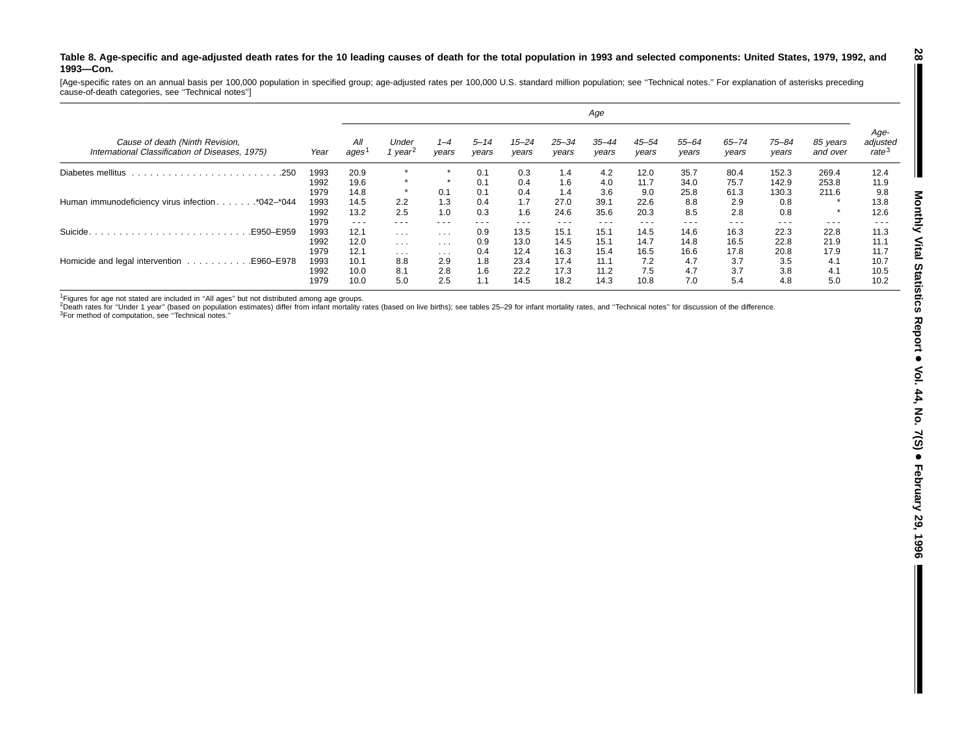#### Table 8. Age-specific and age-adjusted death rates for the 10 leading causes of death for the total population in 1993 and selected components: United States, 1979, 1992, and **1993—Con.**

[Age-specific rates on an annual basis per 100,000 population in specified group; age-adjusted rates per 100,000 U.S. standard million population; see ''Technical notes.'' For explanation of asterisks preceding cause-of-death categories, see ''Technical notes'']

|                                                                                    |      | Age                  |                            |                         |                   |                    |                    |                    |                    |                    |                    |                    |                      |                                       |
|------------------------------------------------------------------------------------|------|----------------------|----------------------------|-------------------------|-------------------|--------------------|--------------------|--------------------|--------------------|--------------------|--------------------|--------------------|----------------------|---------------------------------------|
| Cause of death (Ninth Revision,<br>International Classification of Diseases, 1975) | Year | All<br>ages          | Under<br>year <sup>2</sup> | $1 - 4$<br>vears        | $5 - 14$<br>vears | $15 - 24$<br>years | $25 - 34$<br>vears | $35 - 44$<br>years | $45 - 54$<br>vears | $55 - 64$<br>years | $65 - 74$<br>years | $75 - 84$<br>vears | 85 years<br>and over | Age-<br>adjusted<br>rate <sup>3</sup> |
| Diabetes mellitus<br>.250                                                          | 1993 | 20.9                 | $\star$                    | $\star$                 | 0.1               | 0.3                | 1.4                | 4.2                | 12.0               | 35.7               | 80.4               | 152.3              | 269.4                | 12.4                                  |
|                                                                                    | 1992 | 19.6                 | $\star$                    | $\star$                 | 0.1               | 0.4                | 1.6                | 4.0                | 11.7               | 34.0               | 75.7               | 142.9              | 253.8                | 11.9                                  |
|                                                                                    | 1979 | 14.8                 |                            | 0.1                     | 0.1               | 0.4                | 1.4                | 3.6                | 9.0                | 25.8               | 61.3               | 130.3              | 211.6                | 9.8                                   |
| Human immunodeficiency virus infection.<br>$\ldots$ *042–*044                      | 1993 | 14.5                 | 2.2                        | 1.3                     | 0.4               | 1.7                | 27.0               | 39.1               | 22.6               | 8.8                | 2.9                | 0.8                |                      | 13.8                                  |
|                                                                                    | 1992 | 13.2                 | 2.5                        | 1.0                     | 0.3               | 1.6                | 24.6               | 35.6               | 20.3               | 8.5                | 2.8                | 0.8                | $\star$              | 12.6                                  |
|                                                                                    | 1979 | $\sim$ $\sim$ $\sim$ | $\cdots$                   | $- - -$                 | ---               | $  -$              | $- - -$            | $\cdots$           | $\cdots$           | $- - -$            | ---                | $\cdots$           | $\cdots$             | $  -$                                 |
| Suicide.<br>E950-E959.                                                             | 1993 | 12.1                 | $\cdots$                   | $\cdots$                | 0.9               | 13.5               | 15.1               | 15.1               | 14.5               | 14.6               | 16.3               | 22.3               | 22.8                 | 11.3                                  |
|                                                                                    | 1992 | 12.0                 | $\sim$ $\sim$ $\sim$       | $\cdot$ $\cdot$ $\cdot$ | 0.9               | 13.0               | 14.5               | 15.1               | 14.7               | 14.8               | 16.5               | 22.8               | 21.9                 | 11.1                                  |
|                                                                                    | 1979 | 12.1                 | $\cdots$                   | $\cdots$                | 0.4               | 12.4               | 16.3               | 15.4               | 16.5               | 16.6               | 17.8               | 20.8               | 17.9                 | 11.7                                  |
| Homicide and legal intervention<br>E960-E978.<br>and a straightful and a           | 1993 | 10.1                 | 8.8                        | 2.9                     | 1.8               | 23.4               | 17.4               | 11.1               | 7.2                | 4.7                | 3.7                | 3.5                | 4.1                  | 10.7                                  |
|                                                                                    | 1992 | 10.0                 | 8.1                        | 2.8                     | 1.6               | 22.2               | 17.3               | 11.2               | 7.5                | 4.7                | 3.7                | 3.8                | 4.1                  | 10.5                                  |
|                                                                                    | 1979 | 10.0                 | 5.0                        | 2.5                     | 1.1               | 14.5               | 18.2               | 14.3               | 10.8               | 7.0                | 5.4                | 4.8                | 5.0                  | 10.2                                  |

<sup>1</sup>Figures for age not stated are included in "All ages" but not distributed among age groups.<br><sup>2</sup>Death rates for "Under 1 year" (based on population estimates) differ from infant mortality rates (based on live births); se 3For method of computation, see ''Technical notes.''

 $\blacksquare$ 

**28**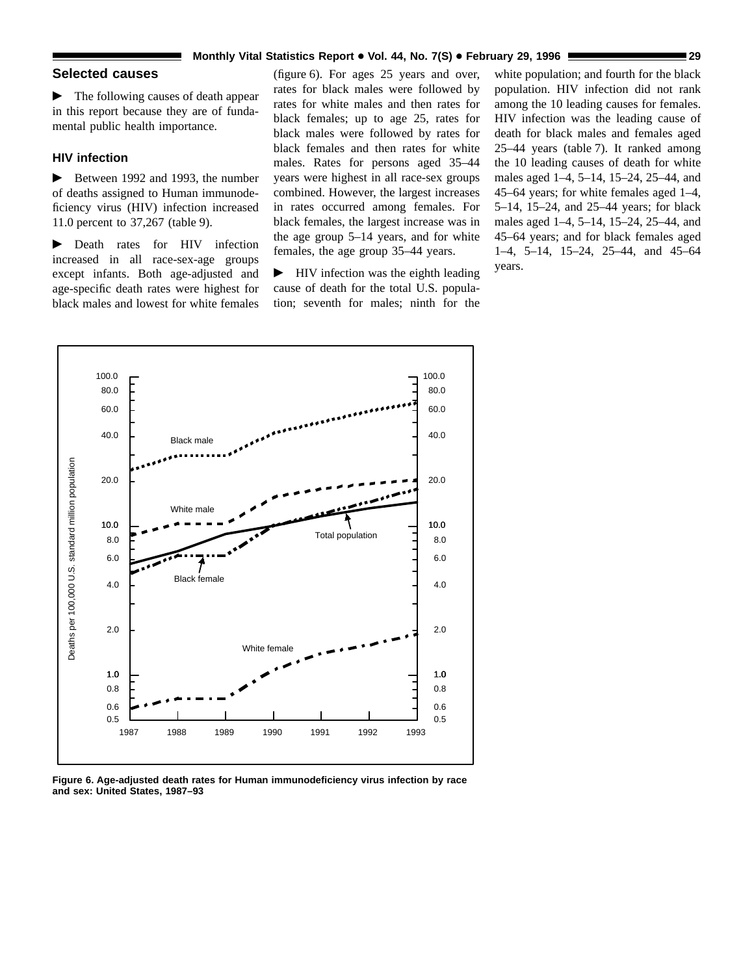#### **Monthly Vital Statistics Report** + **Vol. 44, No. 7(S)** + **February 29, 1996 29**

# **Selected causes**

 $\blacktriangleright$  The following causes of death appear in this report because they are of fundamental public health importance.

#### **HIV infection**

 $\blacktriangleright$  Between 1992 and 1993, the number of deaths assigned to Human immunodeficiency virus (HIV) infection increased 11.0 percent to 37,267 (table 9).

**Death rates for HIV infection** increased in all race-sex-age groups except infants. Both age-adjusted and age-specific death rates were highest for black males and lowest for white females

(figure 6). For ages 25 years and over, rates for black males were followed by rates for white males and then rates for black females; up to age 25, rates for black males were followed by rates for black females and then rates for white males. Rates for persons aged 35–44 years were highest in all race-sex groups combined. However, the largest increases in rates occurred among females. For black females, the largest increase was in the age group 5–14 years, and for white females, the age group 35–44 years.

 $\blacktriangleright$  HIV infection was the eighth leading cause of death for the total U.S. population; seventh for males; ninth for the

white population; and fourth for the black population. HIV infection did not rank among the 10 leading causes for females. HIV infection was the leading cause of death for black males and females aged 25–44 years (table 7). It ranked among the 10 leading causes of death for white males aged 1–4, 5–14, 15–24, 25–44, and 45–64 years; for white females aged 1–4, 5–14, 15–24, and 25–44 years; for black males aged 1–4, 5–14, 15–24, 25–44, and 45–64 years; and for black females aged 1–4, 5–14, 15–24, 25–44, and 45–64 years.



**Figure 6. Age-adjusted death rates for Human immunodeficiency virus infection by race and sex: United States, 1987–93**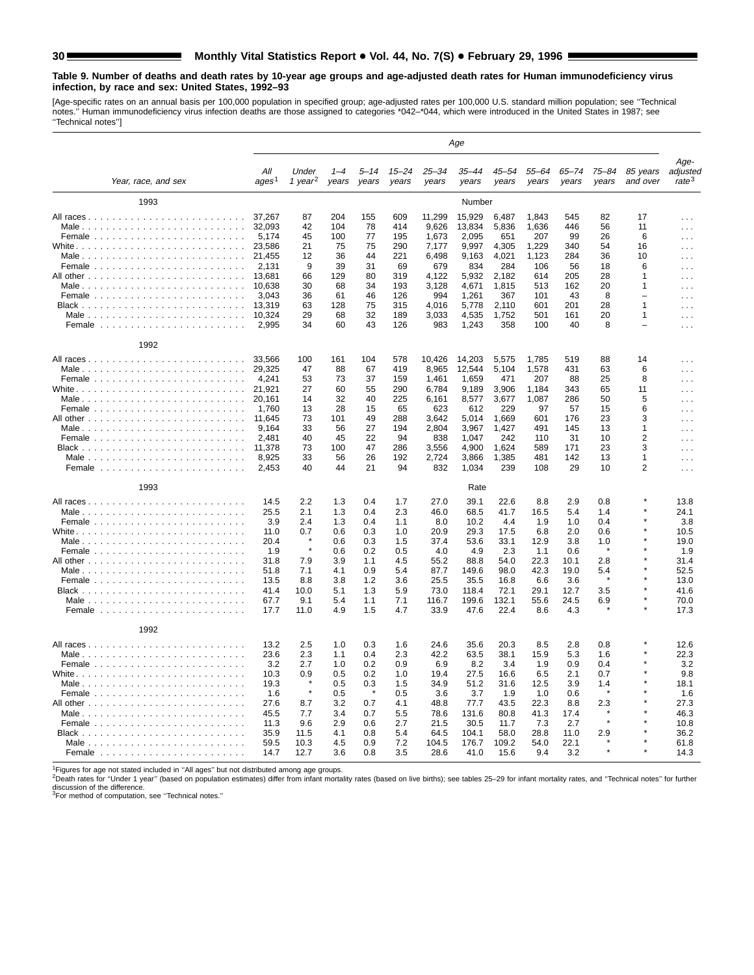#### **Table 9. Number of deaths and death rates by 10-year age groups and age-adjusted death rates for Human immunodeficiency virus infection, by race and sex: United States, 1992–93**

[Age-specific rates on an annual basis per 100,000 population in specified group; age-adjusted rates per 100,000 U.S. standard million population; see "Technical<br>notes." Human immunodeficiency virus infection deaths are th

|                                                         |                                                                                                                |                                                                                 |                                                                                  |                                                                                  |                                                                                  |                                                                                                     | Age                                                                                                      |                                                                                                  |                                                                                         |                                                                                      |                                                                      |                                                            |                                                                                                                                                                                           |
|---------------------------------------------------------|----------------------------------------------------------------------------------------------------------------|---------------------------------------------------------------------------------|----------------------------------------------------------------------------------|----------------------------------------------------------------------------------|----------------------------------------------------------------------------------|-----------------------------------------------------------------------------------------------------|----------------------------------------------------------------------------------------------------------|--------------------------------------------------------------------------------------------------|-----------------------------------------------------------------------------------------|--------------------------------------------------------------------------------------|----------------------------------------------------------------------|------------------------------------------------------------|-------------------------------------------------------------------------------------------------------------------------------------------------------------------------------------------|
| Year, race, and sex                                     | Αll<br>ages <sup>1</sup>                                                                                       | Under<br>1 year <sup>2</sup>                                                    | $1 - 4$<br>years                                                                 | $5 - 14$<br>years                                                                | 15–24<br>years                                                                   | $25 - 34$<br>years                                                                                  | $35 - 44$<br>years                                                                                       | 45–54<br>years                                                                                   | 55–64<br>years                                                                          | 65–74<br>years                                                                       | 75–84<br>years                                                       | 85 years<br>and over                                       | Age-<br>adjusted<br>rate <sup>3</sup>                                                                                                                                                     |
| 1993                                                    |                                                                                                                |                                                                                 |                                                                                  |                                                                                  |                                                                                  |                                                                                                     | Number                                                                                                   |                                                                                                  |                                                                                         |                                                                                      |                                                                      |                                                            |                                                                                                                                                                                           |
| All races                                               | 37.267<br>32,093<br>5,174<br>23,586                                                                            | 87<br>42<br>45<br>21                                                            | 204<br>104<br>100<br>75                                                          | 155<br>78<br>77<br>75                                                            | 609<br>414<br>195<br>290                                                         | 11.299<br>9,626<br>1,673<br>7,177                                                                   | 15,929<br>13,834<br>2,095<br>9,997                                                                       | 6,487<br>5,836<br>651<br>4,305                                                                   | 1.843<br>1,636<br>207<br>1,229                                                          | 545<br>446<br>99<br>340                                                              | 82<br>56<br>26<br>54                                                 | 17<br>11<br>6<br>16                                        | $\cdots$<br>$\sim$ $\sim$<br>$\sim 10$<br>$\cdots$                                                                                                                                        |
|                                                         | 21.455<br>2,131<br>13,681<br>10.638                                                                            | 12<br>9<br>66<br>30                                                             | 36<br>39<br>129<br>68                                                            | 44<br>31<br>80<br>34                                                             | 221<br>69<br>319<br>193                                                          | 6.498<br>679<br>4,122<br>3,128                                                                      | 9.163<br>834<br>5,932<br>4.671                                                                           | 4,021<br>284<br>2,182<br>1.815                                                                   | 1.123<br>106<br>614<br>513                                                              | 284<br>56<br>205<br>162                                                              | 36<br>18<br>28<br>20                                                 | 10<br>6<br>1<br>1                                          | $\cdots$<br>$\sim$<br>$\sim$ $\sim$<br>$\sim$ $\sim$                                                                                                                                      |
| Male $\ldots \ldots \ldots \ldots \ldots \ldots \ldots$ | 3,043<br>13,319<br>10.324<br>2.995                                                                             | 36<br>63<br>29<br>34                                                            | 61<br>128<br>68<br>60                                                            | 46<br>75<br>32<br>43                                                             | 126<br>315<br>189<br>126                                                         | 994<br>4,016<br>3,033<br>983                                                                        | 1,261<br>5,778<br>4,535<br>1,243                                                                         | 367<br>2,110<br>1,752<br>358                                                                     | 101<br>601<br>501<br>100                                                                | 43<br>201<br>161<br>40                                                               | 8<br>28<br>20<br>8                                                   | $\equiv$<br>1<br>1<br>۳                                    | .<br>$\sim$ $\sim$ $\sim$<br>$\sim$ $\sim$ $\sim$<br>$\cdots$                                                                                                                             |
| 1992                                                    |                                                                                                                |                                                                                 |                                                                                  |                                                                                  |                                                                                  |                                                                                                     |                                                                                                          |                                                                                                  |                                                                                         |                                                                                      |                                                                      |                                                            |                                                                                                                                                                                           |
| Male                                                    | 33,566<br>29,325<br>4,241<br>21.921<br>20.161<br>1,760<br>11,645<br>9,164<br>2,481<br>11,378<br>8,925<br>2,453 | 100<br>47<br>53<br>27<br>14<br>13<br>73<br>33<br>40<br>73<br>33<br>40           | 161<br>88<br>73<br>60<br>32<br>28<br>101<br>56<br>45<br>100<br>56<br>44          | 104<br>67<br>37<br>55<br>40<br>15<br>49<br>27<br>22<br>47<br>26<br>21            | 578<br>419<br>159<br>290<br>225<br>65<br>288<br>194<br>94<br>286<br>192<br>94    | 10,426<br>8,965<br>1.461<br>6,784<br>6,161<br>623<br>3.642<br>2,804<br>838<br>3,556<br>2,724<br>832 | 14,203<br>12,544<br>1.659<br>9,189<br>8,577<br>612<br>5.014<br>3,967<br>1,047<br>4,900<br>3,866<br>1,034 | 5,575<br>5,104<br>471<br>3,906<br>3,677<br>229<br>1,669<br>1,427<br>242<br>1,624<br>1.385<br>239 | 1,785<br>1,578<br>207<br>1,184<br>1,087<br>97<br>601<br>491<br>110<br>589<br>481<br>108 | 519<br>431<br>88<br>343<br>286<br>57<br>176<br>145<br>31<br>171<br>142<br>29         | 88<br>63<br>25<br>65<br>50<br>15<br>23<br>13<br>10<br>23<br>13<br>10 | 14<br>6<br>8<br>11<br>5<br>6<br>3<br>1<br>2<br>3<br>1<br>2 | $\cdots$<br>$\sim$ $\sim$ $\sim$<br>$\sim$ $\sim$<br>$\cdots$<br>$\cdots$<br>$\sim$ $\sim$ $\sim$<br>$\sim 100$<br>$\cdots$<br>$\sim 100$<br>$\sim$ $\sim$ $\sim$<br>$\cdots$<br>$\ldots$ |
| 1993                                                    |                                                                                                                |                                                                                 |                                                                                  |                                                                                  |                                                                                  |                                                                                                     | Rate                                                                                                     |                                                                                                  |                                                                                         |                                                                                      |                                                                      |                                                            |                                                                                                                                                                                           |
|                                                         | 14.5<br>25.5<br>3.9<br>11.0<br>20.4<br>1.9<br>31.8<br>51.8<br>13.5<br>41.4<br>67.7<br>17.7                     | 2.2<br>2.1<br>2.4<br>0.7<br>$\star$<br>7.9<br>7.1<br>8.8<br>10.0<br>9.1<br>11.0 | 1.3<br>1.3<br>1.3<br>0.6<br>0.6<br>0.6<br>3.9<br>4.1<br>3.8<br>5.1<br>5.4<br>4.9 | 0.4<br>0.4<br>0.4<br>0.3<br>0.3<br>0.2<br>1.1<br>0.9<br>1.2<br>1.3<br>1.1<br>1.5 | 1.7<br>2.3<br>1.1<br>1.0<br>1.5<br>0.5<br>4.5<br>5.4<br>3.6<br>5.9<br>7.1<br>4.7 | 27.0<br>46.0<br>8.0<br>20.9<br>37.4<br>4.0<br>55.2<br>87.7<br>25.5<br>73.0<br>116.7<br>33.9         | 39.1<br>68.5<br>10.2<br>29.3<br>53.6<br>4.9<br>88.8<br>149.6<br>35.5<br>118.4<br>199.6<br>47.6           | 22.6<br>41.7<br>4.4<br>17.5<br>33.1<br>2.3<br>54.0<br>98.0<br>16.8<br>72.1<br>132.1<br>22.4      | 8.8<br>16.5<br>1.9<br>6.8<br>12.9<br>1.1<br>22.3<br>42.3<br>6.6<br>29.1<br>55.6<br>8.6  | 2.9<br>5.4<br>1.0<br>2.0<br>3.8<br>0.6<br>10.1<br>19.0<br>3.6<br>12.7<br>24.5<br>4.3 | 0.8<br>1.4<br>0.4<br>0.6<br>1.0<br>2.8<br>5.4<br>3.5<br>6.9          |                                                            | 13.8<br>24.1<br>3.8<br>10.5<br>19.0<br>1.9<br>31.4<br>52.5<br>13.0<br>41.6<br>70.0<br>17.3                                                                                                |
| 1992                                                    |                                                                                                                |                                                                                 |                                                                                  |                                                                                  |                                                                                  |                                                                                                     |                                                                                                          |                                                                                                  |                                                                                         |                                                                                      |                                                                      |                                                            |                                                                                                                                                                                           |
|                                                         | 13.2<br>23.6<br>3.2<br>10.3<br>19.3<br>1.6<br>27.6<br>45.5<br>11.3<br>35.9                                     | 2.5<br>2.3<br>2.7<br>0.9<br>8.7<br>7.7<br>9.6<br>11.5                           | 1.0<br>1.1<br>1.0<br>0.5<br>0.5<br>0.5<br>3.2<br>3.4<br>2.9<br>4.1               | 0.3<br>0.4<br>0.2<br>0.2<br>0.3<br>$\star$<br>0.7<br>0.7<br>0.6<br>0.8           | 1.6<br>2.3<br>0.9<br>1.0<br>1.5<br>0.5<br>4.1<br>5.5<br>2.7<br>5.4               | 24.6<br>42.2<br>6.9<br>19.4<br>34.9<br>3.6<br>48.8<br>78.6<br>21.5<br>64.5                          | 35.6<br>63.5<br>8.2<br>27.5<br>51.2<br>3.7<br>77.7<br>131.6<br>30.5<br>104.1                             | 20.3<br>38.1<br>3.4<br>16.6<br>31.6<br>1.9<br>43.5<br>80.8<br>11.7<br>58.0                       | 8.5<br>15.9<br>1.9<br>6.5<br>12.5<br>1.0<br>22.3<br>41.3<br>7.3<br>28.8                 | 2.8<br>5.3<br>0.9<br>2.1<br>3.9<br>0.6<br>8.8<br>17.4<br>2.7<br>11.0                 | 0.8<br>1.6<br>0.4<br>0.7<br>1.4<br>2.3<br>2.9                        |                                                            | 12.6<br>22.3<br>3.2<br>9.8<br>18.1<br>1.6<br>27.3<br>46.3<br>10.8<br>36.2                                                                                                                 |
|                                                         | 59.5<br>14.7                                                                                                   | 10.3<br>12.7                                                                    | 4.5<br>3.6                                                                       | 0.9<br>0.8                                                                       | 7.2<br>3.5                                                                       | 104.5<br>28.6                                                                                       | 176.7<br>41.0                                                                                            | 109.2<br>15.6                                                                                    | 54.0<br>9.4                                                                             | 22.1<br>3.2                                                                          |                                                                      |                                                            | 61.8<br>14.3                                                                                                                                                                              |

<sup>1</sup>Figures for age not stated included in "All ages" but not distributed among age groups.<br><sup>2</sup>Death rates for "Under 1 year" (based on population estimates) differ from infant mortality rates (based on live births); see ta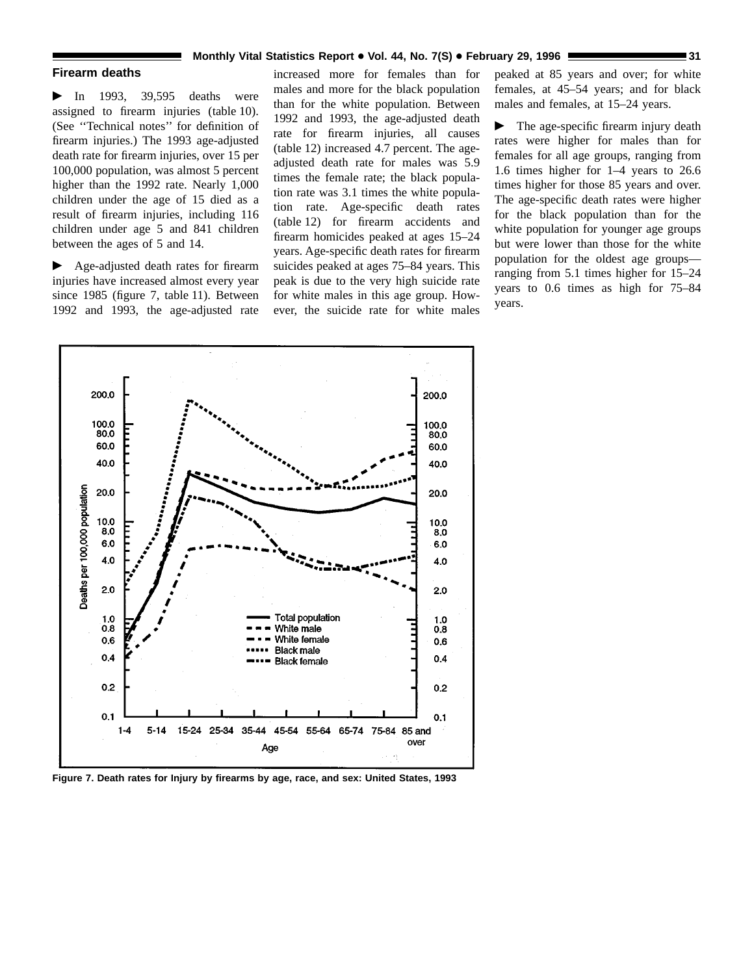#### **Monthly Vital Statistics Report • Vol. 44, No. 7(S) • February 29, 1996**

#### **Firearm deaths**

 $\blacktriangleright$  In 1993, 39,595 deaths were assigned to firearm injuries (table 10). (See ''Technical notes'' for definition of firearm injuries.) The 1993 age-adjusted death rate for firearm injuries, over 15 per 100,000 population, was almost 5 percent higher than the 1992 rate. Nearly 1,000 children under the age of 15 died as a result of firearm injuries, including 116 children under age 5 and 841 children between the ages of 5 and 14.

Age-adjusted death rates for firearm injuries have increased almost every year since 1985 (figure 7, table 11). Between 1992 and 1993, the age-adjusted rate

increased more for females than for males and more for the black population than for the white population. Between 1992 and 1993, the age-adjusted death rate for firearm injuries, all causes (table 12) increased 4.7 percent. The ageadjusted death rate for males was 5.9 times the female rate; the black population rate was 3.1 times the white population rate. Age-specific death rates (table 12) for firearm accidents and firearm homicides peaked at ages 15–24 years. Age-specific death rates for firearm suicides peaked at ages 75–84 years. This peak is due to the very high suicide rate for white males in this age group. However, the suicide rate for white males

peaked at 85 years and over; for white females, at 45–54 years; and for black males and females, at 15–24 years.

 $\blacktriangleright$  The age-specific firearm injury death rates were higher for males than for females for all age groups, ranging from 1.6 times higher for 1–4 years to 26.6 times higher for those 85 years and over. The age-specific death rates were higher for the black population than for the white population for younger age groups but were lower than those for the white population for the oldest age groups ranging from 5.1 times higher for 15–24 years to 0.6 times as high for 75–84 years.



**Figure 7. Death rates for Injury by firearms by age, race, and sex: United States, 1993**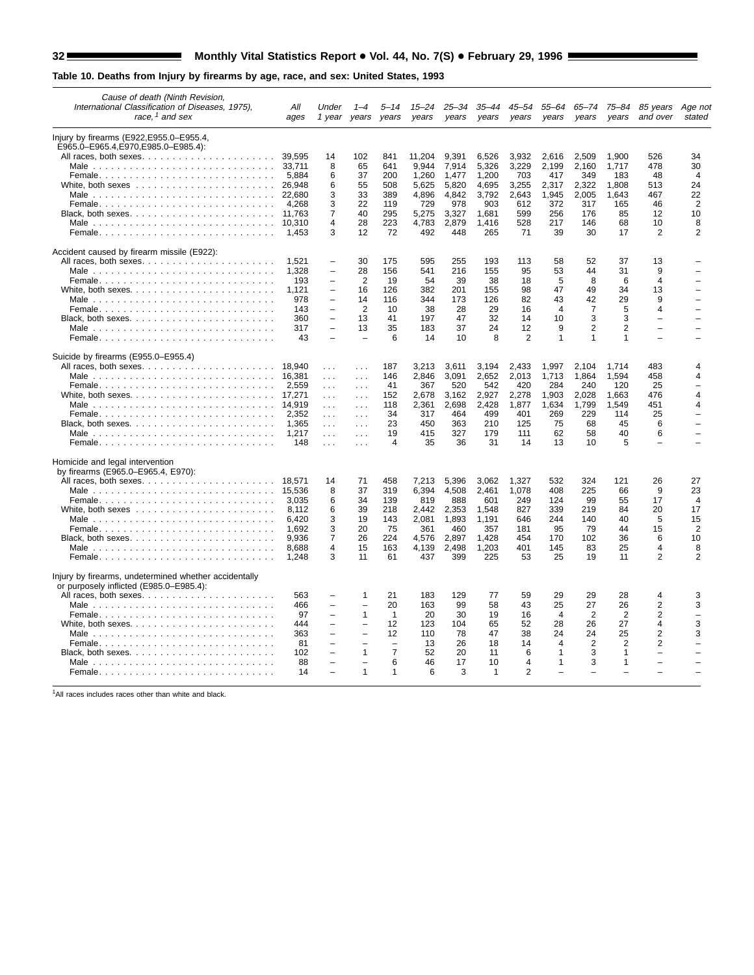# 32 Monthly Vital Statistics Report . Vol. 44, No. 7(S) . February 29, 1996 Monthly Vital Statistics Report . Wel. 44, No. 7(S)

# **Table 10. Deaths from Injury by firearms by age, race, and sex: United States, 1993**

| Cause of death (Ninth Revision,<br>International Classification of Diseases, 1975).<br>race. <sup>1</sup> and sex | All<br>ages    | Under                                                | 1 year years             | 5–14<br>vears            | 15–24<br>years | 25–34<br>years | 35–44<br>years     | 45–54<br>vears      | 55–64<br>years | 65–74<br>vears       | 75–84<br>years                           | 85 years<br>and over     | Age not<br>stated |
|-------------------------------------------------------------------------------------------------------------------|----------------|------------------------------------------------------|--------------------------|--------------------------|----------------|----------------|--------------------|---------------------|----------------|----------------------|------------------------------------------|--------------------------|-------------------|
| Injury by firearms (E922, E955.0–E955.4,                                                                          |                |                                                      |                          |                          |                |                |                    |                     |                |                      |                                          |                          |                   |
| E965.0-E965.4, E970, E985.0-E985.4):                                                                              | 39.595         | 14                                                   | 102                      | 841                      | 11.204         |                |                    |                     |                |                      | 1.900                                    | 526                      | 34                |
| All races, both sexes                                                                                             | 33.711         | 8                                                    | 65                       | 641                      | 9,944          | 9,391<br>7,914 | 6,526<br>5,326     | 3,932<br>3,229      | 2,616<br>2,199 | 2,509<br>2,160       | 1,717                                    | 478                      | 30                |
|                                                                                                                   | 5.884          | 6                                                    | 37                       | 200                      | 1,260          | 1.477          | 1.200              | 703                 | 417            | 349                  | 183                                      | 48                       | $\overline{4}$    |
| White, both sexes $\dots \dots \dots \dots \dots \dots \dots$                                                     | 26,948         | 6                                                    | 55                       | 508                      | 5,625          | 5,820          | 4,695              | 3,255               | 2,317          | 2,322                | 1,808                                    | 513                      | 24                |
|                                                                                                                   |                | 3                                                    | 33                       | 389                      | 4,896          | 4,842          | 3,792              | 2,643               | 1,945          | 2,005                | 1,643                                    | 467                      | 22                |
|                                                                                                                   | 4.268          | 3                                                    | 22                       | 119                      | 729            | 978            | 903                | 612                 | 372            | 317                  | 165                                      | 46                       | $\overline{2}$    |
|                                                                                                                   | 11.763         | 7                                                    | 40                       | 295                      | 5.275          | 3.327          | 1.681              | 599                 | 256            | 176                  | 85                                       | 12                       | 10                |
|                                                                                                                   | 10.310         | 4                                                    | 28                       | 223                      | 4,783          | 2,879          | 1,416              | 528                 | 217            | 146                  | 68                                       | 10                       | 8                 |
| Female                                                                                                            | 1.453          | 3                                                    | 12                       | 72                       | 492            | 448            | 265                | 71                  | 39             | 30                   | 17                                       | $\overline{2}$           | $\overline{2}$    |
| Accident caused by firearm missile (E922):                                                                        |                |                                                      |                          |                          |                |                |                    |                     |                |                      |                                          |                          |                   |
|                                                                                                                   | 1.521          | $\qquad \qquad -$                                    | 30                       | 175                      | 595            | 255            | 193                | 113                 | 58             | 52                   | 37                                       | 13                       |                   |
|                                                                                                                   | 1.328          | $\overline{\phantom{0}}$                             | 28                       | 156                      | 541            | 216            | 155                | 95                  | 53             | 44                   | 31                                       | 9                        |                   |
|                                                                                                                   | 193            | $\equiv$                                             | 2                        | 19                       | 54             | 39             | 38                 | 18                  | 5              | 8                    | 6                                        | $\overline{4}$           |                   |
| White, both sexes. $\ldots$ . $\ldots$ . $\ldots$ . $\ldots$ . $\ldots$ . $\ldots$ .                              | 1,121          | $\qquad \qquad -$                                    | 16                       | 126                      | 382            | 201            | 155                | 98                  | 47             | 49                   | 34                                       | 13                       |                   |
|                                                                                                                   | 978            | $\overline{\phantom{0}}$<br>$\overline{\phantom{0}}$ | 14<br>$\overline{2}$     | 116                      | 344<br>38      | 173            | 126<br>29          | 82                  | 43<br>4        | 42<br>$\overline{7}$ | 29<br>5                                  | 9<br>4                   |                   |
|                                                                                                                   | 143<br>360     | $\overline{\phantom{0}}$                             | 13                       | 10<br>41                 | 197            | 28<br>47       | 32                 | 16<br>14            | 10             | 3                    | 3                                        | $\overline{\phantom{0}}$ |                   |
| Black, both sexes. $\ldots$ . $\ldots$ . $\ldots$ . $\ldots$ . $\ldots$                                           | 317            | $\overline{\phantom{0}}$                             | 13                       | 35                       | 183            | 37             | 24                 | 12                  | 9              | $\overline{2}$       | $\overline{2}$                           | $\overline{a}$           |                   |
|                                                                                                                   | 43             | $\equiv$                                             | $\overline{\phantom{0}}$ | 6                        | 14             | 10             | 8                  | 2                   | $\mathbf{1}$   | $\mathbf{1}$         | $\mathbf{1}$                             | $\equiv$                 |                   |
| Suicide by firearms (E955.0–E955.4)                                                                               |                |                                                      |                          |                          |                |                |                    |                     |                |                      |                                          |                          |                   |
|                                                                                                                   | 18.940         | $\sim 100$                                           | $\cdots$                 | 187                      | 3.213          | 3.611          | 3,194              | 2.433               | 1,997          | 2.104                | 1.714                                    | 483                      | 4                 |
|                                                                                                                   |                | $\sim 100$                                           | $\cdots$                 | 146                      | 2,846          | 3,091          | 2,652              | 2,013               | 1,713          | 1,864                | 1,594                                    | 458                      | 4                 |
|                                                                                                                   | 2,559          | $\ldots$                                             | $\cdots$                 | 41                       | 367            | 520            | 542                | 420                 | 284            | 240                  | 120                                      | 25                       |                   |
|                                                                                                                   |                | $\sim 10$                                            | $\sim$ $\sim$ $\sim$     | 152                      | 2.678          | 3.162          | 2,927              | 2,278               | 1,903          | 2,028                | 1.663                                    | 476                      | 4                 |
|                                                                                                                   |                | $\ldots$                                             | $\mathbf{1}$             | 118                      | 2.361          | 2.698          | 2.428              | 1,877               | 1.634          | 1.799                | 1.549                                    | 451                      | 4                 |
|                                                                                                                   | 2,352          | $\sim 10$                                            | $\sim 100$               | 34                       | 317            | 464            | 499                | 401                 | 269            | 229                  | 114                                      | 25                       |                   |
| Black, both sexes. $\ldots$ . $\ldots$ . $\ldots$ . $\ldots$ . $\ldots$                                           | 1,365<br>1,217 | $\sim 100$                                           | $\sim 100$               | 23<br>19                 | 450<br>415     | 363<br>327     | 210<br>179         | 125<br>111          | 75<br>62       | 68<br>58             | 45<br>40                                 | 6<br>6                   |                   |
|                                                                                                                   | 148            | $\bar{1}$ , $\bar{1}$<br>$\ldots$                    | $\sim$<br>$\mathbf{1}$   | 4                        | 35             | 36             | 31                 | 14                  | 13             | 10 <sup>1</sup>      | 5                                        |                          |                   |
| Homicide and legal intervention                                                                                   |                |                                                      |                          |                          |                |                |                    |                     |                |                      |                                          |                          |                   |
| by firearms (E965.0-E965.4, E970):                                                                                |                |                                                      |                          |                          |                |                |                    |                     |                |                      |                                          |                          |                   |
| All races, both sexes                                                                                             | 18,571         | 14                                                   | 71                       | 458                      | 7,213          | 5,396          | 3,062              | 1,327               | 532            | 324                  | 121                                      | 26                       | 27                |
|                                                                                                                   | 15,536         | 8                                                    | 37                       | 319                      | 6,394          | 4,508          | 2,461              | 1,078               | 408            | 225                  | 66                                       | 9                        | 23                |
|                                                                                                                   | 3.035          | 6                                                    | 34                       | 139                      | 819            | 888            | 601                | 249                 | 124            | 99                   | 55                                       | 17                       | $\overline{4}$    |
| White, both sexes $\dots\dots\dots\dots\dots\dots\dots\dots\dots$                                                 | 8.112          | 6                                                    | 39                       | 218                      | 2,442          | 2,353          | 1,548              | 827                 | 339            | 219                  | 84                                       | 20                       | 17                |
|                                                                                                                   | 6.420          | 3                                                    | 19                       | 143                      | 2,081          | 1,893          | 1,191              | 646                 | 244            | 140                  | 40                                       | 5                        | 15                |
|                                                                                                                   | 1.692          | 3                                                    | 20                       | 75                       | 361            | 460            | 357                | 181                 | 95             | 79                   | 44                                       | 15                       | $\overline{2}$    |
|                                                                                                                   | 9.936          | $\overline{7}$<br>4                                  | 26                       | 224                      | 4,576          | 2,897          | 1,428              | 454                 | 170            | 102                  | 36                                       | 6<br>4                   | 10                |
| Male                                                                                                              | 8,688<br>1.248 | 3                                                    | 15<br>11                 | 163<br>61                | 4,139<br>437   | 2,498<br>399   | 1,203<br>225       | 401<br>53           | 145<br>25      | 83<br>19             | 25<br>11                                 | $\overline{2}$           | 8<br>2            |
| Injury by firearms, undetermined whether accidentally                                                             |                |                                                      |                          |                          |                |                |                    |                     |                |                      |                                          |                          |                   |
| or purposely inflicted (E985.0–E985.4):                                                                           |                |                                                      |                          |                          |                |                |                    |                     |                |                      |                                          |                          |                   |
|                                                                                                                   | 563            |                                                      | $\mathbf{1}$             | 21                       | 183            | 129            | 77                 | 59                  | 29             | 29                   | 28                                       | 4                        | 3                 |
|                                                                                                                   | 466            | $\equiv$                                             | $\equiv$                 | 20                       | 163            | 99             | 58                 | 43                  | 25             | 27                   | 26                                       | 2                        | 3                 |
|                                                                                                                   | 97             | $\equiv$                                             | $\mathbf{1}$             | $\mathbf{1}$             | 20             | 30             | 19                 | 16                  | $\overline{4}$ | $\overline{2}$       | $\overline{2}$                           | 2                        |                   |
|                                                                                                                   | 444            | $\overline{\phantom{0}}$                             | $\qquad \qquad -$        | 12                       | 123            | 104            | 65                 | 52                  | 28             | 26                   | 27                                       | $\overline{4}$           | 3                 |
|                                                                                                                   | 363            | $\overline{\phantom{0}}$                             | $\overline{a}$           | 12                       | 110            | 78             | 47                 | 38                  | 24             | 24                   | 25                                       | $\overline{2}$           | 3                 |
|                                                                                                                   | 81             |                                                      | $\overline{\phantom{0}}$ | $\overline{\phantom{a}}$ | 13             | 26             | 18                 | 14                  | $\overline{4}$ | $\overline{2}$       | $\overline{2}$                           | $\overline{2}$           |                   |
| Black, both sexes. $\ldots$ . $\ldots$ . $\ldots$ . $\ldots$ . $\ldots$                                           | 102            | L.                                                   | $\mathbf{1}$             | $\overline{7}$           | 52             | 20             | 11                 | 6                   | $\mathbf{1}$   | 3                    | $\mathbf{1}$                             | $\equiv$                 |                   |
|                                                                                                                   | 88             | $\equiv$                                             | $\qquad \qquad -$<br>1   | 6<br>1                   | 46<br>6        | 17<br>3        | 10<br>$\mathbf{1}$ | 4<br>$\overline{2}$ | $\mathbf{1}$   | 3                    | $\mathbf{1}$<br>$\overline{\phantom{0}}$ | $\overline{\phantom{0}}$ |                   |
|                                                                                                                   | 14             |                                                      |                          |                          |                |                |                    |                     |                |                      |                                          |                          |                   |

1All races includes races other than white and black.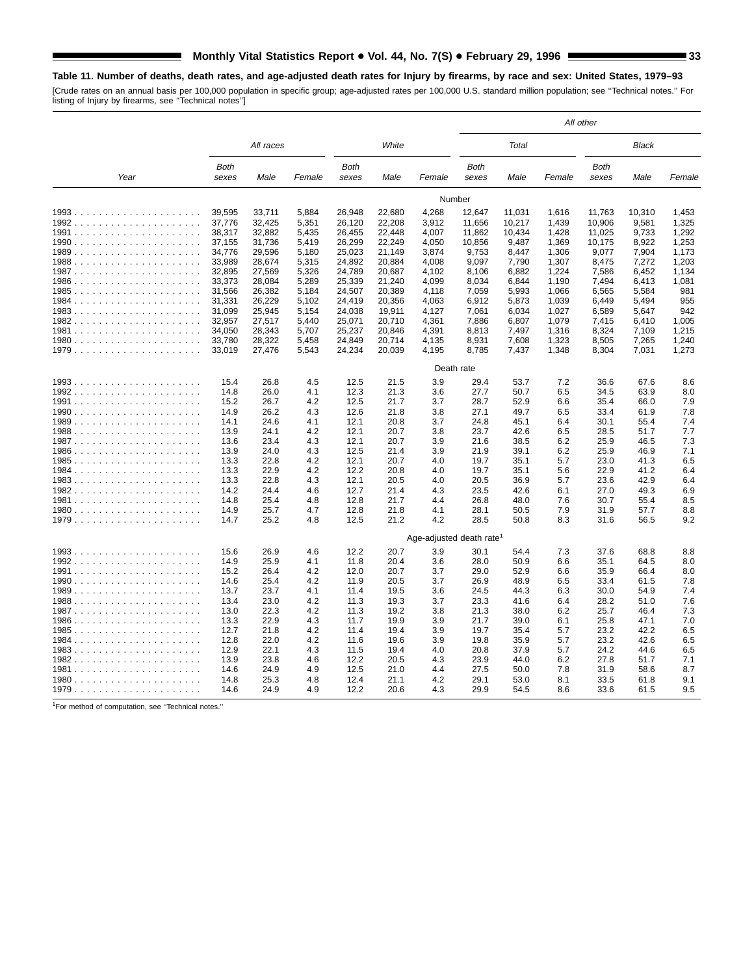# **Table 11. Number of deaths, death rates, and age-adjusted death rates for Injury by firearms, by race and sex: United States, 1979–93**

[Crude rates on an annual basis per 100,000 population in specific group; age-adjusted rates per 100,000 U.S. standard million population; see ''Technical notes.'' For listing of Injury by firearms, see ''Technical notes'']

|      |                      |              |            |                      |              |                                      | All other            |              |            |                      |              |            |  |
|------|----------------------|--------------|------------|----------------------|--------------|--------------------------------------|----------------------|--------------|------------|----------------------|--------------|------------|--|
|      | All races            |              |            |                      | White        |                                      |                      | Total        |            |                      | Black        |            |  |
| Year | <b>Both</b><br>sexes | Male         | Female     | <b>Both</b><br>sexes | Male         | Female                               | <b>Both</b><br>sexes | Male         | Female     | <b>Both</b><br>sexes | Male         | Female     |  |
|      |                      |              |            |                      |              |                                      | Number               |              |            |                      |              |            |  |
|      | 39,595               | 33,711       | 5,884      | 26,948               | 22,680       | 4,268                                | 12,647               | 11,031       | 1,616      | 11,763               | 10,310       | 1,453      |  |
|      | 37.776               | 32,425       | 5,351      | 26,120               | 22,208       | 3,912                                | 11,656               | 10,217       | 1,439      | 10,906               | 9,581        | 1,325      |  |
|      | 38,317               | 32,882       | 5,435      | 26,455               | 22,448       | 4,007                                | 11,862               | 10,434       | 1,428      | 11,025               | 9,733        | 1,292      |  |
|      | 37,155               | 31,736       | 5,419      | 26,299               | 22,249       | 4,050                                | 10,856               | 9,487        | 1,369      | 10,175               | 8,922        | 1,253      |  |
|      | 34,776               | 29,596       | 5,180      | 25,023               | 21,149       | 3,874                                | 9,753                | 8,447        | 1,306      | 9,077                | 7,904        | 1,173      |  |
|      | 33,989               | 28,674       | 5,315      | 24,892               | 20,884       | 4,008                                | 9,097                | 7,790        | 1,307      | 8,475                | 7,272        | 1,203      |  |
|      | 32,895               | 27,569       | 5,326      | 24,789               | 20,687       | 4,102                                | 8,106                | 6,882        | 1,224      | 7,586                | 6,452        | 1,134      |  |
|      | 33,373               | 28,084       | 5,289      | 25,339               | 21,240       | 4,099                                | 8,034                | 6,844        | 1,190      | 7,494                | 6,413        | 1,081      |  |
|      | 31,566               | 26,382       | 5,184      | 24,507               | 20,389       | 4,118                                | 7,059                | 5,993        | 1,066      | 6,565                | 5,584        | 981        |  |
|      | 31,331               | 26,229       | 5,102      | 24,419               | 20,356       | 4,063                                | 6,912                | 5,873        | 1,039      | 6,449                | 5,494        | 955        |  |
|      | 31,099               | 25,945       | 5,154      | 24,038               | 19,911       | 4,127                                | 7,061                | 6,034        | 1,027      | 6,589                | 5,647        | 942        |  |
|      | 32,957               | 27,517       | 5,440      | 25,071               | 20,710       | 4,361                                | 7,886                | 6,807        | 1,079      | 7,415                | 6,410        | 1,005      |  |
|      | 34.050               | 28,343       | 5,707      | 25,237               | 20,846       | 4,391                                | 8.813                | 7,497        | 1,316      | 8,324                | 7,109        | 1.215      |  |
|      | 33,780               | 28,322       | 5,458      | 24,849               | 20,714       | 4,135                                | 8,931                | 7,608        | 1,323      | 8,505                | 7,265        | 1,240      |  |
|      | 33,019               | 27,476       | 5,543      | 24,234               | 20,039       | 4,195                                | 8,785                | 7,437        | 1,348      | 8,304                | 7,031        | 1,273      |  |
|      | Death rate           |              |            |                      |              |                                      |                      |              |            |                      |              |            |  |
|      | 15.4                 | 26.8         | 4.5        | 12.5                 | 21.5         | 3.9                                  | 29.4                 | 53.7         | 7.2        | 36.6                 | 67.6         | 8.6        |  |
|      | 14.8                 | 26.0         | 4.1        | 12.3                 | 21.3         | 3.6                                  | 27.7                 | 50.7         | 6.5        | 34.5                 | 63.9         | 8.0        |  |
|      | 15.2                 | 26.7         | 4.2        | 12.5                 | 21.7         | 3.7                                  | 28.7                 | 52.9         | 6.6        | 35.4                 | 66.0         | 7.9        |  |
|      | 14.9                 | 26.2         | 4.3        | 12.6                 | 21.8         | 3.8                                  | 27.1                 | 49.7         | 6.5        | 33.4                 | 61.9         | 7.8        |  |
|      | 14.1                 | 24.6         | 4.1        | 12.1                 | 20.8         | 3.7                                  | 24.8                 | 45.1         | 6.4        | 30.1                 | 55.4         | 7.4        |  |
|      | 13.9                 | 24.1         | 4.2        | 12.1                 | 20.7         | 3.8                                  | 23.7                 | 42.6         | 6.5        | 28.5                 | 51.7         | 7.7        |  |
|      | 13.6                 | 23.4         | 4.3        | 12.1                 | 20.7         | 3.9                                  | 21.6                 | 38.5         | 6.2        | 25.9                 | 46.5         | 7.3        |  |
|      | 13.9                 | 24.0         | 4.3        | 12.5                 | 21.4         | 3.9                                  | 21.9                 | 39.1         | 6.2        | 25.9                 | 46.9         | 7.1        |  |
|      | 13.3                 | 22.8         | 4.2        | 12.1                 | 20.7         | 4.0                                  | 19.7                 | 35.1         | 5.7        | 23.0                 | 41.3         | 6.5        |  |
|      | 13.3                 | 22.9         | 4.2        | 12.2                 | 20.8         | 4.0                                  | 19.7                 | 35.1         | 5.6        | 22.9                 | 41.2         | 6.4        |  |
|      | 13.3                 | 22.8         | 4.3        | 12.1                 | 20.5         | 4.0                                  | 20.5                 | 36.9         | 5.7        | 23.6                 | 42.9         | 6.4        |  |
|      | 14.2                 | 24.4         | 4.6        | 12.7                 | 21.4         | 4.3                                  | 23.5                 | 42.6         | 6.1        | 27.0                 | 49.3         | 6.9        |  |
|      | 14.8                 | 25.4         | 4.8        | 12.8                 | 21.7         | 4.4                                  | 26.8                 | 48.0         | 7.6        | 30.7                 | 55.4         | 8.5        |  |
|      | 14.9                 | 25.7         | 4.7        | 12.8                 | 21.8         | 4.1                                  | 28.1                 | 50.5         | 7.9        | 31.9                 | 57.7         | 8.8        |  |
|      | 14.7                 | 25.2         | 4.8        | 12.5                 | 21.2         | 4.2                                  | 28.5                 | 50.8         | 8.3        | 31.6                 | 56.5         | 9.2        |  |
|      |                      |              |            |                      |              | Age-adjusted death rate <sup>1</sup> |                      |              |            |                      |              |            |  |
|      |                      |              |            |                      |              |                                      |                      |              |            |                      |              |            |  |
|      | 15.6                 | 26.9         | 4.6        | 12.2                 | 20.7         | 3.9                                  | 30.1                 | 54.4         | 7.3        | 37.6                 | 68.8         | 8.8        |  |
|      | 14.9                 | 25.9         | 4.1        | 11.8                 | 20.4         | 3.6                                  | 28.0                 | 50.9         | 6.6        | 35.1                 | 64.5         | 8.0        |  |
|      | 15.2                 | 26.4         | 4.2        | 12.0                 | 20.7         | 3.7                                  | 29.0                 | 52.9         | 6.6        | 35.9                 | 66.4         | 8.0        |  |
|      | 14.6                 | 25.4         | 4.2        | 11.9                 | 20.5         | 3.7                                  | 26.9                 | 48.9         | 6.5        | 33.4                 | 61.5         | 7.8        |  |
|      | 13.7                 | 23.7<br>23.0 | 4.1        | 11.4                 | 19.5         | 3.6<br>3.7                           | 24.5<br>23.3         | 44.3         | 6.3        | 30.0                 | 54.9         | 7.4<br>7.6 |  |
|      | 13.4                 | 22.3         | 4.2        | 11.3                 | 19.3<br>19.2 |                                      | 21.3                 | 41.6         | 6.4<br>6.2 | 28.2<br>25.7         | 51.0         | 7.3        |  |
|      | 13.0                 | 22.9         | 4.2        | 11.3                 |              | 3.8                                  |                      | 38.0         |            |                      | 46.4         | 7.0        |  |
|      | 13.3<br>12.7         | 21.8         | 4.3<br>4.2 | 11.7<br>11.4         | 19.9<br>19.4 | 3.9<br>3.9                           | 21.7<br>19.7         | 39.0<br>35.4 | 6.1<br>5.7 | 25.8<br>23.2         | 47.1<br>42.2 | 6.5        |  |
|      | 12.8                 | 22.0         | 4.2        | 11.6                 | 19.6         | 3.9                                  | 19.8                 | 35.9         | 5.7        | 23.2                 | 42.6         | 6.5        |  |
|      | 12.9                 | 22.1         | 4.3        | 11.5                 | 19.4         | 4.0                                  | 20.8                 | 37.9         | 5.7        | 24.2                 | 44.6         | 6.5        |  |
|      | 13.9                 | 23.8         | 4.6        | 12.2                 | 20.5         | 4.3                                  | 23.9                 | 44.0         | 6.2        | 27.8                 | 51.7         | 7.1        |  |
|      | 14.6                 | 24.9         | 4.9        | 12.5                 | 21.0         | 4.4                                  | 27.5                 | 50.0         | 7.8        | 31.9                 | 58.6         | 8.7        |  |
|      | 14.8                 | 25.3         | 4.8        | 12.4                 | 21.1         | 4.2                                  | 29.1                 | 53.0         | 8.1        | 33.5                 | 61.8         | 9.1        |  |
|      | 14.6                 | 24.9         | 4.9        | 12.2                 | 20.6         | 4.3                                  | 29.9                 | 54.5         | 8.6        | 33.6                 | 61.5         | 9.5        |  |

1For method of computation, see ''Technical notes.''

 $\mathcal{L}$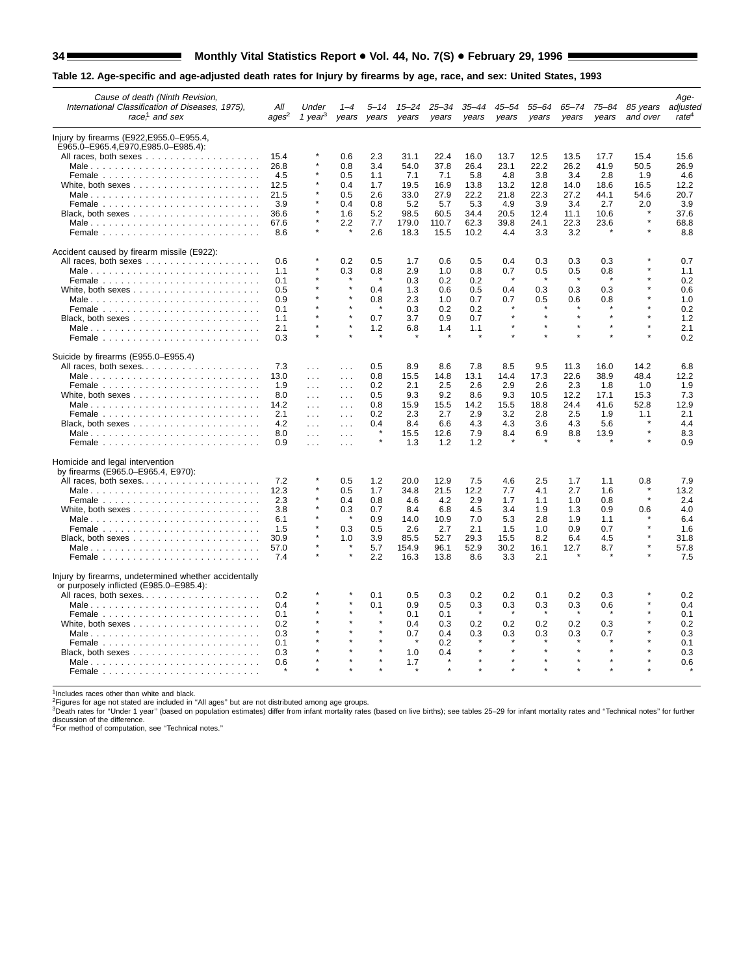# 34 Monthly Vital Statistics Report . Vol. 44, No. 7(S) . February 29, 1996 Monthly Vital Statistics Report . Wel. 44, No. 7(S) . February 29, 1996

# **Table 12. Age-specific and age-adjusted death rates for Injury by firearms by age, race, and sex: United States, 1993**

| Cause of death (Ninth Revision,<br>International Classification of Diseases, 1975),<br>race, $\frac{1}{2}$ and sex | All<br>ages <sup>2</sup> | Under<br>1 year <sup>3</sup> | years                | years      | years         | -34<br>years  | $35 - 44$<br>years | $45 - 54$<br>years | 55-64<br>years | $65 - 74$<br>years | 75–84<br>years | 85 years<br>and over | Age-<br>adjusted<br>rate <sup>4</sup> |
|--------------------------------------------------------------------------------------------------------------------|--------------------------|------------------------------|----------------------|------------|---------------|---------------|--------------------|--------------------|----------------|--------------------|----------------|----------------------|---------------------------------------|
| Injury by firearms (E922, E955.0–E955.4,                                                                           |                          |                              |                      |            |               |               |                    |                    |                |                    |                |                      |                                       |
| E965.0-E965.4,E970,E985.0-E985.4):                                                                                 |                          |                              |                      |            |               |               |                    |                    |                |                    |                |                      |                                       |
|                                                                                                                    | 15.4                     |                              | 0.6                  | 2.3        | 31.1          | 22.4          | 16.0               | 13.7               | 12.5           | 13.5               | 17.7           | 15.4                 | 15.6                                  |
|                                                                                                                    | 26.8                     |                              | 0.8                  | 3.4        | 54.0          | 37.8          | 26.4               | 23.1               | 22.2           | 26.2               | 41.9           | 50.5                 | 26.9                                  |
|                                                                                                                    | 4.5                      |                              | 0.5                  | 1.1        | 7.1           | 7.1           | 5.8                | 4.8                | 3.8            | 3.4                | 2.8            | 1.9                  | 4.6                                   |
|                                                                                                                    | 12.5                     |                              | 0.4                  | 1.7        | 19.5          | 16.9          | 13.8               | 13.2               | 12.8           | 14.0               | 18.6           | 16.5                 | 12.2                                  |
| Male                                                                                                               | 21.5                     |                              | 0.5                  | 2.6        | 33.0          | 27.9          | 22.2               | 21.8               | 22.3           | 27.2               | 44.1           | 54.6                 | 20.7                                  |
|                                                                                                                    | 3.9                      |                              | 0.4                  | 0.8        | 5.2           | 5.7           | 5.3                | 4.9                | 3.9            | 3.4                | 2.7            | 2.0                  | 3.9                                   |
|                                                                                                                    | 36.6                     |                              | 1.6                  | 5.2        | 98.5          | 60.5          | 34.4               | 20.5               | 12.4           | 11.1               | 10.6           |                      | 37.6                                  |
| Male                                                                                                               | 67.6<br>8.6              |                              | 2.2                  | 7.7<br>2.6 | 179.0<br>18.3 | 110.7<br>15.5 | 62.3<br>10.2       | 39.8<br>4.4        | 24.1<br>3.3    | 22.3<br>3.2        | 23.6           |                      | 68.8<br>8.8                           |
| Accident caused by firearm missile (E922):                                                                         |                          |                              |                      |            |               |               |                    |                    |                |                    |                |                      |                                       |
|                                                                                                                    | 0.6                      |                              | 0.2                  | 0.5        | 1.7           | 0.6           | 0.5                | 0.4                | 0.3            | 0.3                | 0.3            |                      | 0.7                                   |
| Male                                                                                                               | 1.1                      |                              | 0.3                  | 0.8        | 2.9           | 1.0           | 0.8                | 0.7                | 0.5            | 0.5                | 0.8            |                      | 1.1                                   |
|                                                                                                                    | 0.1                      |                              |                      |            | 0.3           | 0.2           | 0.2                | $\star$            |                | $\star$            |                |                      | 0.2                                   |
| White, both sexes $\ldots \ldots \ldots \ldots \ldots \ldots$                                                      | 0.5                      |                              | $\star$              | 0.4        | 1.3           | 0.6           | 0.5                | 0.4                | 0.3            | 0.3                | 0.3            |                      | 0.6                                   |
| Male                                                                                                               | 0.9                      |                              |                      | 0.8        | 2.3           | 1.0           | 0.7                | 0.7                | 0.5            | 0.6                | 0.8            |                      | 1.0                                   |
|                                                                                                                    | 0.1                      |                              |                      |            | 0.3           | 0.2           | 0.2                |                    |                |                    |                |                      | 0.2                                   |
|                                                                                                                    | 1.1                      |                              |                      | 0.7        | 3.7           | 0.9           | 0.7                | $\star$            | $\star$        | $\star$            |                |                      | 1.2                                   |
| Male                                                                                                               | 2.1                      |                              | $\star$              | 1.2        | 6.8           | 1.4           | 1.1                | $\star$            | $\star$        | $\star$            |                |                      | 2.1                                   |
|                                                                                                                    | 0.3                      |                              |                      |            |               |               |                    |                    |                |                    |                |                      | 0.2                                   |
| Suicide by firearms (E955.0-E955.4)                                                                                |                          |                              |                      |            |               |               |                    |                    |                |                    |                |                      |                                       |
| All races, both sexes                                                                                              | 7.3                      | $\sim$ $\sim$ $\sim$         | $\sim 100$           | 0.5        | 8.9           | 8.6           | 7.8                | 8.5                | 9.5            | 11.3               | 16.0           | 14.2                 | 6.8                                   |
|                                                                                                                    | 13.0                     | $\sim 10$ .                  | $\sim 100$           | 0.8        | 15.5          | 14.8          | 13.1               | 14.4               | 17.3           | 22.6               | 38.9           | 48.4                 | 12.2                                  |
|                                                                                                                    | 1.9                      | $\cdots$                     | $\sim 100$           | 0.2        | 2.1           | 2.5           | 2.6                | 2.9                | 2.6            | 2.3                | 1.8            | 1.0                  | 1.9                                   |
|                                                                                                                    | 8.0                      | $\sim$ $\sim$ $\sim$         | $\sim$ $\sim$ $\sim$ | 0.5        | 9.3           | 9.2           | 8.6                | 9.3                | 10.5           | 12.2               | 17.1           | 15.3                 | 7.3                                   |
| Male                                                                                                               | 14.2                     | $\cdots$                     | $\ldots$             | 0.8        | 15.9          | 15.5          | 14.2               | 15.5               | 18.8           | 24.4               | 41.6           | 52.8                 | 12.9                                  |
|                                                                                                                    | 2.1                      | $\sim 100$                   | $\sim 100$           | 0.2        | 2.3           | 2.7           | 2.9                | 3.2                | 2.8            | 2.5                | 1.9            | 1.1                  | 2.1                                   |
|                                                                                                                    | 4.2                      | $\sim 10$                    | $\sim 100$           | 0.4        | 8.4           | 6.6           | 4.3                | 4.3                | 3.6            | 4.3                | 5.6            |                      | 4.4                                   |
| Male                                                                                                               | 8.0                      | $\cdots$                     | $\cdots$             |            | 15.5          | 12.6          | 7.9                | 8.4                | 6.9            | 8.8                | 13.9           |                      | 8.3                                   |
|                                                                                                                    | 0.9                      | $\sim$ $\sim$ $\sim$         | $\sim 100$           |            | 1.3           | 1.2           | 1.2                |                    |                |                    |                |                      | 0.9                                   |
| Homicide and legal intervention                                                                                    |                          |                              |                      |            |               |               |                    |                    |                |                    |                |                      |                                       |
| by firearms (E965.0-E965.4, E970):                                                                                 | 7.2                      |                              | 0.5                  | 1.2        | 20.0          |               | 7.5                |                    | 2.5            |                    |                |                      |                                       |
| All races, both sexes                                                                                              |                          |                              |                      |            |               | 12.9<br>21.5  |                    | 4.6                |                | 1.7                | 1.1            | 0.8                  | 7.9                                   |
|                                                                                                                    | 12.3<br>2.3              |                              | 0.5<br>0.4           | 1.7<br>0.8 | 34.8<br>4.6   | 4.2           | 12.2<br>2.9        | 7.7<br>1.7         | 4.1<br>1.1     | 2.7<br>1.0         | 1.6<br>0.8     |                      | 13.2<br>2.4                           |
|                                                                                                                    |                          |                              |                      | 0.7        | 8.4           | 6.8           | 4.5                |                    |                |                    | 0.9            |                      | 4.0                                   |
| White, both sexes $\ldots \ldots \ldots \ldots \ldots \ldots$                                                      | 3.8<br>6.1               |                              | 0.3                  | 0.9        | 14.0          | 10.9          | 7.0                | 3.4<br>5.3         | 1.9<br>2.8     | 1.3<br>1.9         | 1.1            | 0.6                  | 6.4                                   |
|                                                                                                                    | 1.5                      |                              | 0.3                  | 0.5        | 2.6           | 2.7           | 2.1                | 1.5                | 1.0            | 0.9                | 0.7            |                      | 1.6                                   |
|                                                                                                                    | 30.9                     |                              | 1.0                  | 3.9        | 85.5          | 52.7          | 29.3               | 15.5               | 8.2            | 6.4                | 4.5            |                      | 31.8                                  |
|                                                                                                                    | 57.0                     |                              |                      | 5.7        | 154.9         | 96.1          | 52.9               | 30.2               | 16.1           | 12.7               | 8.7            |                      | 57.8                                  |
|                                                                                                                    | 7.4                      |                              | $\star$              | 2.2        | 16.3          | 13.8          | 8.6                | 3.3                | 2.1            |                    |                |                      | 7.5                                   |
| Injury by firearms, undetermined whether accidentally                                                              |                          |                              |                      |            |               |               |                    |                    |                |                    |                |                      |                                       |
| or purposely inflicted (E985.0-E985.4):                                                                            |                          |                              |                      |            |               |               |                    |                    |                |                    |                |                      |                                       |
| All races, both sexes                                                                                              | 0.2                      |                              |                      | 0.1        | 0.5           | 0.3           | 0.2                | 0.2                | 0.1            | 0.2                | 0.3            |                      | 0.2                                   |
| Male                                                                                                               | 0.4                      |                              |                      | 0.1        | 0.9           | 0.5           | 0.3                | 0.3                | 0.3            | 0.3                | 0.6            |                      | 0.4                                   |
|                                                                                                                    | 0.1                      |                              |                      |            | 0.1           | 0.1           |                    |                    |                |                    |                |                      | 0.1                                   |
|                                                                                                                    | 0.2                      |                              |                      |            | 0.4           | 0.3           | 0.2                | 0.2                | 0.2            | 0.2                | 0.3            |                      | 0.2                                   |
| Male                                                                                                               | 0.3                      |                              |                      |            | 0.7           | 0.4           | 0.3                | 0.3                | 0.3            | 0.3                | 0.7            |                      | 0.3                                   |
|                                                                                                                    | 0.1                      |                              |                      |            |               | 0.2           |                    |                    |                | $\star$            |                |                      | 0.1                                   |
|                                                                                                                    | 0.3                      |                              |                      |            | 1.0           | 0.4           |                    |                    |                |                    |                |                      | 0.3                                   |
|                                                                                                                    | 0.6                      |                              |                      |            | 1.7           |               |                    |                    |                |                    |                |                      | 0.6                                   |
|                                                                                                                    |                          |                              |                      |            |               |               |                    |                    |                |                    |                |                      |                                       |

<sup>1</sup>Includes races other than white and black.<br><sup>2</sup>Figures for age not stated are included in "All ages" but are not distributed among age groups.<br><sup>3</sup>Death rates for "Under 1 year" (based on population estimates) differ from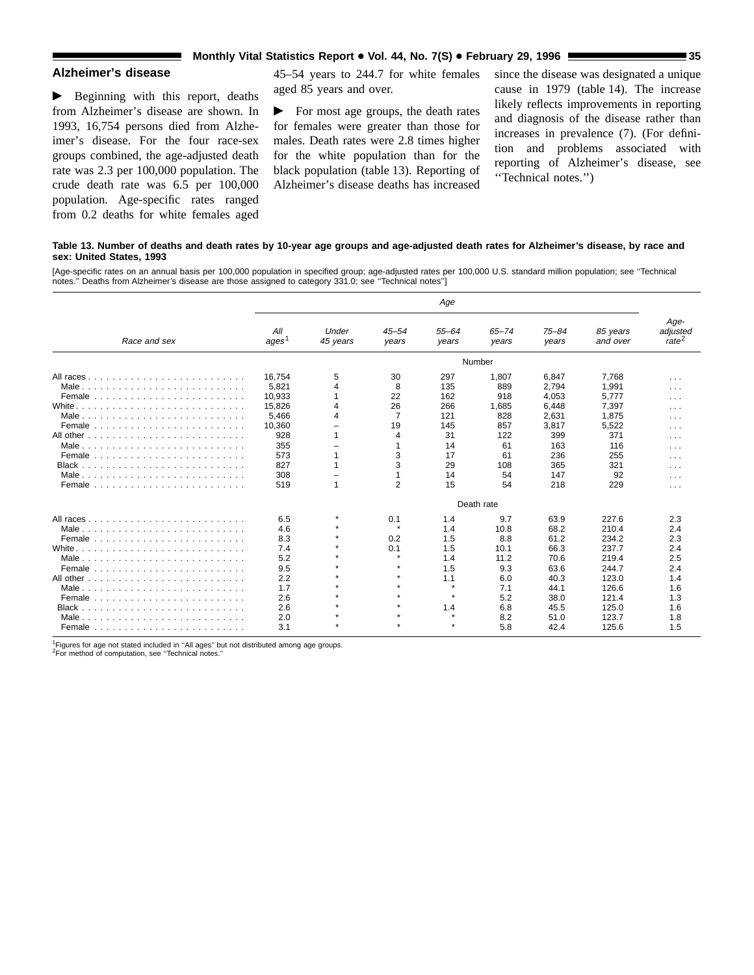# **Monthly Vital Statistics Report • Vol. 44, No. 7(S) • February 29, 1996 <b>35 1996 1996 1996 1996 1996 1996 1996 1996 1996 1996 1996 1996 1996 1996 1996 1996 1996 1996 1996 1996 199**

# **Alzheimer's disease**

 $\blacktriangleright$  Beginning with this report, deaths from Alzheimer's disease are shown. In 1993, 16,754 persons died from Alzheimer's disease. For the four race-sex groups combined, the age-adjusted death rate was 2.3 per 100,000 population. The crude death rate was 6.5 per 100,000 population. Age-specific rates ranged from 0.2 deaths for white females aged

ш

45–54 years to 244.7 for white females aged 85 years and over.

 $\blacktriangleright$  For most age groups, the death rates for females were greater than those for males. Death rates were 2.8 times higher for the white population than for the black population (table 13). Reporting of Alzheimer's disease deaths has increased since the disease was designated a unique cause in 1979 (table 14). The increase likely reflects improvements in reporting and diagnosis of the disease rather than increases in prevalence (7). (For definition and problems associated with reporting of Alzheimer's disease, see ''Technical notes.'')

#### **Table 13. Number of deaths and death rates by 10-year age groups and age-adjusted death rates for Alzheimer's disease, by race and sex: United States, 1993**

[Age-specific rates on an annual basis per 100,000 population in specified group; age-adjusted rates per 100,000 U.S. standard million population; see ''Technical notes.'' Deaths from Alzheimer's disease are those assigned to category 331.0; see ''Technical notes'']

|                                                                                   | Age                      |                   |                    |                    |                    |                    |                      |                                       |  |  |  |  |
|-----------------------------------------------------------------------------------|--------------------------|-------------------|--------------------|--------------------|--------------------|--------------------|----------------------|---------------------------------------|--|--|--|--|
| Race and sex                                                                      | All<br>ages <sup>1</sup> | Under<br>45 years | $45 - 54$<br>years | $55 - 64$<br>years | $65 - 74$<br>years | $75 - 84$<br>years | 85 years<br>and over | Age-<br>adjusted<br>rate <sup>2</sup> |  |  |  |  |
|                                                                                   |                          |                   |                    |                    | Number             |                    |                      |                                       |  |  |  |  |
|                                                                                   | 16.754                   | 5                 | 30                 | 297                | 1,807              | 6,847              | 7.768                | $\cdots$                              |  |  |  |  |
| Male                                                                              | 5,821                    | $\overline{4}$    | 8                  | 135                | 889                | 2,794              | 1,991                | $\cdots$                              |  |  |  |  |
|                                                                                   | 10,933                   |                   | 22                 | 162                | 918                | 4,053              | 5,777                | $\cdots$                              |  |  |  |  |
|                                                                                   | 15,826                   | $\overline{4}$    | 26                 | 266                | 1,685              | 6,448              | 7,397                | $\cdots$                              |  |  |  |  |
| Male                                                                              | 5,466                    | 4                 | $\overline{7}$     | 121                | 828                | 2,631              | 1,875                | $\cdots$                              |  |  |  |  |
|                                                                                   | 10.360                   |                   | 19                 | 145                | 857                | 3,817              | 5,522                | .                                     |  |  |  |  |
|                                                                                   | 928                      |                   | 4                  | 31                 | 122                | 399                | 371                  | .                                     |  |  |  |  |
| Male                                                                              | 355                      |                   | 1                  | 14                 | 61                 | 163                | 116                  | $\cdots$                              |  |  |  |  |
|                                                                                   | 573                      |                   | 3                  | 17                 | 61                 | 236                | 255                  | $\sim$ $\sim$ $\sim$                  |  |  |  |  |
|                                                                                   | 827                      |                   | 3                  | 29                 | 108                | 365                | 321                  | $\cdots$                              |  |  |  |  |
|                                                                                   | 308                      |                   |                    | 14                 | 54                 | 147                | 92                   | $\cdots$                              |  |  |  |  |
| Female $\ldots$ , $\ldots$ , $\ldots$ , $\ldots$ , $\ldots$ , $\ldots$ , $\ldots$ | 519                      |                   | $\overline{2}$     | 15                 | 54                 | 218                | 229                  | $\cdots$                              |  |  |  |  |
|                                                                                   | Death rate               |                   |                    |                    |                    |                    |                      |                                       |  |  |  |  |
|                                                                                   | 6.5                      | $\star$           | 0.1                | 1.4                | 9.7                | 63.9               | 227.6                | 2.3                                   |  |  |  |  |
| Male                                                                              | 4.6                      | $\star$           | $\star$            | 1.4                | 10.8               | 68.2               | 210.4                | 2.4                                   |  |  |  |  |
|                                                                                   | 8.3                      | $\star$           | 0.2                | 1.5                | 8.8                | 61.2               | 234.2                | 2.3                                   |  |  |  |  |
|                                                                                   | 7.4                      | $\mathbf{r}$      | 0.1                | 1.5                | 10.1               | 66.3               | 237.7                | 2.4                                   |  |  |  |  |
|                                                                                   | 5.2                      | $\star$           |                    | 1.4                | 11.2               | 70.6               | 219.4                | 2.5                                   |  |  |  |  |
|                                                                                   | 9.5                      | $\star$           |                    | 1.5                | 9.3                | 63.6               | 244.7                | 2.4                                   |  |  |  |  |
|                                                                                   | 2.2                      | $\star$           | $\star$            | 1.1                | 6.0                | 40.3               | 123.0                | 1.4                                   |  |  |  |  |
| Male                                                                              | 1.7                      | $\star$           | $\star$            | $\star$            | 7.1                | 44.1               | 126.6                | 1.6                                   |  |  |  |  |
|                                                                                   | 2.6                      | $\star$           |                    | $\star$            | 5.2                | 38.0               | 121.4                | 1.3                                   |  |  |  |  |
|                                                                                   | 2.6                      | $\mathbf{r}$      |                    | 1.4                | 6.8                | 45.5               | 125.0                | 1.6                                   |  |  |  |  |
|                                                                                   | 2.0                      |                   |                    | $\star$            | 8.2                | 51.0               | 123.7                | 1.8                                   |  |  |  |  |
|                                                                                   | 3.1                      |                   |                    |                    | 5.8                | 42.4               | 125.6                | 1.5                                   |  |  |  |  |

<sup>1</sup>Figures for age not stated included in "All ages" but not distributed among age groups.

2For method of computation, see ''Technical notes.''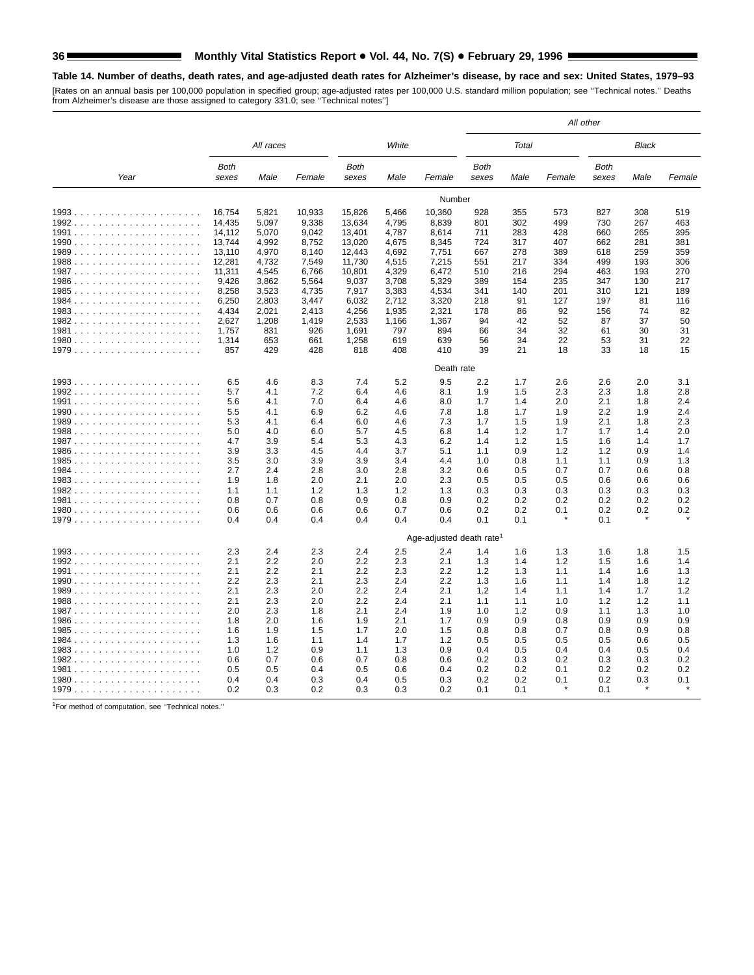# **Table 14. Number of deaths, death rates, and age-adjusted death rates for Alzheimer's disease, by race and sex: United States, 1979–93**

[Rates on an annual basis per 100,000 population in specified group; age-adjusted rates per 100,000 U.S. standard million population; see "Technical notes." Deaths<br>from Alzheimer's disease are those assigned to category 33

|      |               |            |            |                      |            |                                      | All other            |            |        |                      |      |        |  |
|------|---------------|------------|------------|----------------------|------------|--------------------------------------|----------------------|------------|--------|----------------------|------|--------|--|
|      | All races     |            |            |                      | White      |                                      | Total                |            |        | Black                |      |        |  |
| Year | Both<br>sexes | Male       | Female     | <b>Both</b><br>sexes | Male       | Female                               | <b>Both</b><br>sexes | Male       | Female | <b>Both</b><br>sexes | Male | Female |  |
|      |               |            |            |                      |            | Number                               |                      |            |        |                      |      |        |  |
|      | 16,754        | 5,821      | 10,933     | 15,826               | 5,466      | 10,360                               | 928                  | 355        | 573    | 827                  | 308  | 519    |  |
|      | 14,435        | 5,097      | 9,338      | 13,634               | 4,795      | 8,839                                | 801                  | 302        | 499    | 730                  | 267  | 463    |  |
|      | 14,112        | 5,070      | 9,042      | 13,401               | 4,787      | 8,614                                | 711                  | 283        | 428    | 660                  | 265  | 395    |  |
|      | 13.744        | 4,992      | 8,752      | 13,020               | 4,675      | 8,345                                | 724                  | 317        | 407    | 662                  | 281  | 381    |  |
|      | 13,110        | 4,970      | 8,140      | 12,443               | 4,692      | 7,751                                | 667                  | 278        | 389    | 618                  | 259  | 359    |  |
|      | 12,281        | 4,732      | 7,549      | 11,730               | 4,515      | 7,215                                | 551                  | 217        | 334    | 499                  | 193  | 306    |  |
|      | 11,311        | 4,545      | 6,766      | 10,801               | 4,329      | 6,472                                | 510                  | 216        | 294    | 463                  | 193  | 270    |  |
|      | 9,426         | 3,862      | 5,564      | 9,037                | 3,708      | 5,329                                | 389                  | 154        | 235    | 347                  | 130  | 217    |  |
|      | 8,258         | 3,523      | 4,735      | 7,917                | 3,383      | 4,534                                | 341                  | 140        | 201    | 310                  | 121  | 189    |  |
|      | 6,250         | 2,803      | 3,447      | 6,032                | 2,712      | 3,320                                | 218                  | 91         | 127    | 197                  | 81   | 116    |  |
|      | 4,434         | 2,021      | 2,413      | 4,256                | 1,935      | 2,321                                | 178                  | 86         | 92     | 156                  | 74   | 82     |  |
|      | 2,627         | 1,208      | 1,419      | 2,533                | 1,166      | 1,367                                | 94                   | 42         | 52     | 87                   | 37   | 50     |  |
|      | 1,757         | 831        | 926        | 1,691                | 797        | 894                                  | 66                   | 34         | 32     | 61                   | 30   | 31     |  |
|      | 1,314         | 653        | 661        | 1,258                | 619        | 639                                  | 56                   | 34         | 22     | 53                   | 31   | 22     |  |
|      | 857           | 429        | 428        | 818                  | 408        | 410                                  | 39                   | 21         | 18     | 33                   | 18   | 15     |  |
|      | Death rate    |            |            |                      |            |                                      |                      |            |        |                      |      |        |  |
|      | 6.5           | 4.6        | 8.3        | 7.4                  | 5.2        | 9.5                                  | 2.2                  | 1.7        | 2.6    | 2.6                  | 2.0  | 3.1    |  |
|      | 5.7           | 4.1        | 7.2        | 6.4                  | 4.6        | 8.1                                  | 1.9                  | 1.5        | 2.3    | 2.3                  | 1.8  | 2.8    |  |
|      | 5.6           | 4.1        | 7.0        | 6.4                  | 4.6        | 8.0                                  | 1.7                  | 1.4        | 2.0    | 2.1                  | 1.8  | 2.4    |  |
|      | 5.5           | 4.1        | 6.9        | 6.2                  | 4.6        | 7.8                                  | 1.8                  | 1.7        | 1.9    | 2.2                  | 1.9  | 2.4    |  |
|      | 5.3           | 4.1        | 6.4        | 6.0                  | 4.6        | 7.3                                  | 1.7                  | 1.5        | 1.9    | 2.1                  | 1.8  | 2.3    |  |
|      | 5.0           | 4.0        | 6.0        | 5.7                  | 4.5        | 6.8                                  | 1.4                  | 1.2        | 1.7    | 1.7                  | 1.4  | 2.0    |  |
|      | 4.7           | 3.9        | 5.4        | 5.3                  | 4.3        | 6.2                                  | 1.4                  | 1.2        | 1.5    | 1.6                  | 1.4  | 1.7    |  |
|      | 3.9           | 3.3        | 4.5        | 4.4                  | 3.7        | 5.1                                  | 1.1                  | 0.9        | 1.2    | 1.2                  | 0.9  | 1.4    |  |
|      | 3.5           | 3.0        | 3.9        | 3.9                  | 3.4        | 4.4                                  | 1.0                  | 0.8        | 1.1    | 1.1                  | 0.9  | 1.3    |  |
|      | 2.7           | 2.4        | 2.8        | 3.0                  | 2.8        | 3.2                                  | 0.6                  | 0.5        | 0.7    | 0.7                  | 0.6  | 0.8    |  |
|      | 1.9           | 1.8        | 2.0        | 2.1                  | 2.0        | 2.3                                  | 0.5                  | 0.5        | 0.5    | 0.6                  | 0.6  | 0.6    |  |
|      | 1.1           | 1.1        | 1.2        | 1.3                  | 1.2        | 1.3                                  | 0.3                  | 0.3        | 0.3    | 0.3                  | 0.3  | 0.3    |  |
|      | 0.8           | 0.7        | 0.8        | 0.9                  | 0.8        | 0.9                                  | 0.2                  | 0.2        | 0.2    | 0.2                  | 0.2  | 0.2    |  |
|      | 0.6<br>0.4    | 0.6<br>0.4 | 0.6<br>0.4 | 0.6<br>0.4           | 0.7<br>0.4 | 0.6<br>0.4                           | 0.2<br>0.1           | 0.2<br>0.1 | 0.1    | 0.2<br>0.1           | 0.2  | 0.2    |  |
|      |               |            |            |                      |            |                                      |                      |            |        |                      |      |        |  |
|      |               |            |            |                      |            | Age-adjusted death rate <sup>1</sup> |                      |            |        |                      |      |        |  |
|      | 2.3           | 2.4        | 2.3        | 2.4                  | 2.5        | 2.4                                  | 1.4                  | 1.6        | 1.3    | 1.6                  | 1.8  | 1.5    |  |
|      | 2.1           | 2.2        | 2.0        | 2.2                  | 2.3        | 2.1                                  | 1.3                  | 1.4        | 1.2    | 1.5                  | 1.6  | 1.4    |  |
|      | 2.1           | 2.2        | 2.1        | 2.2                  | 2.3        | 2.2                                  | 1.2                  | 1.3        | 1.1    | 1.4                  | 1.6  | 1.3    |  |
|      | 2.2           | 2.3        | 2.1        | 2.3                  | 2.4        | 2.2                                  | 1.3                  | 1.6        | 1.1    | 1.4                  | 1.8  | 1.2    |  |
|      | 2.1           | 2.3        | 2.0        | 2.2                  | 2.4        | 2.1                                  | 1.2                  | 1.4        | 1.1    | 1.4                  | 1.7  | 1.2    |  |
|      | 2.1           | 2.3        | 2.0        | 2.2                  | 2.4        | 2.1                                  | 1.1                  | 1.1        | 1.0    | 1.2                  | 1.2  | 1.1    |  |
|      | 2.0           | 2.3        | 1.8        | 2.1                  | 2.4        | 1.9                                  | 1.0                  | 1.2        | 0.9    | 1.1                  | 1.3  | 1.0    |  |
|      | 1.8           | 2.0        | 1.6        | 1.9                  | 2.1        | 1.7                                  | 0.9                  | 0.9        | 0.8    | 0.9                  | 0.9  | 0.9    |  |
|      | 1.6           | 1.9        | 1.5        | 1.7                  | 2.0        | 1.5                                  | 0.8                  | 0.8        | 0.7    | 0.8                  | 0.9  | 0.8    |  |
|      | 1.3           | 1.6        | 1.1        | 1.4                  | 1.7        | 1.2                                  | 0.5                  | 0.5        | 0.5    | 0.5                  | 0.6  | 0.5    |  |
|      | 1.0           | 1.2        | 0.9        | 1.1                  | 1.3        | 0.9                                  | 0.4                  | 0.5        | 0.4    | 0.4                  | 0.5  | 0.4    |  |
|      | 0.6           | 0.7        | 0.6        | 0.7                  | 0.8        | 0.6                                  | 0.2                  | 0.3        | 0.2    | 0.3                  | 0.3  | 0.2    |  |
|      | 0.5           | 0.5<br>0.4 | 0.4        | 0.5                  | 0.6        | 0.4                                  | 0.2                  | 0.2        | 0.1    | 0.2                  | 0.2  | 0.2    |  |
|      | 0.4<br>0.2    |            | 0.3        | 0.4<br>0.3           | 0.5        | 0.3<br>0.2                           | 0.2<br>0.1           | 0.2<br>0.1 | 0.1    | 0.2<br>0.1           | 0.3  | 0.1    |  |
|      |               | 0.3        | 0.2        |                      | 0.3        |                                      |                      |            |        |                      |      |        |  |

1For method of computation, see ''Technical notes.''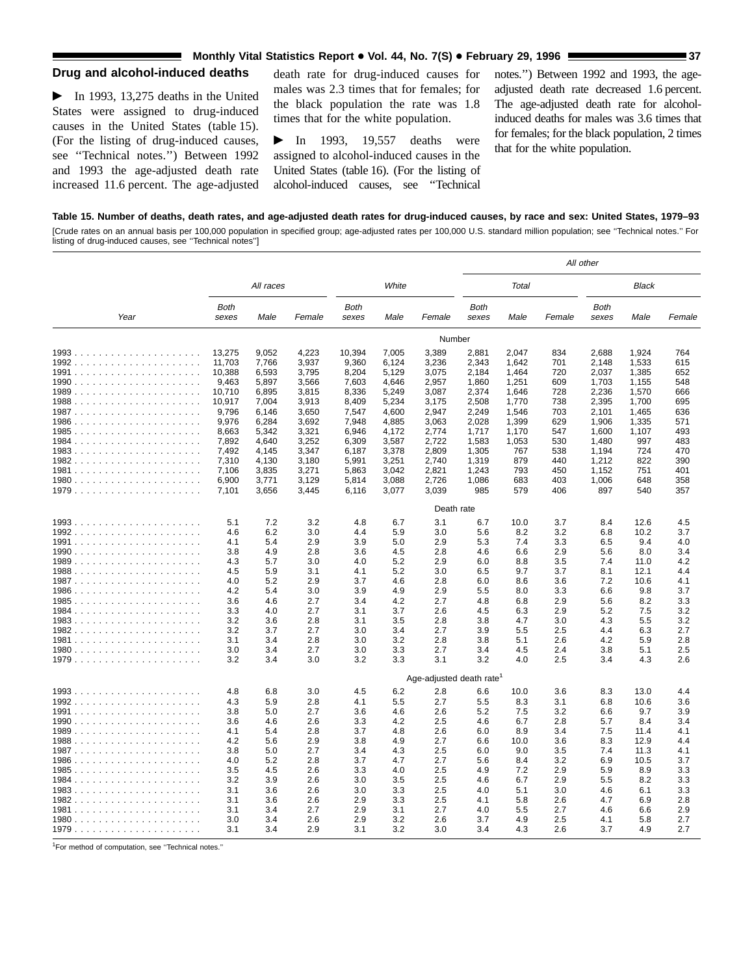### **Monthly Vital Statistics Report • Vol. 44, No. 7(S) • February 29, 1996 <b>37 37**

### **Drug and alcohol-induced deaths**

 $\blacktriangleright$  In 1993, 13,275 deaths in the United States were assigned to drug-induced causes in the United States (table 15). (For the listing of drug-induced causes, see ''Technical notes.'') Between 1992 and 1993 the age-adjusted death rate increased 11.6 percent. The age-adjusted

death rate for drug-induced causes for males was 2.3 times that for females; for the black population the rate was 1.8 times that for the white population.

 $\blacktriangleright$  In 1993, 19,557 deaths were assigned to alcohol-induced causes in the United States (table 16). (For the listing of alcohol-induced causes, see ''Technical

notes.'') Between 1992 and 1993, the ageadjusted death rate decreased 1.6 percent. The age-adjusted death rate for alcoholinduced deaths for males was 3.6 times that for females; for the black population, 2 times that for the white population.

## **Table 15. Number of deaths, death rates, and age-adjusted death rates for drug-induced causes, by race and sex: United States, 1979–93** [Crude rates on an annual basis per 100,000 population in specified group; age-adjusted rates per 100,000 U.S. standard million population; see ''Technical notes.'' For

listing of drug-induced causes, see ''Technical notes'']

|      |                      |           |        |                      |       |                                      | All other     |       |        |               |       |        |
|------|----------------------|-----------|--------|----------------------|-------|--------------------------------------|---------------|-------|--------|---------------|-------|--------|
|      |                      | All races |        |                      | White |                                      |               | Total |        |               | Black |        |
| Year | <b>Both</b><br>sexes | Male      | Female | <b>Both</b><br>sexes | Male  | Female                               | Both<br>sexes | Male  | Female | Both<br>sexes | Male  | Female |
|      |                      |           |        |                      |       | Number                               |               |       |        |               |       |        |
|      | 13,275               | 9,052     | 4,223  | 10,394               | 7,005 | 3,389                                | 2,881         | 2,047 | 834    | 2,688         | 1,924 | 764    |
|      | 11,703               | 7,766     | 3,937  | 9,360                | 6,124 | 3,236                                | 2,343         | 1,642 | 701    | 2,148         | 1,533 | 615    |
|      | 10,388               | 6,593     | 3,795  | 8,204                | 5,129 | 3,075                                | 2,184         | 1,464 | 720    | 2,037         | 1,385 | 652    |
|      | 9,463                | 5,897     | 3,566  | 7,603                | 4,646 | 2,957                                | 1,860         | 1,251 | 609    | 1,703         | 1,155 | 548    |
|      | 10.710               | 6.895     | 3.815  | 8,336                | 5,249 | 3,087                                | 2,374         | 1.646 | 728    | 2,236         | 1,570 | 666    |
|      | 10,917               | 7,004     | 3,913  | 8,409                | 5,234 | 3,175                                | 2,508         | 1,770 | 738    | 2,395         | 1,700 | 695    |
|      | 9,796                | 6,146     | 3,650  | 7,547                | 4,600 | 2,947                                | 2,249         | 1,546 | 703    | 2,101         | 1,465 | 636    |
|      | 9,976                | 6,284     | 3,692  | 7,948                | 4,885 | 3,063                                | 2,028         | 1,399 | 629    | 1,906         | 1,335 | 571    |
|      | 8,663                | 5,342     | 3,321  | 6,946                | 4,172 | 2,774                                | 1,717         | 1,170 | 547    | 1,600         | 1,107 | 493    |
|      | 7,892                | 4,640     | 3,252  | 6,309                | 3,587 | 2,722                                | 1,583         | 1,053 | 530    | 1,480         | 997   | 483    |
|      | 7,492                | 4,145     | 3,347  | 6,187                | 3,378 | 2,809                                | 1,305         | 767   | 538    | 1,194         | 724   | 470    |
|      | 7,310                | 4,130     | 3,180  | 5,991                | 3,251 | 2,740                                | 1,319         | 879   | 440    | 1,212         | 822   | 390    |
|      | 7,106                | 3,835     | 3,271  | 5,863                | 3,042 | 2,821                                | 1,243         | 793   | 450    | 1,152         | 751   | 401    |
|      | 6,900                | 3,771     | 3,129  | 5,814                | 3,088 | 2,726                                | 1,086         | 683   | 403    | 1,006         | 648   | 358    |
|      | 7,101                | 3,656     | 3,445  | 6,116                | 3,077 | 3,039                                | 985           | 579   | 406    | 897           | 540   | 357    |
|      |                      |           |        |                      |       | Death rate                           |               |       |        |               |       |        |
|      | 5.1                  | 7.2       | 3.2    | 4.8                  | 6.7   | 3.1                                  | 6.7           | 10.0  | 3.7    | 8.4           | 12.6  | 4.5    |
|      | 4.6                  | 6.2       | 3.0    | 4.4                  | 5.9   | 3.0                                  | 5.6           | 8.2   | 3.2    | 6.8           | 10.2  | 3.7    |
|      | 4.1                  | 5.4       | 2.9    | 3.9                  | 5.0   | 2.9                                  | 5.3           | 7.4   | 3.3    | 6.5           | 9.4   | 4.0    |
|      | 3.8                  | 4.9       | 2.8    | 3.6                  | 4.5   | 2.8                                  | 4.6           | 6.6   | 2.9    | 5.6           | 8.0   | 3.4    |
|      | 4.3                  | 5.7       | 3.0    | 4.0                  | 5.2   | 2.9                                  | 6.0           | 8.8   | 3.5    | 7.4           | 11.0  | 4.2    |
|      | 4.5                  | 5.9       | 3.1    | 4.1                  | 5.2   | 3.0                                  | 6.5           | 9.7   | 3.7    | 8.1           | 12.1  | 4.4    |
|      | 4.0                  | 5.2       | 2.9    | 3.7                  | 4.6   | 2.8                                  | 6.0           | 8.6   | 3.6    | 7.2           | 10.6  | 4.1    |
|      | 4.2                  | 5.4       | 3.0    | 3.9                  | 4.9   | 2.9                                  | 5.5           | 8.0   | 3.3    | 6.6           | 9.8   | 3.7    |
|      | 3.6                  | 4.6       | 2.7    | 3.4                  | 4.2   | 2.7                                  | 4.8           | 6.8   | 2.9    | 5.6           | 8.2   | 3.3    |
|      | 3.3                  | 4.0       | 2.7    | 3.1                  | 3.7   | 2.6                                  | 4.5           | 6.3   | 2.9    | 5.2           | 7.5   | 3.2    |
|      | 3.2                  | 3.6       | 2.8    | 3.1                  | 3.5   | 2.8                                  | 3.8           | 4.7   | 3.0    | 4.3           | 5.5   | 3.2    |
|      | 3.2                  | 3.7       | 2.7    | 3.0                  | 3.4   | 2.7                                  | 3.9           | 5.5   | 2.5    | 4.4           | 6.3   | 2.7    |
|      | 3.1                  | 3.4       | 2.8    | 3.0                  | 3.2   | 2.8                                  | 3.8           | 5.1   | 2.6    | 4.2           | 5.9   | 2.8    |
|      | 3.0                  | 3.4       | 2.7    | 3.0                  | 3.3   | 2.7                                  | 3.4           | 4.5   | 2.4    | 3.8           | 5.1   | 2.5    |
|      | 3.2                  | 3.4       | 3.0    | 3.2                  | 3.3   | 3.1                                  | 3.2           | 4.0   | 2.5    | 3.4           | 4.3   | 2.6    |
|      |                      |           |        |                      |       | Age-adjusted death rate <sup>1</sup> |               |       |        |               |       |        |
|      | 4.8                  | 6.8       | 3.0    | 4.5                  | 6.2   | 2.8                                  | 6.6           | 10.0  | 3.6    | 8.3           | 13.0  | 4.4    |
|      | 4.3                  | 5.9       | 2.8    | 4.1                  | 5.5   | 2.7                                  | 5.5           | 8.3   | 3.1    | 6.8           | 10.6  | 3.6    |
|      | 3.8                  | 5.0       | 2.7    | 3.6                  | 4.6   | 2.6                                  | 5.2           | 7.5   | 3.2    | 6.6           | 9.7   | 3.9    |
|      | 3.6                  | 4.6       | 2.6    | 3.3                  | 4.2   | 2.5                                  | 4.6           | 6.7   | 2.8    | 5.7           | 8.4   | 3.4    |
|      | 4.1                  | 5.4       | 2.8    | 3.7                  | 4.8   | 2.6                                  | 6.0           | 8.9   | 3.4    | 7.5           | 11.4  | 4.1    |
|      | 4.2                  | 5.6       | 2.9    | 3.8                  | 4.9   | 2.7                                  | 6.6           | 10.0  | 3.6    | 8.3           | 12.9  | 4.4    |
|      | 3.8                  | 5.0       | 2.7    | 3.4                  | 4.3   | 2.5                                  | 6.0           | 9.0   | 3.5    | 7.4           | 11.3  | 4.1    |
|      | 4.0                  | 5.2       | 2.8    | 3.7                  | 4.7   | 2.7                                  | 5.6           | 8.4   | 3.2    | 6.9           | 10.5  | 3.7    |
|      | 3.5                  | 4.5       | 2.6    | 3.3                  | 4.0   | 2.5                                  | 4.9           | 7.2   | 2.9    | 5.9           | 8.9   | 3.3    |
|      | 3.2                  | 3.9       | 2.6    | 3.0                  | 3.5   | 2.5                                  | 4.6           | 6.7   | 2.9    | 5.5           | 8.2   | 3.3    |
|      | 3.1                  | 3.6       | 2.6    | 3.0                  | 3.3   | 2.5                                  | 4.0           | 5.1   | 3.0    | 4.6           | 6.1   | 3.3    |
|      | 3.1                  | 3.6       | 2.6    | 2.9                  | 3.3   | 2.5                                  | 4.1           | 5.8   | 2.6    | 4.7           | 6.9   | 2.8    |
|      | 3.1                  | 3.4       | 2.7    | 2.9                  | 3.1   | 2.7                                  | 4.0           | 5.5   | 2.7    | 4.6           | 6.6   | 2.9    |
|      | 3.0                  | 3.4       | 2.6    | 2.9                  | 3.2   | 2.6                                  | 3.7           | 4.9   | 2.5    | 4.1           | 5.8   | 2.7    |
|      | 3.1                  | 3.4       | 2.9    | 3.1                  | 3.2   | 3.0                                  | 3.4           | 4.3   | 2.6    | 3.7           | 4.9   | 2.7    |

1For method of computation, see ''Technical notes.''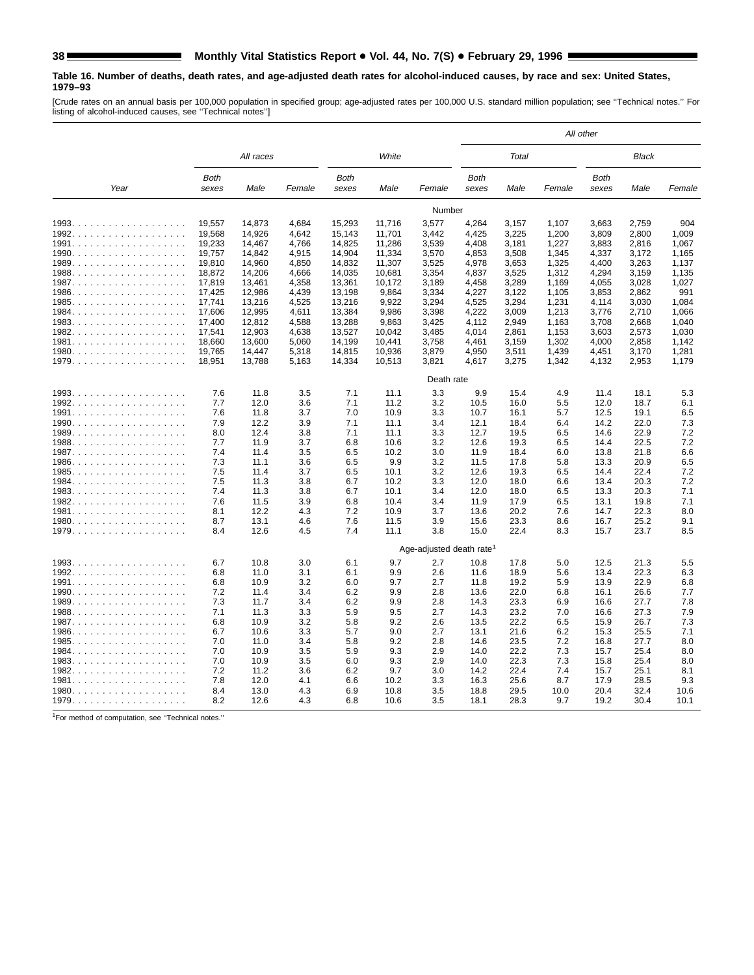#### **Table 16. Number of deaths, death rates, and age-adjusted death rates for alcohol-induced causes, by race and sex: United States, 1979–93**

[Crude rates on an annual basis per 100,000 population in specified group; age-adjusted rates per 100,000 U.S. standard million population; see ''Technical notes.'' For listing of alcohol-induced causes, see ''Technical notes'']

|       |               |              |        |                      |            |                                      | All other            |       |        |                      |       |        |
|-------|---------------|--------------|--------|----------------------|------------|--------------------------------------|----------------------|-------|--------|----------------------|-------|--------|
|       |               | All races    |        |                      | White      |                                      |                      | Total |        |                      | Black |        |
| Year  | Both<br>sexes | Male         | Female | <b>Both</b><br>sexes | Male       | Female                               | <b>Both</b><br>sexes | Male  | Female | <b>Both</b><br>sexes | Male  | Female |
|       |               |              |        |                      |            | Number                               |                      |       |        |                      |       |        |
|       | 19,557        | 14,873       | 4,684  | 15,293               | 11,716     | 3,577                                | 4,264                | 3,157 | 1,107  | 3,663                | 2,759 | 904    |
|       | 19,568        | 14,926       | 4,642  | 15,143               | 11,701     | 3,442                                | 4,425                | 3,225 | 1,200  | 3,809                | 2,800 | 1,009  |
|       | 19,233        | 14,467       | 4,766  | 14,825               | 11,286     | 3,539                                | 4,408                | 3,181 | 1,227  | 3,883                | 2,816 | 1,067  |
|       | 19,757        | 14,842       | 4,915  | 14,904               | 11,334     | 3,570                                | 4,853                | 3,508 | 1,345  | 4,337                | 3,172 | 1,165  |
|       | 19,810        | 14,960       | 4,850  | 14,832               | 11,307     | 3,525                                | 4,978                | 3,653 | 1,325  | 4,400                | 3,263 | 1,137  |
|       | 18,872        | 14,206       | 4,666  | 14,035               | 10,681     | 3,354                                | 4,837                | 3,525 | 1,312  | 4,294                | 3,159 | 1,135  |
| 1987. | 17,819        | 13,461       | 4,358  | 13,361               | 10,172     | 3,189                                | 4,458                | 3,289 | 1,169  | 4,055                | 3,028 | 1,027  |
| 1986. | 17,425        | 12,986       | 4,439  | 13,198               | 9,864      | 3,334                                | 4,227                | 3,122 | 1,105  | 3,853                | 2,862 | 991    |
| 1985. | 17.741        | 13,216       | 4,525  | 13,216               | 9,922      | 3,294                                | 4,525                | 3,294 | 1,231  | 4,114                | 3,030 | 1.084  |
| 1984. | 17,606        | 12,995       | 4,611  | 13,384               | 9,986      | 3,398                                | 4,222                | 3,009 | 1,213  | 3,776                | 2,710 | 1.066  |
| 1983. | 17,400        | 12,812       | 4,588  | 13,288               | 9,863      | 3,425                                | 4.112                | 2,949 | 1,163  | 3,708                | 2,668 | 1.040  |
| 1982. | 17,541        | 12,903       | 4,638  | 13,527               | 10,042     | 3,485                                | 4,014                | 2,861 | 1,153  | 3,603                | 2,573 | 1,030  |
| 1981. | 18,660        | 13,600       | 5,060  | 14,199               | 10,441     | 3,758                                | 4,461                | 3,159 | 1,302  | 4,000                | 2,858 | 1,142  |
| 1980. | 19,765        | 14,447       | 5,318  | 14,815               | 10,936     | 3,879                                | 4,950                | 3,511 | 1,439  | 4,451                | 3,170 | 1,281  |
|       | 18,951        | 13,788       | 5,163  | 14,334               | 10,513     | 3,821                                | 4,617                | 3,275 | 1,342  | 4,132                | 2,953 | 1,179  |
|       |               |              |        |                      |            |                                      |                      |       |        |                      |       |        |
|       |               |              |        |                      |            | Death rate                           |                      |       |        |                      |       |        |
|       | 7.6           | 11.8         | 3.5    | 7.1                  | 11.1       | 3.3                                  | 9.9                  | 15.4  | 4.9    | 11.4                 | 18.1  | 5.3    |
|       | 7.7           | 12.0         | 3.6    | 7.1                  | 11.2       | 3.2                                  | 10.5                 | 16.0  | 5.5    | 12.0                 | 18.7  | 6.1    |
|       | 7.6           | 11.8         | 3.7    | 7.0                  | 10.9       | 3.3                                  | 10.7                 | 16.1  | 5.7    | 12.5                 | 19.1  | 6.5    |
|       | 7.9           | 12.2         | 3.9    | 7.1                  | 11.1       | 3.4                                  | 12.1                 | 18.4  | 6.4    | 14.2                 | 22.0  | 7.3    |
|       | 8.0           | 12.4         | 3.8    | 7.1                  | 11.1       | 3.3                                  | 12.7                 | 19.5  | 6.5    | 14.6                 | 22.9  | 7.2    |
|       | 7.7           | 11.9         | 3.7    | 6.8                  | 10.6       | 3.2                                  | 12.6                 | 19.3  | 6.5    | 14.4                 | 22.5  | 7.2    |
| 1987. | 7.4           | 11.4         | 3.5    | 6.5                  | 10.2       | 3.0                                  | 11.9                 | 18.4  | 6.0    | 13.8                 | 21.8  | 6.6    |
| 1986. | 7.3           | 11.1         | 3.6    | 6.5                  | 9.9        | 3.2                                  | 11.5                 | 17.8  | 5.8    | 13.3                 | 20.9  | 6.5    |
| 1985. | 7.5           | 11.4         | 3.7    | 6.5                  | 10.1       | 3.2                                  | 12.6                 | 19.3  | 6.5    | 14.4                 | 22.4  | 7.2    |
| 1984. | 7.5           | 11.3         | 3.8    | 6.7                  | 10.2       | 3.3                                  | 12.0                 | 18.0  | 6.6    | 13.4                 | 20.3  | 7.2    |
| 1983. | 7.4           | 11.3         | 3.8    | 6.7                  | 10.1       | 3.4                                  | 12.0                 | 18.0  | 6.5    | 13.3                 | 20.3  | 7.1    |
| 1982. | 7.6           | 11.5         | 3.9    | 6.8                  | 10.4       | 3.4                                  | 11.9                 | 17.9  | 6.5    | 13.1                 | 19.8  | 7.1    |
| 1981. | 8.1           | 12.2         | 4.3    | 7.2                  | 10.9       | 3.7                                  | 13.6                 | 20.2  | 7.6    | 14.7                 | 22.3  | 8.0    |
| 1980. | 8.7           | 13.1         | 4.6    | 7.6                  | 11.5       | 3.9                                  | 15.6                 | 23.3  | 8.6    | 16.7                 | 25.2  | 9.1    |
|       | 8.4           | 12.6         | 4.5    | 7.4                  | 11.1       | 3.8                                  | 15.0                 | 22.4  | 8.3    | 15.7                 | 23.7  | 8.5    |
|       |               |              |        |                      |            | Age-adjusted death rate <sup>1</sup> |                      |       |        |                      |       |        |
|       | 6.7           | 10.8         | 3.0    | 6.1                  | 9.7        | 2.7                                  | 10.8                 | 17.8  | 5.0    | 12.5                 | 21.3  | 5.5    |
|       | 6.8           |              | 3.1    |                      | 9.9        | 2.6                                  |                      | 18.9  | 5.6    |                      | 22.3  | 6.3    |
|       | 6.8           | 11.0<br>10.9 | 3.2    | 6.1<br>6.0           | 9.7        | 2.7                                  | 11.6<br>11.8         | 19.2  | 5.9    | 13.4<br>13.9         | 22.9  | 6.8    |
|       | 7.2           | 11.4         | 3.4    | 6.2                  | 9.9        | 2.8                                  | 13.6                 | 22.0  | 6.8    | 16.1                 | 26.6  | 7.7    |
|       |               |              |        |                      |            |                                      |                      |       |        |                      |       |        |
|       | 7.3           | 11.7         | 3.4    | 6.2                  | 9.9        | 2.8                                  | 14.3                 | 23.3  | 6.9    | 16.6                 | 27.7  | 7.8    |
|       | 7.1           | 11.3         | 3.3    | 5.9                  | 9.5<br>9.2 | 2.7                                  | 14.3                 | 23.2  | 7.0    | 16.6                 | 27.3  | 7.9    |
| 1987. | 6.8           | 10.9         | 3.2    | 5.8                  |            | 2.6                                  | 13.5                 | 22.2  | 6.5    | 15.9                 | 26.7  | 7.3    |
| 1986. | 6.7           | 10.6         | 3.3    | 5.7                  | 9.0        | 2.7                                  | 13.1                 | 21.6  | 6.2    | 15.3                 | 25.5  | 7.1    |
| 1985. | 7.0           | 11.0         | 3.4    | 5.8                  | 9.2        | 2.8                                  | 14.6                 | 23.5  | 7.2    | 16.8                 | 27.7  | 8.0    |
| 1984. | 7.0           | 10.9         | 3.5    | 5.9                  | 9.3        | 2.9                                  | 14.0                 | 22.2  | 7.3    | 15.7                 | 25.4  | 8.0    |
| 1983. | 7.0           | 10.9         | 3.5    | 6.0                  | 9.3        | 2.9                                  | 14.0                 | 22.3  | 7.3    | 15.8                 | 25.4  | 8.0    |
| 1982. | 7.2           | 11.2         | 3.6    | 6.2                  | 9.7        | 3.0                                  | 14.2                 | 22.4  | 7.4    | 15.7                 | 25.1  | 8.1    |
| 1981. | 7.8           | 12.0         | 4.1    | 6.6                  | 10.2       | 3.3                                  | 16.3                 | 25.6  | 8.7    | 17.9                 | 28.5  | 9.3    |
|       | 8.4           | 13.0         | 4.3    | 6.9                  | 10.8       | 3.5                                  | 18.8                 | 29.5  | 10.0   | 20.4                 | 32.4  | 10.6   |
| 1979. | 8.2           | 12.6         | 4.3    | 6.8                  | 10.6       | 3.5                                  | 18.1                 | 28.3  | 9.7    | 19.2                 | 30.4  | 10.1   |

1For method of computation, see ''Technical notes.''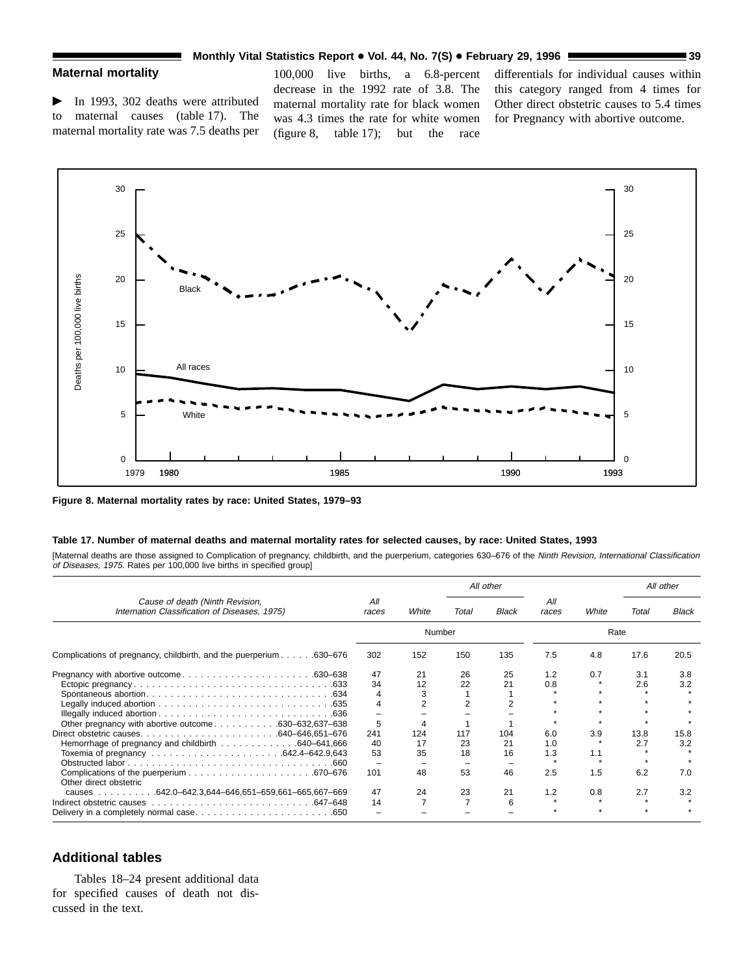## **Monthly Vital Statistics Report • Vol. 44, No. 7(S) • February 29, 1996 <b>39 39 39**

## **Maternal mortality**

 $\blacktriangleright$  In 1993, 302 deaths were attributed to maternal causes (table 17). The maternal mortality rate was 7.5 deaths per

100,000 live births, a 6.8-percent decrease in the 1992 rate of 3.8. The maternal mortality rate for black women was 4.3 times the rate for white women (figure 8, table 17); but the race

differentials for individual causes within this category ranged from 4 times for Other direct obstetric causes to 5.4 times for Pregnancy with abortive outcome.



**Figure 8. Maternal mortality rates by race: United States, 1979–93**

### **Table 17. Number of maternal deaths and maternal mortality rates for selected causes, by race: United States, 1993**

[Maternal deaths are those assigned to Complication of pregnancy, childbirth, and the puerperium, categories 630-676 of the Ninth Revision, International Classification of Diseases, 1975. Rates per 100,000 live births in specified group]

|                                                                                  |              |                |       | All other    |              |       |       | All other |
|----------------------------------------------------------------------------------|--------------|----------------|-------|--------------|--------------|-------|-------|-----------|
| Cause of death (Ninth Revision,<br>Internation Classification of Diseases, 1975) | All<br>races | White          | Total | <b>Black</b> | All<br>races | White | Total | Black     |
|                                                                                  |              | Number         |       |              |              | Rate  |       |           |
| Complications of pregnancy, childbirth, and the puerperium 630–676               | 302          | 152            | 150   | 135          | 7.5          | 4.8   | 17.6  | 20.5      |
|                                                                                  | 47           | 21             | 26    | 25           | 1.2          | 0.7   | 3.1   | 3.8       |
|                                                                                  | 34           | 12             | 22    | 21           | 0.8          |       | 2.6   | 3.2       |
|                                                                                  |              | 3              |       |              |              |       |       |           |
|                                                                                  |              | $\overline{2}$ |       |              |              |       |       |           |
|                                                                                  |              |                |       |              |              |       |       |           |
| Other pregnancy with abortive outcome630–632,637–638                             | 5            |                |       |              |              |       |       |           |
|                                                                                  | 241          | 124            | 117   | 104          | 6.0          | 3.9   | 13.8  | 15.8      |
| Hemorrhage of pregnancy and childbirth 640–641,666                               | 40           | 17             | 23    | 21           | 1.0          |       | 2.7   | 3.2       |
|                                                                                  | 53           | 35             | 18    | 16           | 1.3          | 1.1   |       |           |
|                                                                                  |              |                |       |              |              |       |       |           |
| Other direct obstetric                                                           | 101          | 48             | 53    | 46           | 2.5          | 1.5   | 6.2   | 7.0       |
| causes 642.0-642.3,644-646,651-659,661-665,667-669                               | 47           | 24             | 23    | 21           | 1.2          | 0.8   | 2.7   | 3.2       |
|                                                                                  | 14           |                |       | 6            |              |       |       |           |
|                                                                                  |              |                |       |              |              |       |       |           |

### **Additional tables**

Tables 18–24 present additional data for specified causes of death not discussed in the text.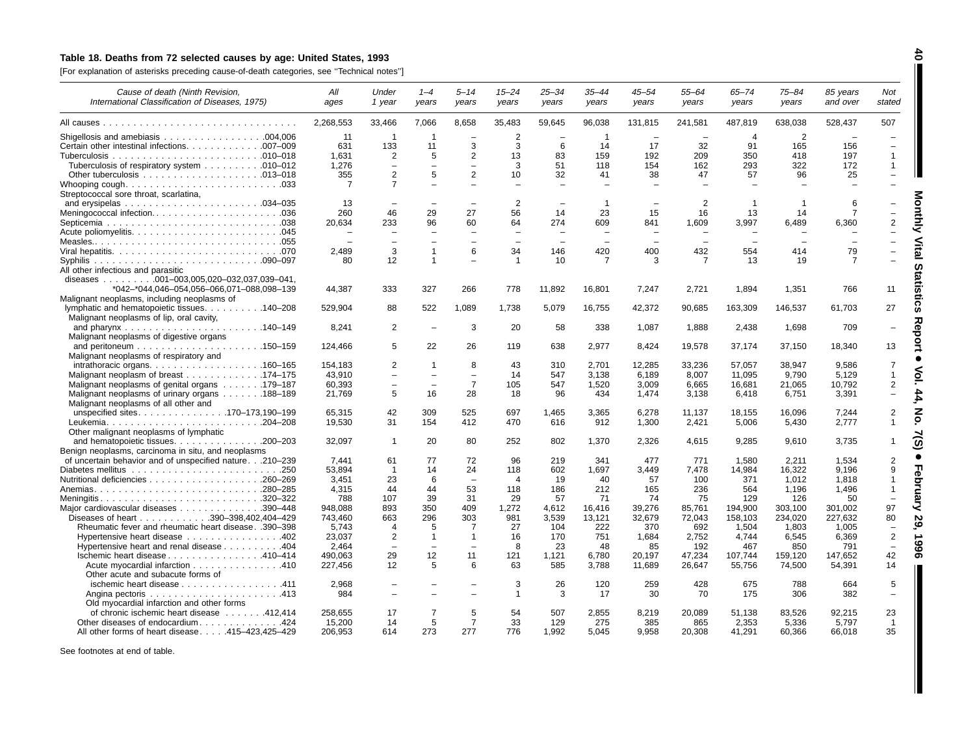## Table 18. Deaths from 72 selected causes by age: United States, 1993

[For explanation of asterisks preceding cause-of-death categories, see ''Technical notes'']

| Cause of death (Ninth Revision,<br>International Classification of Diseases, 1975)          | All<br>ages      | Under<br>1 year                            | $1 - 4$<br>years                         | 5–14<br>years            | 15–24<br>years           | 25–34<br>years           | 35–44<br>years           | 45–54<br>years           | 55–64<br>years           | 65-74<br>years | 75–84<br>years           | 85 years<br>and over | Not<br>stated                                                          |
|---------------------------------------------------------------------------------------------|------------------|--------------------------------------------|------------------------------------------|--------------------------|--------------------------|--------------------------|--------------------------|--------------------------|--------------------------|----------------|--------------------------|----------------------|------------------------------------------------------------------------|
|                                                                                             | 2,268,553        | 33,466                                     | 7,066                                    | 8,658                    | 35,483                   | 59,645                   | 96,038                   | 131,815                  | 241,581                  | 487,819        | 638,038                  | 528,437              | 507                                                                    |
|                                                                                             | 11               | -1                                         | $\overline{1}$                           |                          | $\overline{2}$           |                          | $\overline{1}$           |                          |                          | $\overline{4}$ | 2                        |                      |                                                                        |
| Certain other intestinal infections. 007-009                                                | 631              | 133                                        | 11                                       | 3                        | 3                        | 6                        | 14                       | 17                       | 32                       | 91             | 165                      | 156                  | $\equiv$                                                               |
|                                                                                             | 1,631            | $\overline{2}$                             | 5                                        | 2                        | 13                       | 83                       | 159                      | 192                      | 209                      | 350            | 418                      | 197                  | $\mathbf{1}$                                                           |
| Tuberculosis of respiratory system 010–012                                                  | 1,276            | $\overline{\phantom{0}}$                   | $\equiv$                                 | $\equiv$                 | 3                        | 51                       | 118                      | 154                      | 162                      | 293            | 322                      | 172                  | $\mathbf{1}$                                                           |
|                                                                                             | 355              | 2                                          | 5                                        | $\overline{2}$           | 10                       | 32                       | 41                       | 38                       | 47                       | 57             | 96                       | 25                   | $\qquad \qquad -$                                                      |
|                                                                                             | $\overline{7}$   | $\overline{7}$                             |                                          |                          |                          |                          |                          |                          |                          |                |                          |                      |                                                                        |
| Streptococcal sore throat, scarlatina,                                                      |                  |                                            |                                          |                          |                          |                          |                          |                          |                          |                |                          |                      |                                                                        |
|                                                                                             | 13               |                                            |                                          |                          | $\overline{2}$           |                          | $\overline{1}$           |                          | 2                        | $\overline{1}$ | $\overline{1}$           | 6                    |                                                                        |
| Meningococcal infection036                                                                  | 260              | 46                                         | 29                                       | 27                       | 56                       | 14                       | 23                       | 15                       | 16                       | 13             | 14                       |                      |                                                                        |
|                                                                                             | 20,634           | 233                                        | 96                                       | 60                       | 64                       | 274                      | 609                      | 841                      | 1,609                    | 3,997          | 6,489                    | 6,360                | $\overline{2}$                                                         |
|                                                                                             |                  | $\equiv$                                   |                                          | $\equiv$                 |                          | $\sim$                   | $\equiv$                 | $\overline{\phantom{a}}$ | $\equiv$                 | $\equiv$       |                          |                      |                                                                        |
|                                                                                             |                  |                                            | $\overline{\phantom{0}}$                 | $\overline{\phantom{0}}$ | $\overline{\phantom{0}}$ | $\overline{\phantom{0}}$ | $\overline{\phantom{0}}$ | $\overline{\phantom{a}}$ | $\overline{\phantom{a}}$ |                | $\overline{\phantom{m}}$ |                      |                                                                        |
|                                                                                             | 2.489            | 3                                          | $\mathbf{1}$                             | 6                        | 34                       | 146                      | 420                      | 400                      | 432                      | 554            | 414                      | 79                   |                                                                        |
|                                                                                             | 80               | 12                                         | $\mathbf{1}$                             |                          | -1                       | 10                       | $\overline{7}$           | 3                        | $\overline{7}$           | 13             | 19                       | 7                    |                                                                        |
| All other infectious and parasitic                                                          |                  |                                            |                                          |                          |                          |                          |                          |                          |                          |                |                          |                      |                                                                        |
| diseases 001-003,005,020-032,037,039-041,                                                   |                  |                                            |                                          |                          |                          |                          |                          |                          |                          |                |                          |                      |                                                                        |
| *042-*044,046-054,056-066,071-088,098-139                                                   | 44,387           | 333                                        | 327                                      | 266                      | 778                      | 11,892                   | 16,801                   | 7,247                    | 2,721                    | 1,894          | 1,351                    | 766                  | 11                                                                     |
| Malignant neoplasms, including neoplasms of<br>lymphatic and hematopoietic tissues. 140–208 | 529,904          | 88                                         | 522                                      | 1,089                    | 1,738                    | 5,079                    | 16,755                   | 42,372                   | 90,685                   | 163,309        | 146,537                  | 61,703               | 27                                                                     |
| Malignant neoplasms of lip, oral cavity,                                                    |                  |                                            |                                          |                          |                          |                          |                          |                          |                          |                |                          |                      |                                                                        |
|                                                                                             | 8,241            | $\overline{2}$                             | $\overline{\phantom{m}}$                 | 3                        | 20                       | 58                       | 338                      | 1,087                    | 1,888                    | 2,438          | 1.698                    | 709                  | 刀<br>$\overline{\phantom{0}}$                                          |
| Malignant neoplasms of digestive organs                                                     |                  |                                            |                                          |                          |                          |                          |                          |                          |                          |                |                          |                      |                                                                        |
|                                                                                             | 124,466          | 5                                          | 22                                       | 26                       | 119                      | 638                      | 2,977                    | 8,424                    | 19,578                   | 37,174         | 37,150                   | 18,340               | 13                                                                     |
| Malignant neoplasms of respiratory and                                                      |                  |                                            |                                          |                          |                          |                          |                          |                          |                          |                |                          |                      |                                                                        |
| intrathoracic organs. $\ldots$ 160–165                                                      | 154,183          | $\overline{2}$                             | $\mathbf{1}$                             | 8                        | 43                       | 310                      | 2,701                    | 12,285                   | 33,236                   | 57,057         | 38,947                   | 9,586                | $\overline{7}$                                                         |
| Malignant neoplasm of breast 174–175                                                        | 43,910           | $\overline{\phantom{a}}$                   | $\overline{\phantom{0}}$                 | $\overline{\phantom{0}}$ | 14                       | 547                      | 3,138                    | 6,189                    | 8,007                    | 11,095         | 9,790                    | 5,129                | $\mathbf{1}$                                                           |
| Malignant neoplasms of genital organs 179–187                                               | 60,393           | $\overline{\phantom{0}}$                   | $\overline{\phantom{0}}$                 | $\overline{7}$           | 105                      | 547                      | 1,520                    | 3,009                    | 6,665                    | 16,681         | 21,065                   | 10,792               | 2                                                                      |
| Malignant neoplasms of urinary organs 188–189                                               | 21,769           | 5                                          | 16                                       | 28                       | 18                       | 96                       | 434                      | 1,474                    | 3,138                    | 6,418          | 6,751                    | 3,391                | $\equiv$                                                               |
| Malignant neoplasms of all other and                                                        |                  |                                            |                                          |                          |                          |                          |                          |                          |                          |                |                          |                      |                                                                        |
| unspecified sites170–173,190–199                                                            | 65.315           | 42                                         | 309                                      | 525                      | 697                      | 1.465                    | 3.365                    | 6.278                    | 11.137                   | 18,155         | 16.096                   | 7.244                | $\overline{2}$                                                         |
|                                                                                             | 19.530           | 31                                         | 154                                      | 412                      | 470                      | 616                      | 912                      | 1.300                    | 2,421                    | 5.006          | 5.430                    | 2.777                | $\mathbf{1}$                                                           |
| Other malignant neoplasms of lymphatic                                                      |                  |                                            |                                          |                          |                          |                          |                          |                          |                          |                |                          |                      |                                                                        |
| and hematopoietic tissues. $\ldots$ . 200–203                                               | 32,097           | $\mathbf{1}$                               | 20                                       | 80                       | 252                      | 802                      | 1,370                    | 2,326                    | 4,615                    | 9,285          | 9,610                    | 3,735                | ົດ<br>1                                                                |
| Benign neoplasms, carcinoma in situ, and neoplasms                                          |                  |                                            |                                          |                          |                          |                          |                          |                          |                          |                |                          |                      |                                                                        |
| of uncertain behavior and of unspecified nature.210-239                                     | 7.441            | 61                                         | 77                                       | 72                       | 96                       | 219                      | 341                      | 477                      | 771                      | 1,580          | 2,211                    | 1,534                | $\overline{2}$                                                         |
|                                                                                             | 53.894           | $\overline{1}$                             | 14                                       | 24                       | 118                      | 602                      | 1,697                    | 3.449                    | 7,478                    | 14,984         | 16.322                   | 9.196                | 9                                                                      |
|                                                                                             | 3.451            | 23                                         | 6                                        | $\overline{\phantom{a}}$ | $\overline{4}$           | 19                       | 40                       | 57                       | 100                      | 371            | 1,012                    | 1,818                | $\overline{1}$<br>0                                                    |
| Anemias280-285                                                                              | 4.315            | 44                                         | 44                                       | 53                       | 118                      | 186                      | 212                      | 165                      | 236                      | 564            | 1.196                    | 1.496                | $\overline{1}$                                                         |
|                                                                                             | 788              | 107                                        | 39                                       | 31                       | 29                       | 57                       | 71                       | 74                       | 75                       | 129            | 126                      | 50                   | ⋜                                                                      |
| Major cardiovascular diseases 390–448                                                       | 948,088          | 893                                        | 350                                      | 409                      | 1,272                    | 4,612                    | 16.416                   | 39,276                   | 85,761                   | 194,900        | 303,100                  | 301,002              | 97                                                                     |
| Diseases of heart 390-398,402,404-429                                                       | 743,460          | 663                                        | 296                                      | 303                      | 981                      | 3,539                    | 13,121                   | 32,679                   | 72,043                   | 158,103        | 234,020                  | 227,632              | 80<br>N<br>ဖ                                                           |
| Rheumatic fever and rheumatic heart disease. .390-398                                       | 5,743            | $\overline{4}$                             | 5                                        | 7<br>-1                  | 27                       | 104                      | 222                      | 370                      | 692                      | 1,504          | 1,803                    | 1,005                | $\overline{\phantom{0}}$<br>$\overline{2}$<br>$\overline{\phantom{a}}$ |
| Hypertensive heart disease 402                                                              | 23,037           | $\overline{2}$<br>$\overline{\phantom{a}}$ | $\mathbf{1}$<br>$\overline{\phantom{0}}$ | $\overline{\phantom{a}}$ | 16                       | 170                      | 751                      | 1,684                    | 2,752                    | 4,744          | 6,545                    | 6,369<br>791         | ဖ<br>$\overline{\phantom{a}}$                                          |
| Hypertensive heart and renal disease 404                                                    | 2.464<br>490.063 | 29                                         | 12                                       | 11                       | 8<br>121                 | 23<br>1,121              | 48<br>6.780              | 85<br>20.197             | 192<br>47,234            | 467<br>107,744 | 850                      | 147.652              | 42<br>თ                                                                |
| lschemic heart disease 410-414<br>Acute myocardial infarction 410                           | 227.456          | 12                                         | 5                                        | 6                        | 63                       | 585                      | 3.788                    | 11.689                   | 26.647                   | 55.756         | 159,120<br>74,500        | 54.391               | 14                                                                     |
| Other acute and subacute forms of                                                           |                  |                                            |                                          |                          |                          |                          |                          |                          |                          |                |                          |                      |                                                                        |
| ischemic heart disease 411                                                                  | 2,968            |                                            |                                          |                          | 3                        | 26                       | 120                      | 259                      | 428                      | 675            | 788                      | 664                  | 5                                                                      |
|                                                                                             | 984              |                                            |                                          |                          | $\mathbf{1}$             | 3                        | 17                       | 30                       | 70                       | 175            | 306                      | 382                  | $\overline{\phantom{0}}$                                               |
| Old myocardial infarction and other forms                                                   |                  |                                            |                                          |                          |                          |                          |                          |                          |                          |                |                          |                      |                                                                        |
| of chronic ischemic heart disease 412,414                                                   | 258,655          | 17                                         | 7                                        | 5                        | 54                       | 507                      | 2,855                    | 8,219                    | 20,089                   | 51,138         | 83,526                   | 92,215               | 23                                                                     |
| Other diseases of endocardium424                                                            | 15,200           | 14                                         | 5                                        | $\overline{7}$           | 33                       | 129                      | 275                      | 385                      | 865                      | 2,353          | 5,336                    | 5.797                | $\overline{1}$                                                         |
| All other forms of heart disease415-423,425-429                                             | 206.953          | 614                                        | 273                                      | 277                      | 776                      | 1.992                    | 5.045                    | 9.958                    | 20,308                   | 41,291         | 60,366                   | 66.018               | 35                                                                     |

See footnotes at end of table.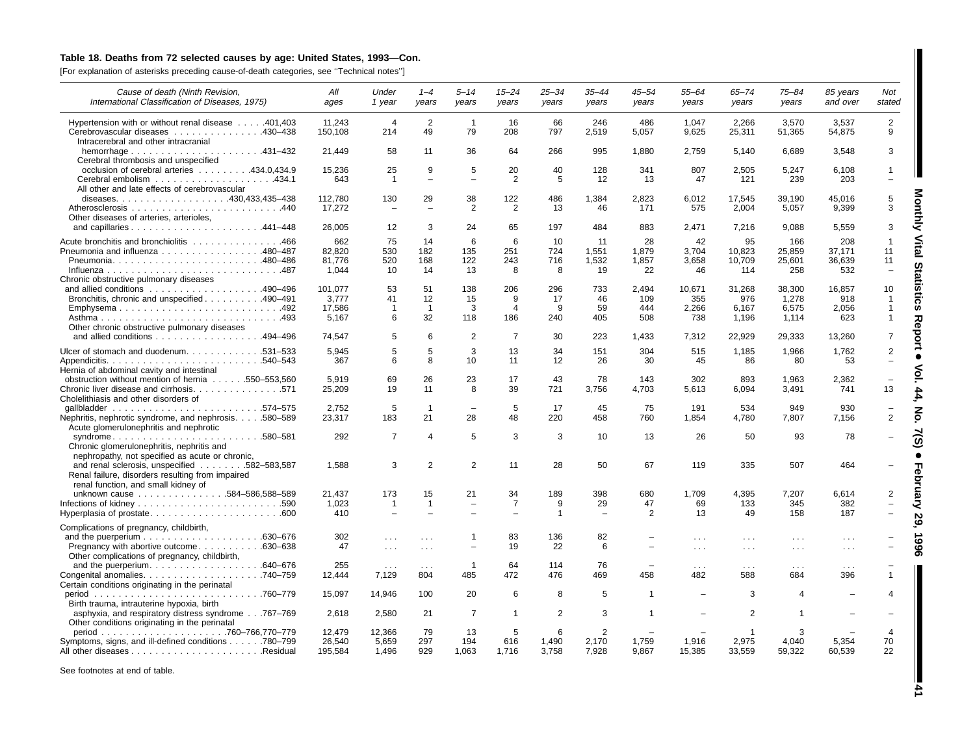## Table 18. Deaths from 72 selected causes by age: United States, 1993-Con.

[For explanation of asterisks preceding cause-of-death categories, see ''Technical notes'']

| Cause of death (Ninth Revision,                                                                                                         | All                              | Under                    | $1 - 4$                       | $5 - 14$                       | $15 - 24$                  | $25 - 34$             | $35 - 44$                        | $45 - 54$                  | $55 - 64$                  | $65 - 74$                     | $75 - 84$                      | 85 years                       | Not                                                       |
|-----------------------------------------------------------------------------------------------------------------------------------------|----------------------------------|--------------------------|-------------------------------|--------------------------------|----------------------------|-----------------------|----------------------------------|----------------------------|----------------------------|-------------------------------|--------------------------------|--------------------------------|-----------------------------------------------------------|
| International Classification of Diseases, 1975)                                                                                         | ages                             | 1 year                   | years                         | years                          | years                      | years                 | years                            | years                      | years                      | years                         | years                          | and over                       | stated                                                    |
| Hypertension with or without renal disease 401,403<br>Cerebrovascular diseases 430–438<br>Intracerebral and other intracranial          | 11.243<br>150.108                | $\overline{4}$<br>214    | 2<br>49                       | $\overline{1}$<br>79           | 16<br>208                  | 66<br>797             | 246<br>2,519                     | 486<br>5,057               | 1.047<br>9,625             | 2,266<br>25,311               | 3.570<br>51,365                | 3.537<br>54,875                | $\overline{2}$<br>9                                       |
| Cerebral thrombosis and unspecified                                                                                                     | 21,449                           | 58                       | 11                            | 36                             | 64                         | 266                   | 995                              | 1,880                      | 2,759                      | 5,140                         | 6,689                          | 3,548                          | 3                                                         |
| occlusion of cerebral arteries 434.0,434.9                                                                                              | 15.236<br>643                    | 25<br>$\overline{1}$     | 9<br>$\overline{\phantom{a}}$ | 5<br>$\overline{\phantom{0}}$  | 20<br>2                    | 40<br>5               | 128<br>12                        | 341<br>13                  | 807<br>47                  | 2,505<br>121                  | 5,247<br>239                   | 6.108<br>203                   | $\mathbf{1}$<br>$\overline{\phantom{0}}$                  |
| All other and late effects of cerebrovascular                                                                                           | 112,780                          | 130                      | 29                            | 38                             | 122                        | 486                   | 1,384                            | 2,823                      | 6,012                      | 17,545                        | 39,190                         | 45,016                         | 5                                                         |
| Other diseases of arteries, arterioles,                                                                                                 | 17.272                           | $\overline{\phantom{0}}$ | $\sim$                        | $\overline{2}$                 | 2                          | 13                    | 46                               | 171                        | 575                        | 2,004                         | 5,057                          | 9.399                          | 3                                                         |
|                                                                                                                                         | 26,005                           | 12                       | 3                             | 24                             | 65                         | 197                   | 484                              | 883                        | 2,471                      | 7,216                         | 9,088                          | 5,559                          | 3<br>⋜                                                    |
| Acute bronchitis and bronchiolitis 466<br>Pneumonia and influenza 480-487<br>Chronic obstructive pulmonary diseases                     | 662<br>82,820<br>81,776<br>1.044 | 75<br>530<br>520<br>10   | 14<br>182<br>168<br>14        | 6<br>135<br>122<br>13          | 6<br>251<br>243<br>8       | 10<br>724<br>716<br>8 | 11<br>1,551<br>1,532<br>19       | 28<br>1,879<br>1,857<br>22 | 42<br>3,704<br>3,658<br>46 | 95<br>10,823<br>10,709<br>114 | 166<br>25,859<br>25,601<br>258 | 208<br>37,171<br>36,639<br>532 | Vital<br>-1<br>11<br>11<br>m<br>$\overline{\phantom{0}}$  |
| and allied conditions $\ldots \ldots \ldots \ldots \ldots \ldots 490-496$                                                               | 101.077                          | 53                       | 51                            | 138                            | 206                        | 296                   | 733                              | 2.494                      | 10,671                     | 31,268                        | 38,300                         | 16.857                         | 듮<br>10                                                   |
| Bronchitis, chronic and unspecified 490–491<br>Emphysema492                                                                             | 3.777<br>17,586<br>5.167         | 41<br>$\mathbf 1$<br>6   | 12<br>$\overline{1}$<br>32    | 15<br>3<br>118                 | 9<br>$\overline{4}$<br>186 | 17<br>9<br>240        | 46<br>59<br>405                  | 109<br>444<br>508          | 355<br>2,266<br>738        | 976<br>6,167<br>1,196         | 1.278<br>6,575<br>1.114        | 918<br>2,056<br>623            | $\mathbf 1$<br>ក<br>$\mathbf{1}$<br>m<br>$\mathbf 1$<br>고 |
| Other chronic obstructive pulmonary diseases<br>and allied conditions 494–496                                                           | 74,547                           | 5                        | 6                             | $\overline{2}$                 | $\overline{7}$             | 30                    | 223                              | 1,433                      | 7,312                      | 22,929                        | 29,333                         | 13,260                         | Φ<br>ष्ठ<br>7                                             |
| Ulcer of stomach and duodenum. 531-533<br>Hernia of abdominal cavity and intestinal                                                     | 5.945<br>367                     | 5<br>6                   | 5<br>8                        | 3<br>10                        | 13<br>11                   | 34<br>12              | 151<br>26                        | 304<br>30                  | 515<br>45                  | 1,185<br>86                   | 1,966<br>80                    | 1,762<br>53                    | $\overline{2}$<br>÷,                                      |
| obstruction without mention of hernia 550–553,560<br>Chronic liver disease and cirrhosis. 571<br>Cholelithiasis and other disorders of  | 5,919<br>25.209                  | 69<br>19                 | 26<br>11                      | 23<br>8                        | 17<br>39                   | 43<br>721             | 78<br>3,756                      | 143<br>4,703               | 302<br>5.613               | 893<br>6.094                  | 1,963<br>3.491                 | 2,362<br>741                   | ÷,<br>13                                                  |
| Nephritis, nephrotic syndrome, and nephrosis. 580-589<br>Acute glomerulonephritis and nephrotic                                         | 2.752<br>23,317                  | 5<br>183                 | $\overline{1}$<br>21          | $\overline{\phantom{0}}$<br>28 | 5<br>48                    | 17<br>220             | 45<br>458                        | 75<br>760                  | 191<br>1,854               | 534<br>4,780                  | 949<br>7,807                   | 930<br>7,156                   | $\overline{2}$                                            |
| syndrome580-581<br>Chronic glomerulonephritis, nephritis and<br>nephropathy, not specified as acute or chronic,                         | 292                              | $\overline{7}$           | $\overline{4}$                | 5                              | 3                          | 3                     | 10                               | 13                         | 26                         | 50                            | 93                             | 78                             |                                                           |
| and renal sclerosis, unspecified 582-583,587<br>Renal failure, disorders resulting from impaired<br>renal function, and small kidney of | 1,588                            | 3                        | 2                             | $\overline{2}$                 | 11                         | 28                    | 50                               | 67                         | 119                        | 335                           | 507                            | 464                            |                                                           |
| unknown cause 584-586,588-589                                                                                                           | 21.437<br>1,023                  | 173<br>$\overline{1}$    | 15<br>$\overline{1}$          | 21                             | 34<br>$\overline{7}$       | 189<br>9              | 398<br>29                        | 680<br>47                  | 1,709<br>69                | 4,395<br>133                  | 7,207<br>345                   | 6,614<br>382                   | 2                                                         |
| Hyperplasia of prostate600                                                                                                              | 410                              |                          | $\overline{\phantom{0}}$      |                                |                            | $\mathbf{1}$          |                                  | 2                          | 13                         | 49                            | 158                            | 187                            | ÷,                                                        |
| Complications of pregnancy, childbirth,                                                                                                 | 302                              | $\cdots$                 | $\cdots$                      |                                | 83                         | 136                   | 82                               |                            | $\sim 100$                 | $\sim$ $\sim$ $\sim$          | $\sim$ $\sim$ $\sim$           | $\sim$ $\sim$ $\sim$           |                                                           |
| Pregnancy with abortive outcome630–638<br>Other complications of pregnancy, childbirth,                                                 | 47                               | $\cdots$                 | $\cdots$                      |                                | 19                         | 22                    | 6                                |                            | $\cdots$                   | $\sim$ $\sim$                 | $\sim$ $\sim$ $\sim$           | $\sim$ $\sim$                  |                                                           |
| Certain conditions originating in the perinatal                                                                                         | 255<br>12,444                    | $\cdots$<br>7,129        | $\sim$ $\sim$ $\sim$<br>804   | -1<br>485                      | 64<br>472                  | 114<br>476            | 76<br>469                        | 458                        | $\cdots$<br>482            | $\sim$ $\sim$ $\sim$<br>588   | $\sim$ $\sim$ $\sim$<br>684    | $\cdots$<br>396                | $\mathbf{1}$                                              |
| Birth trauma, intrauterine hypoxia, birth                                                                                               | 15.097                           | 14.946                   | 100                           | 20                             | 6                          | 8                     | 5                                | -1                         |                            | 3                             | 4                              |                                | 4                                                         |
| asphyxia, and respiratory distress syndrome767-769<br>Other conditions originating in the perinatal                                     | 2,618                            | 2,580                    | 21                            | $\overline{7}$                 | $\overline{1}$             | $\overline{2}$        | 3                                | -1                         |                            | $\overline{2}$                | -1                             |                                | $\overline{\phantom{0}}$                                  |
| Symptoms, signs, and ill-defined conditions 780–799                                                                                     | 12,479<br>26.540<br>195,584      | 12,366<br>5.659<br>1,496 | 79<br>297<br>929              | 13<br>194<br>1,063             | 5<br>616<br>1,716          | 6<br>1.490<br>3,758   | $\overline{2}$<br>2.170<br>7,928 | 1.759<br>9,867             | 1.916<br>15,385            | 2.975<br>33,559               | 4.040<br>59,322                | 5.354<br>60,539                | $\overline{4}$<br>70<br>22                                |

See footnotes at end of table.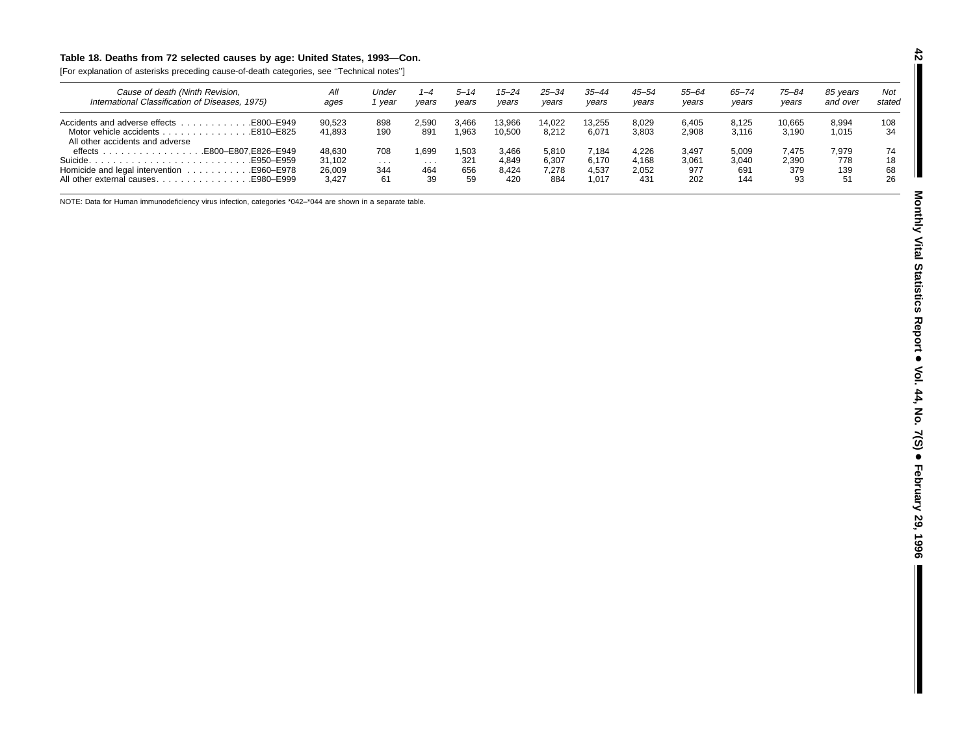## Table 18. Deaths from 72 selected causes by age: United States, 1993-Con.

[For explanation of asterisks preceding cause-of-death categories, see ''Technical notes'']

| Cause of death (Ninth Revision,<br>International Classification of Diseases, 1975)                      | All<br>ages                         | Under<br>vear         | $1 - 4$<br>years       | 5–14<br>vears            | $15 - 24$<br>years             | 25–34<br>years                 | 35–44<br>years                   | $45 - 54$<br>years             | 55–64<br>years               | $65 - 74$<br>years           | 75-84<br>years              | 85 vears<br>and over      | Not<br>stated        |
|---------------------------------------------------------------------------------------------------------|-------------------------------------|-----------------------|------------------------|--------------------------|--------------------------------|--------------------------------|----------------------------------|--------------------------------|------------------------------|------------------------------|-----------------------------|---------------------------|----------------------|
| All other accidents and adverse                                                                         | 90.523<br>41.893                    | 898<br>190            | 2.590<br>891           | 3.466<br>.963            | 13.966<br>10.500               | 14.022<br>8.212                | 13.255<br>6.071                  | 8.029<br>3,803                 | 6.405<br>2,908               | 8.125<br>3.116               | 10.665<br>3.190             | 8.994<br>1.015            | 108<br>34            |
| E800-E807.E826-E949. .<br>$\theta$ effects $\ldots$<br>E950-E959.<br>All other external causesE980–E999 | 48.630<br>31.102<br>26,009<br>3.427 | 708<br>.<br>344<br>61 | .699<br>.<br>464<br>39 | ,503<br>321<br>656<br>59 | 3.466<br>4,849<br>8.424<br>420 | 5.810<br>6.307<br>7.278<br>884 | 7.184<br>6.170<br>4.537<br>1.017 | 4.226<br>4.168<br>2,052<br>431 | 3.497<br>3,061<br>977<br>202 | 5.009<br>3,040<br>691<br>144 | 7.475<br>2,390<br>379<br>93 | 7.979<br>778<br>139<br>51 | 74<br>18<br>68<br>26 |

NOTE: Data for Human immunodeficiency virus infection, categories \*042–\*044 are shown in <sup>a</sup> separate table.

 $\blacksquare$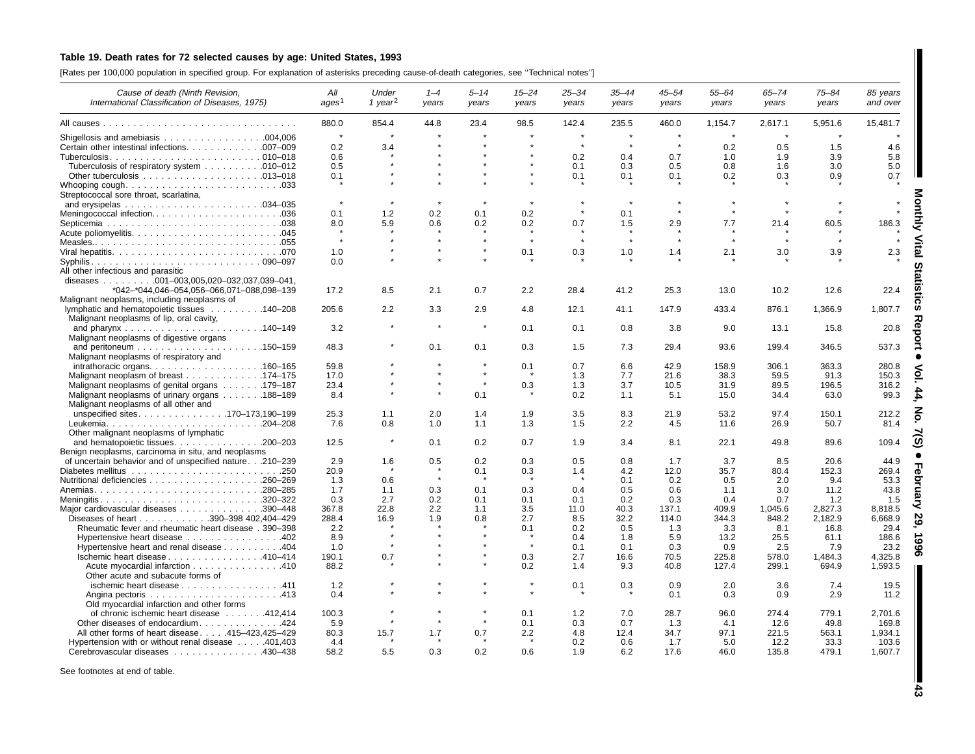## Table 19. Death rates for 72 selected causes by age: United States, 1993

[Rates per 100,000 population in specified group. For explanation of asterisks preceding cause-of-death categories, see ''Technical notes'']

| Cause of death (Ninth Revision,<br>International Classification of Diseases, 1975)    | All<br>ages <sup>1</sup> | Under<br>1 vear <sup>2</sup> | $1 - 4$<br>years | $5 - 14$<br>years | $15 - 24$<br>years | $25 - 34$<br>years | $35 - 44$<br>years | $45 - 54$<br>vears | $55 - 64$<br>years | $65 - 74$<br>years | $75 - 84$<br>years | 85 years<br>and over |
|---------------------------------------------------------------------------------------|--------------------------|------------------------------|------------------|-------------------|--------------------|--------------------|--------------------|--------------------|--------------------|--------------------|--------------------|----------------------|
|                                                                                       | 880.0                    | 854.4                        | 44.8             | 23.4              | 98.5               | 142.4              | 235.5              | 460.0              | 1,154.7            | 2,617.1            | 5,951.6            | 15,481.7             |
|                                                                                       | $\star$                  |                              |                  |                   |                    | $\star$            |                    |                    |                    |                    |                    |                      |
|                                                                                       |                          |                              |                  |                   |                    | $\star$            |                    |                    |                    |                    |                    |                      |
| Certain other intestinal infections. 007-009                                          | 0.2                      | 3.4                          |                  |                   |                    |                    |                    |                    | 0.2                | 0.5                | 1.5                | 4.6                  |
|                                                                                       | 0.6                      |                              |                  |                   |                    | 0.2                | 0.4                | 0.7                | 1.0                | 1.9                | 3.9                | 5.8                  |
| Tuberculosis of respiratory system 010–012                                            | 0.5                      |                              |                  |                   |                    | 0.1                | 0.3                | 0.5                | 0.8                | 1.6                | 3.0                | 5.0                  |
|                                                                                       | 0.1                      |                              |                  |                   |                    | 0.1                | 0.1                | 0.1                | 0.2                | 0.3                | 0.9                | 0.7                  |
| Streptococcal sore throat, scarlatina,                                                |                          |                              |                  |                   |                    |                    |                    |                    |                    |                    |                    |                      |
|                                                                                       | $\star$                  |                              |                  |                   |                    |                    |                    |                    |                    |                    |                    |                      |
| Meningococcal infection036                                                            | 0.1                      | 1.2                          | 0.2              | 0.1               | 0.2                |                    | 0.1                |                    |                    |                    |                    |                      |
|                                                                                       | 8.0                      | 5.9                          | 0.6              | 0.2               | 0.2                | 0.7                | 1.5                | 2.9                | 7.7                | 21.4               | 60.5               | 186.3                |
|                                                                                       |                          |                              |                  |                   |                    |                    |                    |                    |                    |                    |                    |                      |
|                                                                                       | $\star$                  |                              |                  |                   |                    |                    |                    |                    | $\star$            |                    |                    |                      |
|                                                                                       | 1.0                      |                              |                  |                   | 0.1                | 0.3                | 1.0                | 1.4                | 2.1                | 3.0                | 3.9                | 2.3                  |
|                                                                                       | 0.0                      |                              |                  |                   |                    |                    |                    |                    |                    |                    |                    |                      |
| All other infectious and parasitic                                                    |                          |                              |                  |                   |                    |                    |                    |                    |                    |                    |                    |                      |
| diseases 001-003,005,020-032,037,039-041,                                             |                          |                              |                  |                   |                    |                    |                    |                    |                    |                    |                    |                      |
| *042-*044.046-054.056-066.071-088.098-139                                             | 17.2                     | 8.5                          | 2.1              | 0.7               | $2.2^{\circ}$      | 28.4               | 41.2               | 25.3               | 13.0               | 10.2               | 12.6               | 22.4                 |
| Malignant neoplasms, including neoplasms of                                           |                          |                              |                  |                   |                    |                    |                    |                    |                    |                    |                    |                      |
| lymphatic and hematopoietic tissues 140–208                                           | 205.6                    | 2.2                          | 3.3              | 2.9               | 4.8                | 12.1               | 41.1               | 147.9              | 433.4              | 876.1              | 1,366.9            | 1,807.7              |
|                                                                                       |                          |                              |                  |                   |                    |                    |                    |                    |                    |                    |                    |                      |
| Malignant neoplasms of lip, oral cavity,                                              |                          |                              |                  | $\pmb{\ast}$      |                    |                    |                    |                    |                    |                    |                    |                      |
|                                                                                       | 3.2                      |                              |                  |                   | 0.1                | 0.1                | 0.8                | 3.8                | 9.0                | 13.1               | 15.8               | 20.8                 |
| Malignant neoplasms of digestive organs                                               |                          |                              |                  |                   |                    |                    |                    |                    |                    |                    |                    |                      |
|                                                                                       | 48.3                     |                              | 0.1              | 0.1               | 0.3                | 1.5                | 7.3                | 29.4               | 93.6               | 199.4              | 346.5              | 537.3                |
| Malignant neoplasms of respiratory and                                                |                          |                              |                  |                   |                    |                    |                    |                    |                    |                    |                    |                      |
|                                                                                       | 59.8                     |                              |                  |                   | 0.1                | 0.7                | 6.6                | 42.9               | 158.9              | 306.1              | 363.3              | 280.8                |
| Malignant neoplasm of breast 174–175                                                  | 17.0                     |                              |                  | $\star$           |                    | 1.3                | 7.7                | 21.6               | 38.3               | 59.5               | 91.3               | 150.3                |
| Malignant neoplasms of genital organs 179–187                                         | 23.4                     |                              |                  | $\star$           | 0.3                | 1.3                | 3.7                | 10.5               | 31.9               | 89.5               | 196.5              | 316.2                |
| Malignant neoplasms of urinary organs 188-189<br>Malignant neoplasms of all other and | 8.4                      |                              | $\star$          | 0.1               |                    | 0.2                | 1.1                | 5.1                | 15.0               | 34.4               | 63.0               | 99.3                 |
| unspecified sites170-173,190-199                                                      | 25.3                     | 1.1                          | 2.0              | 1.4               | 1.9                | 3.5                | 8.3                | 21.9               | 53.2               | 97.4               | 150.1              | 212.2                |
|                                                                                       | 7.6                      | 0.8                          | 1.0              | 1.1               | 1.3                | 1.5                | 2.2                | 4.5                | 11.6               | 26.9               | 50.7               | 81.4                 |
| Other malignant neoplasms of lymphatic                                                |                          |                              |                  |                   |                    |                    |                    |                    |                    |                    |                    |                      |
| and hematopoietic tissues. 200-203                                                    | 12.5                     | $\star$                      | 0.1              | 0.2               | 0.7                | 1.9                | 3.4                | 8.1                | 22.1               | 49.8               | 89.6               | 109.4                |
| Benign neoplasms, carcinoma in situ, and neoplasms                                    |                          |                              |                  |                   |                    |                    |                    |                    |                    |                    |                    |                      |
| of uncertain behavior and of unspecified nature.210-239                               | 2.9                      | 1.6                          | 0.5              | 0.2               | 0.3                | 0.5                | 0.8                | 1.7                | 3.7                | 8.5                | 20.6               | 44.9                 |
|                                                                                       | 20.9                     |                              |                  | 0.1               | 0.3                | 1.4                | 4.2                | 12.0               | 35.7               | 80.4               | 152.3              | 269.4                |
|                                                                                       | 1.3                      | 0.6                          |                  |                   |                    |                    | 0.1                | 0.2                | 0.5                | 2.0                | 9.4                | 53.3                 |
|                                                                                       | 1.7                      | 1.1                          | 0.3              | 0.1               | 0.3                | 0.4                | 0.5                | 0.6                | 1.1                | 3.0                | 11.2               | 43.8                 |
|                                                                                       | 0.3                      | 2.7                          | 0.2              | 0.1               | 0.1                | 0.1                | 0.2                | 0.3                | 0.4                | 0.7                | 1.2                | 1.5                  |
| Meningitis320–322                                                                     | 367.8                    | 22.8                         | 2.2              | 1.1               | 3.5                | 11.0               | 40.3               | 137.1              | 409.9              | 1,045.6            | 2,827.3            | 8,818.5              |
| Major cardiovascular diseases 390-448                                                 |                          |                              |                  |                   |                    |                    |                    |                    |                    |                    |                    |                      |
| Diseases of heart 390-398 402,404-429                                                 | 288.4                    | 16.9                         | 1.9              | 0.8               | 2.7                | 8.5                | 32.2               | 114.0              | 344.3              | 848.2              | 2,182.9            | 6,668.9              |
| Rheumatic fever and rheumatic heart disease . 390-398                                 | 2.2                      |                              |                  |                   | 0.1                | 0.2                | 0.5                | 1.3                | 3.3                | 8.1                | 16.8               | 29.4                 |
| Hypertensive heart disease 402                                                        | 8.9                      |                              |                  |                   | $\star$            | 0.4                | 1.8                | 5.9                | 13.2               | 25.5               | 61.1               | 186.6                |
| Hypertensive heart and renal disease 404                                              | 1.0                      |                              |                  |                   |                    | 0.1                | 0.1                | 0.3                | 0.9                | 2.5                | 7.9                | 23.2                 |
| lschemic heart disease 410-414                                                        | 190.1                    | 0.7                          |                  |                   | 0.3                | 2.7                | 16.6               | 70.5               | 225.8              | 578.0              | 1,484.3            | 4,325.8              |
| Acute myocardial infarction 410                                                       | 88.2                     |                              |                  |                   | 0.2                | 1.4                | 9.3                | 40.8               | 127.4              | 299.1              | 694.9              | 1,593.5              |
| Other acute and subacute forms of                                                     |                          |                              |                  |                   |                    |                    |                    |                    |                    |                    |                    |                      |
| ischemic heart disease 411                                                            | 1.2                      |                              |                  |                   |                    | 0.1                | 0.3                | 0.9                | 2.0                | 3.6                | 7.4                | 19.5                 |
|                                                                                       | 0.4                      |                              |                  |                   |                    |                    |                    | 0.1                | 0.3                | 0.9                | 2.9                | 11.2                 |
| Old myocardial infarction and other forms                                             |                          |                              |                  |                   |                    |                    |                    |                    |                    |                    |                    |                      |
| of chronic ischemic heart disease 412,414                                             | 100.3                    |                              |                  |                   | 0.1                | 1.2                | 7.0                | 28.7               | 96.0               | 274.4              | 779.1              | 2,701.6              |
| Other diseases of endocardium424                                                      | 5.9                      |                              |                  |                   | 0.1                | 0.3                | 0.7                | 1.3                | 4.1                | 12.6               | 49.8               | 169.8                |
| All other forms of heart disease415-423,425-429                                       | 80.3                     | 15.7                         | 1.7              | 0.7               | 2.2                | 4.8                | 12.4               | 34.7               | 97.1               | 221.5              | 563.1              | 1,934.1              |
| Hypertension with or without renal disease 401,403                                    | 4.4                      |                              |                  |                   |                    | 0.2                | 0.6                | 1.7                | 5.0                | 12.2               | 33.3               | 103.6                |
|                                                                                       | 58.2                     | 5.5                          | 0.3              | 0.2               | 0.6                | 1.9                | 6.2                | 17.6               | 46.0               | 135.8              | 479.1              | 1,607.7              |
| Cerebrovascular diseases 430-438                                                      |                          |                              |                  |                   |                    |                    |                    |                    |                    |                    |                    |                      |

See footnotes at end of table.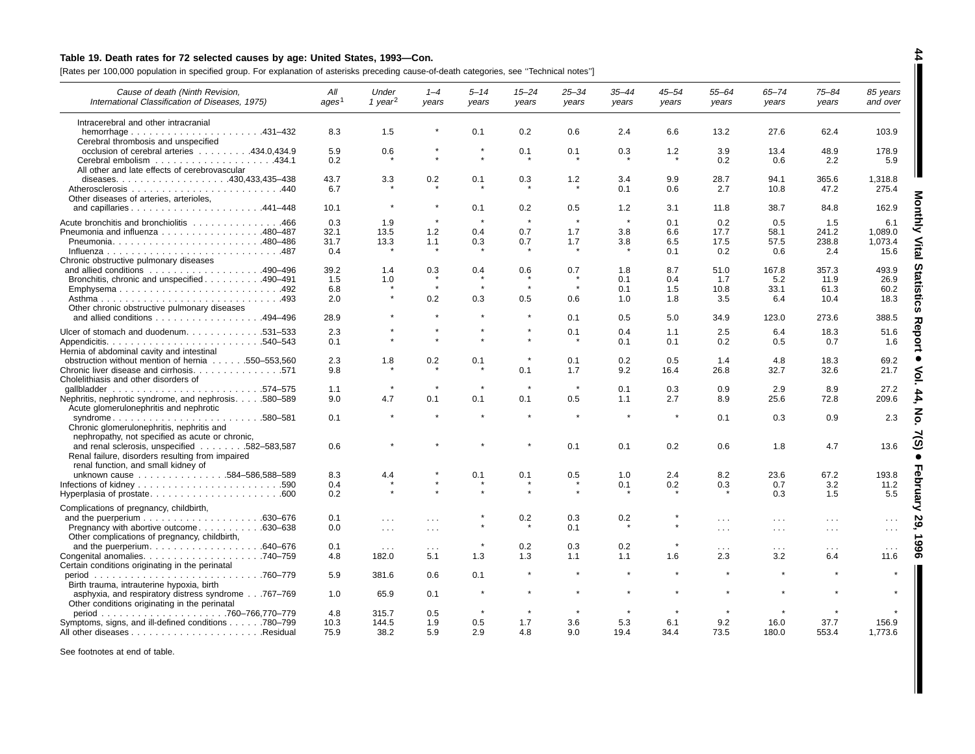## Table 19. Death rates for 72 selected causes by age: United States, 1993-Con.

[Rates per 100,000 population in specified group. For explanation of asterisks preceding cause-of-death categories, see ''Technical notes'']

| Cause of death (Ninth Revision,<br>International Classification of Diseases, 1975)                                             | All<br>ages <sup>1</sup> | Under<br>1 year <sup>2</sup>     | $1 - 4$<br>years     | $5 - 14$<br>years | $15 - 24$<br>years | $25 - 34$<br>years | $35 - 44$<br>years | $45 - 54$<br>vears | $55 - 64$<br>years   | $65 - 74$<br>years               | $75 - 84$<br>years   | 85 years<br>and over  |
|--------------------------------------------------------------------------------------------------------------------------------|--------------------------|----------------------------------|----------------------|-------------------|--------------------|--------------------|--------------------|--------------------|----------------------|----------------------------------|----------------------|-----------------------|
| Intracerebral and other intracranial                                                                                           |                          |                                  |                      |                   |                    |                    |                    |                    |                      |                                  |                      |                       |
| Cerebral thrombosis and unspecified                                                                                            | 8.3                      | 1.5                              |                      | 0.1               | 0.2                | 0.6                | 2.4                | 6.6                | 13.2                 | 27.6                             | 62.4                 | 103.9                 |
| occlusion of cerebral arteries 434.0,434.9                                                                                     | 5.9<br>0.2               | 0.6                              |                      |                   | 0.1                | 0.1                | 0.3                | 1.2                | 3.9<br>0.2           | 13.4<br>0.6                      | 48.9<br>2.2          | 178.9<br>5.9          |
| All other and late effects of cerebrovascular                                                                                  | 43.7                     | 3.3                              | 0.2                  | 0.1               | 0.3                | $1.2$              | 3.4                | 9.9                | 28.7                 | 94.1                             | 365.6                | 1,318.8               |
| Other diseases of arteries, arterioles,                                                                                        | 6.7                      |                                  |                      |                   |                    |                    | 0.1                | 0.6                | 2.7                  | 10.8                             | 47.2                 | 275.4                 |
|                                                                                                                                | 10.1                     | $\pmb{\ast}$                     | $\star$              | 0.1               | 0.2                | 0.5                | 1.2                | 3.1                | 11.8                 | 38.7                             | 84.8                 | 162.9                 |
| Acute bronchitis and bronchiolitis 466<br>Pneumonia and influenza 480–487                                                      | 0.3<br>32.1              | 1.9<br>13.5                      | $\star$<br>1.2       | $\star$<br>0.4    | $\star$<br>0.7     | $\star$<br>1.7     | 3.8                | 0.1<br>6.6         | 0.2<br>17.7          | 0.5<br>58.1                      | 1.5<br>241.2         | 6.1<br>1,089.0        |
| Chronic obstructive pulmonary diseases                                                                                         | 31.7<br>0.4              | 13.3                             | 1.1                  | 0.3               | 0.7                | 1.7                | 3.8                | 6.5<br>0.1         | 17.5<br>0.2          | 57.5<br>0.6                      | 238.8<br>2.4         | 1,073.4<br>E,<br>15.6 |
| Bronchitis, chronic and unspecified 490–491                                                                                    | 39.2<br>1.5              | 1.4<br>1.0                       | 0.3                  | 0.4               | 0.6                | 0.7                | 1.8<br>0.1         | 8.7<br>0.4         | 51.0<br>1.7          | 167.8<br>5.2                     | 357.3<br>11.9        | 493.9<br>26.9         |
| Emphysema492                                                                                                                   | 6.8                      | $\star$                          |                      |                   | 0.5                | $\star$            | 0.1                | 1.5                | 10.8                 | 33.1                             | 61.3                 | 60.2                  |
| Other chronic obstructive pulmonary diseases<br>and allied conditions 494-496                                                  | 2.0<br>28.9              |                                  | 0.2                  | 0.3               |                    | 0.6<br>0.1         | 1.0<br>0.5         | 1.8<br>5.0         | 3.5<br>34.9          | 6.4<br>123.0                     | 10.4<br>273.6        | 18.3<br>388.5         |
| Ulcer of stomach and duodenum. 531-533                                                                                         | 2.3                      |                                  |                      |                   |                    | 0.1                | 0.4                | 1.1                | 2.5                  | 6.4                              | 18.3                 | 51.6                  |
| Hernia of abdominal cavity and intestinal                                                                                      | 0.1                      |                                  |                      |                   |                    |                    | 0.1                | 0.1                | 0.2                  | 0.5                              | 0.7                  | ▿<br>1.6              |
| obstruction without mention of hernia 550–553,560                                                                              | 2.3                      | 1.8                              | 0.2                  | 0.1               |                    | 0.1                | 0.2                | 0.5                | 1.4                  | 4.8                              | 18.3                 | 69.2                  |
| Chronic liver disease and cirrhosis571<br>Cholelithiasis and other disorders of                                                | 9.8                      |                                  |                      |                   | 0.1                | 1.7                | 9.2                | 16.4               | 26.8                 | 32.7                             | 32.6                 | 21.7                  |
| Nephritis, nephrotic syndrome, and nephrosis580–589<br>Acute glomerulonephritis and nephrotic                                  | 1.1<br>9.0               | 4.7                              | 0.1                  | 0.1               | 0.1                | 0.5                | 0.1<br>1.1         | 0.3<br>2.7         | 0.9<br>8.9           | 2.9<br>25.6                      | 8.9<br>72.8          | 27.2<br>209.6         |
| $\ldots 580 - 581$<br>syndrome<br>Chronic glomerulonephritis, nephritis and<br>nephropathy, not specified as acute or chronic, | 0.1                      |                                  |                      |                   |                    |                    |                    | $\pmb{\ast}$       | 0.1                  | 0.3                              | 0.9                  | 2.3                   |
| and renal sclerosis, unspecified 582-583,587<br>Renal failure, disorders resulting from impaired                               | 0.6                      |                                  |                      |                   |                    | 0.1                | 0.1                | 0.2                | 0.6                  | 1.8                              | 4.7                  | 13.6                  |
| renal function, and small kidney of<br>unknown cause 584-586,588-589                                                           | 8.3                      | 4.4                              |                      | 0.1               | 0.1                | 0.5                | 1.0                | 2.4                | 8.2                  | 23.6                             | 67.2                 | 193.8                 |
| Hyperplasia of prostate600                                                                                                     | 0.4<br>0.2               |                                  |                      |                   |                    |                    | 0.1                | 0.2                | 0.3                  | 0.7<br>0.3                       | 3.2<br>1.5           | 11.2<br>5.5           |
| Complications of pregnancy, childbirth,                                                                                        |                          |                                  |                      |                   |                    |                    |                    |                    |                      |                                  |                      |                       |
| Pregnancy with abortive outcome<br>.630-638                                                                                    | 0.1<br>0.0               | $\cdots$<br>$\sim$ $\sim$ $\sim$ | $\sim$ $\sim$        |                   | 0.2                | 0.3<br>0.1         | 0.2                |                    | $\cdots$<br>$\cdots$ | $\sim$ $\sim$ $\sim$<br>$\cdots$ | $\cdots$<br>$\ldots$ |                       |
| Other complications of pregnancy, childbirth,                                                                                  | 0.1                      | $\sim$ $\sim$ $\sim$             | $\sim$ $\sim$ $\sim$ |                   | 0.2                | 0.3                | 0.2                |                    | $\cdots$             | $\sim$ $\sim$ $\sim$             | $\sim$ $\sim$ $\sim$ | $\cdots$              |
| Certain conditions originating in the perinatal                                                                                | 4.8                      | 182.0                            | 5.1                  | 1.3               | 1.3                | 1.1                | 1.1                | 1.6                | 2.3                  | 3.2                              | 6.4                  | 11.6                  |
| Birth trauma, intrauterine hypoxia, birth                                                                                      | 5.9                      | 381.6                            | 0.6                  | 0.1               |                    |                    |                    |                    |                      |                                  |                      |                       |
| asphyxia, and respiratory distress syndrome767-769<br>Other conditions originating in the perinatal                            | 1.0                      | 65.9                             | 0.1                  | $\star$           |                    |                    |                    |                    |                      |                                  |                      | $\star$               |
| Symptoms, signs, and ill-defined conditions 780–799                                                                            | 4.8<br>10.3              | 315.7<br>144.5                   | 0.5<br>1.9           | 0.5               | 1.7                | 3.6                | 5.3                | 6.1                | 9.2                  | 16.0                             | 37.7                 | 156.9                 |
|                                                                                                                                | 75.9                     | 38.2                             | 5.9                  | 2.9               | 4.8                | 9.0                | 19.4               | 34.4               | 73.5                 | 180.0                            | 553.4                | 1,773.6               |

See footnotes at end of table.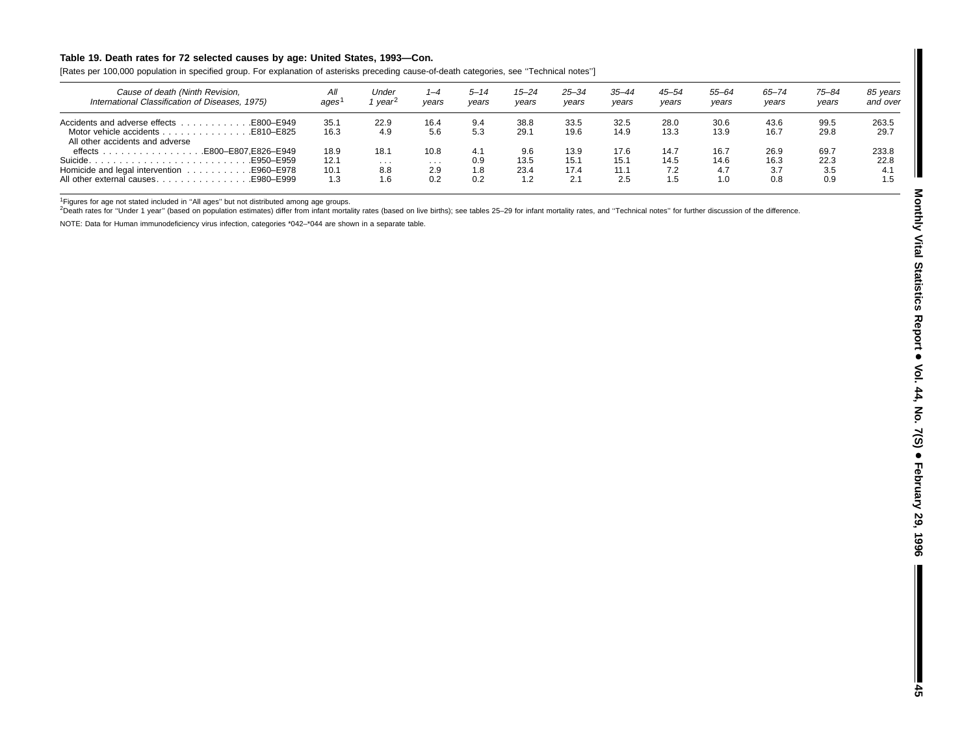### Table 19. Death rates for 72 selected causes by age: United States, 1993-Con.

[Rates per 100,000 population in specified group. For explanation of asterisks preceding cause-of-death categories, see ''Technical notes'']

| Cause of death (Ninth Revision,<br>International Classification of Diseases, 1975)                                     | All<br>ages                 | Under<br><i>vear</i>   | 1–4<br>vears            | $5 - 14$<br>years        | $15 - 24$<br>vears         | 25–34<br>years              | $35 - 44$<br>vears          | $45 - 54$<br>years         | 55-64<br>years             | 65–74<br>years             | $75 - 84$<br>years         | 85 years<br>and over        |
|------------------------------------------------------------------------------------------------------------------------|-----------------------------|------------------------|-------------------------|--------------------------|----------------------------|-----------------------------|-----------------------------|----------------------------|----------------------------|----------------------------|----------------------------|-----------------------------|
| E800-E949.<br>Accidents and adverse effects<br>Motor vehicle accidents<br>E810-E825<br>All other accidents and adverse | 35.1<br>16.3                | 22.9<br>4.9            | 16.4<br>5.6             | 9.4<br>5.3               | 38.8<br>29.1               | 33.5<br>19.6                | 32.5<br>14.9                | 28.0<br>13.3               | 30.6<br>13.9               | 43.6<br>16.7               | 99.5<br>29.8               | 263.5<br>29.7               |
| E800-E807.E826-E949.<br>$\theta$ effects $\ldots$<br>Suicide.<br>E950-E959.<br>E980-E999<br>All other external causes  | 18.9<br>12.1<br>10.1<br>1.3 | 18.1<br>.<br>8.8<br>.6 | 10.8<br>.<br>2.9<br>0.2 | 4.1<br>0.9<br>1.8<br>0.2 | 9.6<br>13.5<br>23.4<br>1.2 | 13.9<br>15.1<br>17.4<br>2.1 | 17.6<br>15.1<br>11.1<br>2.5 | 14.7<br>14.5<br>7.2<br>1.5 | 16.7<br>14.6<br>4.7<br>1.0 | 26.9<br>16.3<br>3.7<br>0.8 | 69.7<br>22.3<br>3.5<br>0.9 | 233.8<br>22.8<br>4.1<br>1.5 |

<sup>1</sup>Figures for age not stated included in "All ages" but not distributed among age groups.<br><sup>2</sup>Death rates for "Under 1 year" (based on population estimates) differ from infant mortality rates (based on live births); see ta

NOTE: Data for Human immunodeficiency virus infection, categories \*042–\*044 are shown in <sup>a</sup> separate table.

I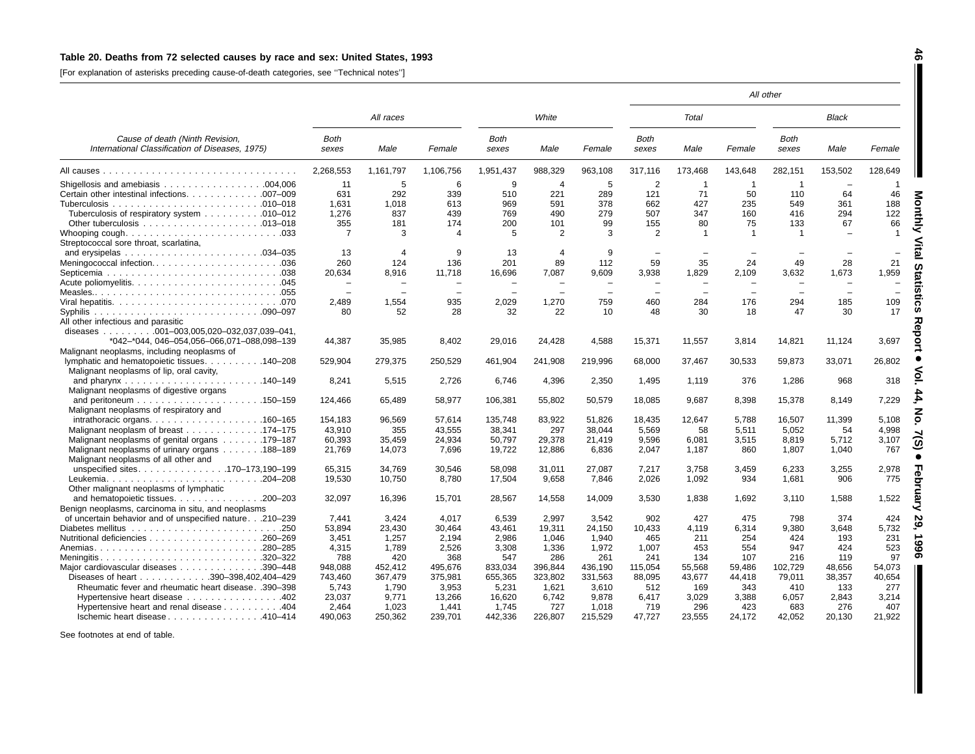### Table 20. Deaths from 72 selected causes by race and sex: United States, 1993

[For explanation of asterisks preceding cause-of-death categories, see ''Technical notes'']

|                                                                                                               |                          |                |                       |                      |                 |          |                      |                          |                          | All other     |              |              |
|---------------------------------------------------------------------------------------------------------------|--------------------------|----------------|-----------------------|----------------------|-----------------|----------|----------------------|--------------------------|--------------------------|---------------|--------------|--------------|
|                                                                                                               |                          | All races      |                       |                      | White           |          |                      | Total                    |                          |               | <b>Black</b> |              |
| Cause of death (Ninth Revision,<br>International Classification of Diseases, 1975)                            | <b>Both</b><br>sexes     | Male           | Female                | <b>Both</b><br>sexes | Male            | Female   | <b>Both</b><br>sexes | Male                     | Female                   | Both<br>sexes | Male         | Female       |
|                                                                                                               | 2,268,553                | 1,161,797      | 1,106,756             | 1,951,437            | 988,329         | 963,108  | 317,116              | 173,468                  | 143,648                  | 282,151       | 153,502      | 128,649      |
|                                                                                                               | 11                       | 5              | 6                     | 9                    | $\overline{4}$  | 5        | 2                    | -1                       |                          |               |              |              |
| Certain other intestinal infections. 007-009                                                                  | 631                      | 292            | 339                   | 510                  | 221             | 289      | 121                  | 71                       | 50                       | 110           | 64           | 46           |
|                                                                                                               | 1,631                    | 1,018          | 613                   | 969                  | 591             | 378      | 662                  | 427                      | 235                      | 549           | 361          | 188          |
| Tuberculosis of respiratory system 010–012                                                                    | 1,276                    | 837            | 439                   | 769                  | 490             | 279      | 507                  | 347                      | 160                      | 416           | 294          | 122          |
|                                                                                                               | 355                      | 181            | 174                   | 200                  | 101             | 99       | 155                  | 80                       | 75                       | 133           | 67           | 66           |
|                                                                                                               | 7                        | 3              | $\boldsymbol{\Delta}$ | 5                    | $\overline{2}$  | 3        | 2                    | -1                       | $\overline{1}$           | $\mathbf 1$   |              | $\mathbf{1}$ |
| Streptococcal sore throat, scarlatina,                                                                        |                          |                |                       |                      |                 |          |                      |                          |                          |               |              |              |
| and erysipelas $\ldots \ldots \ldots \ldots \ldots \ldots \ldots \ldots 034-035$                              | 13                       | $\overline{4}$ | <b>q</b>              | 13                   | $\overline{4}$  | 9        |                      |                          |                          |               |              |              |
| Meningococcal infection036                                                                                    | 260                      | 124            | 136                   | 201                  | 89              | 112      | 59                   | 35                       | 24                       | 49            | 28           | 21           |
|                                                                                                               | 20,634                   | 8.916          | 11,718                | 16,696               | 7,087           | 9.609    | 3,938                | 1,829                    | 2,109                    | 3,632         | 1,673        | 1,959        |
|                                                                                                               |                          | $\equiv$       |                       |                      |                 | $\equiv$ |                      | $\equiv$                 | $\sim$                   | $\equiv$      | $\equiv$     |              |
|                                                                                                               | $\overline{\phantom{a}}$ |                |                       |                      |                 |          |                      | $\overline{\phantom{m}}$ | $\overline{\phantom{0}}$ |               | $\equiv$     |              |
|                                                                                                               | 2.489                    | 1,554          | 935                   | 2,029                | 1.270           | 759      | 460                  | 284                      | 176                      | 294           | 185          | 109          |
|                                                                                                               | 80                       | 52             | 28                    | 32                   | 22              | 10       | 48                   | 30                       | 18                       | 47            | 30           | 17           |
| All other infectious and parasitic                                                                            |                          |                |                       |                      |                 |          |                      |                          |                          |               |              |              |
| diseases 001-003,005,020-032,037,039-041,                                                                     |                          |                |                       |                      |                 |          |                      |                          |                          |               |              |              |
| *042-*044, 046-054,056-066,071-088,098-139                                                                    | 44,387                   | 35,985         | 8,402                 | 29,016               | 24,428          | 4,588    | 15,371               | 11,557                   | 3,814                    | 14,821        | 11,124       | 3,697        |
| Malignant neoplasms, including neoplasms of                                                                   |                          |                |                       |                      |                 |          |                      |                          |                          |               |              |              |
| lymphatic and hematopoietic tissues. 140–208                                                                  | 529,904                  | 279,375        | 250,529               | 461,904              | 241,908         | 219,996  | 68,000               | 37,467                   | 30,533                   | 59,873        | 33,071       | 26,802       |
| Malignant neoplasms of lip, oral cavity,                                                                      |                          |                |                       |                      |                 |          |                      |                          |                          |               |              |              |
|                                                                                                               | 8,241                    | 5,515          | 2,726                 | 6,746                | 4,396           | 2,350    | 1,495                | 1.119                    | 376                      | 1,286         | 968          | 318          |
| Malignant neoplasms of digestive organs                                                                       |                          |                |                       |                      |                 |          |                      |                          |                          |               |              |              |
|                                                                                                               | 124,466                  | 65.489         | 58,977                | 106,381              | 55,802          | 50,579   | 18,085               | 9,687                    | 8,398                    | 15,378        | 8,149        | 7,229        |
| Malignant neoplasms of respiratory and                                                                        |                          |                |                       |                      |                 |          |                      |                          |                          |               |              |              |
| intrathoracic organs. $\ldots$ 160–165                                                                        | 154,183                  | 96,569         | 57,614                | 135,748              | 83,922          | 51,826   | 18,435               | 12,647                   | 5,788                    | 16,507        | 11,399       | 5,108        |
| Malignant neoplasm of breast 174–175                                                                          | 43,910                   | 355            | 43.555                | 38.341               | 297             | 38.044   | 5.569                | 58                       | 5.511                    | 5.052         | 54           | 4.998        |
| Malignant neoplasms of genital organs 179–187                                                                 | 60,393                   | 35,459         | 24,934                | 50,797               | 29,378          | 21,419   | 9,596                | 6,081                    | 3,515                    | 8,819         | 5,712        | 3,107        |
| Malignant neoplasms of urinary organs 188–189                                                                 | 21.769                   | 14.073         | 7.696                 | 19,722               | 12.886          | 6.836    | 2.047                | 1.187                    | 860                      | 1.807         | 1.040        | 767          |
| Malignant neoplasms of all other and                                                                          |                          |                |                       |                      |                 |          |                      |                          |                          |               |              |              |
| unspecified sites170–173,190–199                                                                              | 65,315                   | 34,769         | 30,546                | 58,098               | 31,011          | 27,087   | 7,217                | 3,758                    | 3,459                    | 6,233         | 3,255        | 2,978        |
| $.204 - 208$                                                                                                  | 19,530                   | 10,750         | 8,780                 | 17,504               | 9,658           | 7,846    | 2,026                | 1,092                    | 934                      | 1,681         | 906          | 775          |
| Other malignant neoplasms of lymphatic                                                                        | 32,097                   |                |                       |                      |                 |          |                      |                          |                          |               |              | 1,522        |
| and hematopoietic tissues. 200-203                                                                            |                          | 16,396         | 15,701                | 28,567               | 14,558          | 14,009   | 3,530                | 1,838                    | 1,692                    | 3,110         | 1,588        |              |
| Benign neoplasms, carcinoma in situ, and neoplasms<br>of uncertain behavior and of unspecified nature.210-239 | 7,441                    | 3,424          | 4,017                 | 6,539                | 2,997           | 3,542    | 902                  | 427                      | 475                      | 798           | 374          | 424          |
|                                                                                                               |                          | 23,430         |                       |                      |                 | 24,150   | 10,433               |                          |                          | 9,380         | 3,648        | 5,732        |
|                                                                                                               | 53,894<br>3.451          | 1,257          | 30,464<br>2.194       | 43,461<br>2.986      | 19,311<br>1.046 | 1.940    | 465                  | 4,119<br>211             | 6,314<br>254             | 424           | 193          | 231          |
| Anemias280-285                                                                                                | 4,315                    | 1,789          | 2,526                 | 3,308                | 1,336           | 1,972    | 1,007                | 453                      | 554                      | 947           | 424          | 523          |
| Meningitis320–322                                                                                             | 788                      | 420            | 368                   | 547                  | 286             | 261      | 241                  | 134                      | 107                      | 216           | 119          | 97           |
| Major cardiovascular diseases<br>.390-448                                                                     | 948,088                  | 452.412        | 495,676               | 833,034              | 396.844         | 436.190  | 115.054              | 55,568                   | 59,486                   | 102,729       | 48.656       | 54,073       |
| Diseases of heart 390-398,402,404-429                                                                         | 743.460                  | 367.479        | 375.981               | 655,365              | 323.802         | 331.563  | 88.095               | 43,677                   | 44,418                   | 79.011        | 38,357       | 40.654       |
| Rheumatic fever and rheumatic heart disease. .390-398                                                         | 5.743                    | 1,790          | 3,953                 | 5,231                | 1,621           | 3,610    | 512                  | 169                      | 343                      | 410           | 133          | 277          |
| Hypertensive heart disease 402                                                                                | 23,037                   | 9,771          | 13,266                | 16,620               | 6,742           | 9,878    | 6,417                | 3,029                    | 3,388                    | 6,057         | 2,843        | 3,214        |
| Hypertensive heart and renal disease 404                                                                      | 2,464                    | 1,023          | 1,441                 | 1,745                | 727             | 1,018    | 719                  | 296                      | 423                      | 683           | 276          | 407          |
| Ischemic heart disease 410-414                                                                                | 490,063                  | 250,362        | 239,701               | 442,336              | 226,807         | 215,529  | 47,727               | 23,555                   | 24,172                   | 42,052        | 20,130       | 21,922       |
|                                                                                                               |                          |                |                       |                      |                 |          |                      |                          |                          |               |              |              |

See footnotes at end of table.

**46**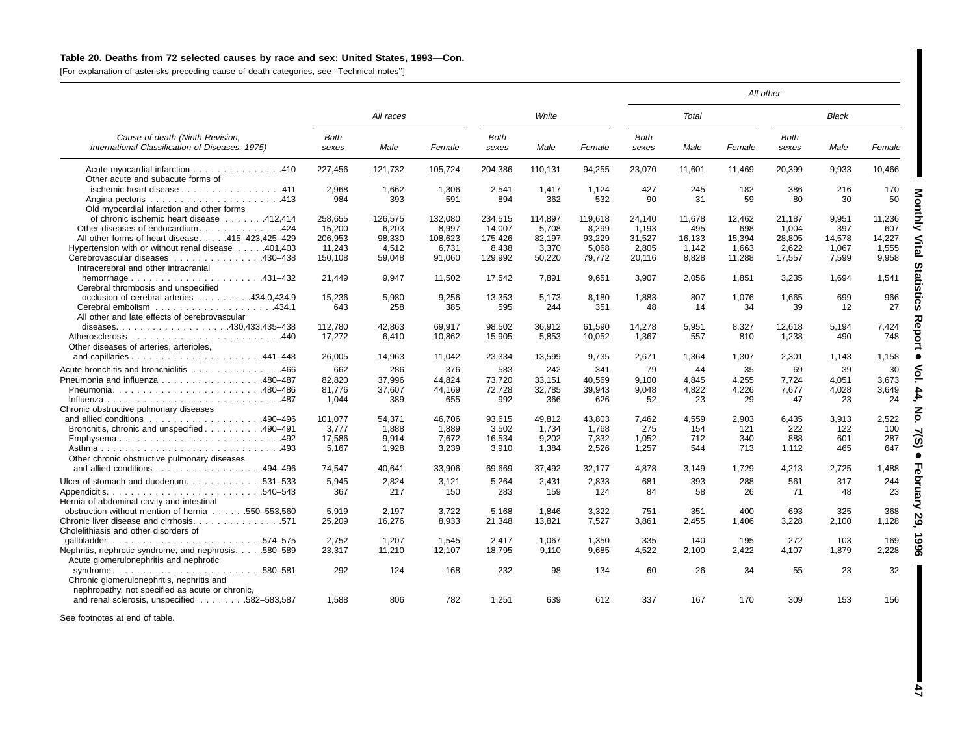### Table 20. Deaths from 72 selected causes by race and sex: United States, 1993-Con.

[For explanation of asterisks preceding cause-of-death categories, see ''Technical notes'']

|                                                                                                                                                                                          |                                     |                                   |                                   |                                    |                                   |                                   |                                |                            |                            | All other                    |                            |                            |
|------------------------------------------------------------------------------------------------------------------------------------------------------------------------------------------|-------------------------------------|-----------------------------------|-----------------------------------|------------------------------------|-----------------------------------|-----------------------------------|--------------------------------|----------------------------|----------------------------|------------------------------|----------------------------|----------------------------|
|                                                                                                                                                                                          |                                     | All races                         |                                   |                                    | White                             |                                   |                                | Total                      |                            |                              | <b>Black</b>               |                            |
| Cause of death (Ninth Revision,<br>International Classification of Diseases, 1975)                                                                                                       | <b>Both</b><br>sexes                | Male                              | Female                            | <b>Both</b><br>sexes               | Male                              | Female                            | Both<br>sexes                  | Male                       | Female                     | <b>Both</b><br>sexes         | Male                       | Female                     |
| Acute myocardial infarction 410<br>Other acute and subacute forms of                                                                                                                     | 227.456                             | 121.732                           | 105.724                           | 204.386                            | 110.131                           | 94.255                            | 23,070                         | 11.601                     | 11.469                     | 20.399                       | 9.933                      | 10,466                     |
| ischemic heart disease 411<br>Old myocardial infarction and other forms                                                                                                                  | 2,968<br>984                        | 1,662<br>393                      | 1.306<br>591                      | 2,541<br>894                       | 1,417<br>362                      | 1.124<br>532                      | 427<br>90                      | 245<br>31                  | 182<br>59                  | 386<br>80                    | 216<br>30                  | 170<br>50                  |
| of chronic ischemic heart disease 412,414<br>Other diseases of endocardium424<br>All other forms of heart disease415-423,425-429                                                         | 258,655<br>15,200<br>206,953        | 126,575<br>6,203<br>98,330        | 132,080<br>8,997<br>108,623       | 234,515<br>14,007<br>175.426       | 114,897<br>5,708<br>82,197        | 119,618<br>8,299<br>93,229        | 24,140<br>1,193<br>31,527      | 11,678<br>495<br>16.133    | 12,462<br>698<br>15,394    | 21,187<br>1,004<br>28,805    | 9,951<br>397<br>14,578     | 11,236<br>607<br>14,227    |
| Hypertension with or without renal disease 401,403<br>Cerebrovascular diseases 430-438<br>Intracerebral and other intracranial                                                           | 11.243<br>150,108                   | 4.512<br>59,048                   | 6,731<br>91,060                   | 8.438<br>129,992                   | 3.370<br>50,220                   | 5.068<br>79,772                   | 2.805<br>20,116                | 1.142<br>8,828             | 1.663<br>11,288            | 2,622<br>17,557              | 1,067<br>7,599             | 1,555<br>9,958             |
| hemorrhage $\ldots \ldots \ldots \ldots \ldots \ldots$<br>Cerebral thrombosis and unspecified<br>occlusion of cerebral arteries 434.0.434.9                                              | 21,449<br>15,236                    | 9.947<br>5,980                    | 11,502<br>9.256                   | 17,542<br>13,353                   | 7,891<br>5,173                    | 9,651<br>8,180                    | 3,907<br>1,883                 | 2,056<br>807               | 1,851<br>1,076             | 3,235<br>1,665               | 1,694<br>699               | 1,541<br>966               |
| All other and late effects of cerebrovascular                                                                                                                                            | 643                                 | 258                               | 385                               | 595                                | 244                               | 351                               | 48                             | 14                         | 34                         | 39                           | 12                         | 27                         |
| Other diseases of arteries, arterioles,                                                                                                                                                  | 112.780<br>17.272                   | 42.863<br>6,410                   | 69.917<br>10,862                  | 98.502<br>15,905                   | 36,912<br>5,853                   | 61,590<br>10,052                  | 14,278<br>1,367                | 5,951<br>557               | 8,327<br>810               | 12,618<br>1,238              | 5.194<br>490               | 7,424<br>748               |
|                                                                                                                                                                                          | 26,005                              | 14,963                            | 11,042                            | 23,334                             | 13,599                            | 9,735                             | 2,671                          | 1,364                      | 1,307                      | 2,301                        | 1,143                      | 1,158                      |
| Acute bronchitis and bronchiolitis 466<br>Pneumonia and influenza 480–487<br>Pneumonia480-486<br>Chronic obstructive pulmonary diseases                                                  | 662<br>82.820<br>81,776<br>1,044    | 286<br>37.996<br>37,607<br>389    | 376<br>44.824<br>44.169<br>655    | 583<br>73,720<br>72,728<br>992     | 242<br>33.151<br>32,785<br>366    | 341<br>40.569<br>39,943<br>626    | 79<br>9.100<br>9,048<br>52     | 44<br>4.845<br>4,822<br>23 | 35<br>4,255<br>4,226<br>29 | 69<br>7.724<br>7,677<br>47   | 39<br>4,051<br>4,028<br>23 | 30<br>3.673<br>3,649<br>24 |
| and allied conditions $\ldots \ldots \ldots \ldots \ldots \ldots$ 490-496<br>Bronchitis, chronic and unspecified 490–491<br>Emphysema492<br>Other chronic obstructive pulmonary diseases | 101.077<br>3.777<br>17,586<br>5,167 | 54.371<br>1.888<br>9.914<br>1,928 | 46.706<br>1,889<br>7,672<br>3,239 | 93.615<br>3,502<br>16,534<br>3,910 | 49.812<br>1.734<br>9.202<br>1,384 | 43.803<br>1.768<br>7,332<br>2,526 | 7.462<br>275<br>1.052<br>1,257 | 4.559<br>154<br>712<br>544 | 2,903<br>121<br>340<br>713 | 6,435<br>222<br>888<br>1.112 | 3.913<br>122<br>601<br>465 | 2.522<br>100<br>287<br>647 |
| and allied conditions 494–496                                                                                                                                                            | 74,547                              | 40,641                            | 33,906                            | 69,669                             | 37,492                            | 32,177                            | 4,878                          | 3,149                      | 1,729                      | 4,213                        | 2,725                      | 1,488                      |
| Ulcer of stomach and duodenum531–533<br>Hernia of abdominal cavity and intestinal                                                                                                        | 5,945<br>367                        | 2,824<br>217                      | 3,121<br>150                      | 5,264<br>283                       | 2,431<br>159                      | 2,833<br>124                      | 681<br>84                      | 393<br>58                  | 288<br>26                  | 561<br>71                    | 317<br>48                  | 244<br>23                  |
| obstruction without mention of hernia 550–553,560<br>Chronic liver disease and cirrhosis571<br>Cholelithiasis and other disorders of                                                     | 5.919<br>25,209                     | 2.197<br>16,276                   | 3,722<br>8,933                    | 5,168<br>21,348                    | 1.846<br>13,821                   | 3.322<br>7,527                    | 751<br>3,861                   | 351<br>2,455               | 400<br>1,406               | 693<br>3,228                 | 325<br>2,100               | 368<br>1,128               |
| Nephritis, nephrotic syndrome, and nephrosis580-589<br>Acute glomerulonephritis and nephrotic                                                                                            | 2.752<br>23,317                     | 1.207<br>11,210                   | 1.545<br>12,107                   | 2.417<br>18,795                    | 1.067<br>9,110                    | 1.350<br>9.685                    | 335<br>4,522                   | 140<br>2.100               | 195<br>2,422               | 272<br>4,107                 | 103<br>1,879               | 169<br>2,228               |
| syndrome<br>$\ldots$ .580–581<br>Chronic glomerulonephritis, nephritis and<br>nephropathy, not specified as acute or chronic,                                                            | 292                                 | 124                               | 168                               | 232                                | 98                                | 134                               | 60                             | 26                         | 34                         | 55                           | 23                         | 32                         |
| and renal sclerosis, unspecified 582-583,587                                                                                                                                             | 1.588                               | 806                               | 782                               | 1.251                              | 639                               | 612                               | 337                            | 167                        | 170                        | 309                          | 153                        | 156                        |

See footnotes at end of table.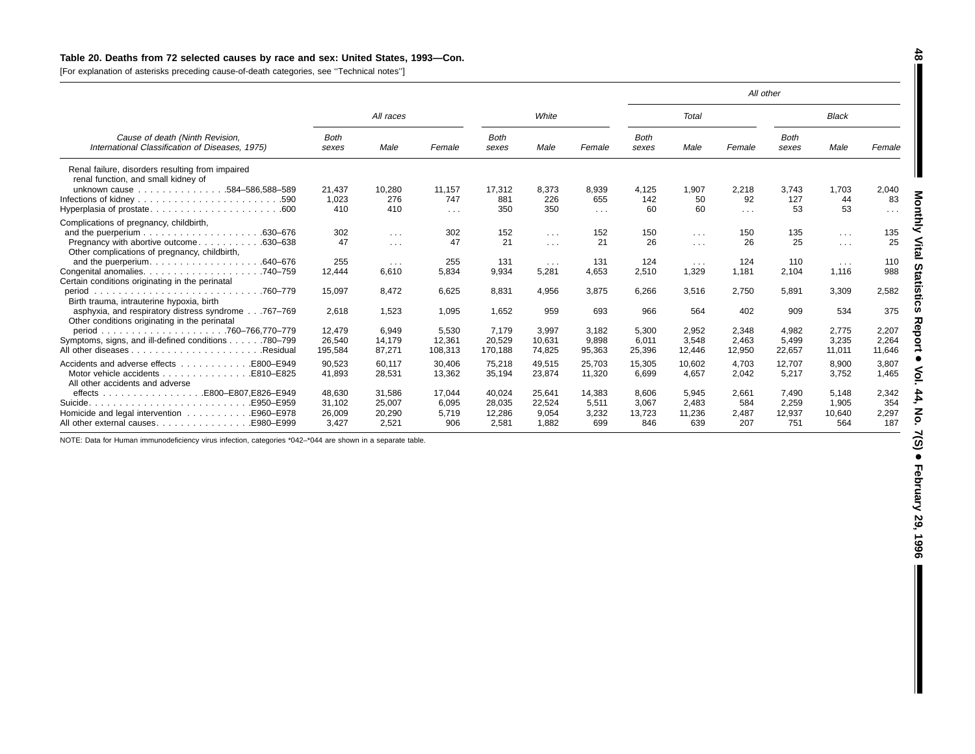## Table 20. Deaths from 72 selected causes by race and sex: United States, 1993-Con.

[For explanation of asterisks preceding cause-of-death categories, see ''Technical notes'']

|                                                                                                     |                      |                      |            |                      |                         |            |                      |                      | All other  |                      |                      |          |
|-----------------------------------------------------------------------------------------------------|----------------------|----------------------|------------|----------------------|-------------------------|------------|----------------------|----------------------|------------|----------------------|----------------------|----------|
|                                                                                                     |                      | All races            |            |                      | White                   |            |                      | Total                |            |                      | <b>Black</b>         |          |
| Cause of death (Ninth Revision,<br>International Classification of Diseases, 1975)                  | <b>Both</b><br>sexes | Male                 | Female     | <b>Both</b><br>sexes | Male                    | Female     | <b>Both</b><br>sexes | Male                 | Female     | <b>Both</b><br>sexes | Male                 | Female   |
| Renal failure, disorders resulting from impaired<br>renal function, and small kidney of             |                      |                      |            |                      |                         |            |                      |                      |            |                      |                      |          |
| unknown cause 584-586,588-589                                                                       | 21,437               | 10,280               | 11,157     | 17,312               | 8,373                   | 8,939      | 4,125                | 1,907                | 2,218      | 3,743                | 1,703                | 2,040    |
| .590                                                                                                | 1,023                | 276                  | 747        | 881                  | 226                     | 655        | 142                  | 50                   | 92         | 127                  | 44                   | 83       |
| .600                                                                                                | 410                  | 410                  | $\sim 100$ | 350                  | 350                     | $\sim 100$ | 60                   | 60                   | $\sim 100$ | 53                   | 53                   | $\cdots$ |
| Complications of pregnancy, childbirth,                                                             |                      |                      |            |                      |                         |            |                      |                      |            |                      |                      |          |
|                                                                                                     | 302                  | $\cdots$             | 302        | 152                  | $\sim$ $\sim$           | 152        | 150                  | $\cdots$             | 150        | 135                  | $\sim$ $\sim$ $\sim$ | 135      |
| Pregnancy with abortive outcome<br>.630-638                                                         | 47                   | $\sim$ $\sim$ $\sim$ | 47         | 21                   | $\sim$ $\sim$ $\sim$    | 21         | 26                   | $\sim 100$           | 26         | 25                   | $\sim$ $\sim$ $\sim$ | 25       |
| Other complications of pregnancy, childbirth,                                                       |                      |                      |            |                      |                         |            |                      |                      |            |                      |                      |          |
|                                                                                                     | 255                  | $\sim$ $\sim$ $\sim$ | 255        | 131                  | $\sim 100$ km s $^{-1}$ | 131        | 124                  | $\sim$ $\sim$ $\sim$ | 124        | 110                  | $\sim$ $\sim$ $\sim$ | 110      |
| .740–759                                                                                            | 12,444               | 6,610                | 5,834      | 9,934                | 5,281                   | 4,653      | 2,510                | 1,329                | 1.181      | 2,104                | 1,116                | 988      |
| Certain conditions originating in the perinatal                                                     |                      |                      |            |                      |                         |            |                      |                      |            |                      |                      |          |
| .760–779<br>period<br>Birth trauma, intrauterine hypoxia, birth                                     | 15,097               | 8,472                | 6,625      | 8,831                | 4,956                   | 3,875      | 6,266                | 3,516                | 2,750      | 5,891                | 3,309                | 2,582    |
| asphyxia, and respiratory distress syndrome767-769<br>Other conditions originating in the perinatal | 2,618                | 1,523                | 1,095      | 1,652                | 959                     | 693        | 966                  | 564                  | 402        | 909                  | 534                  | 375      |
|                                                                                                     | 12,479               | 6,949                | 5,530      | 7.179                | 3,997                   | 3,182      | 5,300                | 2,952                | 2,348      | 4,982                | 2,775                | 2,207    |
| Symptoms, signs, and ill-defined conditions<br>.780–799                                             | 26,540               | 14,179               | 12,361     | 20,529               | 10,631                  | 9,898      | 6,011                | 3,548                | 2,463      | 5,499                | 3,235                | 2,264    |
| .Residual                                                                                           | 195,584              | 87,271               | 108,313    | 170,188              | 74,825                  | 95,363     | 25,396               | 12,446               | 12,950     | 22,657               | 11,011               | 11,646   |
| Accidents and adverse effects<br>E800-E949                                                          | 90,523               | 60.117               | 30.406     | 75,218               | 49.515                  | 25,703     | 15,305               | 10.602               | 4,703      | 12,707               | 8.900                | 3.807    |
| Motor vehicle accidents<br>E810-E825.<br>All other accidents and adverse                            | 41,893               | 28,531               | 13,362     | 35,194               | 23,874                  | 11.320     | 6,699                | 4,657                | 2,042      | 5,217                | 3,752                | 1,465    |
|                                                                                                     | 48.630               | 31.586               | 17.044     | 40.024               | 25.641                  | 14.383     | 8.606                | 5.945                | 2,661      | 7.490                | 5.148                | 2,342    |
| .E950-E959<br>Suicide.                                                                              | 31,102               | 25,007               | 6,095      | 28,035               | 22,524                  | 5,511      | 3,067                | 2.483                | 584        | 2,259                | 1,905                | 354      |
| Homicide and legal intervention<br>E960-E978.                                                       | 26,009               | 20,290               | 5.719      | 12,286               | 9,054                   | 3,232      | 13,723               | 11,236               | 2,487      | 12,937               | 10,640               | 2,297    |
| All other external causes<br>E980-E999.                                                             | 3,427                | 2,521                | 906        | 2,581                | 1.882                   | 699        | 846                  | 639                  | 207        | 751                  | 564                  | 187      |

NOTE: Data for Human immunodeficiency virus infection, categories \*042–\*044 are shown in <sup>a</sup> separate table.

I

**48**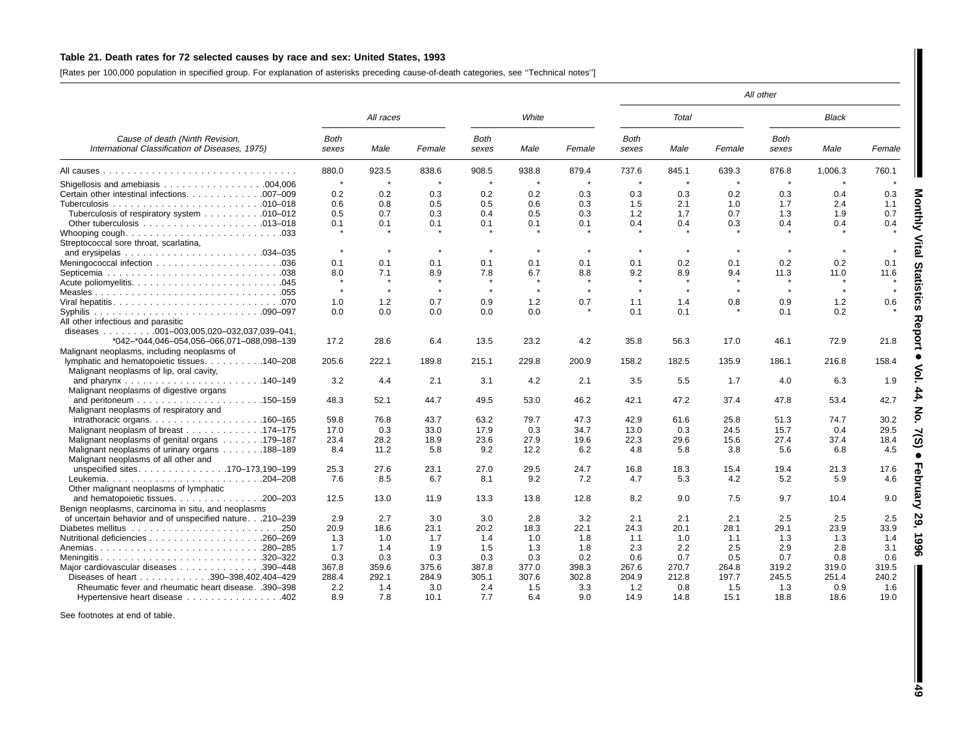### Table 21. Death rates for 72 selected causes by race and sex: United States, 1993

[Rates per 100,000 population in specified group. For explanation of asterisks preceding cause-of-death categories, see ''Technical notes'']

|                                                                                    |                      |            |           |               |            |           |                      |            |                     | All other     |         |            |
|------------------------------------------------------------------------------------|----------------------|------------|-----------|---------------|------------|-----------|----------------------|------------|---------------------|---------------|---------|------------|
|                                                                                    |                      | All races  |           |               | White      |           |                      | Total      |                     |               | Black   |            |
| Cause of death (Ninth Revision,<br>International Classification of Diseases, 1975) | <b>Both</b><br>sexes | Male       | Female    | Both<br>sexes | Male       | Female    | <b>Both</b><br>sexes | Male       | Female              | Both<br>sexes | Male    | Female     |
|                                                                                    | 880.0                | 923.5      | 838.6     | 908.5         | 938.8      | 879.4     | 737.6                | 845.1      | 639.3               | 876.8         | 1,006.3 | 760.1      |
|                                                                                    | $\pmb{\ast}$         |            |           | $\star$       | $\star$    |           | $\star$              | $\star$    | $\star$             | $\star$       |         |            |
| Certain other intestinal infections. 007-009                                       | 0.2                  | 0.2        | 0.3       | 0.2           | 0.2        | 0.3       | 0.3                  | 0.3        | 0.2                 | 0.3           | 0.4     | 0.3        |
|                                                                                    | 0.6                  | 0.8        | 0.5       | 0.5           | 0.6        | 0.3       | 1.5                  | 2.1        | 1.0                 | 1.7           | 2.4     | 1.1        |
| Tuberculosis of respiratory system 010-012                                         | 0.5                  | 0.7        | 0.3       | 0.4           | 0.5        | 0.3       | 1.2                  | 1.7        | 0.7                 | 1.3           | 1.9     | 0.7        |
|                                                                                    | 0.1                  | 0.1        | 0.1       | 0.1           | 0.1        | 0.1       | 0.4                  | 0.4        | 0.3                 | 0.4           | 0.4     | 0.4        |
|                                                                                    |                      |            |           |               |            |           |                      |            |                     |               |         |            |
| Streptococcal sore throat, scarlatina,                                             |                      |            |           |               |            |           |                      |            |                     |               |         |            |
| and erysipelas $\ldots \ldots \ldots \ldots \ldots \ldots \ldots \ldots 034-035$   | $\star$              | $\star$    | $\star$   | $\pmb{\ast}$  | $\star$    | $\star$   | $\star$              | $\star$    | $\star$             |               |         |            |
|                                                                                    | 0.1                  | 0.1        | 0.1       | 0.1           | 0.1        | 0.1       | 0.1                  | 0.2        | 0.1                 | 0.2           | 0.2     | 0.1        |
|                                                                                    | 8.0                  | 7.1        | 8.9       | 7.8           | 6.7        | 8.8       | 9.2                  | 8.9        | 9.4                 | 11.3          | 11.0    | 11.6       |
|                                                                                    |                      |            |           |               |            |           |                      |            |                     |               |         |            |
|                                                                                    | $\star$              | $\star$    | $\bullet$ | $\star$       | $\star$    | $\bullet$ | $\star$              | $\star$    | $\boldsymbol{\ast}$ | $\star$       | $\star$ | $\star$    |
|                                                                                    | 1.0                  | 1.2        | 0.7       | 0.9           | 1.2        | 0.7       | 1.1                  | 1.4        | 0.8                 | 0.9           | 1.2     | 0.6        |
|                                                                                    | 0.0                  | 0.0        | 0.0       | 0.0           | 0.0        |           | 0.1                  | 0.1        |                     | 0.1           | 0.2     |            |
|                                                                                    |                      |            |           |               |            |           |                      |            |                     |               |         |            |
| All other infectious and parasitic<br>diseases 001-003,005,020-032,037,039-041,    |                      |            |           |               |            |           |                      |            |                     |               |         |            |
|                                                                                    |                      |            |           |               |            |           |                      |            |                     |               |         |            |
| *042-*044,046-054,056-066,071-088,098-139                                          | 17.2                 | 28.6       | 6.4       | 13.5          | 23.2       | 4.2       | 35.8                 | 56.3       | 17.0                | 46.1          | 72.9    | 21.8       |
| Malignant neoplasms, including neoplasms of                                        |                      |            |           |               |            |           |                      |            |                     |               |         |            |
| lymphatic and hematopoietic tissues. 140–208                                       | 205.6                | 222.1      | 189.8     | 215.1         | 229.8      | 200.9     | 158.2                | 182.5      | 135.9               | 186.1         | 216.8   | 158.4      |
| Malignant neoplasms of lip, oral cavity,                                           |                      |            |           |               |            |           |                      |            |                     |               |         |            |
|                                                                                    | 3.2                  | 4.4        | 2.1       | 3.1           | 4.2        | 2.1       | 3.5                  | 5.5        | 1.7                 | 4.0           | 6.3     | 1.9        |
| Malignant neoplasms of digestive organs                                            |                      |            |           |               |            |           |                      |            |                     |               |         |            |
| Malignant neoplasms of respiratory and                                             | 48.3                 | 52.1       | 44.7      | 49.5          | 53.0       | 46.2      | 42.1                 | 47.2       | 37.4                | 47.8          | 53.4    | 42.7       |
|                                                                                    | 59.8                 | 76.8       | 43.7      | 63.2          | 79.7       | 47.3      | 42.9                 | 61.6       | 25.8                | 51.3          | 74.7    | 30.2       |
| Malignant neoplasm of breast 174–175                                               | 17.0                 | 0.3        | 33.0      | 17.9          | 0.3        | 34.7      | 13.0                 | 0.3        | 24.5                | 15.7          | 0.4     | 29.5       |
| Malignant neoplasms of genital organs 179–187                                      | 23.4                 | 28.2       | 18.9      | 23.6          | 27.9       | 19.6      | 22.3                 | 29.6       | 15.6                | 27.4          | 37.4    | 18.4       |
| Malignant neoplasms of urinary organs 188-189                                      | 8.4                  | 11.2       | 5.8       | 9.2           | 12.2       | 6.2       | 4.8                  | 5.8        | 3.8                 | 5.6           | 6.8     | 4.5        |
| Malignant neoplasms of all other and                                               |                      |            |           |               |            |           |                      |            |                     |               |         |            |
| unspecified sites170-173,190-199                                                   | 25.3                 | 27.6       | 23.1      | 27.0          | 29.5       | 24.7      | 16.8                 | 18.3       | 15.4                | 19.4          | 21.3    | 17.6       |
| Leukemia<br>$.204 - 208$                                                           | 7.6                  | 8.5        | 6.7       | 8.1           | 9.2        | 7.2       | 4.7                  | 5.3        | 4.2                 | 5.2           | 5.9     | 4.6        |
| Other malignant neoplasms of lymphatic                                             |                      |            |           |               |            |           |                      |            |                     |               |         |            |
| and hematopoietic tissues. 200-203                                                 | 12.5                 | 13.0       | 11.9      | 13.3          | 13.8       | 12.8      | 8.2                  | 9.0        | 7.5                 | 9.7           | 10.4    | 9.0        |
| Benign neoplasms, carcinoma in situ, and neoplasms                                 |                      |            |           |               |            |           |                      |            |                     |               |         |            |
| of uncertain behavior and of unspecified nature.210-239                            | 2.9                  | 2.7        | 3.0       | 3.0           | 2.8        | 3.2       | 2.1                  | 2.1        | 2.1                 | 2.5           | 2.5     | 2.5        |
|                                                                                    | 20.9                 | 18.6       | 23.1      | 20.2          | 18.3       | 22.1      | 24.3                 | 20.1       | 28.1                | 29.1          | 23.9    | 33.9       |
|                                                                                    |                      |            | 1.7       |               |            | 1.8       | 1.1                  |            | 1.1                 | 1.3           | 1.3     |            |
| .280-285                                                                           | 1.3<br>1.7           | 1.0<br>1.4 | 1.9       | 1.4<br>1.5    | 1.0<br>1.3 | 1.8       | 2.3                  | 1.0<br>2.2 | 2.5                 | 2.9           | 2.8     | 1.4<br>3.1 |
|                                                                                    |                      |            |           |               |            |           |                      |            |                     | 0.7           |         |            |
| $.320 - 322$<br>Meningitis                                                         | 0.3                  | 0.3        | 0.3       | 0.3           | 0.3        | 0.2       | 0.6                  | 0.7        | 0.5                 |               | 0.8     | 0.6        |
| Major cardiovascular diseases<br>.390-448                                          | 367.8                | 359.6      | 375.6     | 387.8         | 377.0      | 398.3     | 267.6                | 270.7      | 264.8               | 319.2         | 319.0   | 319.5      |
| Diseases of heart 390-398,402,404-429                                              | 288.4                | 292.1      | 284.9     | 305.1         | 307.6      | 302.8     | 204.9                | 212.8      | 197.7               | 245.5         | 251.4   | 240.2      |
| Rheumatic fever and rheumatic heart disease. .390-398                              | 2.2                  | 1.4        | 3.0       | 2.4           | 1.5        | 3.3       | 1.2                  | 0.8        | 1.5                 | 1.3           | 0.9     | 1.6        |
| Hypertensive heart disease 402                                                     | 8.9                  | 7.8        | 10.1      | 7.7           | 6.4        | 9.0       | 14.9                 | 14.8       | 15.1                | 18.8          | 18.6    | 19.0       |

See footnotes at end of table.

 **49**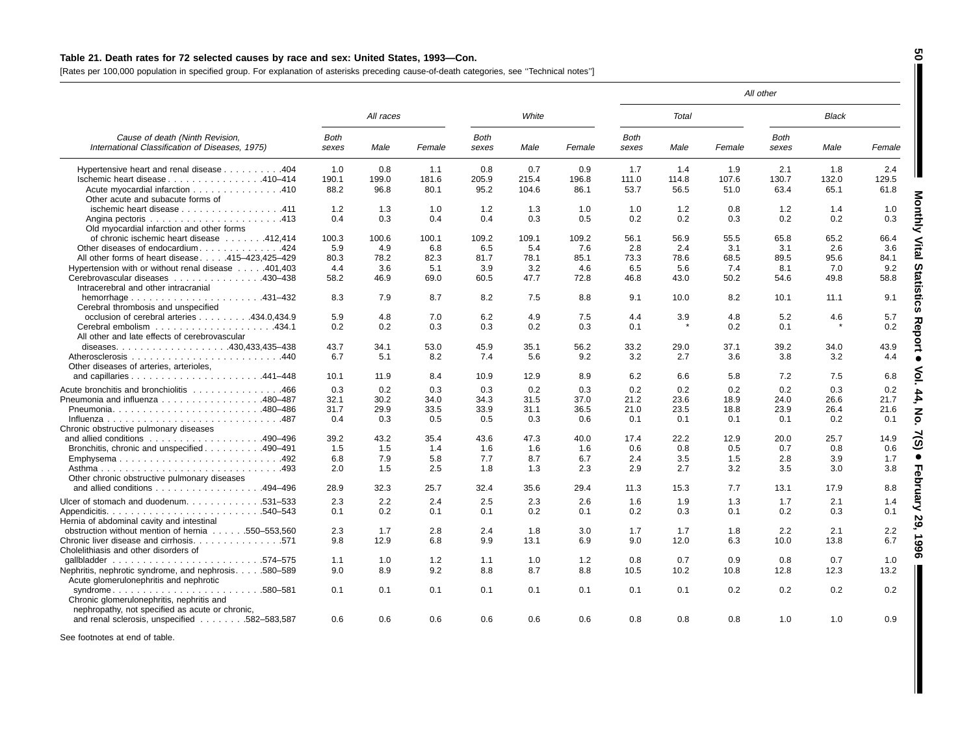### Table 21. Death rates for 72 selected causes by race and sex: United States, 1993-Con.

[Rates per 100,000 population in specified group. For explanation of asterisks preceding cause-of-death categories, see ''Technical notes'']

|                                                                                                                 |                      |           |        |                      |       |        |                      |       |        | All other            |              |        |
|-----------------------------------------------------------------------------------------------------------------|----------------------|-----------|--------|----------------------|-------|--------|----------------------|-------|--------|----------------------|--------------|--------|
|                                                                                                                 |                      | All races |        |                      | White |        |                      | Total |        |                      | <b>Black</b> |        |
| Cause of death (Ninth Revision,<br>International Classification of Diseases, 1975)                              | <b>Both</b><br>sexes | Male      | Female | <b>Both</b><br>sexes | Male  | Female | <b>Both</b><br>sexes | Male  | Female | <b>Both</b><br>sexes | Male         | Female |
| Hypertensive heart and renal disease 404                                                                        | 1.0                  | 0.8       | 1.1    | 0.8                  | 0.7   | 0.9    | 1.7                  | 1.4   | 1.9    | 2.1                  | 1.8          | 2.4    |
| Ischemic heart disease 410-414                                                                                  | 190.1                | 199.0     | 181.6  | 205.9                | 215.4 | 196.8  | 111.0                | 114.8 | 107.6  | 130.7                | 132.0        | 129.5  |
| Acute myocardial infarction 410<br>Other acute and subacute forms of                                            | 88.2                 | 96.8      | 80.1   | 95.2                 | 104.6 | 86.1   | 53.7                 | 56.5  | 51.0   | 63.4                 | 65.1         | 61.8   |
| ischemic heart disease 411                                                                                      | 1.2                  | 1.3       | 1.0    | 1.2                  | 1.3   | 1.0    | 1.0                  | 1.2   | 0.8    | 1.2                  | 1.4          | 1.0    |
| Old myocardial infarction and other forms                                                                       | 0.4                  | 0.3       | 0.4    | 0.4                  | 0.3   | 0.5    | 0.2                  | 0.2   | 0.3    | 0.2                  | 0.2          | 0.3    |
| of chronic ischemic heart disease 412,414                                                                       | 100.3                | 100.6     | 100.1  | 109.2                | 109.1 | 109.2  | 56.1                 | 56.9  | 55.5   | 65.8                 | 65.2         | 66.4   |
| Other diseases of endocardium424                                                                                | 5.9                  | 4.9       | 6.8    | 6.5                  | 5.4   | 7.6    | 2.8                  | 2.4   | 3.1    | 3.1                  | 2.6          | 3.6    |
| All other forms of heart disease415-423,425-429                                                                 | 80.3                 | 78.2      | 82.3   | 81.7                 | 78.1  | 85.1   | 73.3                 | 78.6  | 68.5   | 89.5                 | 95.6         | 84.1   |
| Hypertension with or without renal disease 401,403                                                              | 4.4                  | 3.6       | 5.1    | 3.9                  | 3.2   | 4.6    | 6.5                  | 5.6   | 7.4    | 8.1                  | 7.0          | 9.2    |
| Cerebrovascular diseases 430-438<br>Intracerebral and other intracranial                                        | 58.2                 | 46.9      | 69.0   | 60.5                 | 47.7  | 72.8   | 46.8                 | 43.0  | 50.2   | 54.6                 | 49.8         | 58.8   |
| hemorrhage $\ldots \ldots \ldots \ldots \ldots \ldots$ 431-432<br>Cerebral thrombosis and unspecified           | 8.3                  | 7.9       | 8.7    | 8.2                  | 7.5   | 8.8    | 9.1                  | 10.0  | 8.2    | 10.1                 | 11.1         | 9.1    |
| occlusion of cerebral arteries 434.0,434.9                                                                      | 5.9                  | 4.8       | 7.0    | 6.2                  | 4.9   | 7.5    | 4.4                  | 3.9   | 4.8    | 5.2                  | 4.6          | 5.7    |
| All other and late effects of cerebrovascular                                                                   | $0.2^{\circ}$        | 0.2       | 0.3    | 0.3                  | 0.2   | 0.3    | 0.1                  |       | 0.2    | 0.1                  |              | 0.2    |
|                                                                                                                 | 43.7                 | 34.1      | 53.0   | 45.9                 | 35.1  | 56.2   | 33.2                 | 29.0  | 37.1   | 39.2                 | 34.0         | 43.9   |
| Other diseases of arteries, arterioles,                                                                         | 6.7                  | 5.1       | 8.2    | 7.4                  | 5.6   | 9.2    | 3.2                  | 2.7   | 3.6    | 3.8                  | 3.2          | 4.4    |
|                                                                                                                 | 10.1                 | 11.9      | 8.4    | 10.9                 | 12.9  | 8.9    | 6.2                  | 6.6   | 5.8    | 7.2                  | 7.5          | 6.8    |
| Acute bronchitis and bronchiolitis 466                                                                          | 0.3                  | 0.2       | 0.3    | 0.3                  | 0.2   | 0.3    | 0.2                  | 0.2   | 0.2    | 0.2                  | 0.3          | 0.2    |
| Pneumonia and influenza 480–487                                                                                 | 32.1                 | 30.2      | 34.0   | 34.3                 | 31.5  | 37.0   | 21.2                 | 23.6  | 18.9   | 24.0                 | 26.6         | 21.7   |
| Pneumonia480-486                                                                                                | 31.7                 | 29.9      | 33.5   | 33.9                 | 31.1  | 36.5   | 21.0                 | 23.5  | 18.8   | 23.9                 | 26.4         | 21.6   |
| Chronic obstructive pulmonary diseases                                                                          | 0.4                  | 0.3       | 0.5    | 0.5                  | 0.3   | 0.6    | 0.1                  | 0.1   | 0.1    | 0.1                  | 0.2          | 0.1    |
| and allied conditions $\ldots \ldots \ldots \ldots \ldots \ldots$ 490-496                                       | 39.2                 | 43.2      | 35.4   | 43.6                 | 47.3  | 40.0   | 17.4                 | 22.2  | 12.9   | 20.0                 | 25.7         | 14.9   |
| Bronchitis, chronic and unspecified490–491                                                                      | 1.5                  | 1.5       | 1.4    | 1.6                  | 1.6   | 1.6    | 0.6                  | 0.8   | 0.5    | 0.7                  | 0.8          | 0.6    |
| Emphysema492                                                                                                    | 6.8                  | 7.9       | 5.8    | 7.7                  | 8.7   | 6.7    | 2.4                  | 3.5   | 1.5    | 2.8                  | 3.9          | 1.7    |
|                                                                                                                 | 2.0                  | 1.5       | 2.5    | 1.8                  | 1.3   | 2.3    | 2.9                  | 2.7   | 3.2    | 3.5                  | 3.0          | 3.8    |
| Other chronic obstructive pulmonary diseases                                                                    |                      |           |        |                      |       |        |                      |       |        |                      |              |        |
| and allied conditions $\ldots \ldots \ldots \ldots \ldots$ 494–496                                              | 28.9                 | 32.3      | 25.7   | 32.4                 | 35.6  | 29.4   | 11.3                 | 15.3  | 7.7    | 13.1                 | 17.9         | 8.8    |
| Ulcer of stomach and duodenum. 531-533                                                                          | 2.3                  | 2.2       | 2.4    | 2.5                  | 2.3   | 2.6    | 1.6                  | 1.9   | 1.3    | 1.7                  | 2.1          | 1.4    |
| Hernia of abdominal cavity and intestinal                                                                       | 0.1                  | 0.2       | 0.1    | 0.1                  | 0.2   | 0.1    | 0.2                  | 0.3   | 0.1    | 0.2                  | 0.3          | 0.1    |
| obstruction without mention of hernia 550–553,560                                                               | 2.3                  | 1.7       | 2.8    | 2.4                  | 1.8   | 3.0    | 1.7                  | 1.7   | 1.8    | 2.2                  | 2.1          | 2.2    |
| Chronic liver disease and cirrhosis. 571<br>Cholelithiasis and other disorders of                               | 9.8                  | 12.9      | 6.8    | 9.9                  | 13.1  | 6.9    | 9.0                  | 12.0  | 6.3    | 10.0                 | 13.8         | 6.7    |
|                                                                                                                 | 1.1                  | 1.0       | 1.2    | 1.1                  | 1.0   | 1.2    | 0.8                  | 0.7   | 0.9    | 0.8                  | 0.7          | 1.0    |
| Nephritis, nephrotic syndrome, and nephrosis,  .580–589<br>Acute glomerulonephritis and nephrotic               | 9.0                  | 8.9       | 9.2    | 8.8                  | 8.7   | 8.8    | 10.5                 | 10.2  | 10.8   | 12.8                 | 12.3         | 13.2   |
| syndrome580-581<br>Chronic alomerulonephritis, nephritis and<br>nephropathy, not specified as acute or chronic, | 0.1                  | 0.1       | 0.1    | 0.1                  | 0.1   | 0.1    | 0.1                  | 0.1   | 0.2    | 0.2                  | 0.2          | 0.2    |
| and renal sclerosis, unspecified 582-583,587                                                                    | 0.6                  | 0.6       | 0.6    | 0.6                  | 0.6   | 0.6    | 0.8                  | 0.8   | 0.8    | 1.0                  | 1.0          | 0.9    |

See footnotes at end of table.

 **Monthly Vital** 

**Statistics**

 **Report** +

**Vol. 44, No. 7(S)**

 $\bullet$ 

**February 29, 1996**

 $\blacksquare$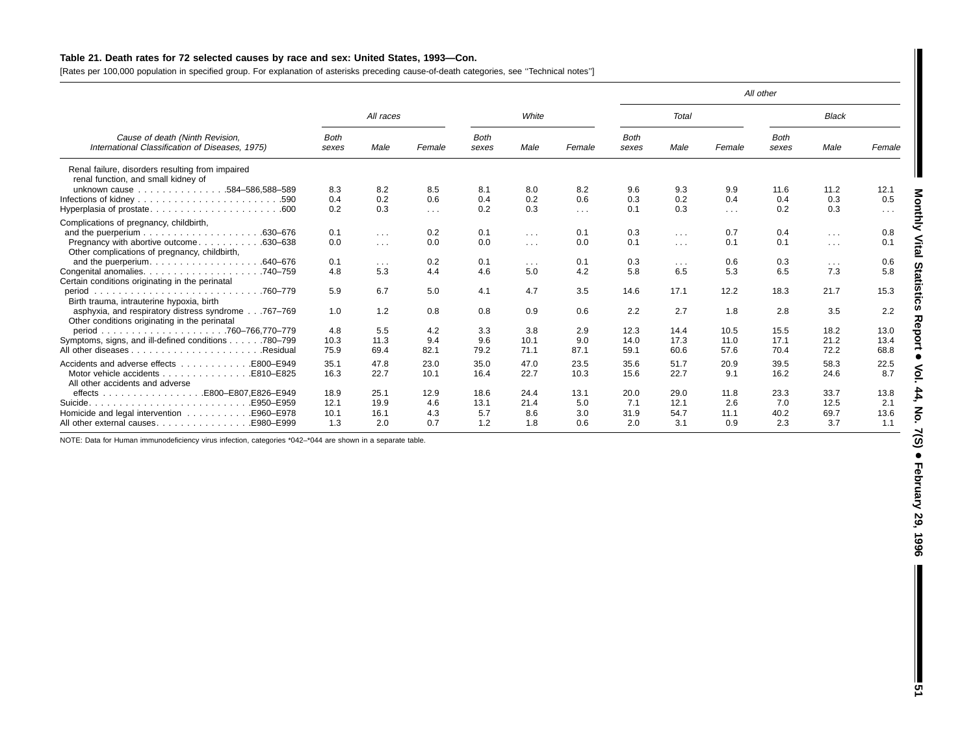### Table 21. Death rates for 72 selected causes by race and sex: United States, 1993-Con.

[Rates per 100,000 population in specified group. For explanation of asterisks preceding cause-of-death categories, see ''Technical notes'']

|                                                                                                     |                      |                      |              |                      |                         |        |                      |            |            | All other            |                         |                         |
|-----------------------------------------------------------------------------------------------------|----------------------|----------------------|--------------|----------------------|-------------------------|--------|----------------------|------------|------------|----------------------|-------------------------|-------------------------|
|                                                                                                     |                      | All races            |              |                      | White                   |        |                      | Total      |            |                      | <b>Black</b>            |                         |
| Cause of death (Ninth Revision,<br>International Classification of Diseases, 1975)                  | <b>Both</b><br>sexes | Male                 | Female       | <b>Both</b><br>sexes | Male                    | Female | <b>Both</b><br>sexes | Male       | Female     | <b>Both</b><br>sexes | Male                    | Female                  |
| Renal failure, disorders resulting from impaired<br>renal function, and small kidney of             |                      |                      |              |                      |                         |        |                      |            |            |                      |                         |                         |
| unknown cause 584-586,588-589                                                                       | 8.3                  | 8.2                  | 8.5          | 8.1                  | 8.0                     | 8.2    | 9.6                  | 9.3        | 9.9        | 11.6                 | 11.2                    | 12.1                    |
|                                                                                                     | 0.4                  | 0.2                  | 0.6          | 0.4                  | 0.2                     | 0.6    | 0.3                  | 0.2        | 0.4        | 0.4                  | 0.3                     | 0.5                     |
|                                                                                                     | 0.2                  | 0.3                  | $\sim 100$   | 0.2                  | 0.3                     | $\sim$ | 0.1                  | 0.3        | $\sim 100$ | 0.2                  | 0.3                     | $\sim 100$ km s $^{-1}$ |
| Complications of pregnancy, childbirth,                                                             |                      |                      |              |                      |                         |        |                      |            |            |                      |                         |                         |
|                                                                                                     | 0.1                  | $\sim 100$           | 0.2          | 0.1                  | $\sim$ $\sim$ $\sim$    | 0.1    | 0.3                  | $\cdots$   | 0.7        | 0.4                  | $\sim$                  | 0.8                     |
| Pregnancy with abortive outcome<br>.630–638                                                         | 0.0                  | $\sim 100$           | 0.0          | 0.0                  | $\sim 100$              | 0.0    | 0.1                  | $\sim 100$ | 0.1        | 0.1                  | $\sim 100$ km s $^{-1}$ | 0.1                     |
| Other complications of pregnancy, childbirth,                                                       |                      |                      |              |                      |                         |        |                      |            |            |                      |                         |                         |
| and the puerperium.<br>.640–676                                                                     | 0.1                  | $\sim$ $\sim$ $\sim$ | 0.2          | 0.1                  | $\sim 100$ km s $^{-1}$ | 0.1    | 0.3                  | $\sim 100$ | 0.6        | 0.3                  | $\sim 100$ km s $^{-1}$ | 0.6                     |
| Congenital anomalies.<br>.740–759                                                                   | 4.8                  | 5.3                  | 4.4          | 4.6                  | 5.0                     | 4.2    | 5.8                  | 6.5        | 5.3        | 6.5                  | 7.3                     | 5.8                     |
| Certain conditions originating in the perinatal                                                     |                      |                      |              |                      |                         |        |                      |            |            |                      |                         |                         |
| period<br>.760-779<br>Birth trauma, intrauterine hypoxia, birth                                     | 5.9                  | 6.7                  | 5.0          | 4.1                  | 4.7                     | 3.5    | 14.6                 | 17.1       | 12.2       | 18.3                 | 21.7                    | 15.3                    |
| asphyxia, and respiratory distress syndrome767-769<br>Other conditions originating in the perinatal | 1.0                  | 1.2                  | 0.8          | 0.8                  | 0.9                     | 0.6    | 2.2                  | 2.7        | 1.8        | 2.8                  | 3.5                     | 2.2                     |
| period                                                                                              | 4.8                  | 5.5                  | 4.2          | 3.3                  | 3.8                     | 2.9    | 12.3                 | 14.4       | 10.5       | 15.5                 | 18.2                    | 13.0                    |
| Symptoms, signs, and ill-defined conditions 780–799                                                 | 10.3                 | 11.3                 | 9.4          | 9.6                  | 10.1                    | 9.0    | 14.0                 | 17.3       | 11.0       | 17.1                 | 21.2                    | 13.4                    |
| Residual.                                                                                           | 75.9                 | 69.4                 | 82.1         | 79.2                 | 71.1                    | 87.1   | 59.1                 | 60.6       | 57.6       | 70.4                 | 72.2                    | 68.8                    |
| Accidents and adverse effects<br>E800-E949                                                          | 35.1                 | 47.8                 |              | 35.0                 | 47.0                    | 23.5   | 35.6                 | 51.7       | 20.9       |                      | 58.3                    |                         |
| Motor vehicle accidents<br>E810-E825                                                                | 16.3                 | 22.7                 | 23.0<br>10.1 | 16.4                 | 22.7                    | 10.3   | 15.6                 | 22.7       | 9.1        | 39.5<br>16.2         | 24.6                    | 22.5<br>8.7             |
| All other accidents and adverse                                                                     |                      |                      |              |                      |                         |        |                      |            |            |                      |                         |                         |
|                                                                                                     | 18.9                 | 25.1                 | 12.9         | 18.6                 | 24.4                    | 13.1   | 20.0                 | 29.0       | 11.8       | 23.3                 | 33.7                    | 13.8                    |
| Suicide.<br>E950-E959                                                                               | 12.1                 | 19.9                 | 4.6          | 13.1                 | 21.4                    | 5.0    | 7.1                  | 12.1       | 2.6        | 7.0                  | 12.5                    | 2.1                     |
|                                                                                                     | 10.1                 | 16.1                 | 4.3          | 5.7                  | 8.6                     | 3.0    | 31.9                 | 54.7       | 11.1       | 40.2                 | 69.7                    | 13.6                    |
| E980-E999.<br>All other external causes.                                                            | 1.3                  | 2.0                  | 0.7          | 1.2                  | 1.8                     | 0.6    | 2.0                  | 3.1        | 0.9        | 2.3                  | 3.7                     | 1.1                     |

NOTE: Data for Human immunodeficiency virus infection, categories \*042–\*044 are shown in <sup>a</sup> separate table.

I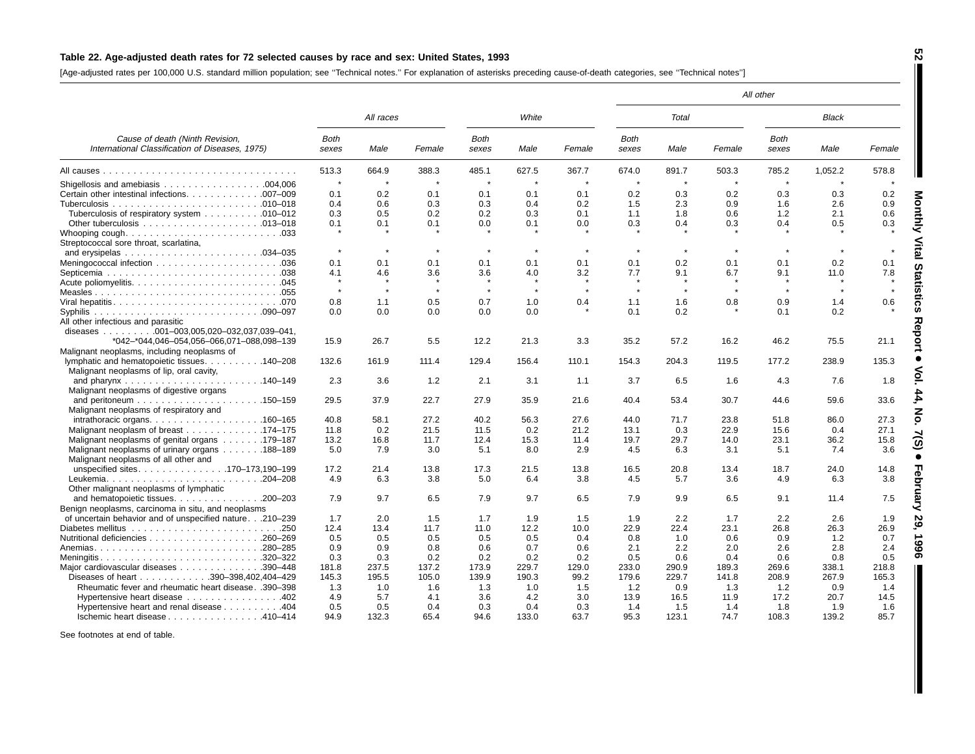### Table 22. Age-adjusted death rates for 72 selected causes by race and sex: United States, 1993

[Age-adjusted rates per 100,000 U.S. standard million population; see ''Technical notes.'' For explanation of asterisks preceding cause-of-death categories, see ''Technical notes'']

|                                                                                                               |                      |           |        |                      |         |             |                      |              |             | All other            |              |              |
|---------------------------------------------------------------------------------------------------------------|----------------------|-----------|--------|----------------------|---------|-------------|----------------------|--------------|-------------|----------------------|--------------|--------------|
|                                                                                                               |                      | All races |        |                      | White   |             |                      | <b>Total</b> |             |                      | <b>Black</b> |              |
| Cause of death (Ninth Revision,<br>International Classification of Diseases, 1975)                            | <b>Both</b><br>sexes | Male      | Female | <b>Both</b><br>sexes | Male    | Female      | <b>Both</b><br>sexes | Male         | Female      | <b>Both</b><br>sexes | Male         | Female       |
|                                                                                                               | 513.3                | 664.9     | 388.3  | 485.1                | 627.5   | 367.7       | 674.0                | 891.7        | 503.3       | 785.2                | 1,052.2      | 578.8        |
|                                                                                                               | $\pmb{\ast}$         | $\star$   |        |                      |         | $\star$     |                      | $\star$      | $\star$     | $\star$              |              |              |
| Certain other intestinal infections. 007-009                                                                  | 0.1                  | 0.2       | 0.1    | 0.1                  | 0.1     | 0.1         | 0.2                  | 0.3          | 0.2         | 0.3                  | 0.3          | 0.2          |
|                                                                                                               | 0.4                  | 0.6       | 0.3    | 0.3                  | 0.4     | 0.2         | 1.5                  | 2.3          | 0.9         | 1.6                  | 2.6          | 0.9          |
| Tuberculosis of respiratory system 010–012                                                                    | 0.3                  | 0.5       | 0.2    | 0.2                  | 0.3     | 0.1         | 1.1                  | 1.8          | 0.6         | 1.2                  | 2.1          | 0.6          |
|                                                                                                               | 0.1                  | 0.1       | 0.1    | 0.0                  | 0.1     | 0.0         | 0.3                  | 0.4          | 0.3         | 0.4                  | 0.5          | 0.3          |
| Streptococcal sore throat, scarlatina,                                                                        |                      |           |        |                      |         |             |                      |              |             |                      |              |              |
| and erysipelas $\ldots \ldots \ldots \ldots \ldots \ldots \ldots \ldots 034-035$                              | $\,$ $\,$            | $\star$   |        |                      |         | $\star$     |                      | $\star$      |             |                      |              |              |
|                                                                                                               | 0.1                  | 0.1       | 0.1    | 0.1                  | 0.1     | 0.1         | 0.1                  | 0.2          | 0.1         | 0.1                  | 0.2          | 0.1          |
|                                                                                                               | 4.1                  | 4.6       | 3.6    | 3.6                  | 4.0     | 3.2         | 7.7                  | 9.1          | 6.7         | 9.1                  | 11.0         | 7.8          |
|                                                                                                               |                      |           |        |                      |         |             |                      |              |             |                      |              |              |
|                                                                                                               | $\star$              | $\star$   |        | $\star$              | $\star$ | $\star$     | $\star$              | $\star$      | $\star$     | $\star$              | $\star$      | $\mathbf{r}$ |
|                                                                                                               | 0.8                  | 1.1       | 0.5    | 0.7                  | 1.0     | 0.4         | 1.1                  | 1.6          | 0.8         | 0.9                  | 1.4          | 0.6          |
| All other infectious and parasitic                                                                            | 0.0                  | 0.0       | 0.0    | 0.0                  | 0.0     |             | 0.1                  | 0.2          |             | 0.1                  | 0.2          |              |
| diseases $\ldots \ldots \ldots 001-003,005,020-032,037,039-041,$<br>*042-*044,046-054,056-066,071-088,098-139 | 15.9                 | 26.7      | 5.5    | 12.2                 | 21.3    | 3.3         | 35.2                 | 57.2         | 16.2        | 46.2                 | 75.5         | 21.1         |
| Malignant neoplasms, including neoplasms of                                                                   |                      |           |        |                      |         |             |                      |              |             |                      |              |              |
| lymphatic and hematopoietic tissues. 140–208<br>Malignant neoplasms of lip, oral cavity,                      | 132.6                | 161.9     | 111.4  | 129.4                | 156.4   | 110.1       | 154.3                | 204.3        | 119.5       | 177.2                | 238.9        | 135.3        |
| Malignant neoplasms of digestive organs                                                                       | 2.3                  | 3.6       | 1.2    | 2.1                  | 3.1     | 1.1         | 3.7                  | 6.5          | 1.6         | 4.3                  | 7.6          | 1.8          |
| Malignant neoplasms of respiratory and                                                                        | 29.5                 | 37.9      | 22.7   | 27.9                 | 35.9    | 21.6        | 40.4                 | 53.4         | 30.7        | 44.6                 | 59.6         | 33.6         |
|                                                                                                               | 40.8                 | 58.1      | 27.2   | 40.2                 | 56.3    | 27.6        | 44.0                 | 71.7         | 23.8        | 51.8                 | 86.0         | 27.3         |
| Malignant neoplasm of breast 174–175                                                                          | 11.8                 | 0.2       | 21.5   | 11.5                 | 0.2     | 21.2        | 13.1                 | 0.3          | 22.9        | 15.6                 | 0.4          | 27.1         |
| Malignant neoplasms of genital organs 179–187                                                                 | 13.2                 | 16.8      | 11.7   | 12.4                 | 15.3    | 11.4        | 19.7                 | 29.7         | 14.0        | 23.1                 | 36.2         | 15.8         |
| Malignant neoplasms of urinary organs 188–189                                                                 | 5.0                  | 7.9       | 3.0    | 5.1                  | 8.0     | 2.9         | 4.5                  | 6.3          | 3.1         | 5.1                  | 7.4          | 3.6          |
| Malignant neoplasms of all other and                                                                          |                      |           |        |                      |         |             |                      |              |             |                      |              |              |
| unspecified sites170-173,190-199                                                                              | 17.2                 | 21.4      | 13.8   | 17.3                 | 21.5    | 13.8        | 16.5                 | 20.8         | 13.4        | 18.7                 | 24.0         | 14.8         |
| Leukemia204-208<br>Other malignant neoplasms of lymphatic                                                     | 4.9                  | 6.3       | 3.8    | 5.0                  | 6.4     | 3.8         | 4.5                  | 5.7          | 3.6         | 4.9                  | 6.3          | 3.8          |
| and hematopoietic tissues. 200–203<br>Benign neoplasms, carcinoma in situ, and neoplasms                      | 7.9                  | 9.7       | 6.5    | 7.9                  | 9.7     | 6.5         | 7.9                  | 9.9          | 6.5         | 9.1                  | 11.4         | 7.5          |
|                                                                                                               | 1.7                  | 2.0       |        | 1.7                  | 1.9     |             |                      |              |             | 2.2                  |              |              |
| of uncertain behavior and of unspecified nature210-239                                                        | 12.4                 |           | 1.5    | 11.0                 | 12.2    | 1.5<br>10.0 | 1.9<br>22.9          | 2.2<br>22.4  | 1.7<br>23.1 |                      | 2.6          | 1.9<br>26.9  |
|                                                                                                               |                      | 13.4      | 11.7   |                      |         |             |                      |              |             | 26.8                 | 26.3         |              |
|                                                                                                               | 0.5                  | 0.5       | 0.5    | 0.5                  | 0.5     | 0.4         | 0.8                  | 1.0          | 0.6         | 0.9                  | 1.2          | 0.7<br>2.4   |
|                                                                                                               | 0.9                  | 0.9       | 0.8    | 0.6                  | 0.7     | 0.6         | 2.1                  | 2.2          | 2.0         | 2.6                  | 2.8          |              |
|                                                                                                               | 0.3                  | 0.3       | 0.2    | 0.2                  | 0.2     | 0.2         | 0.5                  | 0.6          | 0.4         | 0.6                  | 0.8          | 0.5          |
| Major cardiovascular diseases 390–448                                                                         | 181.8                | 237.5     | 137.2  | 173.9                | 229.7   | 129.0       | 233.0                | 290.9        | 189.3       | 269.6                | 338.1        | 218.8        |
| Diseases of heart 390-398,402,404-429                                                                         | 145.3                | 195.5     | 105.0  | 139.9                | 190.3   | 99.2        | 179.6                | 229.7        | 141.8       | 208.9                | 267.9        | 165.3        |
| Rheumatic fever and rheumatic heart disease. .390-398                                                         | 1.3                  | 1.0       | 1.6    | 1.3                  | 1.0     | 1.5         | 1.2                  | 0.9          | 1.3         | 1.2                  | 0.9          | 1.4          |
| Hypertensive heart disease 402                                                                                | 4.9                  | 5.7       | 4.1    | 3.6                  | 4.2     | 3.0         | 13.9                 | 16.5         | 11.9        | 17.2                 | 20.7         | 14.5         |
| Hypertensive heart and renal disease 404                                                                      | 0.5                  | 0.5       | 0.4    | 0.3                  | 0.4     | 0.3         | 1.4                  | 1.5          | 1.4         | 1.8                  | 1.9          | 1.6          |
| Ischemic heart disease 410-414                                                                                | 94.9                 | 132.3     | 65.4   | 94.6                 | 133.0   | 63.7        | 95.3                 | 123.1        | 74.7        | 108.3                | 139.2        | 85.7         |

See footnotes at end of table.

**52**

 **Monthly Vital** 

**Statistics**

 **Report** +

**Vol. 44, No. 7(S)**

 $\bullet$ 

**February 29, 1996**

 $\blacksquare$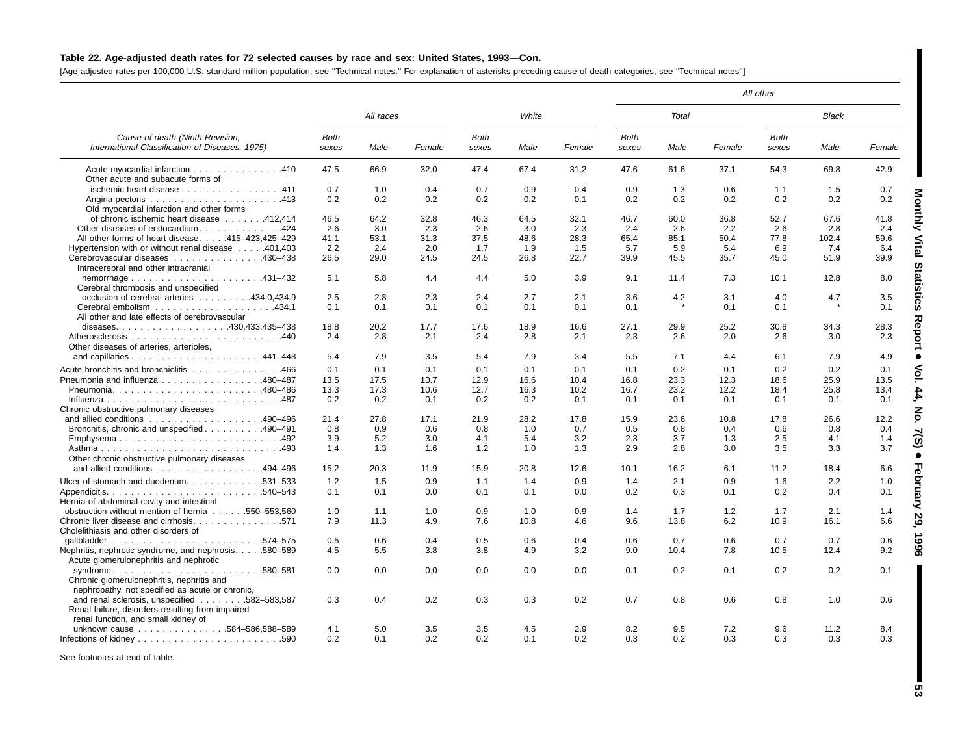### Table 22. Age-adjusted death rates for 72 selected causes by race and sex: United States, 1993-Con.

[Age-adjusted rates per 100,000 U.S. standard million population; see ''Technical notes.'' For explanation of asterisks preceding cause-of-death categories, see ''Technical notes'']

|                                                                                                                                         |                      |             |             |                      |             |             |                      |                |             | All other            |              |             |
|-----------------------------------------------------------------------------------------------------------------------------------------|----------------------|-------------|-------------|----------------------|-------------|-------------|----------------------|----------------|-------------|----------------------|--------------|-------------|
|                                                                                                                                         |                      | All races   |             |                      | White       |             |                      | Total          |             |                      | <b>Black</b> |             |
| Cause of death (Ninth Revision.<br>International Classification of Diseases, 1975)                                                      | <b>Both</b><br>sexes | Male        | Female      | <b>Both</b><br>sexes | Male        | Female      | <b>Both</b><br>sexes | Male           | Female      | <b>Both</b><br>sexes | Male         | Female      |
| Acute myocardial infarction 410<br>Other acute and subacute forms of                                                                    | 47.5                 | 66.9        | 32.0        | 47.4                 | 67.4        | 31.2        | 47.6                 | 61.6           | 37.1        | 54.3                 | 69.8         | 42.9        |
| ischemic heart disease 411<br>Old myocardial infarction and other forms                                                                 | 0.7<br>0.2           | 1.0<br>0.2  | 0.4<br>0.2  | 0.7<br>0.2           | 0.9<br>0.2  | 0.4<br>0.1  | 0.9<br>0.2           | 1.3<br>0.2     | 0.6<br>0.2  | 1.1<br>0.2           | 1.5<br>0.2   | 0.7<br>0.2  |
| of chronic ischemic heart disease 412,414<br>Other diseases of endocardium. 424                                                         | 46.5<br>2.6          | 64.2<br>3.0 | 32.8<br>2.3 | 46.3<br>2.6          | 64.5<br>3.0 | 32.1<br>2.3 | 46.7<br>2.4          | 60.0<br>2.6    | 36.8<br>2.2 | 52.7<br>2.6          | 67.6<br>2.8  | 41.8<br>2.4 |
| All other forms of heart disease. 415-423,425-429<br>Hypertension with or without renal disease 401,403                                 | 41.1<br>2.2          | 53.1<br>2.4 | 31.3<br>2.0 | 37.5<br>1.7          | 48.6<br>1.9 | 28.3<br>1.5 | 65.4<br>5.7          | 85.1<br>5.9    | 50.4<br>5.4 | 77.8<br>6.9          | 102.4<br>7.4 | 59.6<br>6.4 |
| Cerebrovascular diseases 430-438<br>Intracerebral and other intracranial                                                                | 26.5                 | 29.0        | 24.5        | 24.5                 | 26.8        | 22.7        | 39.9                 | 45.5           | 35.7        | 45.0                 | 51.9         | 39.9        |
| Cerebral thrombosis and unspecified                                                                                                     | 5.1                  | 5.8         | 4.4         | 4.4                  | 5.0         | 3.9         | 9.1                  | 11.4           | 7.3         | 10.1                 | 12.8         | 8.0         |
| occlusion of cerebral arteries 434.0,434.9<br>All other and late effects of cerebrovascular                                             | 2.5<br>0.1           | 2.8<br>0.1  | 2.3<br>0.1  | 2.4<br>0.1           | 2.7<br>0.1  | 2.1<br>0.1  | 3.6<br>0.1           | 4.2<br>$\star$ | 3.1<br>0.1  | 4.0<br>0.1           | 4.7          | 3.5<br>0.1  |
| Other diseases of arteries, arterioles,                                                                                                 | 18.8<br>2.4          | 20.2<br>2.8 | 17.7<br>2.1 | 17.6<br>2.4          | 18.9<br>2.8 | 16.6<br>2.1 | 27.1<br>2.3          | 29.9<br>2.6    | 25.2<br>2.0 | 30.8<br>2.6          | 34.3<br>3.0  | 28.3<br>2.3 |
|                                                                                                                                         | 5.4                  | 7.9         | 3.5         | 5.4                  | 7.9         | 3.4         | 5.5                  | 7.1            | 4.4         | 6.1                  | 7.9          | 4.9         |
| Acute bronchitis and bronchiolitis 466<br>Pneumonia and influenza 480-487                                                               | 0.1<br>13.5          | 0.1<br>17.5 | 0.1<br>10.7 | 0.1<br>12.9          | 0.1<br>16.6 | 0.1<br>10.4 | 0.1<br>16.8          | 0.2<br>23.3    | 0.1<br>12.3 | 0.2<br>18.6          | 0.2<br>25.9  | 0.1<br>13.5 |
| Pneumonia480-486<br>Chronic obstructive pulmonary diseases                                                                              | 13.3<br>0.2          | 17.3<br>0.2 | 10.6<br>0.1 | 12.7<br>0.2          | 16.3<br>0.2 | 10.2<br>0.1 | 16.7<br>0.1          | 23.2<br>0.1    | 12.2<br>0.1 | 18.4<br>0.1          | 25.8<br>0.1  | 13.4<br>0.1 |
| Bronchitis, chronic and unspecified 490–491                                                                                             | 21.4<br>0.8          | 27.8<br>0.9 | 17.1<br>0.6 | 21.9<br>0.8          | 28.2<br>1.0 | 17.8<br>0.7 | 15.9<br>0.5          | 23.6<br>0.8    | 10.8<br>0.4 | 17.8<br>0.6          | 26.6<br>0.8  | 12.2<br>0.4 |
| Emphysema492<br>Other chronic obstructive pulmonary diseases                                                                            | 3.9<br>1.4           | 5.2<br>1.3  | 3.0<br>1.6  | 4.1<br>1.2           | 5.4<br>1.0  | 3.2<br>1.3  | 2.3<br>2.9           | 3.7<br>2.8     | 1.3<br>3.0  | 2.5<br>3.5           | 4.1<br>3.3   | 1.4<br>3.7  |
| and allied conditions $\ldots \ldots \ldots \ldots \ldots$ 494–496                                                                      | 15.2                 | 20.3        | 11.9        | 15.9                 | 20.8        | 12.6        | 10.1                 | 16.2           | 6.1         | 11.2                 | 18.4         | 6.6         |
| Ulcer of stomach and duodenum. 531-533<br>Hernia of abdominal cavity and intestinal                                                     | 1.2<br>0.1           | 1.5<br>0.1  | 0.9<br>0.0  | 1.1<br>0.1           | 1.4<br>0.1  | 0.9<br>0.0  | 1.4<br>0.2           | 2.1<br>0.3     | 0.9<br>0.1  | 1.6<br>0.2           | 2.2<br>0.4   | 1.0<br>0.1  |
| obstruction without mention of hernia 550–553,560<br>Chronic liver disease and cirrhosis. 571<br>Cholelithiasis and other disorders of  | 1.0<br>7.9           | 1.1<br>11.3 | 1.0<br>4.9  | 0.9<br>7.6           | 1.0<br>10.8 | 0.9<br>4.6  | 1.4<br>9.6           | 1.7<br>13.8    | 1.2<br>6.2  | 1.7<br>10.9          | 2.1<br>16.1  | 1.4<br>6.6  |
| .574–575<br>Nephritis, nephrotic syndrome, and nephrosis580–589<br>Acute glomerulonephritis and nephrotic                               | 0.5<br>4.5           | 0.6<br>5.5  | 0.4<br>3.8  | 0.5<br>3.8           | 0.6<br>4.9  | 0.4<br>3.2  | 0.6<br>9.0           | 0.7<br>10.4    | 0.6<br>7.8  | 0.7<br>10.5          | 0.7<br>12.4  | 0.6<br>9.2  |
| syndrome<br>.580–581<br>Chronic glomerulonephritis, nephritis and<br>nephropathy, not specified as acute or chronic,                    | 0.0                  | 0.0         | 0.0         | 0.0                  | 0.0         | 0.0         | 0.1                  | 0.2            | 0.1         | 0.2                  | 0.2          | 0.1         |
| and renal sclerosis, unspecified 582-583,587<br>Renal failure, disorders resulting from impaired<br>renal function, and small kidney of | 0.3                  | 0.4         | 0.2         | 0.3                  | 0.3         | 0.2         | 0.7                  | 0.8            | 0.6         | 0.8                  | 1.0          | 0.6         |
| unknown cause 584-586,588-589                                                                                                           | 4.1<br>$0.2^{\circ}$ | 5.0<br>0.1  | 3.5<br>0.2  | 3.5<br>0.2           | 4.5<br>0.1  | 2.9<br>0.2  | 8.2<br>0.3           | 9.5<br>0.2     | 7.2<br>0.3  | 9.6<br>0.3           | 11.2<br>0.3  | 8.4<br>0.3  |

See footnotes at end of table.

**Monthly Vital** 

**Statistics**

 **Report** +

**Vol. 44, No. 7(S)**

 $\bullet$ 

**February 29, 1996**

I

 ${\bf 53}$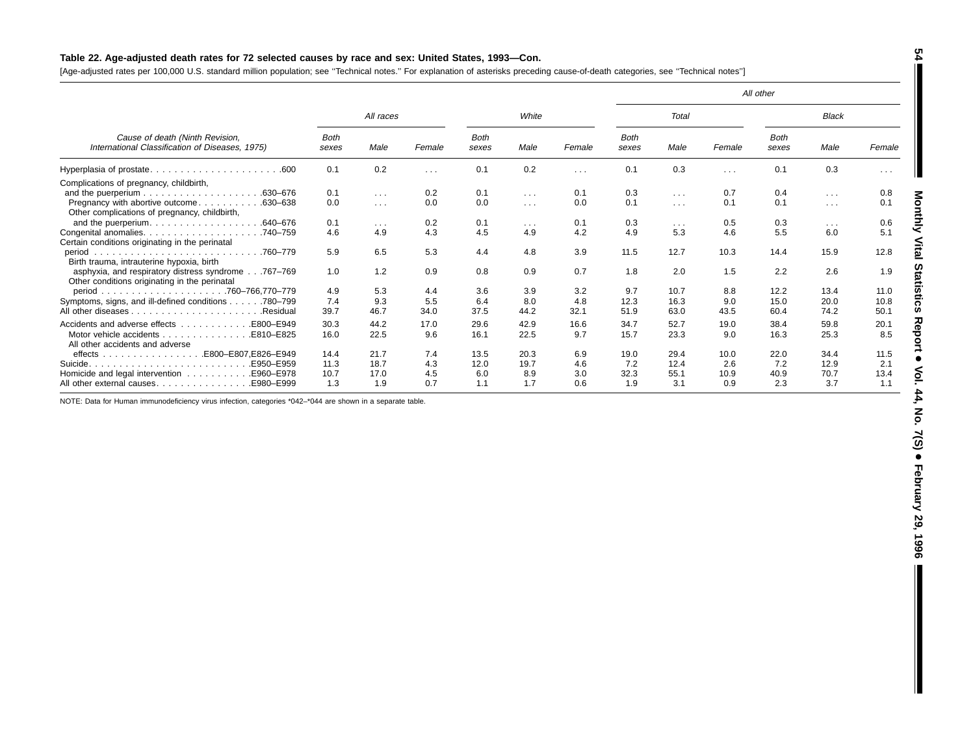## Table 22. Age-adjusted death rates for 72 selected causes by race and sex: United States, 1993-Con.

[Age-adjusted rates per 100,000 U.S. standard million population; see ''Technical notes.'' For explanation of asterisks preceding cause-of-death categories, see ''Technical notes'']

|                                                                                                     |                      |           |          |                      |                      |                      |               |                         |        | All other            |                      |                      |
|-----------------------------------------------------------------------------------------------------|----------------------|-----------|----------|----------------------|----------------------|----------------------|---------------|-------------------------|--------|----------------------|----------------------|----------------------|
|                                                                                                     |                      | All races |          |                      | White                |                      |               | Total                   |        |                      | Black                |                      |
| Cause of death (Ninth Revision,<br>International Classification of Diseases, 1975)                  | <b>Both</b><br>sexes | Male      | Female   | <b>Both</b><br>sexes | Male                 | Female               | Both<br>sexes | Male                    | Female | <b>Both</b><br>sexes | Male                 | Female               |
|                                                                                                     | 0.1                  | 0.2       | $\cdots$ | 0.1                  | 0.2                  | $\sim$ $\sim$ $\sim$ | 0.1           | 0.3                     | .      | 0.1                  | 0.3                  | $\sim$ $\sim$ $\sim$ |
| Complications of pregnancy, childbirth,                                                             |                      |           |          |                      |                      |                      |               |                         |        |                      |                      |                      |
| .630-676                                                                                            | 0.1                  | $\cdots$  | 0.2      | 0.1                  | $\sim$ $\sim$ $\sim$ | 0.1                  | 0.3           | $\sim 100$ km s $^{-1}$ | 0.7    | 0.4                  | $\cdots$             | 0.8                  |
| Pregnancy with abortive outcome<br>.630-638<br>Other complications of pregnancy, childbirth,        | 0.0                  | $\cdots$  | 0.0      | 0.0                  | $\sim$ $\sim$ $\sim$ | 0.0                  | 0.1           | $\sim$ $\sim$ $\sim$    | 0.1    | 0.1                  | $\cdots$             | 0.1                  |
| .640-676<br>and the puerperium.                                                                     | 0.1                  | $\cdots$  | 0.2      | 0.1                  | $\sim$ $\sim$ $\sim$ | 0.1                  | 0.3           | $\sim$ $\sim$ $\sim$    | 0.5    | 0.3                  | $\sim$ $\sim$ $\sim$ | 0.6                  |
| Congenital anomalies.<br>.740-759                                                                   | 4.6                  | 4.9       | 4.3      | 4.5                  | 4.9                  | 4.2                  | 4.9           | 5.3                     | 4.6    | 5.5                  | 6.0                  | 5.1                  |
| Certain conditions originating in the perinatal                                                     |                      |           |          |                      |                      |                      |               |                         |        |                      |                      |                      |
| .760–779<br>period<br>Birth trauma, intrauterine hypoxia, birth                                     | 5.9                  | 6.5       | 5.3      | 4.4                  | 4.8                  | 3.9                  | 11.5          | 12.7                    | 10.3   | 14.4                 | 15.9                 | 12.8                 |
| asphyxia, and respiratory distress syndrome767-769<br>Other conditions originating in the perinatal | 1.0                  | 1.2       | 0.9      | 0.8                  | 0.9                  | 0.7                  | 1.8           | 2.0                     | 1.5    | 2.2                  | 2.6                  | 1.9                  |
|                                                                                                     | 4.9                  | 5.3       | 4.4      | 3.6                  | 3.9                  | 3.2                  | 9.7           | 10.7                    | 8.8    | 12.2                 | 13.4                 | 11.0                 |
| Symptoms, signs, and ill-defined conditions 780-799                                                 | 7.4                  | 9.3       | 5.5      | 6.4                  | 8.0                  | 4.8                  | 12.3          | 16.3                    | 9.0    | 15.0                 | 20.0                 | 10.8                 |
| .Residual                                                                                           | 39.7                 | 46.7      | 34.0     | 37.5                 | 44.2                 | 32.1                 | 51.9          | 63.0                    | 43.5   | 60.4                 | 74.2                 | 50.1                 |
| Accidents and adverse effects<br>E800-E949                                                          | 30.3                 | 44.2      | 17.0     | 29.6                 | 42.9                 | 16.6                 | 34.7          | 52.7                    | 19.0   | 38.4                 | 59.8                 | 20.1                 |
| Motor vehicle accidents<br>E810-E825<br>All other accidents and adverse                             | 16.0                 | 22.5      | 9.6      | 16.1                 | 22.5                 | 9.7                  | 15.7          | 23.3                    | 9.0    | 16.3                 | 25.3                 | 8.5                  |
|                                                                                                     | 14.4                 | 21.7      | 7.4      | 13.5                 | 20.3                 | 6.9                  | 19.0          | 29.4                    | 10.0   | 22.0                 | 34.4                 | 11.5                 |
| E950-E959                                                                                           | 11.3                 | 18.7      | 4.3      | 12.0                 | 19.7                 | 4.6                  | 7.2           | 12.4                    | 2.6    | 7.2                  | 12.9                 | 2.1                  |
|                                                                                                     | 10.7                 | 17.0      | 4.5      | 6.0                  | 8.9                  | 3.0                  | 32.3          | 55.1                    | 10.9   | 40.9                 | 70.7                 | 13.4                 |
| E980-E999.<br>All other external causes                                                             | 1.3                  | 1.9       | 0.7      | 1.1                  | 1.7                  | 0.6                  | 1.9           | 3.1                     | 0.9    | 2.3                  | 3.7                  | 1.1                  |

NOTE: Data for Human immunodeficiency virus infection, categories \*042–\*044 are shown in <sup>a</sup> separate table.

 $\blacksquare$ 

**54**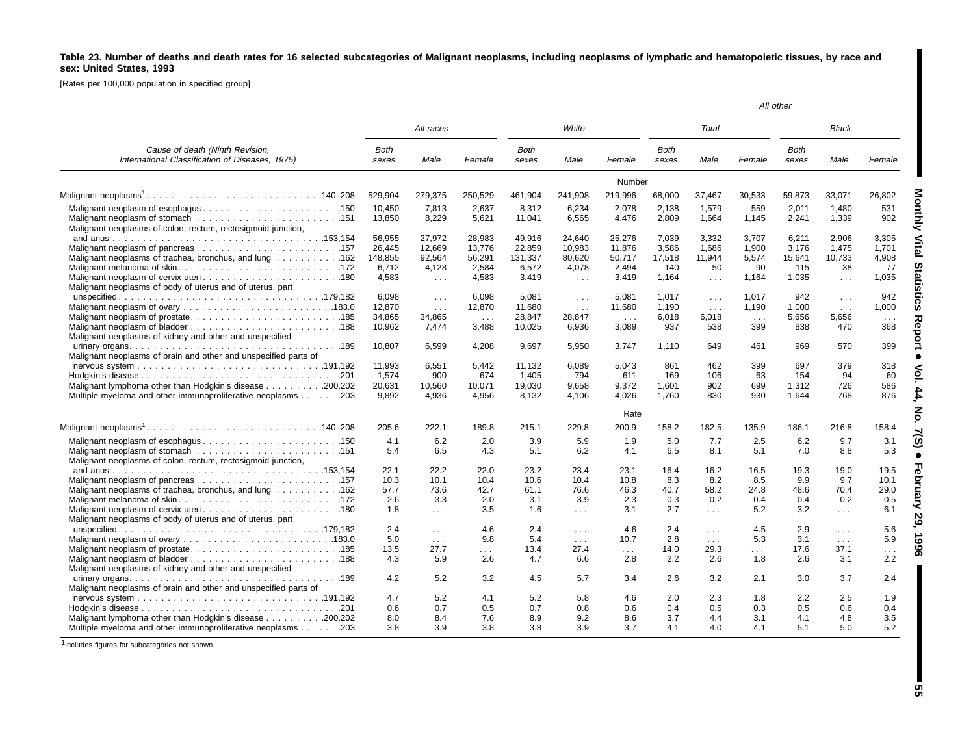### Table 23. Number of deaths and death rates for 16 selected subcategories of Malignant neoplasms, including neoplasms of lymphatic and hematopoietic tissues, by race and **sex: United States, 1993**

[Rates per 100,000 population in specified group]

|                                                                                                                            |                                      |                                             |                                                  |                                      |                                                |                                        |                                   |                                          |                                     | All other                         |                                            |                                    |
|----------------------------------------------------------------------------------------------------------------------------|--------------------------------------|---------------------------------------------|--------------------------------------------------|--------------------------------------|------------------------------------------------|----------------------------------------|-----------------------------------|------------------------------------------|-------------------------------------|-----------------------------------|--------------------------------------------|------------------------------------|
|                                                                                                                            |                                      | All races                                   |                                                  |                                      | White                                          |                                        |                                   | Total                                    |                                     |                                   | Black                                      |                                    |
| Cause of death (Ninth Revision,<br>International Classification of Diseases, 1975)                                         | <b>Both</b><br>sexes                 | Male                                        | Female                                           | <b>Both</b><br>sexes                 | Male                                           | Female                                 | <b>Both</b><br>sexes              | Male                                     | Female                              | <b>Both</b><br>sexes              | Male                                       | Female                             |
|                                                                                                                            |                                      |                                             |                                                  |                                      |                                                | Number                                 |                                   |                                          |                                     |                                   |                                            |                                    |
|                                                                                                                            | 529.904                              | 279,375                                     | 250.529                                          | 461.904                              | 241,908                                        | 219,996                                | 68,000                            | 37,467                                   | 30,533                              | 59,873                            | 33,071                                     | 26,802                             |
| Malignant neoplasms of colon, rectum, rectosigmoid junction,                                                               | 10.450<br>13,850                     | 7,813<br>8,229                              | 2,637<br>5,621                                   | 8.312<br>11,041                      | 6,234<br>6,565                                 | 2,078<br>4,476                         | 2,138<br>2,809                    | 1.579<br>1,664                           | 559<br>1,145                        | 2,011<br>2,241                    | 1.480<br>1,339                             | 531<br>902                         |
| Malignant neoplasms of trachea, bronchus, and lung 162                                                                     | 56,955<br>26.445<br>148,855<br>6.712 | 27,972<br>12.669<br>92.564<br>4,128         | 28,983<br>13.776<br>56,291<br>2.584              | 49,916<br>22.859<br>131,337<br>6.572 | 24,640<br>10,983<br>80,620<br>4,078            | 25,276<br>11,876<br>50,717<br>2,494    | 7,039<br>3.586<br>17,518<br>140   | 3,332<br>1.686<br>11.944<br>50           | 3,707<br>1.900<br>5,574<br>90       | 6,211<br>3.176<br>15,641<br>115   | 2,906<br>1.475<br>10,733<br>38             | 3,305<br>1.701<br>4.908<br>77      |
| Malignant neoplasms of body of uterus and of uterus, part                                                                  | 4,583                                | $\sim 100$                                  | 4,583                                            | 3,419                                | $\sim 100$                                     | 3,419                                  | 1,164                             | $\sim 10$ .                              | 1,164                               | 1,035                             | $\sim 100$                                 | 1,035                              |
|                                                                                                                            | 6.098<br>12.870<br>34,865<br>10,962  | $\sim 100$<br>$\sim 100$<br>34,865<br>7,474 | 6.098<br>12,870<br>$\sim$ $\sim$ $\sim$<br>3,488 | 5.081<br>11.680<br>28,847<br>10,025  | $\sim 100$<br>$\sim$ $\sim$<br>28,847<br>6,936 | 5,081<br>11.680<br>$\sim 100$<br>3,089 | 1,017<br>1.190<br>6,018<br>937    | $\sim 100$<br>$\ldots$<br>6,018<br>538   | 1.017<br>1.190<br>$\sim 100$<br>399 | 942<br>1.000<br>5,656<br>838      | $\sim 100$<br>$\mathbf{1}$<br>5,656<br>470 | 942<br>1,000<br>$\sim 100$<br>368  |
| Malignant neoplasms of kidney and other and unspecified<br>Malignant neoplasms of brain and other and unspecified parts of | 10,807                               | 6,599                                       | 4,208                                            | 9,697                                | 5,950                                          | 3,747                                  | 1,110                             | 649                                      | 461                                 | 969                               | 570                                        | 399                                |
| Malignant lymphoma other than Hodgkin's disease 200,202<br>Multiple myeloma and other immunoproliferative neoplasms 203    | 11,993<br>1.574<br>20,631<br>9,892   | 6,551<br>900<br>10,560<br>4,936             | 5,442<br>674<br>10,071<br>4,956                  | 11,132<br>1.405<br>19,030<br>8,132   | 6,089<br>794<br>9,658<br>4,106                 | 5,043<br>611<br>9,372<br>4,026         | 861<br>169<br>1,601<br>1.760      | 462<br>106<br>902<br>830                 | 399<br>63<br>699<br>930             | 697<br>154<br>1,312<br>1,644      | 379<br>94<br>726<br>768                    | 318<br>60<br>586<br>876            |
|                                                                                                                            |                                      |                                             |                                                  |                                      |                                                | Rate                                   |                                   |                                          |                                     |                                   |                                            |                                    |
|                                                                                                                            | 205.6                                | 222.1                                       | 189.8                                            | 215.1                                | 229.8                                          | 200.9                                  | 158.2                             | 182.5                                    | 135.9                               | 186.1                             | 216.8                                      | 158.4                              |
| Malignant neoplasms of colon, rectum, rectosigmoid junction,                                                               | 4.1<br>5.4                           | 6.2<br>6.5                                  | 2.0<br>4.3                                       | 3.9<br>5.1                           | 5.9<br>6.2                                     | 1.9<br>4.1                             | 5.0<br>6.5                        | 7.7<br>8.1                               | 2.5<br>5.1                          | 6.2<br>7.0                        | 9.7<br>8.8                                 | 3.1<br>5.3                         |
| Malignant neoplasms of trachea, bronchus, and lung 162                                                                     | 22.1<br>10.3<br>57.7<br>2.6<br>1.8   | 22.2<br>10.1<br>73.6<br>3.3<br>$\mathbf{1}$ | 22.0<br>10.4<br>42.7<br>2.0<br>3.5               | 23.2<br>10.6<br>61.1<br>3.1<br>1.6   | 23.4<br>10.4<br>76.6<br>3.9<br>$\sim 100$      | 23.1<br>10.8<br>46.3<br>2.3<br>3.1     | 16.4<br>8.3<br>40.7<br>0.3<br>2.7 | 16.2<br>8.2<br>58.2<br>0.2<br>$\sim 100$ | 16.5<br>8.5<br>24.8<br>0.4<br>5.2   | 19.3<br>9.9<br>48.6<br>0.4<br>3.2 | 19.0<br>9.7<br>70.4<br>0.2<br>$\sim 100$   | 19.5<br>10.1<br>29.0<br>0.5<br>6.1 |
| Malignant neoplasms of body of uterus and of uterus, part                                                                  | 2.4<br>5.0                           | $\sim$ $\sim$<br>$\sim 100$                 | 4.6<br>9.8                                       | 2.4<br>5.4                           | $\sim 100$<br>$\sim 100$                       | 4.6<br>10.7                            | 2.4<br>2.8                        | $\sim 10$<br>$\sim 100$ km $^{-1}$       | 4.5<br>5.3                          | 2.9<br>3.1                        | $\sim 100$<br>$\sim 100$                   | 5.6<br>5.9                         |
| Malignant neoplasms of kidney and other and unspecified                                                                    | 13.5<br>4.3                          | 27.7<br>5.9                                 | $\sim 100$<br>2.6                                | 13.4<br>4.7                          | 27.4<br>6.6                                    | $\sim 100$<br>2.8                      | 14.0<br>2.2                       | 29.3<br>2.6                              | $\sim 100$<br>1.8                   | 17.6<br>2.6                       | 37.1<br>3.1                                | $\cdots$<br>2.2                    |
| Malignant neoplasms of brain and other and unspecified parts of                                                            | 4.2                                  | 5.2                                         | 3.2                                              | 4.5                                  | 5.7                                            | 3.4                                    | 2.6                               | 3.2                                      | 2.1                                 | 3.0                               | 3.7                                        | 2.4                                |
| Malignant lymphoma other than Hodgkin's disease 200,202                                                                    | 4.7<br>0.6<br>8.0<br>3.8             | 5.2<br>0.7<br>8.4<br>3.9                    | 4.1<br>0.5<br>7.6<br>3.8                         | 5.2<br>0.7<br>8.9<br>3.8             | 5.8<br>0.8<br>9.2<br>3.9                       | 4.6<br>0.6<br>8.6<br>3.7               | 2.0<br>0.4<br>3.7<br>4.1          | 2.3<br>0.5<br>4.4<br>4.0                 | 1.8<br>0.3<br>3.1<br>4.1            | 2.2<br>0.5<br>4.1<br>5.1          | 2.5<br>0.6<br>4.8<br>5.0                   | 1.9<br>0.4<br>3.5<br>5.2           |

 $1$ Includes figures for subcategories not shown.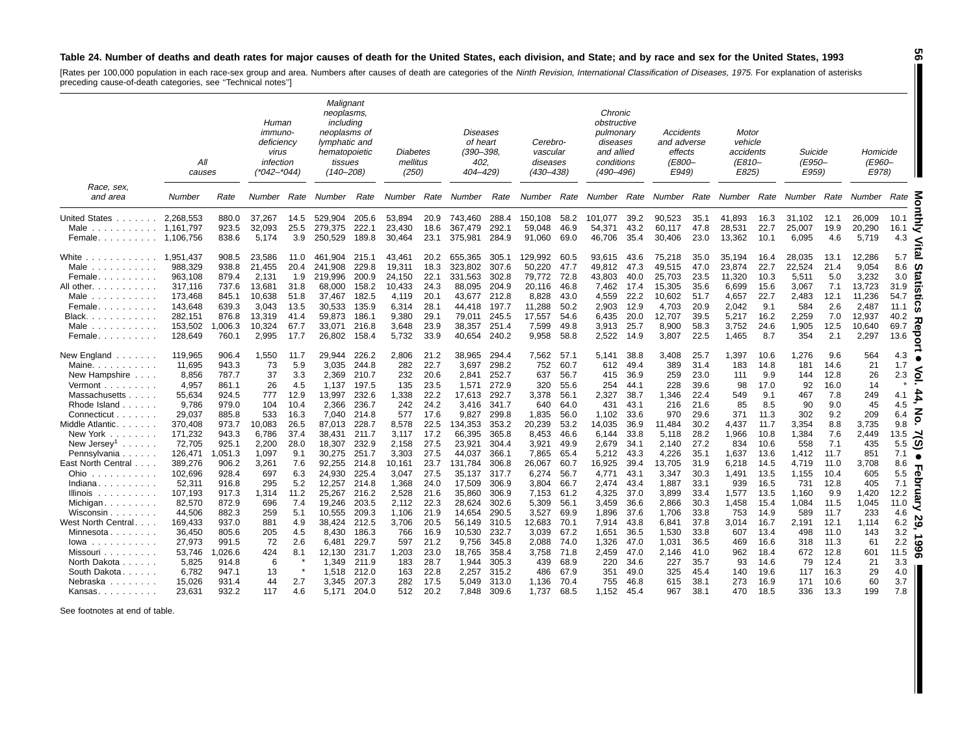#### Table 24. Number of deaths and death rates for major causes of death for the United States, each division, and State; and by race and sex for the United States, 1993

[Rates per 100,000 population in each race-sex group and area. Numbers after causes of death are categories of the *Ninth Revision, International Classification of Diseases, 1975*. For explanation of asterisks<br>preceding ca

|                                                                                                                                                                                                                                                                                                                                                                                                                                                                                                                            | All<br>causes                         |                                  | Human<br><i>immuno-</i><br>deficiencv<br>virus<br>infection<br>(*042–*044) |                             | Malignant<br>neoplasms,<br>including<br>neoplasms of<br>lymphatic and<br>hematopoietic<br>tissues<br>$(140 - 208)$ |                                  | Diabetes<br>mellitus<br>(250)    |                              | <b>Diseases</b><br>of heart<br>$(390 - 398,$<br>402.<br>404–429) |                                  | Cerebro-<br>vascular<br>diseases<br>(430–438) |                              | Chronic<br>obstructive<br>pulmonary<br>diseases<br>and allied<br>conditions<br>(490–496) |                              | Accidents<br>and adverse<br>effects<br><i>(E800–</i><br>E949) |                              | Motor<br>vehicle<br>accidents<br>(E810-<br>E825) |                              | Suicide<br>(E950-<br>E959)   |                             | Homicide<br><i>(E960-</i><br>E978) |                                        |
|----------------------------------------------------------------------------------------------------------------------------------------------------------------------------------------------------------------------------------------------------------------------------------------------------------------------------------------------------------------------------------------------------------------------------------------------------------------------------------------------------------------------------|---------------------------------------|----------------------------------|----------------------------------------------------------------------------|-----------------------------|--------------------------------------------------------------------------------------------------------------------|----------------------------------|----------------------------------|------------------------------|------------------------------------------------------------------|----------------------------------|-----------------------------------------------|------------------------------|------------------------------------------------------------------------------------------|------------------------------|---------------------------------------------------------------|------------------------------|--------------------------------------------------|------------------------------|------------------------------|-----------------------------|------------------------------------|----------------------------------------|
| Race, sex,<br>and area                                                                                                                                                                                                                                                                                                                                                                                                                                                                                                     | Number                                | Rate                             | Number Rate                                                                |                             | Number Rate                                                                                                        |                                  |                                  |                              | Number Rate Number                                               | Rate                             |                                               |                              | Number Rate Number Rate Number Rate Number Rate Number Rate Number Rate                  |                              |                                                               |                              |                                                  |                              |                              |                             |                                    |                                        |
| United States.<br>.<br>Male<br>Female                                                                                                                                                                                                                                                                                                                                                                                                                                                                                      | 2,268,553<br>1,161,797<br>1,106,756   | 880.0<br>923.5<br>838.6          | 37.267<br>32.093<br>5,174                                                  | 14.5<br>25.5<br>3.9         | 529,904<br>279.375<br>250,529                                                                                      | 205.6<br>222.1<br>189.8          | 53,894<br>23.430<br>30,464       | 20.9<br>18.6<br>23.1         | 743,460<br>367.479<br>375,981                                    | 288.4<br>292.1<br>284.9          | 150.108<br>59.048<br>91,060                   | 58.2<br>46.9<br>69.0         | 101.077<br>54.371<br>46,706                                                              | 39.2<br>43.2<br>35.4         | 90,523<br>60.117<br>30,406                                    | 35.1<br>47.8<br>23.0         | 41,893<br>28,531<br>13,362                       | 16.3<br>22.7<br>10.1         | 31,102<br>25,007<br>6,095    | 12.1<br>19.9<br>4.6         | 26,009<br>20.290<br>5,719          | 10.1<br>5<br>16.1<br>⋜<br>4.3<br><     |
| White<br>and a straight and a<br>Male<br>.<br>Female                                                                                                                                                                                                                                                                                                                                                                                                                                                                       | 1.951.437<br>988,329<br>963,108       | 908.5<br>938.8<br>879.4          | 23.586<br>21,455<br>2,131                                                  | 11.0<br>20.4<br>1.9         | 461.904<br>241.908<br>219,996                                                                                      | 215.1<br>229.8<br>200.9          | 43.461<br>19,311<br>24,150       | 20.2<br>18.3<br>22.1         | 655.365<br>323.802<br>331,563                                    | 305.1<br>307.6<br>302.8          | 129.992<br>50.220<br>79,772                   | 60.5<br>47.7<br>72.8         | 93,615<br>49,812<br>43,803                                                               | 43.6<br>47.3<br>40.0         | 75.218<br>49,515<br>25,703                                    | 35.0<br>47.0<br>23.5         | 35.194<br>23,874<br>11,320                       | 16.4<br>22.7<br>10.3         | 28,035<br>22,524<br>5,511    | 13.1<br>21.4<br>5.0         | 12.286<br>9.054<br>3,232           | 5.7<br>8.6<br><b>CO</b><br>3.0<br>ïά   |
| All other.<br>$\mathbf{1} \quad \mathbf{2} \quad \mathbf{3} \quad \mathbf{4} \quad \mathbf{5} \quad \mathbf{6} \quad \mathbf{7} \quad \mathbf{8} \quad \mathbf{9} \quad \mathbf{1} \quad \mathbf{1} \quad \mathbf{1} \quad \mathbf{1} \quad \mathbf{1} \quad \mathbf{1} \quad \mathbf{1} \quad \mathbf{1} \quad \mathbf{1} \quad \mathbf{1} \quad \mathbf{1} \quad \mathbf{1} \quad \mathbf{1} \quad \mathbf{1} \quad \mathbf{1} \quad \mathbf{1} \quad \mathbf{1} \quad \mathbf{1} \quad \mathbf{$<br>Male<br>.<br>Female | 317,116<br>173,468<br>143,648         | 737.6<br>845.1<br>639.3          | 13,681<br>10,638<br>3,043                                                  | 31.8<br>51.8<br>13.5        | 68,000<br>37,467<br>30,533                                                                                         | 158.2<br>182.5<br>135.9          | 10,433<br>4,119<br>6,314         | 24.3<br>20.1<br>28.1         | 88,095<br>43,677<br>44,418                                       | 204.9<br>212.8<br>197.7          | 20,116<br>8,828<br>11,288                     | 46.8<br>43.0<br>50.2         | 7,462<br>4,559<br>2,903                                                                  | 17.4<br>22.2<br>12.9         | 15,305<br>10,602<br>4,703                                     | 35.6<br>51.7<br>20.9         | 6,699<br>4,657<br>2,042                          | 15.6<br>22.7<br>9.1          | 3,067<br>2,483<br>584        | 7.1<br>12.1<br>2.6          | 13,723<br>11,236<br>2,487          | 31.9<br>54.7<br>11.1<br>ìń             |
| Black.<br>.<br>Male<br>Female                                                                                                                                                                                                                                                                                                                                                                                                                                                                                              | 282,151<br>153,502<br>128,649         | 876.8<br>006.3<br>760.1          | 13.319<br>10,324<br>2,995                                                  | 41.4<br>67.7<br>17.7        | 59.873<br>33,071<br>26,802                                                                                         | 186.1<br>216.8<br>158.4          | 9.380<br>3,648<br>5,732          | 29.1<br>23.9<br>33.9         | 79.011<br>38,357<br>40,654                                       | 245.5<br>251.4<br>240.2          | 17,557<br>7,599<br>9,958                      | 54.6<br>49.8<br>58.8         | 6,435<br>3,913<br>2,522                                                                  | 20.0<br>25.7<br>14.9         | 12,707<br>8,900<br>3,807                                      | 39.5<br>58.3<br>22.5         | 5,217<br>3,752<br>1,465                          | 16.2<br>24.6<br>8.7          | 2,259<br>1,905<br>354        | 7.0<br>12.5<br>2.1          | 12,937<br>10,640<br>2,297          | 40.2<br>69.7<br>Φ<br>ष्ठ<br>13.6       |
| New England<br>Maine.<br>.<br>New Hampshire                                                                                                                                                                                                                                                                                                                                                                                                                                                                                | 119,965<br>11,695<br>8,856            | 906.4<br>943.3<br>787.7          | 1,550<br>73<br>37                                                          | 11.7<br>5.9<br>3.3          | 29,944<br>3,035<br>2.369                                                                                           | 226.2<br>244.8<br>210.7          | 2,806<br>282<br>232              | 21.2<br>22.7<br>20.6         | 38,965<br>3,697<br>2.841                                         | 294.4<br>298.2<br>252.7          | 7,562<br>752<br>637                           | 57.1<br>60.7<br>56.7         | 5,141<br>612<br>415                                                                      | 38.8<br>49.4<br>36.9         | 3,408<br>389<br>259                                           | 25.7<br>31.4<br>23.0         | 1,397<br>183<br>111                              | 10.6<br>14.8<br>9.9          | 1,276<br>181<br>144          | 9.6<br>14.6<br>12.8         | 564<br>21<br>26                    | 4.3<br>1.7<br>్<br>2.3                 |
| Vermont<br>Massachusetts<br>Rhode Island<br>Connecticut.<br>$\mathbb{Z}^n$ . The set of $\mathbb{Z}^n$                                                                                                                                                                                                                                                                                                                                                                                                                     | 4,957<br>55,634<br>9,786<br>29,037    | 861.1<br>924.5<br>979.0<br>885.8 | 26<br>777<br>104<br>533                                                    | 4.5<br>12.9<br>10.4<br>16.3 | 1,137<br>13,997<br>2,366<br>7.040                                                                                  | 197.5<br>232.6<br>236.7<br>214.8 | 135<br>1,338<br>242<br>577       | 23.5<br>22.2<br>24.2<br>17.6 | 1,571<br>17,613<br>3,416<br>9.827                                | 272.9<br>292.7<br>341.7<br>299.8 | 320<br>3,378<br>640<br>1,835                  | 55.6<br>56.1<br>64.0<br>56.0 | 254<br>2,327<br>431<br>1,102                                                             | 44.1<br>38.7<br>43.1<br>33.6 | 228<br>1,346<br>216<br>970                                    | 39.6<br>22.4<br>21.6<br>29.6 | 98<br>549<br>85<br>371                           | 17.0<br>9.1<br>8.5<br>11.3   | 92<br>467<br>90<br>302       | 16.0<br>7.8<br>9.0<br>9.2   | 14<br>249<br>45<br>209             | £<br>4.1<br>4.5<br>z<br>6.4            |
| Middle Atlantic.<br>and a state<br>New York<br>New Jersey <sup>1</sup>                                                                                                                                                                                                                                                                                                                                                                                                                                                     | 370,408<br>171,232<br>72,705          | 973.7<br>943.3<br>925.1          | 10,083<br>6,786<br>2,200                                                   | 26.5<br>37.4<br>28.0        | 87,013<br>38,431<br>18,307                                                                                         | 228.7<br>211.7<br>232.9          | 8,578<br>3,117<br>2,158          | 22.5<br>17.2<br>27.5         | 134,353<br>66,395<br>23,921                                      | 353.2<br>365.8<br>304.4          | 20,239<br>8,453<br>3,921                      | 53.2<br>46.6<br>49.9         | 14,035<br>6,144<br>2,679                                                                 | 36.9<br>33.8<br>34.1         | 11,484<br>5,118<br>2,140                                      | 30.2<br>28.2<br>27.2         | 4,437<br>1,966<br>834                            | 11.7<br>10.8<br>10.6         | 3,354<br>1,384<br>558        | 8.8<br>7.6<br>7.1           | 3,735<br>2,449<br>435              | 9.8<br>13.5<br>့<br>5.5                |
| Pennsylvania<br>East North Central<br>Ohio                                                                                                                                                                                                                                                                                                                                                                                                                                                                                 | 126,471<br>389,276<br>102,696         | 051.3<br>906.2<br>928.4          | 1,097<br>3,261<br>697                                                      | 9.1<br>7.6<br>6.3           | 30,275<br>92.255<br>24.930                                                                                         | 251.7<br>214.8<br>225.4          | 3,303<br>10.161<br>3,047         | 27.5<br>23.7<br>27.5         | 44,037<br>131,784<br>35,137                                      | 366.1<br>306.8<br>317.7          | 7,865<br>26.067<br>6,274                      | 65.4<br>60.7<br>56.7         | 5,212<br>16.925<br>4,771                                                                 | 43.3<br>39.4<br>43.1         | 4,226<br>13.705<br>3,347                                      | 35.1<br>31.9<br>30.3         | 1,637<br>6,218<br>1,491                          | 13.6<br>14.5<br>13.5         | 1,412<br>4,719<br>1,155      | 11.7<br>11.0<br>10.4        | 851<br>3.708<br>605                | 7.1<br>8.6<br>5.5<br>$\bullet$<br>ੁ    |
| Indiana.<br>Illinois<br>.<br>Michigan<br>Wisconsin                                                                                                                                                                                                                                                                                                                                                                                                                                                                         | 52,311<br>107,193<br>82,570<br>44,506 | 916.8<br>917.3<br>872.9<br>882.3 | 295<br>1,314<br>696<br>259                                                 | 5.2<br>11.2<br>7.4<br>5.1   | 12,257<br>25,267<br>19,246<br>10,555                                                                               | 214.8<br>216.2<br>203.5<br>209.3 | 1,368<br>2,528<br>2,112<br>1,106 | 24.0<br>21.6<br>22.3<br>21.9 | 17,509<br>35,860<br>28,624<br>14,654                             | 306.9<br>306.9<br>302.6<br>290.5 | 3,804<br>7,153<br>5,309<br>3,527              | 66.7<br>61.2<br>56.1<br>69.9 | 2,474<br>4,325<br>3,459<br>1,896                                                         | 43.4<br>37.0<br>36.6<br>37.6 | 1,887<br>3,899<br>2,866<br>1,706                              | 33.1<br>33.4<br>30.3<br>33.8 | 939<br>1,577<br>1,458<br>753                     | 16.5<br>13.5<br>15.4<br>14.9 | 731<br>1,160<br>1,084<br>589 | 12.8<br>9.9<br>11.5<br>11.7 | 405<br>1,420<br>1,045<br>233       | 7.1<br>12.2<br>11.0<br>4.6             |
| West North Central.<br>Minnesota<br>lowa<br>and and and and and a                                                                                                                                                                                                                                                                                                                                                                                                                                                          | 169,433<br>36,450<br>27,973           | 937.0<br>805.6<br>991.5          | 881<br>205<br>72                                                           | 4.9<br>4.5<br>2.6           | 38,424<br>8.430<br>6,481                                                                                           | 212.5<br>186.3<br>229.7          | 3,706<br>766<br>597              | 20.5<br>16.9<br>21.2         | 56,149<br>10,530<br>9,756                                        | 310.5<br>232.7<br>345.8          | 12,683<br>3,039<br>2,088                      | 70.1<br>67.2<br>74.0         | 7,914<br>1,651<br>1,326                                                                  | 43.8<br>36.5<br>47.0         | 6,841<br>1,530<br>1,031                                       | 37.8<br>33.8<br>36.5         | 3,014<br>607<br>469                              | 16.7<br>13.4<br>16.6         | 2,191<br>498<br>318          | 12.1<br>11.0<br>11.3        | 1,114<br>143<br>61                 | ಜ<br>6.2<br>3.2<br>∸<br>2.2<br>$\circ$ |
| Missouri<br>North Dakota.<br>$\mathcal{L}$ , and $\mathcal{L}$ , and<br>South Dakota.                                                                                                                                                                                                                                                                                                                                                                                                                                      | 53,746<br>5,825<br>6,782              | ,026.6<br>914.8<br>947.1         | 424<br>6<br>13                                                             | 8.1                         | 12,130<br>1,349<br>1,518                                                                                           | 231.7<br>211.9<br>212.0          | 1,203<br>183<br>163              | 23.0<br>28.7<br>22.8         | 18,765<br>1,944<br>2,257                                         | 358.4<br>305.3<br>315.2          | 3,758<br>439<br>486                           | 71.8<br>68.9<br>67.9         | 2,459<br>220<br>351                                                                      | 47.0<br>34.6<br>49.0         | 2,146<br>227<br>325                                           | 41.0<br>35.7<br>45.4         | 962<br>93<br>140                                 | 18.4<br>14.6<br>19.6         | 672<br>79<br>117             | 12.8<br>12.4<br>16.3        | 601<br>21<br>29                    | န္တ<br>11.5<br>3.3<br>4.0              |
| Nebraska<br>Kansas                                                                                                                                                                                                                                                                                                                                                                                                                                                                                                         | 15,026<br>23,631                      | 931.4<br>932.2                   | 44<br>117                                                                  | 2.7<br>4.6                  | 3,345<br>5.171                                                                                                     | 207.3<br>204.0                   | 282<br>512                       | 17.5<br>20.2                 | 5.049<br>7,848                                                   | 313.0<br>309.6                   | 1,136<br>1,737                                | 70.4<br>68.5                 | 755<br>1,152                                                                             | 46.8<br>45.4                 | 615<br>967                                                    | 38.1<br>38.1                 | 273<br>470                                       | 16.9<br>18.5                 | 171<br>336                   | 10.6<br>13.3                | 60<br>199                          | 3.7<br>7.8                             |

See footnotes at end of table.

**56** $\blacksquare$ 

H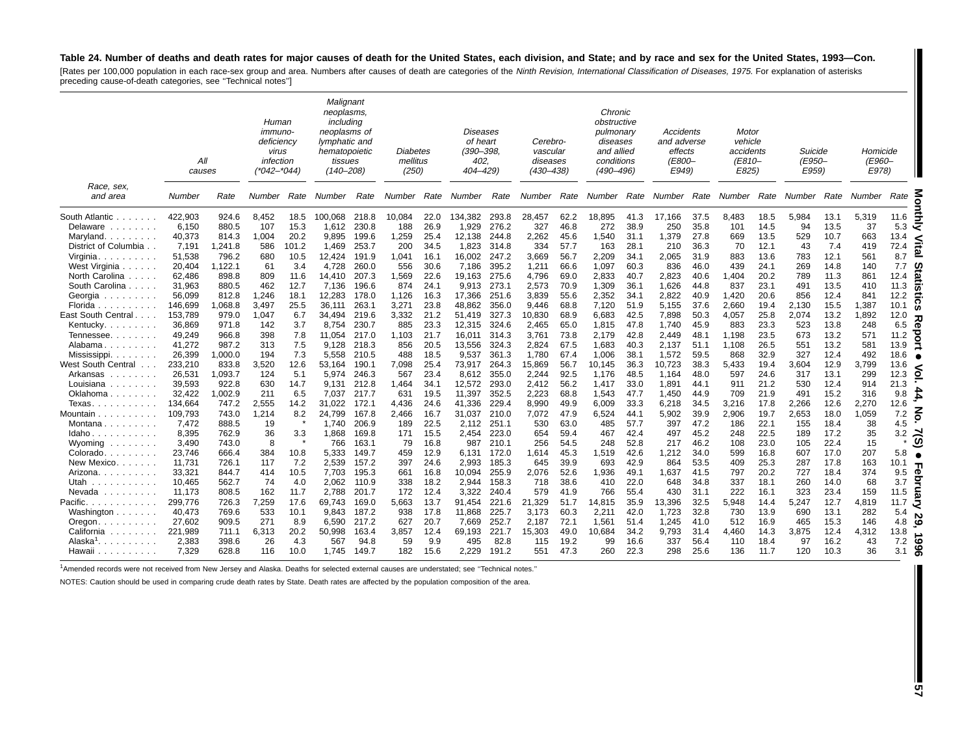#### Table 24. Number of deaths and death rates for major causes of death for the United States, each division, and State; and by race and sex for the United States, 1993-Con.

[Rates per 100,000 population in each race-sex group and area. Numbers after causes of death are categories of the Ninth Revision, International Classification of Diseases, 1975. For explanation of asterisks preceding cause-of-death categories, see ''Technical notes'']

|                                                                                    | All<br>causes |         | Human<br><i>immuno-</i><br>deficiency<br>virus<br>infection<br>(*042–*044) |       | Malignant<br>neoplasms,<br>including<br>neoplasms of<br>lymphatic and<br>hematopoietic<br>tissues<br>$(140 - 208)$ |       | Diabetes<br>mellitus<br>(250) |      | Diseases<br>of heart<br>(390–398,<br>402.<br>404-429) |       | Cerebro-<br>vascular<br>diseases<br>$(430 - 438)$ |      | Chronic<br>obstructive<br>pulmonary<br>diseases<br>and allied<br>conditions<br>$(490 - 496)$ |      | Accidents<br>and adverse<br>effects<br><b>(E800-</b><br>E949) |      | Motor<br>vehicle<br>accidents<br>(E810-<br>E825) |      | Suicide<br>(E950-<br>E959) |      | Homicide<br>(E960-<br>E978) |                       |
|------------------------------------------------------------------------------------|---------------|---------|----------------------------------------------------------------------------|-------|--------------------------------------------------------------------------------------------------------------------|-------|-------------------------------|------|-------------------------------------------------------|-------|---------------------------------------------------|------|----------------------------------------------------------------------------------------------|------|---------------------------------------------------------------|------|--------------------------------------------------|------|----------------------------|------|-----------------------------|-----------------------|
| Race, sex,<br>and area                                                             | Number        | Rate    | Number                                                                     | Rate  | Number                                                                                                             | Rate  | Number                        | Rate | Number                                                | Rate  | Number                                            | Rate | Number Rate                                                                                  |      | Number Rate                                                   |      | Number                                           | Rate | Number                     | Rate | Number                      | Rate                  |
| South Atlantic                                                                     | 422,903       | 924.6   | 8,452                                                                      | 18.5  | 100,068                                                                                                            | 218.8 | 10,084                        | 22.0 | 134,382                                               | 293.8 | 28,457                                            | 62.2 | 18,895                                                                                       | 41.3 | 17,166                                                        | 37.5 | 8,483                                            | 18.5 | 5,984                      | 13.1 | 5,319                       | 11.6                  |
| Delaware<br>and a straight and                                                     | 6,150         | 880.5   | 107                                                                        | 15.3  | 1,612                                                                                                              | 230.8 | 188                           | 26.9 | 1,929                                                 | 276.2 | 327                                               | 46.8 | 272                                                                                          | 38.9 | 250                                                           | 35.8 | 101                                              | 14.5 | 94                         | 13.5 | 37                          | 5.3<br>≺              |
| Maryland.<br>$\mathcal{L}^{\mathcal{A}}$ . The set of the set of $\mathcal{A}$     | 40,373        | 814.3   | 1,004                                                                      | 20.2  | 9,895                                                                                                              | 199.6 | 1,259                         | 25.4 | 12,138                                                | 244.8 | 2,262                                             | 45.6 | 1,540                                                                                        | 31.1 | 1,379                                                         | 27.8 | 669                                              | 13.5 | 529                        | 10.7 | 663                         | 13.4<br><             |
| District of Columbia                                                               | 7,191         | .241.8  | 586                                                                        | 101.2 | 1,469                                                                                                              | 253.7 | 200                           | 34.5 | 1,823                                                 | 314.8 | 334                                               | 57.7 | 163                                                                                          | 28.1 | 210                                                           | 36.3 | 70                                               | 12.1 | 43                         | 7.4  | 419                         | 72.4<br><u>a</u>      |
| Virginia.<br>and a straight                                                        | 51,538        | 796.2   | 680                                                                        | 10.5  | 12,424                                                                                                             | 191.9 | 1,041                         | 16.1 | 16,002                                                | 247.2 | 3,669                                             | 56.7 | 2,209                                                                                        | 34.1 | 2,065                                                         | 31.9 | 883                                              | 13.6 | 783                        | 12.1 | 561                         | 8.7                   |
| West Virginia                                                                      | 20,404        | ,122.1  | 61                                                                         | 3.4   | 4,728                                                                                                              | 260.0 | 556                           | 30.6 | 7,186                                                 | 395.2 | 1,211                                             | 66.6 | 1,097                                                                                        | 60.3 | 836                                                           | 46.0 | 439                                              | 24.1 | 269                        | 14.8 | 140                         | <b>SC</b><br>7.7      |
| North Carolina                                                                     | 62,486        | 898.8   | 809                                                                        | 11.6  | 14,410                                                                                                             | 207.3 | 1,569                         | 22.6 | 19,163                                                | 275.6 | 4,796                                             | 69.0 | 2,833                                                                                        | 40.7 | 2,823                                                         | 40.6 | 1,404                                            | 20.2 | 789                        | 11.3 | 861                         | 12.4<br>$\alpha$      |
| South Carolina                                                                     | 31,963        | 880.5   | 462                                                                        | 12.7  | 7,136                                                                                                              | 196.6 | 874                           | 24.1 | 9.913                                                 | 273.1 | 2,573                                             | 70.9 | 1,309                                                                                        | 36.1 | 1.626                                                         | 44.8 | 837                                              | 23.1 | 491                        | 13.5 | 410                         | 11.3<br>砳             |
| Georgia<br>1.1.1.1.1.1                                                             | 56,099        | 812.8   | 1,246                                                                      | 18.1  | 12,283                                                                                                             | 178.0 | 1,126                         | 16.3 | 17,366                                                | 251.6 | 3.839                                             | 55.6 | 2,352                                                                                        | 34.1 | 2.822                                                         | 40.9 | 1.420                                            | 20.6 | 856                        | 12.4 | 841                         | 12.2<br>ō             |
| Florida<br>and and and and                                                         | 146,699       | ,068.8  | 3.497                                                                      | 25.5  | 36.111                                                                                                             | 263.1 | 3,271                         | 23.8 | 48,862                                                | 356.0 | 9.446                                             | 68.8 | 7,120                                                                                        | 51.9 | 5,155                                                         | 37.6 | 2,660                                            | 19.4 | 2,130                      | 15.5 | 1,387                       | 10.1<br>m             |
| East South Central                                                                 | 153,789       | 979.0   | 1,047                                                                      | 6.7   | 34,494                                                                                                             | 219.6 | 3,332                         | 21.2 | 51.419                                                | 327.3 | 10,830                                            | 68.9 | 6,683                                                                                        | 42.5 | 7,898                                                         | 50.3 | 4,057                                            | 25.8 | 2,074                      | 13.2 | 1,892                       | 12.0                  |
| Kentucky.                                                                          | 36,869        | 971.8   | 142                                                                        | 3.7   | 8.754                                                                                                              | 230.7 | 885                           | 23.3 | 12,315                                                | 324.6 | 2,465                                             | 65.0 | 1,815                                                                                        | 47.8 | 1.740                                                         | 45.9 | 883                                              | 23.3 | 523                        | 13.8 | 248                         | 6.5<br>മ              |
| Tennessee.                                                                         | 49,249        | 966.8   | 398                                                                        | 7.8   | 11,054                                                                                                             | 217.0 | 1,103                         | 21.7 | 16.011                                                | 314.3 | 3,761                                             | 73.8 | 2,179                                                                                        | 42.8 | 2,449                                                         | 48.1 | 1,198                                            | 23.5 | 673                        | 13.2 | 571                         | Ŗ<br>11.2             |
| Alabama.<br>and a straight                                                         | 41,272        | 987.2   | 313                                                                        | 7.5   | 9,128                                                                                                              | 218.3 | 856                           | 20.5 | 13,556                                                | 324.3 | 2,824                                             | 67.5 | 1,683                                                                                        | 40.3 | 2,137                                                         | 51.1 | 1,108                                            | 26.5 | 551                        | 13.2 | 581                         | 13.9                  |
| Mississippi.<br>.                                                                  | 26,399        | .000.0  | 194                                                                        | 7.3   | 5.558                                                                                                              | 210.5 | 488                           | 18.5 | 9,537                                                 | 361.3 | 1.780                                             | 67.4 | 1,006                                                                                        | 38.1 | 1,572                                                         | 59.5 | 868                                              | 32.9 | 327                        | 12.4 | 492                         | 18.6                  |
| West South Central                                                                 | 233,210       | 833.8   | 3,520                                                                      | 12.6  | 53,164                                                                                                             | 190.1 | 7,098                         | 25.4 | 73,917                                                | 264.3 | 15,869                                            | 56.7 | 10,145                                                                                       | 36.3 | 10,723                                                        | 38.3 | 5,433                                            | 19.4 | 3,604                      | 12.9 | 3,799                       | 13.6                  |
| Arkansas<br>and a straight and                                                     | 26,531        | 1,093.7 | 124                                                                        | 5.1   | 5,974                                                                                                              | 246.3 | 567                           | 23.4 | 8,612                                                 | 355.0 | 2,244                                             | 92.5 | 1,176                                                                                        | 48.5 | 1,164                                                         | 48.0 | 597                                              | 24.6 | 317                        | 13.1 | 299                         | 12.3<br>$\mathbf{o}$  |
| Louisiana<br>$\mathbf{u}$ , and $\mathbf{u}$ , and $\mathbf{u}$ , and $\mathbf{u}$ | 39,593        | 922.8   | 630                                                                        | 14.7  | 9,131                                                                                                              | 212.8 | 1,464                         | 34.1 | 12,572                                                | 293.0 | 2.412                                             | 56.2 | 1,417                                                                                        | 33.0 | 1,891                                                         | 44.1 | 911                                              | 21.2 | 530                        | 12.4 | 914                         | 21.3                  |
| Oklahoma                                                                           | 32,422        | ,002.9  | 211                                                                        | 6.5   | 7,037                                                                                                              | 217.7 | 631                           | 19.5 | 11,397                                                | 352.5 | 2,223                                             | 68.8 | 1,543                                                                                        | 47.7 | 1,450                                                         | 44.9 | 709                                              | 21.9 | 491                        | 15.2 | 316                         | 9.8<br>A              |
| Texas.<br>and a straight and                                                       | 134,664       | 747.2   | 2,555                                                                      | 14.2  | 31,022                                                                                                             | 172.7 | 4,436                         | 24.6 | 41,336                                                | 229.4 | 8,990                                             | 49.9 | 6,009                                                                                        | 33.3 | 6,218                                                         | 34.5 | 3,216                                            | 17.8 | 2,266                      | 12.6 | 2,270                       | 12.6                  |
| Mountain.<br>and a straight and                                                    | 109,793       | 743.0   | 1,214                                                                      | 8.2   | 24,799                                                                                                             | 167.8 | 2,466                         | 16.7 | 31,037                                                | 210.0 | 7,072                                             | 47.9 | 6,524                                                                                        | 44.1 | 5,902                                                         | 39.9 | 2,906                                            | 19.7 | 2,653                      | 18.0 | 1,059                       | 7.2<br>Ο              |
| Montana                                                                            | 7,472         | 888.5   | 19                                                                         |       | 1,740                                                                                                              | 206.9 | 189                           | 22.5 | 2,112                                                 | 251.1 | 530                                               | 63.0 | 485                                                                                          | 57.7 | 397                                                           | 47.2 | 186                                              | 22.1 | 155                        | 18.4 | 38                          | 4.5                   |
| Idaho.<br>and a straight and                                                       | 8,395         | 762.9   | 36                                                                         | 3.3   | 1,868                                                                                                              | 169.8 | 171                           | 15.5 | 2,454                                                 | 223.0 | 654                                               | 59.4 | 467                                                                                          | 42.4 | 497                                                           | 45.2 | 248                                              | 22.5 | 189                        | 17.2 | 35                          | 3.2                   |
| Wyoming<br>$\mathcal{L}^{\mathcal{A}}$ . The set of the set of $\mathcal{A}$       | 3,490         | 743.0   | 8                                                                          |       | 766                                                                                                                | 163.1 | 79                            | 16.8 | 987                                                   | 210.1 | 256                                               | 54.5 | 248                                                                                          | 52.8 | 217                                                           | 46.2 | 108                                              | 23.0 | 105                        | 22.4 | 15                          | <b>SC</b>             |
| Colorado.                                                                          | 23,746        | 666.4   | 384                                                                        | 10.8  | 5,333                                                                                                              | 149.7 | 459                           | 12.9 | 6,131                                                 | 172.0 | 1,614                                             | 45.3 | 1,519                                                                                        | 42.6 | 1,212                                                         | 34.0 | 599                                              | 16.8 | 607                        | 17.0 | 207                         | 5.8<br>$\epsilon$     |
| New Mexico.                                                                        | 11,731        | 726.1   | 117                                                                        | 7.2   | 2,539                                                                                                              | 157.2 | 397                           | 24.6 | 2,993                                                 | 185.3 | 645                                               | 39.9 | 693                                                                                          | 42.9 | 864                                                           | 53.5 | 409                                              | 25.3 | 287                        | 17.8 | 163                         | 10.1<br>т.            |
| Arizona. $\ldots$ .                                                                | 33,321        | 844.7   | 414                                                                        | 10.5  | 7,703                                                                                                              | 195.3 | 661                           | 16.8 | 10,094                                                | 255.9 | 2,076                                             | 52.6 | 1,936                                                                                        | 49.1 | 1.637                                                         | 41.5 | 797                                              | 20.2 | 727                        | 18.4 | 374                         | 9.5<br>നാ             |
| Utah<br>and a straight                                                             | 10,465        | 562.7   | 74                                                                         | 4.0   | 2,062                                                                                                              | 110.9 | 338                           | 18.2 | 2,944                                                 | 158.3 | 718                                               | 38.6 | 410                                                                                          | 22.0 | 648                                                           | 34.8 | 337                                              | 18.1 | 260                        | 14.0 | 68                          | ੂ<br>3.7              |
| Nevada                                                                             | 11,173        | 808.5   | 162                                                                        | 11.7  | 2.788                                                                                                              | 201.7 | 172                           | 12.4 | 3.322                                                 | 240.4 | 579                                               | 41.9 | 766                                                                                          | 55.4 | 430                                                           | 31.1 | 222                                              | 16.1 | 323                        | 23.4 | 159                         | 11.5                  |
| Pacific.<br>.                                                                      | 299.776       | 726.3   | 7,259                                                                      | 17.6  | 69.743                                                                                                             | 169.0 | 5.663                         | 13.7 | 91.454                                                | 221.6 | 21.329                                            | 51.7 | 14,815                                                                                       | 35.9 | 13.396                                                        | 32.5 | 5,948                                            | 14.4 | 5,247                      | 12.7 | 4,819                       | 11.7<br>Q             |
| Washington                                                                         | 40,473        | 769.6   | 533                                                                        | 10.1  | 9,843                                                                                                              | 187.2 | 938                           | 17.8 | 11,868                                                | 225.7 | 3,173                                             | 60.3 | 2,211                                                                                        | 42.0 | 1,723                                                         | 32.8 | 730                                              | 13.9 | 690                        | 13.1 | 282                         | 5.4                   |
| $O$ regon. $\ldots$ . $\ldots$ .                                                   | 27,602        | 909.5   | 271                                                                        | 8.9   | 6,590                                                                                                              | 217.2 | 627                           | 20.7 | 7,669                                                 | 252.7 | 2,187                                             | 72.1 | 1,561                                                                                        | 51.4 | 1.245                                                         | 41.0 | 512                                              | 16.9 | 465                        | 15.3 | 146                         | N<br>4.8<br>ة         |
| California<br>1.1.1.1                                                              | 221,989       | 711.1   | 6,313                                                                      | 20.2  | 50,998                                                                                                             | 163.4 | 3,857                         | 12.4 | 69,193                                                | 221.7 | 15,303                                            | 49.0 | 10,684                                                                                       | 34.2 | 9,793                                                         | 31.4 | 4,460                                            | 14.3 | 3,875                      | 12.4 | 4,312                       | 13.8<br>$\rightarrow$ |
| Alaska<br>and a straight and                                                       | 2,383         | 398.6   | 26                                                                         | 4.3   | 567                                                                                                                | 94.8  | 59                            | 9.9  | 495                                                   | 82.8  | 115                                               | 19.2 | 99                                                                                           | 16.6 | 337                                                           | 56.4 | 110                                              | 18.4 | 97                         | 16.2 | 43                          | 7.2<br>$\circ$        |
| Hawaii<br>.                                                                        | 7,329         | 628.8   | 116                                                                        | 10.0  | 1.745                                                                                                              | 149.7 | 182                           | 15.6 | 2,229                                                 | 191.2 | 551                                               | 47.3 | 260                                                                                          | 22.3 | 298                                                           | 25.6 | 136                                              | 11.7 | 120                        | 10.3 | 36                          | 3.1<br>ග              |

1Amended records were not received from New Jersey and Alaska. Deaths for selected external causes are understated; see ''Technical notes.''

NOTES: Caution should be used in comparing crude death rates by State. Death rates are affected by the population composition of the area.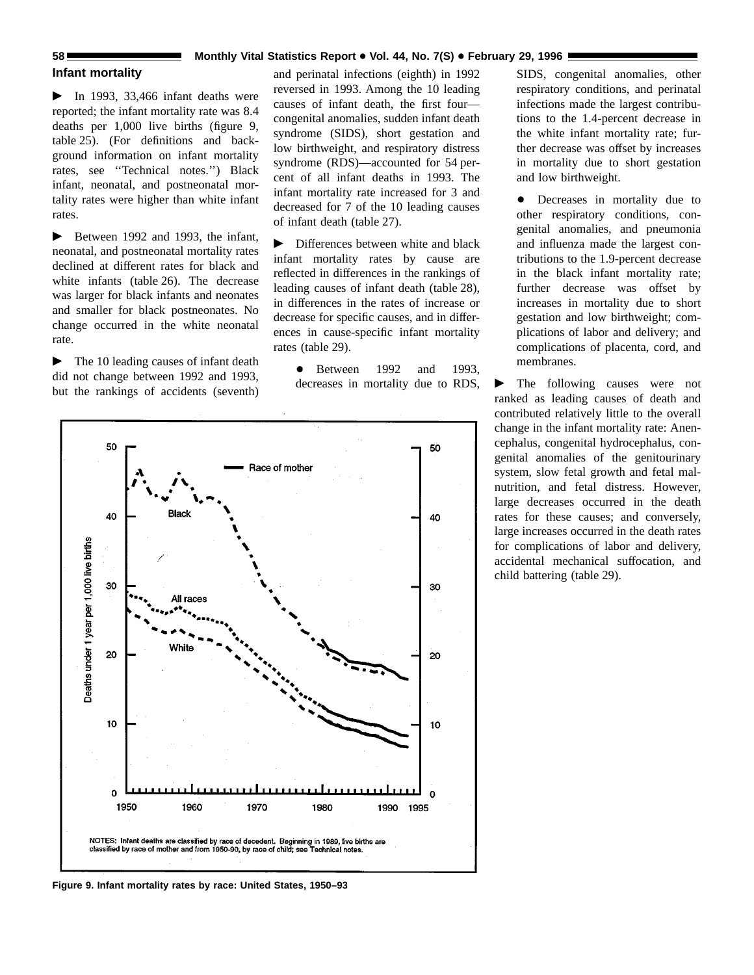### **58 Monthly Vital Statistics Report • Vol. 44, No. 7(S)** • February 29, 1996

### **Infant mortality**

 $\blacktriangleright$  In 1993, 33,466 infant deaths were reported; the infant mortality rate was 8.4 deaths per 1,000 live births (figure 9, table 25). (For definitions and background information on infant mortality rates, see ''Technical notes.'') Black infant, neonatal, and postneonatal mortality rates were higher than white infant rates.

 $\blacktriangleright$  Between 1992 and 1993, the infant, neonatal, and postneonatal mortality rates declined at different rates for black and white infants (table 26). The decrease was larger for black infants and neonates and smaller for black postneonates. No change occurred in the white neonatal rate.

 $\blacktriangleright$  The 10 leading causes of infant death did not change between 1992 and 1993, but the rankings of accidents (seventh) and perinatal infections (eighth) in 1992 reversed in 1993. Among the 10 leading causes of infant death, the first four congenital anomalies, sudden infant death syndrome (SIDS), short gestation and low birthweight, and respiratory distress syndrome (RDS)—accounted for 54 percent of all infant deaths in 1993. The infant mortality rate increased for 3 and decreased for 7 of the 10 leading causes of infant death (table 27).

 $\triangleright$  Differences between white and black infant mortality rates by cause are reflected in differences in the rankings of leading causes of infant death (table 28), in differences in the rates of increase or decrease for specific causes, and in differences in cause-specific infant mortality rates (table 29).

 $\bullet$  Between 1992 and 1993, decreases in mortality due to RDS, SIDS, congenital anomalies, other respiratory conditions, and perinatal infections made the largest contributions to the 1.4-percent decrease in the white infant mortality rate; further decrease was offset by increases in mortality due to short gestation and low birthweight.

• Decreases in mortality due to other respiratory conditions, congenital anomalies, and pneumonia and influenza made the largest contributions to the 1.9-percent decrease in the black infant mortality rate; further decrease was offset by increases in mortality due to short gestation and low birthweight; complications of labor and delivery; and complications of placenta, cord, and membranes.

 $\blacktriangleright$  The following causes were not ranked as leading causes of death and contributed relatively little to the overall change in the infant mortality rate: Anencephalus, congenital hydrocephalus, congenital anomalies of the genitourinary system, slow fetal growth and fetal malnutrition, and fetal distress. However, large decreases occurred in the death rates for these causes; and conversely, large increases occurred in the death rates for complications of labor and delivery, accidental mechanical suffocation, and child battering (table 29).



**Figure 9. Infant mortality rates by race: United States, 1950–93**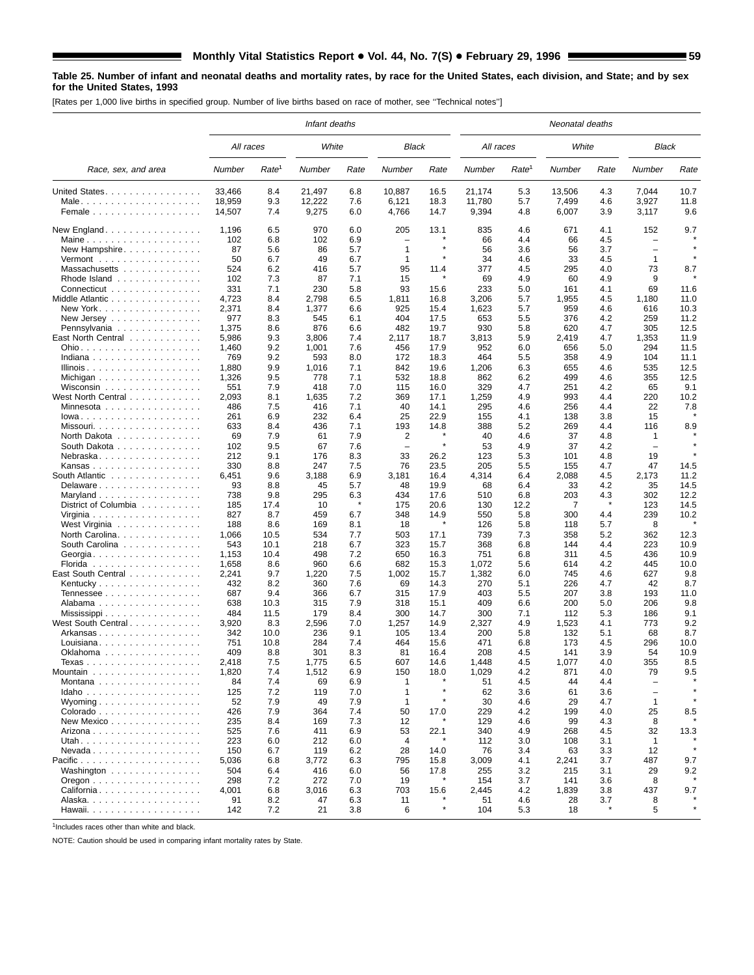### **Table 25. Number of infant and neonatal deaths and mortality rates, by race for the United States, each division, and State; and by sex for the United States, 1993**

[Rates per 1,000 live births in specified group. Number of live births based on race of mother, see ''Technical notes'']

|                                                      |                  |                   | Infant deaths   |            |                                 |              |                 |                   | Neonatal deaths |            |                          |              |
|------------------------------------------------------|------------------|-------------------|-----------------|------------|---------------------------------|--------------|-----------------|-------------------|-----------------|------------|--------------------------|--------------|
|                                                      | All races        |                   | White           |            | <b>Black</b>                    |              | All races       |                   | White           |            | Black                    |              |
| Race, sex, and area                                  | Number           | Rate <sup>1</sup> | Number          | Rate       | Number                          | Rate         | Number          | Rate <sup>1</sup> | Number          | Rate       | Number                   | Rate         |
| United States.                                       | 33,466           | 8.4               | 21,497          | 6.8        | 10,887                          | 16.5         | 21,174          | 5.3               | 13,506          | 4.3        | 7,044                    | 10.7         |
| Female                                               | 18,959<br>14,507 | 9.3<br>7.4        | 12,222<br>9,275 | 7.6<br>6.0 | 6,121<br>4,766                  | 18.3<br>14.7 | 11,780<br>9,394 | 5.7<br>4.8        | 7,499<br>6,007  | 4.6<br>3.9 | 3,927<br>3,117           | 11.8<br>9.6  |
|                                                      |                  |                   |                 |            |                                 |              |                 |                   |                 |            |                          |              |
| New England.                                         | 1,196            | 6.5               | 970             | 6.0        | 205<br>$\overline{\phantom{0}}$ | 13.1         | 835<br>66       | 4.6               | 671<br>66       | 4.1        | 152<br>$\qquad \qquad -$ | 9.7          |
| Maine<br>New Hampshire.                              | 102<br>87        | 6.8<br>5.6        | 102<br>86       | 6.9<br>5.7 | $\mathbf{1}$                    |              | 56              | 4.4<br>3.6        | 56              | 4.5<br>3.7 |                          |              |
| Vermont $\ldots \ldots \ldots \ldots \ldots$         | 50               | 6.7               | 49              | 6.7        | $\mathbf{1}$                    |              | 34              | 4.6               | 33              | 4.5        | 1                        |              |
| Massachusetts                                        | 524              | 6.2               | 416             | 5.7        | 95                              | 11.4         | 377             | 4.5               | 295             | 4.0        | 73                       | 8.7          |
| Rhode Island                                         | 102              | 7.3               | 87              | 7.1        | 15                              |              | 69              | 4.9               | 60              | 4.9        | 9                        |              |
| Connecticut                                          | 331              | 7.1               | 230             | 5.8<br>6.5 | 93                              | 15.6         | 233             | 5.0               | 161             | 4.1        | 69                       | 11.6         |
| Middle Atlantic<br>New York                          | 4,723<br>2,371   | 8.4<br>8.4        | 2,798<br>1,377  | 6.6        | 1,811<br>925                    | 16.8<br>15.4 | 3,206<br>1,623  | 5.7<br>5.7        | 1,955<br>959    | 4.5<br>4.6 | 1,180<br>616             | 11.0<br>10.3 |
| New Jersey $\ldots$ , $\ldots$ , $\ldots$ , $\ldots$ | 977              | 8.3               | 545             | 6.1        | 404                             | 17.5         | 653             | 5.5               | 376             | 4.2        | 259                      | 11.2         |
| Pennsylvania                                         | 1,375            | 8.6               | 876             | 6.6        | 482                             | 19.7         | 930             | 5.8               | 620             | 4.7        | 305                      | 12.5         |
| East North Central                                   | 5,986            | 9.3               | 3,806           | 7.4        | 2,117                           | 18.7         | 3,813           | 5.9               | 2,419           | 4.7        | 1,353                    | 11.9         |
|                                                      | 1,460<br>769     | 9.2<br>9.2        | 1,001<br>593    | 7.6<br>8.0 | 456<br>172                      | 17.9<br>18.3 | 952<br>464      | 6.0<br>5.5        | 656<br>358      | 5.0<br>4.9 | 294<br>104               | 11.5<br>11.1 |
| Indiana                                              | 1,880            | 9.9               | 1,016           | 7.1        | 842                             | 19.6         | 1,206           | 6.3               | 655             | 4.6        | 535                      | 12.5         |
| Michigan $\ldots \ldots \ldots \ldots \ldots$        | 1,326            | 9.5               | 778             | 7.1        | 532                             | 18.8         | 862             | 6.2               | 499             | 4.6        | 355                      | 12.5         |
| Wisconsin                                            | 551              | 7.9               | 418             | 7.0        | 115                             | 16.0         | 329             | 4.7               | 251             | 4.2        | 65                       | 9.1          |
| West North Central                                   | 2,093            | 8.1               | 1,635           | 7.2        | 369                             | 17.1         | 1,259           | 4.9               | 993             | 4.4        | 220                      | 10.2         |
| Minnesota $\ldots \ldots \ldots \ldots$              | 486              | 7.5               | 416             | 7.1        | 40                              | 14.1         | 295             | 4.6               | 256             | 4.4        | 22                       | 7.8          |
| $lowa.$<br>Missouri                                  | 261<br>633       | 6.9<br>8.4        | 232<br>436      | 6.4<br>7.1 | 25<br>193                       | 22.9<br>14.8 | 155<br>388      | 4.1<br>5.2        | 138<br>269      | 3.8<br>4.4 | 15<br>116                | 8.9          |
| North Dakota                                         | 69               | 7.9               | 61              | 7.9        | 2                               |              | 40              | 4.6               | 37              | 4.8        | 1                        |              |
| South Dakota                                         | 102              | 9.5               | 67              | 7.6        | $\overline{\phantom{m}}$        | $\star$      | 53              | 4.9               | 37              | 4.2        | $\overline{\phantom{0}}$ |              |
| Nebraska                                             | 212              | 9.1               | 176             | 8.3        | 33                              | 26.2         | 123             | 5.3               | 101             | 4.8        | 19                       |              |
| Kansas                                               | 330              | 8.8               | 247             | 7.5        | 76                              | 23.5         | 205             | 5.5               | 155             | 4.7        | 47                       | 14.5         |
| South Atlantic<br>Delaware                           | 6,451<br>93      | 9.6<br>8.8        | 3,188<br>45     | 6.9<br>5.7 | 3,181<br>48                     | 16.4<br>19.9 | 4,314<br>68     | 6.4<br>6.4        | 2,088<br>33     | 4.5<br>4.2 | 2,173<br>35              | 11.2<br>14.5 |
|                                                      | 738              | 9.8               | 295             | 6.3        | 434                             | 17.6         | 510             | 6.8               | 203             | 4.3        | 302                      | 12.2         |
| District of Columbia                                 | 185              | 17.4              | 10              |            | 175                             | 20.6         | 130             | 12.2              | 7               |            | 123                      | 14.5         |
|                                                      | 827              | 8.7               | 459             | 6.7        | 348                             | 14.9         | 550             | 5.8               | 300             | 4.4        | 239                      | 10.2         |
| West Virginia                                        | 188              | 8.6               | 169             | 8.1        | 18                              |              | 126             | 5.8               | 118             | 5.7        | 8                        |              |
| North Carolina.                                      | 1,066            | 10.5              | 534             | 7.7        | 503                             | 17.1         | 739             | 7.3               | 358             | 5.2        | 362                      | 12.3         |
| South Carolina                                       | 543<br>1,153     | 10.1<br>10.4      | 218<br>498      | 6.7<br>7.2 | 323<br>650                      | 15.7<br>16.3 | 368<br>751      | 6.8<br>6.8        | 144<br>311      | 4.4<br>4.5 | 223<br>436               | 10.9<br>10.9 |
| Florida                                              | 1,658            | 8.6               | 960             | 6.6        | 682                             | 15.3         | 1,072           | 5.6               | 614             | 4.2        | 445                      | 10.0         |
| East South Central                                   | 2,241            | 9.7               | 1,220           | 7.5        | 1,002                           | 15.7         | 1,382           | 6.0               | 745             | 4.6        | 627                      | 9.8          |
|                                                      | 432              | 8.2               | 360             | 7.6        | 69                              | 14.3         | 270             | 5.1               | 226             | 4.7        | 42                       | 8.7          |
| Tennessee                                            | 687              | 9.4               | 366             | 6.7        | 315                             | 17.9         | 403             | 5.5               | 207             | 3.8        | 193                      | 11.0         |
| Alabama<br>Mississippi                               | 638<br>484       | 10.3<br>11.5      | 315<br>179      | 7.9<br>8.4 | 318<br>300                      | 15.1<br>14.7 | 409<br>300      | 6.6<br>7.1        | 200<br>112      | 5.0<br>5.3 | 206<br>186               | 9.8<br>9.1   |
| West South Central                                   | 3,920            | 8.3               | 2,596           | 7.0        | 1,257                           | 14.9         | 2,327           | 4.9               | 1,523           | 4.1        | 773                      | 9.2          |
| Arkansas                                             | 342              | 10.0              | 236             | 9.1        | 105                             | 13.4         | 200             | 5.8               | 132             | 5.1        | 68                       | 8.7          |
| Louisiana                                            | 751              | 10.8              | 284             | 7.4        | 464                             | 15.6         | 471             | 6.8               | 173             | 4.5        | 296                      | 10.0         |
| Oklahoma                                             | 409              | 8.8               | 301             | 8.3        | 81                              | 16.4         | 208             | 4.5               | 141             | 3.9        | 54                       | 10.9         |
| Texas<br>Mountain                                    | 2,418<br>1,820   | 7.5<br>7.4        | 1,775<br>1,512  | 6.5<br>6.9 | 607<br>150                      | 14.6<br>18.0 | 1,448<br>1,029  | 4.5<br>4.2        | 1,077<br>871    | 4.0<br>4.0 | 355<br>79                | 8.5<br>9.5   |
| Montana                                              | 84               | 7.4               | 69              | 6.9        | 1                               |              | 51              | 4.5               | 44              | 4.4        |                          |              |
| Idaho                                                | 125              | 7.2               | 119             | 7.0        | $\mathbf{1}$                    |              | 62              | 3.6               | 61              | 3.6        | $\overline{\phantom{m}}$ |              |
| Wyoming $\ldots \ldots \ldots \ldots \ldots$         | 52               | 7.9               | 49              | 7.9        | $\mathbf{1}$                    |              | 30              | 4.6               | 29              | 4.7        | 1                        |              |
| Colorado                                             | 426              | 7.9               | 364             | 7.4        | 50                              | 17.0         | 229             | 4.2               | 199             | 4.0        | 25                       | 8.5          |
| New Mexico                                           | 235<br>525       | 8.4<br>7.6        | 169<br>411      | 7.3<br>6.9 | 12<br>53                        | 22.1         | 129<br>340      | 4.6<br>4.9        | 99<br>268       | 4.3        | 8<br>32                  |              |
| Arizona                                              | 223              | 6.0               | 212             | 6.0        | 4                               |              | 112             | 3.0               | 108             | 4.5<br>3.1 | 1                        | 13.3         |
| $N$ evada                                            | 150              | 6.7               | 119             | 6.2        | 28                              | 14.0         | 76              | 3.4               | 63              | 3.3        | 12                       |              |
| Pacific                                              | 5,036            | 6.8               | 3,772           | 6.3        | 795                             | 15.8         | 3,009           | 4.1               | 2,241           | 3.7        | 487                      | 9.7          |
| Washington                                           | 504              | 6.4               | 416             | 6.0        | 56                              | 17.8         | 255             | 3.2               | 215             | 3.1        | 29                       | 9.2          |
| Oregon $\ldots \ldots \ldots \ldots \ldots$          | 298              | 7.2               | 272             | 7.0        | 19                              |              | 154             | 3.7               | 141             | 3.6        | 8                        |              |
| California<br>Alaska.                                | 4,001<br>91      | 6.8<br>8.2        | 3,016<br>47     | 6.3<br>6.3 | 703<br>11                       | 15.6         | 2,445<br>51     | 4.2<br>4.6        | 1,839<br>28     | 3.8<br>3.7 | 437<br>8                 | 9.7          |
|                                                      | 142              | 7.2               | 21              | 3.8        | 6                               | $\star$      | 104             | 5.3               | 18              | $\star$    | 5                        |              |
|                                                      |                  |                   |                 |            |                                 |              |                 |                   |                 |            |                          |              |

 $1$ Includes races other than white and black.

NOTE: Caution should be used in comparing infant mortality rates by State.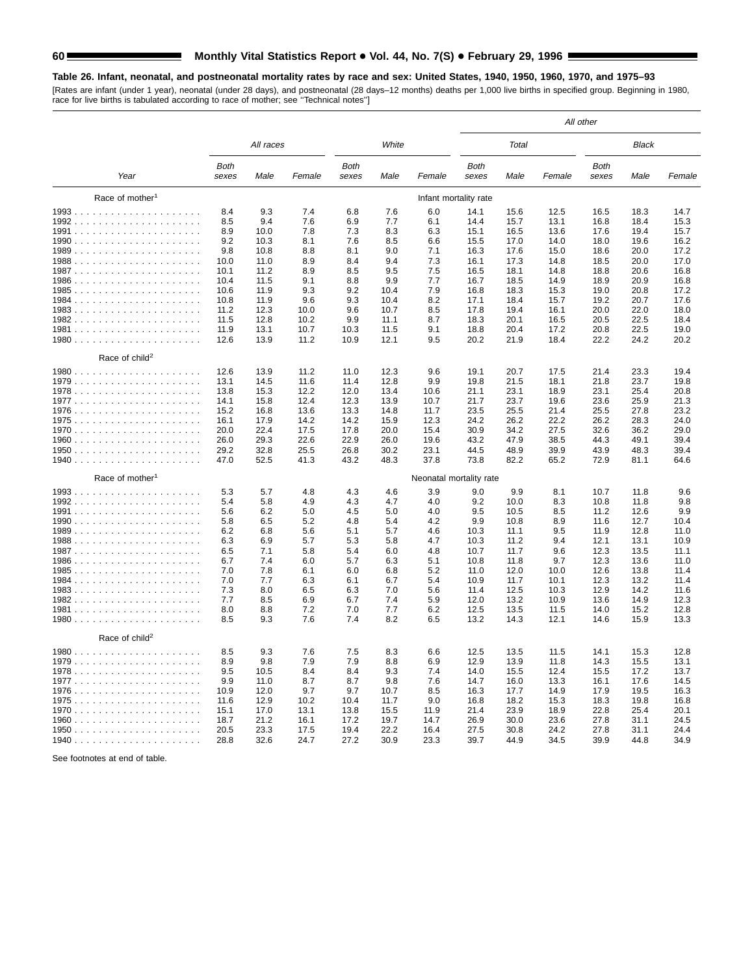### **Table 26. Infant, neonatal, and postneonatal mortality rates by race and sex: United States, 1940, 1950, 1960, 1970, and 1975–93**

[Rates are infant (under 1 year), neonatal (under 28 days), and postneonatal (28 days–12 months) deaths per 1,000 live births in specified group. Beginning in 1980, race for live births is tabulated according to race of mother; see ''Technical notes'']

| White<br>All races<br>Total<br>Black<br><b>Both</b><br><b>Both</b><br>Both<br>Both<br>Year<br>Male<br>Female<br>sexes<br>Male<br>Female<br>sexes<br>Male<br>Female<br>sexes<br>Male<br>sexes<br>Female<br>Race of mother <sup>1</sup><br>Infant mortality rate<br>9.3<br>8.4<br>7.4<br>6.8<br>7.6<br>6.0<br>14.1<br>15.6<br>12.5<br>16.5<br>18.3<br>14.7<br>8.5<br>9.4<br>7.6<br>6.9<br>7.7<br>6.1<br>14.4<br>15.7<br>13.1<br>16.8<br>15.3<br>18.4<br>8.9<br>10.0<br>7.8<br>7.3<br>8.3<br>6.3<br>15.1<br>16.5<br>13.6<br>17.6<br>19.4<br>15.7<br>9.2<br>10.3<br>7.6<br>8.5<br>6.6<br>15.5<br>17.0<br>14.0<br>18.0<br>19.6<br>16.2<br>8.1<br>9.0<br>9.8<br>10.8<br>8.8<br>8.1<br>7.1<br>16.3<br>17.6<br>15.0<br>18.6<br>20.0<br>17.2<br>10.0<br>11.0<br>8.9<br>8.4<br>9.4<br>7.3<br>16.1<br>17.3<br>14.8<br>18.5<br>20.0<br>17.0<br>10.1<br>11.2<br>8.9<br>8.5<br>9.5<br>7.5<br>18.1<br>14.8<br>18.8<br>20.6<br>16.8<br>16.5<br>9.9<br>10.4<br>11.5<br>9.1<br>8.8<br>7.7<br>16.7<br>18.5<br>14.9<br>18.9<br>20.9<br>16.8<br>10.6<br>11.9<br>9.3<br>9.2<br>10.4<br>7.9<br>16.8<br>18.3<br>15.3<br>19.0<br>20.8<br>17.2<br>10.8<br>11.9<br>9.6<br>9.3<br>10.4<br>8.2<br>17.1<br>18.4<br>15.7<br>19.2<br>20.7<br>17.6<br>9.6<br>8.5<br>20.0<br>22.0<br>11.2<br>12.3<br>10.0<br>10.7<br>17.8<br>19.4<br>16.1<br>18.0<br>10.2<br>9.9<br>8.7<br>20.1<br>20.5<br>22.5<br>18.4<br>11.5<br>12.8<br>11.1<br>18.3<br>16.5<br>20.8<br>22.5<br>11.9<br>13.1<br>10.7<br>11.5<br>9.1<br>18.8<br>20.4<br>17.2<br>19.0<br>10.3<br>20.2<br>21.9<br>22.2<br>24.2<br>20.2<br>12.6<br>13.9<br>11.2<br>10.9<br>12.1<br>9.5<br>18.4<br>Race of child <sup>2</sup><br>12.6<br>13.9<br>11.2<br>11.0<br>12.3<br>9.6<br>19.1<br>20.7<br>17.5<br>21.4<br>23.3<br>19.4<br>9.9<br>21.5<br>18.1<br>21.8<br>23.7<br>13.1<br>14.5<br>11.6<br>11.4<br>12.8<br>19.8<br>19.8<br>23.1<br>23.1<br>20.8<br>13.8<br>15.3<br>12.2<br>12.0<br>13.4<br>21.1<br>18.9<br>25.4<br>10.6<br>14.1<br>15.8<br>12.4<br>12.3<br>13.9<br>10.7<br>21.7<br>23.7<br>19.6<br>23.6<br>25.9<br>21.3<br>13.6<br>23.5<br>25.5<br>21.4<br>25.5<br>27.8<br>23.2<br>15.2<br>16.8<br>13.3<br>14.8<br>11.7<br>14.2<br>26.2<br>26.2<br>24.0<br>16.1<br>17.9<br>14.2<br>15.9<br>12.3<br>24.2<br>22.2<br>28.3<br>32.6<br>20.0<br>22.4<br>17.5<br>17.8<br>20.0<br>15.4<br>30.9<br>34.2<br>27.5<br>36.2<br>29.0<br>22.6<br>47.9<br>44.3<br>39.4<br>26.0<br>29.3<br>22.9<br>26.0<br>19.6<br>43.2<br>38.5<br>49.1<br>29.2<br>32.8<br>25.5<br>30.2<br>23.1<br>44.5<br>48.9<br>39.9<br>43.9<br>39.4<br>26.8<br>48.3<br>47.0<br>52.5<br>41.3<br>43.2<br>48.3<br>37.8<br>73.8<br>82.2<br>65.2<br>72.9<br>81.1<br>64.6<br>Race of mother <sup>1</sup><br>Neonatal mortality rate<br>3.9<br>5.3<br>5.7<br>4.8<br>4.3<br>4.6<br>9.0<br>9.9<br>8.1<br>10.7<br>11.8<br>9.6<br>5.4<br>5.8<br>4.9<br>4.3<br>4.7<br>4.0<br>9.2<br>10.0<br>8.3<br>10.8<br>11.8<br>9.8<br>6.2<br>9.5<br>5.6<br>5.0<br>4.5<br>5.0<br>4.0<br>10.5<br>8.5<br>11.2<br>12.6<br>9.9<br>5.8<br>6.5<br>5.2<br>4.8<br>5.4<br>4.2<br>9.9<br>10.8<br>8.9<br>11.6<br>12.7<br>10.4<br>6.2<br>6.8<br>5.6<br>5.1<br>5.7<br>4.6<br>10.3<br>11.1<br>9.5<br>11.9<br>12.8<br>11.0<br>6.9<br>12.1<br>6.3<br>5.7<br>5.3<br>5.8<br>4.7<br>10.3<br>11.2<br>9.4<br>13.1<br>10.9<br>6.5<br>7.1<br>5.8<br>5.4<br>6.0<br>4.8<br>10.7<br>11.7<br>9.6<br>12.3<br>13.5<br>11.1<br>6.7<br>7.4<br>6.0<br>5.7<br>6.3<br>5.1<br>10.8<br>11.8<br>9.7<br>12.3<br>13.6<br>11.0<br>12.6<br>7.0<br>7.8<br>6.1<br>6.0<br>6.8<br>5.2<br>11.0<br>12.0<br>10.0<br>13.8<br>11.4<br>7.0<br>7.7<br>6.3<br>6.1<br>6.7<br>5.4<br>10.9<br>11.7<br>10.1<br>12.3<br>13.2<br>11.4<br>7.3<br>8.0<br>6.5<br>6.3<br>7.0<br>5.6<br>11.4<br>12.5<br>10.3<br>12.9<br>14.2<br>11.6<br>8.5<br>5.9<br>13.6<br>7.7<br>6.9<br>6.7<br>7.4<br>12.0<br>13.2<br>10.9<br>14.9<br>12.3<br>8.0<br>8.8<br>7.2<br>7.0<br>7.7<br>6.2<br>12.5<br>13.5<br>11.5<br>14.0<br>15.2<br>12.8<br>9.3<br>8.2<br>8.5<br>7.6<br>7.4<br>6.5<br>13.2<br>14.3<br>12.1<br>14.6<br>15.9<br>13.3<br>Race of child <sup>2</sup><br>8.5<br>9.3<br>7.6<br>7.5<br>8.3<br>6.6<br>12.5<br>13.5<br>11.5<br>14.1<br>15.3<br>12.8<br>8.9<br>9.8<br>7.9<br>6.9<br>12.9<br>13.9<br>14.3<br>15.5<br>7.9<br>8.8<br>11.8<br>13.1<br>9.5<br>10.5<br>7.4<br>8.4<br>8.4<br>9.3<br>14.0<br>15.5<br>12.4<br>15.5<br>17.2<br>13.7<br>9.9<br>11.0<br>8.7<br>8.7<br>9.8<br>7.6<br>14.7<br>16.0<br>13.3<br>16.1<br>17.6<br>14.5<br>10.9<br>12.0<br>9.7<br>9.7<br>10.7<br>8.5<br>14.9<br>17.9<br>16.3<br>16.3<br>17.7<br>19.5<br>12.9<br>11.6<br>10.2<br>10.4<br>11.7<br>9.0<br>16.8<br>18.2<br>15.3<br>18.3<br>19.8<br>16.8<br>15.1<br>17.0<br>13.1<br>13.8<br>15.5<br>11.9<br>21.4<br>23.9<br>18.9<br>22.8<br>25.4<br>20.1<br>21.2<br>16.1<br>17.2<br>26.9<br>30.0<br>23.6<br>27.8<br>31.1<br>24.5<br>18.7<br>19.7<br>14.7<br>22.2<br>30.8<br>24.2<br>20.5<br>23.3<br>17.5<br>19.4<br>16.4<br>27.5<br>27.8<br>31.1<br>24.4<br>27.2<br>30.9<br>23.3<br>44.9<br>34.5<br>39.9<br>34.9<br>1940<br>28.8<br>32.6<br>24.7<br>39.7<br>44.8 |  |  |  |  |  | All other |  |
|-----------------------------------------------------------------------------------------------------------------------------------------------------------------------------------------------------------------------------------------------------------------------------------------------------------------------------------------------------------------------------------------------------------------------------------------------------------------------------------------------------------------------------------------------------------------------------------------------------------------------------------------------------------------------------------------------------------------------------------------------------------------------------------------------------------------------------------------------------------------------------------------------------------------------------------------------------------------------------------------------------------------------------------------------------------------------------------------------------------------------------------------------------------------------------------------------------------------------------------------------------------------------------------------------------------------------------------------------------------------------------------------------------------------------------------------------------------------------------------------------------------------------------------------------------------------------------------------------------------------------------------------------------------------------------------------------------------------------------------------------------------------------------------------------------------------------------------------------------------------------------------------------------------------------------------------------------------------------------------------------------------------------------------------------------------------------------------------------------------------------------------------------------------------------------------------------------------------------------------------------------------------------------------------------------------------------------------------------------------------------------------------------------------------------------------------------------------------------------------------------------------------------------------------------------------------------------------------------------------------------------------------------------------------------------------------------------------------------------------------------------------------------------------------------------------------------------------------------------------------------------------------------------------------------------------------------------------------------------------------------------------------------------------------------------------------------------------------------------------------------------------------------------------------------------------------------------------------------------------------------------------------------------------------------------------------------------------------------------------------------------------------------------------------------------------------------------------------------------------------------------------------------------------------------------------------------------------------------------------------------------------------------------------------------------------------------------------------------------------------------------------------------------------------------------------------------------------------------------------------------------------------------------------------------------------------------------------------------------------------------------------------------------------------------------------------------------------------------------------------------------------------------------------------------------------------------------------------------------------------------------------------------------------------------------------------------------------------------------------------------------------------------------------------------------------------------------------------------------------------------------------------------------------------------------------------------------------------------------------------------------------------------------------------------------------------------------------------------------------------------------------------------------------------------------------------------------------------------------------------------------------------------------------------------------------------------------------------------------------------------------------|--|--|--|--|--|-----------|--|
|                                                                                                                                                                                                                                                                                                                                                                                                                                                                                                                                                                                                                                                                                                                                                                                                                                                                                                                                                                                                                                                                                                                                                                                                                                                                                                                                                                                                                                                                                                                                                                                                                                                                                                                                                                                                                                                                                                                                                                                                                                                                                                                                                                                                                                                                                                                                                                                                                                                                                                                                                                                                                                                                                                                                                                                                                                                                                                                                                                                                                                                                                                                                                                                                                                                                                                                                                                                                                                                                                                                                                                                                                                                                                                                                                                                                                                                                                                                                                                                                                                                                                                                                                                                                                                                                                                                                                                                                                                                                                                                                                                                                                                                                                                                                                                                                                                                                                                                                                                                                           |  |  |  |  |  |           |  |
|                                                                                                                                                                                                                                                                                                                                                                                                                                                                                                                                                                                                                                                                                                                                                                                                                                                                                                                                                                                                                                                                                                                                                                                                                                                                                                                                                                                                                                                                                                                                                                                                                                                                                                                                                                                                                                                                                                                                                                                                                                                                                                                                                                                                                                                                                                                                                                                                                                                                                                                                                                                                                                                                                                                                                                                                                                                                                                                                                                                                                                                                                                                                                                                                                                                                                                                                                                                                                                                                                                                                                                                                                                                                                                                                                                                                                                                                                                                                                                                                                                                                                                                                                                                                                                                                                                                                                                                                                                                                                                                                                                                                                                                                                                                                                                                                                                                                                                                                                                                                           |  |  |  |  |  |           |  |
|                                                                                                                                                                                                                                                                                                                                                                                                                                                                                                                                                                                                                                                                                                                                                                                                                                                                                                                                                                                                                                                                                                                                                                                                                                                                                                                                                                                                                                                                                                                                                                                                                                                                                                                                                                                                                                                                                                                                                                                                                                                                                                                                                                                                                                                                                                                                                                                                                                                                                                                                                                                                                                                                                                                                                                                                                                                                                                                                                                                                                                                                                                                                                                                                                                                                                                                                                                                                                                                                                                                                                                                                                                                                                                                                                                                                                                                                                                                                                                                                                                                                                                                                                                                                                                                                                                                                                                                                                                                                                                                                                                                                                                                                                                                                                                                                                                                                                                                                                                                                           |  |  |  |  |  |           |  |
|                                                                                                                                                                                                                                                                                                                                                                                                                                                                                                                                                                                                                                                                                                                                                                                                                                                                                                                                                                                                                                                                                                                                                                                                                                                                                                                                                                                                                                                                                                                                                                                                                                                                                                                                                                                                                                                                                                                                                                                                                                                                                                                                                                                                                                                                                                                                                                                                                                                                                                                                                                                                                                                                                                                                                                                                                                                                                                                                                                                                                                                                                                                                                                                                                                                                                                                                                                                                                                                                                                                                                                                                                                                                                                                                                                                                                                                                                                                                                                                                                                                                                                                                                                                                                                                                                                                                                                                                                                                                                                                                                                                                                                                                                                                                                                                                                                                                                                                                                                                                           |  |  |  |  |  |           |  |
|                                                                                                                                                                                                                                                                                                                                                                                                                                                                                                                                                                                                                                                                                                                                                                                                                                                                                                                                                                                                                                                                                                                                                                                                                                                                                                                                                                                                                                                                                                                                                                                                                                                                                                                                                                                                                                                                                                                                                                                                                                                                                                                                                                                                                                                                                                                                                                                                                                                                                                                                                                                                                                                                                                                                                                                                                                                                                                                                                                                                                                                                                                                                                                                                                                                                                                                                                                                                                                                                                                                                                                                                                                                                                                                                                                                                                                                                                                                                                                                                                                                                                                                                                                                                                                                                                                                                                                                                                                                                                                                                                                                                                                                                                                                                                                                                                                                                                                                                                                                                           |  |  |  |  |  |           |  |
|                                                                                                                                                                                                                                                                                                                                                                                                                                                                                                                                                                                                                                                                                                                                                                                                                                                                                                                                                                                                                                                                                                                                                                                                                                                                                                                                                                                                                                                                                                                                                                                                                                                                                                                                                                                                                                                                                                                                                                                                                                                                                                                                                                                                                                                                                                                                                                                                                                                                                                                                                                                                                                                                                                                                                                                                                                                                                                                                                                                                                                                                                                                                                                                                                                                                                                                                                                                                                                                                                                                                                                                                                                                                                                                                                                                                                                                                                                                                                                                                                                                                                                                                                                                                                                                                                                                                                                                                                                                                                                                                                                                                                                                                                                                                                                                                                                                                                                                                                                                                           |  |  |  |  |  |           |  |
|                                                                                                                                                                                                                                                                                                                                                                                                                                                                                                                                                                                                                                                                                                                                                                                                                                                                                                                                                                                                                                                                                                                                                                                                                                                                                                                                                                                                                                                                                                                                                                                                                                                                                                                                                                                                                                                                                                                                                                                                                                                                                                                                                                                                                                                                                                                                                                                                                                                                                                                                                                                                                                                                                                                                                                                                                                                                                                                                                                                                                                                                                                                                                                                                                                                                                                                                                                                                                                                                                                                                                                                                                                                                                                                                                                                                                                                                                                                                                                                                                                                                                                                                                                                                                                                                                                                                                                                                                                                                                                                                                                                                                                                                                                                                                                                                                                                                                                                                                                                                           |  |  |  |  |  |           |  |
|                                                                                                                                                                                                                                                                                                                                                                                                                                                                                                                                                                                                                                                                                                                                                                                                                                                                                                                                                                                                                                                                                                                                                                                                                                                                                                                                                                                                                                                                                                                                                                                                                                                                                                                                                                                                                                                                                                                                                                                                                                                                                                                                                                                                                                                                                                                                                                                                                                                                                                                                                                                                                                                                                                                                                                                                                                                                                                                                                                                                                                                                                                                                                                                                                                                                                                                                                                                                                                                                                                                                                                                                                                                                                                                                                                                                                                                                                                                                                                                                                                                                                                                                                                                                                                                                                                                                                                                                                                                                                                                                                                                                                                                                                                                                                                                                                                                                                                                                                                                                           |  |  |  |  |  |           |  |
|                                                                                                                                                                                                                                                                                                                                                                                                                                                                                                                                                                                                                                                                                                                                                                                                                                                                                                                                                                                                                                                                                                                                                                                                                                                                                                                                                                                                                                                                                                                                                                                                                                                                                                                                                                                                                                                                                                                                                                                                                                                                                                                                                                                                                                                                                                                                                                                                                                                                                                                                                                                                                                                                                                                                                                                                                                                                                                                                                                                                                                                                                                                                                                                                                                                                                                                                                                                                                                                                                                                                                                                                                                                                                                                                                                                                                                                                                                                                                                                                                                                                                                                                                                                                                                                                                                                                                                                                                                                                                                                                                                                                                                                                                                                                                                                                                                                                                                                                                                                                           |  |  |  |  |  |           |  |
|                                                                                                                                                                                                                                                                                                                                                                                                                                                                                                                                                                                                                                                                                                                                                                                                                                                                                                                                                                                                                                                                                                                                                                                                                                                                                                                                                                                                                                                                                                                                                                                                                                                                                                                                                                                                                                                                                                                                                                                                                                                                                                                                                                                                                                                                                                                                                                                                                                                                                                                                                                                                                                                                                                                                                                                                                                                                                                                                                                                                                                                                                                                                                                                                                                                                                                                                                                                                                                                                                                                                                                                                                                                                                                                                                                                                                                                                                                                                                                                                                                                                                                                                                                                                                                                                                                                                                                                                                                                                                                                                                                                                                                                                                                                                                                                                                                                                                                                                                                                                           |  |  |  |  |  |           |  |
|                                                                                                                                                                                                                                                                                                                                                                                                                                                                                                                                                                                                                                                                                                                                                                                                                                                                                                                                                                                                                                                                                                                                                                                                                                                                                                                                                                                                                                                                                                                                                                                                                                                                                                                                                                                                                                                                                                                                                                                                                                                                                                                                                                                                                                                                                                                                                                                                                                                                                                                                                                                                                                                                                                                                                                                                                                                                                                                                                                                                                                                                                                                                                                                                                                                                                                                                                                                                                                                                                                                                                                                                                                                                                                                                                                                                                                                                                                                                                                                                                                                                                                                                                                                                                                                                                                                                                                                                                                                                                                                                                                                                                                                                                                                                                                                                                                                                                                                                                                                                           |  |  |  |  |  |           |  |
|                                                                                                                                                                                                                                                                                                                                                                                                                                                                                                                                                                                                                                                                                                                                                                                                                                                                                                                                                                                                                                                                                                                                                                                                                                                                                                                                                                                                                                                                                                                                                                                                                                                                                                                                                                                                                                                                                                                                                                                                                                                                                                                                                                                                                                                                                                                                                                                                                                                                                                                                                                                                                                                                                                                                                                                                                                                                                                                                                                                                                                                                                                                                                                                                                                                                                                                                                                                                                                                                                                                                                                                                                                                                                                                                                                                                                                                                                                                                                                                                                                                                                                                                                                                                                                                                                                                                                                                                                                                                                                                                                                                                                                                                                                                                                                                                                                                                                                                                                                                                           |  |  |  |  |  |           |  |
|                                                                                                                                                                                                                                                                                                                                                                                                                                                                                                                                                                                                                                                                                                                                                                                                                                                                                                                                                                                                                                                                                                                                                                                                                                                                                                                                                                                                                                                                                                                                                                                                                                                                                                                                                                                                                                                                                                                                                                                                                                                                                                                                                                                                                                                                                                                                                                                                                                                                                                                                                                                                                                                                                                                                                                                                                                                                                                                                                                                                                                                                                                                                                                                                                                                                                                                                                                                                                                                                                                                                                                                                                                                                                                                                                                                                                                                                                                                                                                                                                                                                                                                                                                                                                                                                                                                                                                                                                                                                                                                                                                                                                                                                                                                                                                                                                                                                                                                                                                                                           |  |  |  |  |  |           |  |
|                                                                                                                                                                                                                                                                                                                                                                                                                                                                                                                                                                                                                                                                                                                                                                                                                                                                                                                                                                                                                                                                                                                                                                                                                                                                                                                                                                                                                                                                                                                                                                                                                                                                                                                                                                                                                                                                                                                                                                                                                                                                                                                                                                                                                                                                                                                                                                                                                                                                                                                                                                                                                                                                                                                                                                                                                                                                                                                                                                                                                                                                                                                                                                                                                                                                                                                                                                                                                                                                                                                                                                                                                                                                                                                                                                                                                                                                                                                                                                                                                                                                                                                                                                                                                                                                                                                                                                                                                                                                                                                                                                                                                                                                                                                                                                                                                                                                                                                                                                                                           |  |  |  |  |  |           |  |
|                                                                                                                                                                                                                                                                                                                                                                                                                                                                                                                                                                                                                                                                                                                                                                                                                                                                                                                                                                                                                                                                                                                                                                                                                                                                                                                                                                                                                                                                                                                                                                                                                                                                                                                                                                                                                                                                                                                                                                                                                                                                                                                                                                                                                                                                                                                                                                                                                                                                                                                                                                                                                                                                                                                                                                                                                                                                                                                                                                                                                                                                                                                                                                                                                                                                                                                                                                                                                                                                                                                                                                                                                                                                                                                                                                                                                                                                                                                                                                                                                                                                                                                                                                                                                                                                                                                                                                                                                                                                                                                                                                                                                                                                                                                                                                                                                                                                                                                                                                                                           |  |  |  |  |  |           |  |
|                                                                                                                                                                                                                                                                                                                                                                                                                                                                                                                                                                                                                                                                                                                                                                                                                                                                                                                                                                                                                                                                                                                                                                                                                                                                                                                                                                                                                                                                                                                                                                                                                                                                                                                                                                                                                                                                                                                                                                                                                                                                                                                                                                                                                                                                                                                                                                                                                                                                                                                                                                                                                                                                                                                                                                                                                                                                                                                                                                                                                                                                                                                                                                                                                                                                                                                                                                                                                                                                                                                                                                                                                                                                                                                                                                                                                                                                                                                                                                                                                                                                                                                                                                                                                                                                                                                                                                                                                                                                                                                                                                                                                                                                                                                                                                                                                                                                                                                                                                                                           |  |  |  |  |  |           |  |
|                                                                                                                                                                                                                                                                                                                                                                                                                                                                                                                                                                                                                                                                                                                                                                                                                                                                                                                                                                                                                                                                                                                                                                                                                                                                                                                                                                                                                                                                                                                                                                                                                                                                                                                                                                                                                                                                                                                                                                                                                                                                                                                                                                                                                                                                                                                                                                                                                                                                                                                                                                                                                                                                                                                                                                                                                                                                                                                                                                                                                                                                                                                                                                                                                                                                                                                                                                                                                                                                                                                                                                                                                                                                                                                                                                                                                                                                                                                                                                                                                                                                                                                                                                                                                                                                                                                                                                                                                                                                                                                                                                                                                                                                                                                                                                                                                                                                                                                                                                                                           |  |  |  |  |  |           |  |
|                                                                                                                                                                                                                                                                                                                                                                                                                                                                                                                                                                                                                                                                                                                                                                                                                                                                                                                                                                                                                                                                                                                                                                                                                                                                                                                                                                                                                                                                                                                                                                                                                                                                                                                                                                                                                                                                                                                                                                                                                                                                                                                                                                                                                                                                                                                                                                                                                                                                                                                                                                                                                                                                                                                                                                                                                                                                                                                                                                                                                                                                                                                                                                                                                                                                                                                                                                                                                                                                                                                                                                                                                                                                                                                                                                                                                                                                                                                                                                                                                                                                                                                                                                                                                                                                                                                                                                                                                                                                                                                                                                                                                                                                                                                                                                                                                                                                                                                                                                                                           |  |  |  |  |  |           |  |
|                                                                                                                                                                                                                                                                                                                                                                                                                                                                                                                                                                                                                                                                                                                                                                                                                                                                                                                                                                                                                                                                                                                                                                                                                                                                                                                                                                                                                                                                                                                                                                                                                                                                                                                                                                                                                                                                                                                                                                                                                                                                                                                                                                                                                                                                                                                                                                                                                                                                                                                                                                                                                                                                                                                                                                                                                                                                                                                                                                                                                                                                                                                                                                                                                                                                                                                                                                                                                                                                                                                                                                                                                                                                                                                                                                                                                                                                                                                                                                                                                                                                                                                                                                                                                                                                                                                                                                                                                                                                                                                                                                                                                                                                                                                                                                                                                                                                                                                                                                                                           |  |  |  |  |  |           |  |
|                                                                                                                                                                                                                                                                                                                                                                                                                                                                                                                                                                                                                                                                                                                                                                                                                                                                                                                                                                                                                                                                                                                                                                                                                                                                                                                                                                                                                                                                                                                                                                                                                                                                                                                                                                                                                                                                                                                                                                                                                                                                                                                                                                                                                                                                                                                                                                                                                                                                                                                                                                                                                                                                                                                                                                                                                                                                                                                                                                                                                                                                                                                                                                                                                                                                                                                                                                                                                                                                                                                                                                                                                                                                                                                                                                                                                                                                                                                                                                                                                                                                                                                                                                                                                                                                                                                                                                                                                                                                                                                                                                                                                                                                                                                                                                                                                                                                                                                                                                                                           |  |  |  |  |  |           |  |
|                                                                                                                                                                                                                                                                                                                                                                                                                                                                                                                                                                                                                                                                                                                                                                                                                                                                                                                                                                                                                                                                                                                                                                                                                                                                                                                                                                                                                                                                                                                                                                                                                                                                                                                                                                                                                                                                                                                                                                                                                                                                                                                                                                                                                                                                                                                                                                                                                                                                                                                                                                                                                                                                                                                                                                                                                                                                                                                                                                                                                                                                                                                                                                                                                                                                                                                                                                                                                                                                                                                                                                                                                                                                                                                                                                                                                                                                                                                                                                                                                                                                                                                                                                                                                                                                                                                                                                                                                                                                                                                                                                                                                                                                                                                                                                                                                                                                                                                                                                                                           |  |  |  |  |  |           |  |
|                                                                                                                                                                                                                                                                                                                                                                                                                                                                                                                                                                                                                                                                                                                                                                                                                                                                                                                                                                                                                                                                                                                                                                                                                                                                                                                                                                                                                                                                                                                                                                                                                                                                                                                                                                                                                                                                                                                                                                                                                                                                                                                                                                                                                                                                                                                                                                                                                                                                                                                                                                                                                                                                                                                                                                                                                                                                                                                                                                                                                                                                                                                                                                                                                                                                                                                                                                                                                                                                                                                                                                                                                                                                                                                                                                                                                                                                                                                                                                                                                                                                                                                                                                                                                                                                                                                                                                                                                                                                                                                                                                                                                                                                                                                                                                                                                                                                                                                                                                                                           |  |  |  |  |  |           |  |
|                                                                                                                                                                                                                                                                                                                                                                                                                                                                                                                                                                                                                                                                                                                                                                                                                                                                                                                                                                                                                                                                                                                                                                                                                                                                                                                                                                                                                                                                                                                                                                                                                                                                                                                                                                                                                                                                                                                                                                                                                                                                                                                                                                                                                                                                                                                                                                                                                                                                                                                                                                                                                                                                                                                                                                                                                                                                                                                                                                                                                                                                                                                                                                                                                                                                                                                                                                                                                                                                                                                                                                                                                                                                                                                                                                                                                                                                                                                                                                                                                                                                                                                                                                                                                                                                                                                                                                                                                                                                                                                                                                                                                                                                                                                                                                                                                                                                                                                                                                                                           |  |  |  |  |  |           |  |
|                                                                                                                                                                                                                                                                                                                                                                                                                                                                                                                                                                                                                                                                                                                                                                                                                                                                                                                                                                                                                                                                                                                                                                                                                                                                                                                                                                                                                                                                                                                                                                                                                                                                                                                                                                                                                                                                                                                                                                                                                                                                                                                                                                                                                                                                                                                                                                                                                                                                                                                                                                                                                                                                                                                                                                                                                                                                                                                                                                                                                                                                                                                                                                                                                                                                                                                                                                                                                                                                                                                                                                                                                                                                                                                                                                                                                                                                                                                                                                                                                                                                                                                                                                                                                                                                                                                                                                                                                                                                                                                                                                                                                                                                                                                                                                                                                                                                                                                                                                                                           |  |  |  |  |  |           |  |
|                                                                                                                                                                                                                                                                                                                                                                                                                                                                                                                                                                                                                                                                                                                                                                                                                                                                                                                                                                                                                                                                                                                                                                                                                                                                                                                                                                                                                                                                                                                                                                                                                                                                                                                                                                                                                                                                                                                                                                                                                                                                                                                                                                                                                                                                                                                                                                                                                                                                                                                                                                                                                                                                                                                                                                                                                                                                                                                                                                                                                                                                                                                                                                                                                                                                                                                                                                                                                                                                                                                                                                                                                                                                                                                                                                                                                                                                                                                                                                                                                                                                                                                                                                                                                                                                                                                                                                                                                                                                                                                                                                                                                                                                                                                                                                                                                                                                                                                                                                                                           |  |  |  |  |  |           |  |
|                                                                                                                                                                                                                                                                                                                                                                                                                                                                                                                                                                                                                                                                                                                                                                                                                                                                                                                                                                                                                                                                                                                                                                                                                                                                                                                                                                                                                                                                                                                                                                                                                                                                                                                                                                                                                                                                                                                                                                                                                                                                                                                                                                                                                                                                                                                                                                                                                                                                                                                                                                                                                                                                                                                                                                                                                                                                                                                                                                                                                                                                                                                                                                                                                                                                                                                                                                                                                                                                                                                                                                                                                                                                                                                                                                                                                                                                                                                                                                                                                                                                                                                                                                                                                                                                                                                                                                                                                                                                                                                                                                                                                                                                                                                                                                                                                                                                                                                                                                                                           |  |  |  |  |  |           |  |
|                                                                                                                                                                                                                                                                                                                                                                                                                                                                                                                                                                                                                                                                                                                                                                                                                                                                                                                                                                                                                                                                                                                                                                                                                                                                                                                                                                                                                                                                                                                                                                                                                                                                                                                                                                                                                                                                                                                                                                                                                                                                                                                                                                                                                                                                                                                                                                                                                                                                                                                                                                                                                                                                                                                                                                                                                                                                                                                                                                                                                                                                                                                                                                                                                                                                                                                                                                                                                                                                                                                                                                                                                                                                                                                                                                                                                                                                                                                                                                                                                                                                                                                                                                                                                                                                                                                                                                                                                                                                                                                                                                                                                                                                                                                                                                                                                                                                                                                                                                                                           |  |  |  |  |  |           |  |
|                                                                                                                                                                                                                                                                                                                                                                                                                                                                                                                                                                                                                                                                                                                                                                                                                                                                                                                                                                                                                                                                                                                                                                                                                                                                                                                                                                                                                                                                                                                                                                                                                                                                                                                                                                                                                                                                                                                                                                                                                                                                                                                                                                                                                                                                                                                                                                                                                                                                                                                                                                                                                                                                                                                                                                                                                                                                                                                                                                                                                                                                                                                                                                                                                                                                                                                                                                                                                                                                                                                                                                                                                                                                                                                                                                                                                                                                                                                                                                                                                                                                                                                                                                                                                                                                                                                                                                                                                                                                                                                                                                                                                                                                                                                                                                                                                                                                                                                                                                                                           |  |  |  |  |  |           |  |
|                                                                                                                                                                                                                                                                                                                                                                                                                                                                                                                                                                                                                                                                                                                                                                                                                                                                                                                                                                                                                                                                                                                                                                                                                                                                                                                                                                                                                                                                                                                                                                                                                                                                                                                                                                                                                                                                                                                                                                                                                                                                                                                                                                                                                                                                                                                                                                                                                                                                                                                                                                                                                                                                                                                                                                                                                                                                                                                                                                                                                                                                                                                                                                                                                                                                                                                                                                                                                                                                                                                                                                                                                                                                                                                                                                                                                                                                                                                                                                                                                                                                                                                                                                                                                                                                                                                                                                                                                                                                                                                                                                                                                                                                                                                                                                                                                                                                                                                                                                                                           |  |  |  |  |  |           |  |
|                                                                                                                                                                                                                                                                                                                                                                                                                                                                                                                                                                                                                                                                                                                                                                                                                                                                                                                                                                                                                                                                                                                                                                                                                                                                                                                                                                                                                                                                                                                                                                                                                                                                                                                                                                                                                                                                                                                                                                                                                                                                                                                                                                                                                                                                                                                                                                                                                                                                                                                                                                                                                                                                                                                                                                                                                                                                                                                                                                                                                                                                                                                                                                                                                                                                                                                                                                                                                                                                                                                                                                                                                                                                                                                                                                                                                                                                                                                                                                                                                                                                                                                                                                                                                                                                                                                                                                                                                                                                                                                                                                                                                                                                                                                                                                                                                                                                                                                                                                                                           |  |  |  |  |  |           |  |
|                                                                                                                                                                                                                                                                                                                                                                                                                                                                                                                                                                                                                                                                                                                                                                                                                                                                                                                                                                                                                                                                                                                                                                                                                                                                                                                                                                                                                                                                                                                                                                                                                                                                                                                                                                                                                                                                                                                                                                                                                                                                                                                                                                                                                                                                                                                                                                                                                                                                                                                                                                                                                                                                                                                                                                                                                                                                                                                                                                                                                                                                                                                                                                                                                                                                                                                                                                                                                                                                                                                                                                                                                                                                                                                                                                                                                                                                                                                                                                                                                                                                                                                                                                                                                                                                                                                                                                                                                                                                                                                                                                                                                                                                                                                                                                                                                                                                                                                                                                                                           |  |  |  |  |  |           |  |
|                                                                                                                                                                                                                                                                                                                                                                                                                                                                                                                                                                                                                                                                                                                                                                                                                                                                                                                                                                                                                                                                                                                                                                                                                                                                                                                                                                                                                                                                                                                                                                                                                                                                                                                                                                                                                                                                                                                                                                                                                                                                                                                                                                                                                                                                                                                                                                                                                                                                                                                                                                                                                                                                                                                                                                                                                                                                                                                                                                                                                                                                                                                                                                                                                                                                                                                                                                                                                                                                                                                                                                                                                                                                                                                                                                                                                                                                                                                                                                                                                                                                                                                                                                                                                                                                                                                                                                                                                                                                                                                                                                                                                                                                                                                                                                                                                                                                                                                                                                                                           |  |  |  |  |  |           |  |
|                                                                                                                                                                                                                                                                                                                                                                                                                                                                                                                                                                                                                                                                                                                                                                                                                                                                                                                                                                                                                                                                                                                                                                                                                                                                                                                                                                                                                                                                                                                                                                                                                                                                                                                                                                                                                                                                                                                                                                                                                                                                                                                                                                                                                                                                                                                                                                                                                                                                                                                                                                                                                                                                                                                                                                                                                                                                                                                                                                                                                                                                                                                                                                                                                                                                                                                                                                                                                                                                                                                                                                                                                                                                                                                                                                                                                                                                                                                                                                                                                                                                                                                                                                                                                                                                                                                                                                                                                                                                                                                                                                                                                                                                                                                                                                                                                                                                                                                                                                                                           |  |  |  |  |  |           |  |
|                                                                                                                                                                                                                                                                                                                                                                                                                                                                                                                                                                                                                                                                                                                                                                                                                                                                                                                                                                                                                                                                                                                                                                                                                                                                                                                                                                                                                                                                                                                                                                                                                                                                                                                                                                                                                                                                                                                                                                                                                                                                                                                                                                                                                                                                                                                                                                                                                                                                                                                                                                                                                                                                                                                                                                                                                                                                                                                                                                                                                                                                                                                                                                                                                                                                                                                                                                                                                                                                                                                                                                                                                                                                                                                                                                                                                                                                                                                                                                                                                                                                                                                                                                                                                                                                                                                                                                                                                                                                                                                                                                                                                                                                                                                                                                                                                                                                                                                                                                                                           |  |  |  |  |  |           |  |
|                                                                                                                                                                                                                                                                                                                                                                                                                                                                                                                                                                                                                                                                                                                                                                                                                                                                                                                                                                                                                                                                                                                                                                                                                                                                                                                                                                                                                                                                                                                                                                                                                                                                                                                                                                                                                                                                                                                                                                                                                                                                                                                                                                                                                                                                                                                                                                                                                                                                                                                                                                                                                                                                                                                                                                                                                                                                                                                                                                                                                                                                                                                                                                                                                                                                                                                                                                                                                                                                                                                                                                                                                                                                                                                                                                                                                                                                                                                                                                                                                                                                                                                                                                                                                                                                                                                                                                                                                                                                                                                                                                                                                                                                                                                                                                                                                                                                                                                                                                                                           |  |  |  |  |  |           |  |
|                                                                                                                                                                                                                                                                                                                                                                                                                                                                                                                                                                                                                                                                                                                                                                                                                                                                                                                                                                                                                                                                                                                                                                                                                                                                                                                                                                                                                                                                                                                                                                                                                                                                                                                                                                                                                                                                                                                                                                                                                                                                                                                                                                                                                                                                                                                                                                                                                                                                                                                                                                                                                                                                                                                                                                                                                                                                                                                                                                                                                                                                                                                                                                                                                                                                                                                                                                                                                                                                                                                                                                                                                                                                                                                                                                                                                                                                                                                                                                                                                                                                                                                                                                                                                                                                                                                                                                                                                                                                                                                                                                                                                                                                                                                                                                                                                                                                                                                                                                                                           |  |  |  |  |  |           |  |
|                                                                                                                                                                                                                                                                                                                                                                                                                                                                                                                                                                                                                                                                                                                                                                                                                                                                                                                                                                                                                                                                                                                                                                                                                                                                                                                                                                                                                                                                                                                                                                                                                                                                                                                                                                                                                                                                                                                                                                                                                                                                                                                                                                                                                                                                                                                                                                                                                                                                                                                                                                                                                                                                                                                                                                                                                                                                                                                                                                                                                                                                                                                                                                                                                                                                                                                                                                                                                                                                                                                                                                                                                                                                                                                                                                                                                                                                                                                                                                                                                                                                                                                                                                                                                                                                                                                                                                                                                                                                                                                                                                                                                                                                                                                                                                                                                                                                                                                                                                                                           |  |  |  |  |  |           |  |
|                                                                                                                                                                                                                                                                                                                                                                                                                                                                                                                                                                                                                                                                                                                                                                                                                                                                                                                                                                                                                                                                                                                                                                                                                                                                                                                                                                                                                                                                                                                                                                                                                                                                                                                                                                                                                                                                                                                                                                                                                                                                                                                                                                                                                                                                                                                                                                                                                                                                                                                                                                                                                                                                                                                                                                                                                                                                                                                                                                                                                                                                                                                                                                                                                                                                                                                                                                                                                                                                                                                                                                                                                                                                                                                                                                                                                                                                                                                                                                                                                                                                                                                                                                                                                                                                                                                                                                                                                                                                                                                                                                                                                                                                                                                                                                                                                                                                                                                                                                                                           |  |  |  |  |  |           |  |
|                                                                                                                                                                                                                                                                                                                                                                                                                                                                                                                                                                                                                                                                                                                                                                                                                                                                                                                                                                                                                                                                                                                                                                                                                                                                                                                                                                                                                                                                                                                                                                                                                                                                                                                                                                                                                                                                                                                                                                                                                                                                                                                                                                                                                                                                                                                                                                                                                                                                                                                                                                                                                                                                                                                                                                                                                                                                                                                                                                                                                                                                                                                                                                                                                                                                                                                                                                                                                                                                                                                                                                                                                                                                                                                                                                                                                                                                                                                                                                                                                                                                                                                                                                                                                                                                                                                                                                                                                                                                                                                                                                                                                                                                                                                                                                                                                                                                                                                                                                                                           |  |  |  |  |  |           |  |
|                                                                                                                                                                                                                                                                                                                                                                                                                                                                                                                                                                                                                                                                                                                                                                                                                                                                                                                                                                                                                                                                                                                                                                                                                                                                                                                                                                                                                                                                                                                                                                                                                                                                                                                                                                                                                                                                                                                                                                                                                                                                                                                                                                                                                                                                                                                                                                                                                                                                                                                                                                                                                                                                                                                                                                                                                                                                                                                                                                                                                                                                                                                                                                                                                                                                                                                                                                                                                                                                                                                                                                                                                                                                                                                                                                                                                                                                                                                                                                                                                                                                                                                                                                                                                                                                                                                                                                                                                                                                                                                                                                                                                                                                                                                                                                                                                                                                                                                                                                                                           |  |  |  |  |  |           |  |
|                                                                                                                                                                                                                                                                                                                                                                                                                                                                                                                                                                                                                                                                                                                                                                                                                                                                                                                                                                                                                                                                                                                                                                                                                                                                                                                                                                                                                                                                                                                                                                                                                                                                                                                                                                                                                                                                                                                                                                                                                                                                                                                                                                                                                                                                                                                                                                                                                                                                                                                                                                                                                                                                                                                                                                                                                                                                                                                                                                                                                                                                                                                                                                                                                                                                                                                                                                                                                                                                                                                                                                                                                                                                                                                                                                                                                                                                                                                                                                                                                                                                                                                                                                                                                                                                                                                                                                                                                                                                                                                                                                                                                                                                                                                                                                                                                                                                                                                                                                                                           |  |  |  |  |  |           |  |
|                                                                                                                                                                                                                                                                                                                                                                                                                                                                                                                                                                                                                                                                                                                                                                                                                                                                                                                                                                                                                                                                                                                                                                                                                                                                                                                                                                                                                                                                                                                                                                                                                                                                                                                                                                                                                                                                                                                                                                                                                                                                                                                                                                                                                                                                                                                                                                                                                                                                                                                                                                                                                                                                                                                                                                                                                                                                                                                                                                                                                                                                                                                                                                                                                                                                                                                                                                                                                                                                                                                                                                                                                                                                                                                                                                                                                                                                                                                                                                                                                                                                                                                                                                                                                                                                                                                                                                                                                                                                                                                                                                                                                                                                                                                                                                                                                                                                                                                                                                                                           |  |  |  |  |  |           |  |
|                                                                                                                                                                                                                                                                                                                                                                                                                                                                                                                                                                                                                                                                                                                                                                                                                                                                                                                                                                                                                                                                                                                                                                                                                                                                                                                                                                                                                                                                                                                                                                                                                                                                                                                                                                                                                                                                                                                                                                                                                                                                                                                                                                                                                                                                                                                                                                                                                                                                                                                                                                                                                                                                                                                                                                                                                                                                                                                                                                                                                                                                                                                                                                                                                                                                                                                                                                                                                                                                                                                                                                                                                                                                                                                                                                                                                                                                                                                                                                                                                                                                                                                                                                                                                                                                                                                                                                                                                                                                                                                                                                                                                                                                                                                                                                                                                                                                                                                                                                                                           |  |  |  |  |  |           |  |
|                                                                                                                                                                                                                                                                                                                                                                                                                                                                                                                                                                                                                                                                                                                                                                                                                                                                                                                                                                                                                                                                                                                                                                                                                                                                                                                                                                                                                                                                                                                                                                                                                                                                                                                                                                                                                                                                                                                                                                                                                                                                                                                                                                                                                                                                                                                                                                                                                                                                                                                                                                                                                                                                                                                                                                                                                                                                                                                                                                                                                                                                                                                                                                                                                                                                                                                                                                                                                                                                                                                                                                                                                                                                                                                                                                                                                                                                                                                                                                                                                                                                                                                                                                                                                                                                                                                                                                                                                                                                                                                                                                                                                                                                                                                                                                                                                                                                                                                                                                                                           |  |  |  |  |  |           |  |
|                                                                                                                                                                                                                                                                                                                                                                                                                                                                                                                                                                                                                                                                                                                                                                                                                                                                                                                                                                                                                                                                                                                                                                                                                                                                                                                                                                                                                                                                                                                                                                                                                                                                                                                                                                                                                                                                                                                                                                                                                                                                                                                                                                                                                                                                                                                                                                                                                                                                                                                                                                                                                                                                                                                                                                                                                                                                                                                                                                                                                                                                                                                                                                                                                                                                                                                                                                                                                                                                                                                                                                                                                                                                                                                                                                                                                                                                                                                                                                                                                                                                                                                                                                                                                                                                                                                                                                                                                                                                                                                                                                                                                                                                                                                                                                                                                                                                                                                                                                                                           |  |  |  |  |  |           |  |
|                                                                                                                                                                                                                                                                                                                                                                                                                                                                                                                                                                                                                                                                                                                                                                                                                                                                                                                                                                                                                                                                                                                                                                                                                                                                                                                                                                                                                                                                                                                                                                                                                                                                                                                                                                                                                                                                                                                                                                                                                                                                                                                                                                                                                                                                                                                                                                                                                                                                                                                                                                                                                                                                                                                                                                                                                                                                                                                                                                                                                                                                                                                                                                                                                                                                                                                                                                                                                                                                                                                                                                                                                                                                                                                                                                                                                                                                                                                                                                                                                                                                                                                                                                                                                                                                                                                                                                                                                                                                                                                                                                                                                                                                                                                                                                                                                                                                                                                                                                                                           |  |  |  |  |  |           |  |
|                                                                                                                                                                                                                                                                                                                                                                                                                                                                                                                                                                                                                                                                                                                                                                                                                                                                                                                                                                                                                                                                                                                                                                                                                                                                                                                                                                                                                                                                                                                                                                                                                                                                                                                                                                                                                                                                                                                                                                                                                                                                                                                                                                                                                                                                                                                                                                                                                                                                                                                                                                                                                                                                                                                                                                                                                                                                                                                                                                                                                                                                                                                                                                                                                                                                                                                                                                                                                                                                                                                                                                                                                                                                                                                                                                                                                                                                                                                                                                                                                                                                                                                                                                                                                                                                                                                                                                                                                                                                                                                                                                                                                                                                                                                                                                                                                                                                                                                                                                                                           |  |  |  |  |  |           |  |
|                                                                                                                                                                                                                                                                                                                                                                                                                                                                                                                                                                                                                                                                                                                                                                                                                                                                                                                                                                                                                                                                                                                                                                                                                                                                                                                                                                                                                                                                                                                                                                                                                                                                                                                                                                                                                                                                                                                                                                                                                                                                                                                                                                                                                                                                                                                                                                                                                                                                                                                                                                                                                                                                                                                                                                                                                                                                                                                                                                                                                                                                                                                                                                                                                                                                                                                                                                                                                                                                                                                                                                                                                                                                                                                                                                                                                                                                                                                                                                                                                                                                                                                                                                                                                                                                                                                                                                                                                                                                                                                                                                                                                                                                                                                                                                                                                                                                                                                                                                                                           |  |  |  |  |  |           |  |
|                                                                                                                                                                                                                                                                                                                                                                                                                                                                                                                                                                                                                                                                                                                                                                                                                                                                                                                                                                                                                                                                                                                                                                                                                                                                                                                                                                                                                                                                                                                                                                                                                                                                                                                                                                                                                                                                                                                                                                                                                                                                                                                                                                                                                                                                                                                                                                                                                                                                                                                                                                                                                                                                                                                                                                                                                                                                                                                                                                                                                                                                                                                                                                                                                                                                                                                                                                                                                                                                                                                                                                                                                                                                                                                                                                                                                                                                                                                                                                                                                                                                                                                                                                                                                                                                                                                                                                                                                                                                                                                                                                                                                                                                                                                                                                                                                                                                                                                                                                                                           |  |  |  |  |  |           |  |
|                                                                                                                                                                                                                                                                                                                                                                                                                                                                                                                                                                                                                                                                                                                                                                                                                                                                                                                                                                                                                                                                                                                                                                                                                                                                                                                                                                                                                                                                                                                                                                                                                                                                                                                                                                                                                                                                                                                                                                                                                                                                                                                                                                                                                                                                                                                                                                                                                                                                                                                                                                                                                                                                                                                                                                                                                                                                                                                                                                                                                                                                                                                                                                                                                                                                                                                                                                                                                                                                                                                                                                                                                                                                                                                                                                                                                                                                                                                                                                                                                                                                                                                                                                                                                                                                                                                                                                                                                                                                                                                                                                                                                                                                                                                                                                                                                                                                                                                                                                                                           |  |  |  |  |  |           |  |
|                                                                                                                                                                                                                                                                                                                                                                                                                                                                                                                                                                                                                                                                                                                                                                                                                                                                                                                                                                                                                                                                                                                                                                                                                                                                                                                                                                                                                                                                                                                                                                                                                                                                                                                                                                                                                                                                                                                                                                                                                                                                                                                                                                                                                                                                                                                                                                                                                                                                                                                                                                                                                                                                                                                                                                                                                                                                                                                                                                                                                                                                                                                                                                                                                                                                                                                                                                                                                                                                                                                                                                                                                                                                                                                                                                                                                                                                                                                                                                                                                                                                                                                                                                                                                                                                                                                                                                                                                                                                                                                                                                                                                                                                                                                                                                                                                                                                                                                                                                                                           |  |  |  |  |  |           |  |
|                                                                                                                                                                                                                                                                                                                                                                                                                                                                                                                                                                                                                                                                                                                                                                                                                                                                                                                                                                                                                                                                                                                                                                                                                                                                                                                                                                                                                                                                                                                                                                                                                                                                                                                                                                                                                                                                                                                                                                                                                                                                                                                                                                                                                                                                                                                                                                                                                                                                                                                                                                                                                                                                                                                                                                                                                                                                                                                                                                                                                                                                                                                                                                                                                                                                                                                                                                                                                                                                                                                                                                                                                                                                                                                                                                                                                                                                                                                                                                                                                                                                                                                                                                                                                                                                                                                                                                                                                                                                                                                                                                                                                                                                                                                                                                                                                                                                                                                                                                                                           |  |  |  |  |  |           |  |
|                                                                                                                                                                                                                                                                                                                                                                                                                                                                                                                                                                                                                                                                                                                                                                                                                                                                                                                                                                                                                                                                                                                                                                                                                                                                                                                                                                                                                                                                                                                                                                                                                                                                                                                                                                                                                                                                                                                                                                                                                                                                                                                                                                                                                                                                                                                                                                                                                                                                                                                                                                                                                                                                                                                                                                                                                                                                                                                                                                                                                                                                                                                                                                                                                                                                                                                                                                                                                                                                                                                                                                                                                                                                                                                                                                                                                                                                                                                                                                                                                                                                                                                                                                                                                                                                                                                                                                                                                                                                                                                                                                                                                                                                                                                                                                                                                                                                                                                                                                                                           |  |  |  |  |  |           |  |

See footnotes at end of table.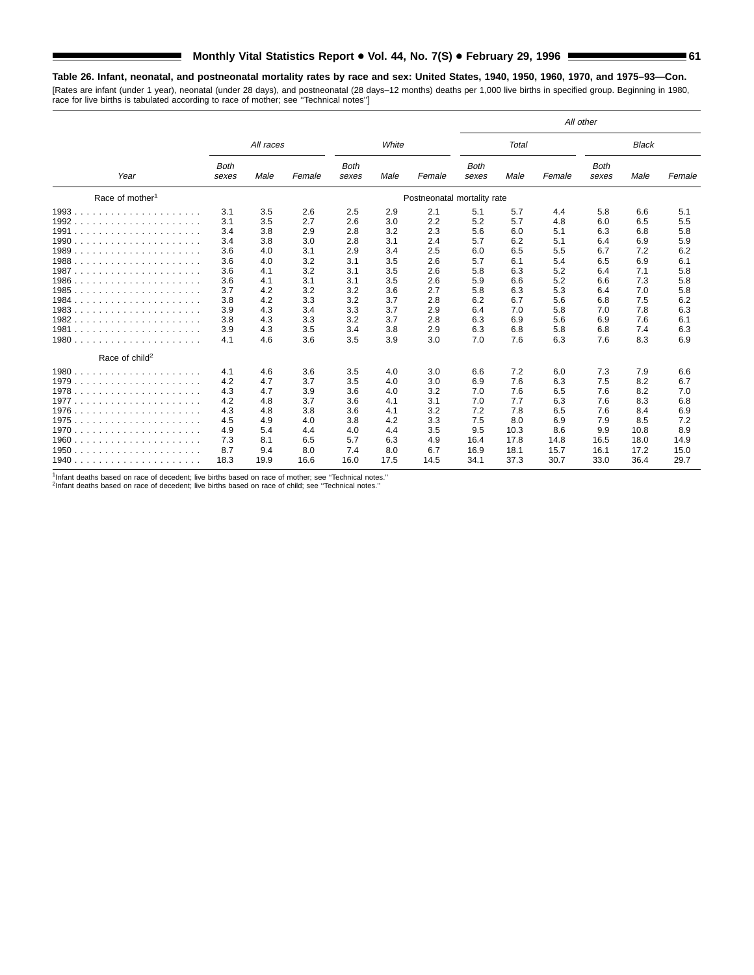**Table 26. Infant, neonatal, and postneonatal mortality rates by race and sex: United States, 1940, 1950, 1960, 1970, and 1975–93—Con.** [Rates are infant (under 1 year), neonatal (under 28 days), and postneonatal (28 days–12 months) deaths per 1,000 live births in specified group. Beginning in 1980,

|                             |                      |           |        |                      |       |                             |                      |              |        | All other            |              |        |
|-----------------------------|----------------------|-----------|--------|----------------------|-------|-----------------------------|----------------------|--------------|--------|----------------------|--------------|--------|
|                             |                      | All races |        |                      | White |                             |                      | <b>Total</b> |        |                      | <b>Black</b> |        |
| Year                        | <b>Both</b><br>sexes | Male      | Female | <b>Both</b><br>sexes | Male  | Female                      | <b>Both</b><br>sexes | Male         | Female | <b>Both</b><br>sexes | Male         | Female |
| Race of mother <sup>1</sup> |                      |           |        |                      |       | Postneonatal mortality rate |                      |              |        |                      |              |        |
|                             | 3.1                  | 3.5       | 2.6    | 2.5                  | 2.9   | 2.1                         | 5.1                  | 5.7          | 4.4    | 5.8                  | 6.6          | 5.1    |
| 1992<br>.                   | 3.1                  | 3.5       | 2.7    | 2.6                  | 3.0   | 2.2                         | 5.2                  | 5.7          | 4.8    | 6.0                  | 6.5          | 5.5    |
| 1991                        | 3.4                  | 3.8       | 2.9    | 2.8                  | 3.2   | 2.3                         | 5.6                  | 6.0          | 5.1    | 6.3                  | 6.8          | 5.8    |
|                             | 3.4                  | 3.8       | 3.0    | 2.8                  | 3.1   | 2.4                         | 5.7                  | 6.2          | 5.1    | 6.4                  | 6.9          | 5.9    |
|                             | 3.6                  | 4.0       | 3.1    | 2.9                  | 3.4   | 2.5                         | 6.0                  | 6.5          | 5.5    | 6.7                  | 7.2          | 6.2    |
| 1988                        | 3.6                  | 4.0       | 3.2    | 3.1                  | 3.5   | 2.6                         | 5.7                  | 6.1          | 5.4    | 6.5                  | 6.9          | 6.1    |
|                             | 3.6                  | 4.1       | 3.2    | 3.1                  | 3.5   | 2.6                         | 5.8                  | 6.3          | 5.2    | 6.4                  | 7.1          | 5.8    |
| 1986                        | 3.6                  | 4.1       | 3.1    | 3.1                  | 3.5   | 2.6                         | 5.9                  | 6.6          | 5.2    | 6.6                  | 7.3          | 5.8    |
| 1985                        | 3.7                  | 4.2       | 3.2    | 3.2                  | 3.6   | 2.7                         | 5.8                  | 6.3          | 5.3    | 6.4                  | 7.0          | 5.8    |
| 1984                        | 3.8                  | 4.2       | 3.3    | 3.2                  | 3.7   | 2.8                         | 6.2                  | 6.7          | 5.6    | 6.8                  | 7.5          | 6.2    |
|                             | 3.9                  | 4.3       | 3.4    | 3.3                  | 3.7   | 2.9                         | 6.4                  | 7.0          | 5.8    | 7.0                  | 7.8          | 6.3    |
| 1982.<br>.                  | 3.8                  | 4.3       | 3.3    | 3.2                  | 3.7   | 2.8                         | 6.3                  | 6.9          | 5.6    | 6.9                  | 7.6          | 6.1    |
|                             | 3.9                  | 4.3       | 3.5    | 3.4                  | 3.8   | 2.9                         | 6.3                  | 6.8          | 5.8    | 6.8                  | 7.4          | 6.3    |
|                             | 4.1                  | 4.6       | 3.6    | 3.5                  | 3.9   | 3.0                         | 7.0                  | 7.6          | 6.3    | 7.6                  | 8.3          | 6.9    |
| Race of child <sup>2</sup>  |                      |           |        |                      |       |                             |                      |              |        |                      |              |        |
| 1980.<br>.                  | 4.1                  | 4.6       | 3.6    | 3.5                  | 4.0   | 3.0                         | 6.6                  | 7.2          | 6.0    | 7.3                  | 7.9          | 6.6    |
| 1979                        | 4.2                  | 4.7       | 3.7    | 3.5                  | 4.0   | 3.0                         | 6.9                  | 7.6          | 6.3    | 7.5                  | 8.2          | 6.7    |
|                             | 4.3                  | 4.7       | 3.9    | 3.6                  | 4.0   | 3.2                         | 7.0                  | 7.6          | 6.5    | 7.6                  | 8.2          | 7.0    |
|                             | 4.2                  | 4.8       | 3.7    | 3.6                  | 4.1   | 3.1                         | 7.0                  | 7.7          | 6.3    | 7.6                  | 8.3          | 6.8    |
|                             | 4.3                  | 4.8       | 3.8    | 3.6                  | 4.1   | 3.2                         | 7.2                  | 7.8          | 6.5    | 7.6                  | 8.4          | 6.9    |
|                             | 4.5                  | 4.9       | 4.0    | 3.8                  | 4.2   | 3.3                         | 7.5                  | 8.0          | 6.9    | 7.9                  | 8.5          | 7.2    |
|                             | 4.9                  | 5.4       | 4.4    | 4.0                  | 4.4   | 3.5                         | 9.5                  | 10.3         | 8.6    | 9.9                  | 10.8         | 8.9    |
|                             | 7.3                  | 8.1       | 6.5    | 5.7                  | 6.3   | 4.9                         | 16.4                 | 17.8         | 14.8   | 16.5                 | 18.0         | 14.9   |
| 1950.<br>.                  | 8.7                  | 9.4       | 8.0    | 7.4                  | 8.0   | 6.7                         | 16.9                 | 18.1         | 15.7   | 16.1                 | 17.2         | 15.0   |
| 1940                        | 18.3                 | 19.9      | 16.6   | 16.0                 | 17.5  | 14.5                        | 34.1                 | 37.3         | 30.7   | 33.0                 | 36.4         | 29.7   |

<sup>1</sup>Infant deaths based on race of decedent; live births based on race of mother; see "Technical notes."<br><sup>2</sup>Infant deaths based on race of decedent; live births based on race of child; see "Technical notes."

race for live births is tabulated according to race of mother; see ''Technical notes'']

 $\blacksquare$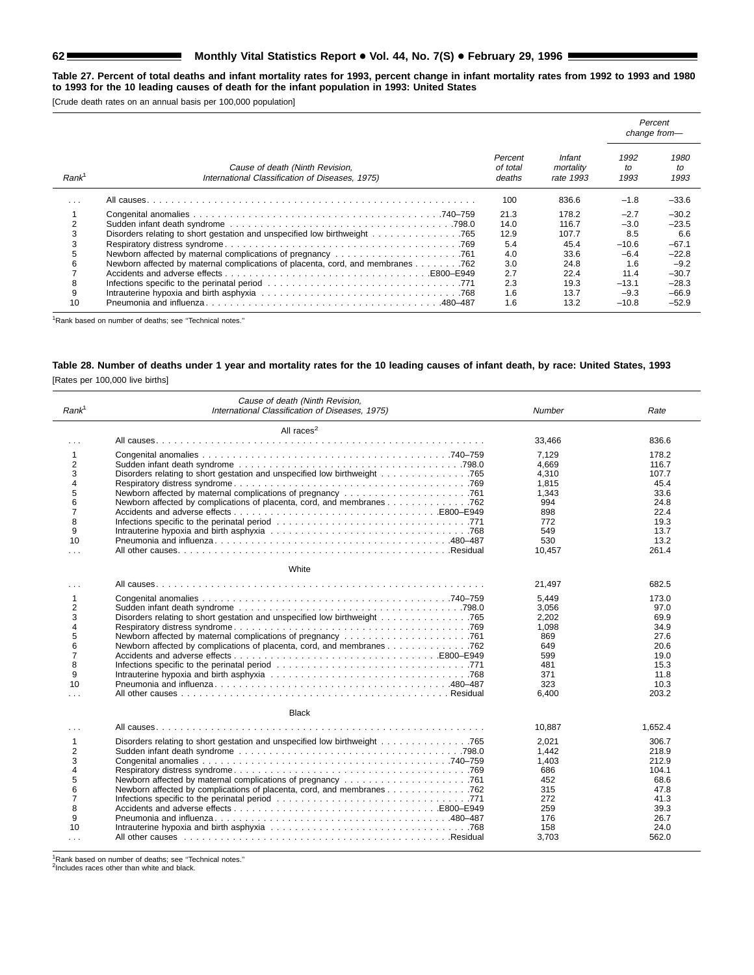## **62 Monthly Vital Statistics Report . Vol. 44, No. 7(S) . February 29, 1996 Statistics Report** .

**Table 27. Percent of total deaths and infant mortality rates for 1993, percent change in infant mortality rates from 1992 to 1993 and 1980 to 1993 for the 10 leading causes of death for the infant population in 1993: United States**

[Crude death rates on an annual basis per 100,000 population]

|                         |                                                                                    |                               |                                  |                    | Percent<br>change from- |
|-------------------------|------------------------------------------------------------------------------------|-------------------------------|----------------------------------|--------------------|-------------------------|
| Rank <sup>1</sup>       | Cause of death (Ninth Revision,<br>International Classification of Diseases, 1975) | Percent<br>of total<br>deaths | Infant<br>mortality<br>rate 1993 | 1992<br>to<br>1993 | 1980<br>to<br>1993      |
| $\cdot$ $\cdot$ $\cdot$ |                                                                                    | 100                           | 836.6                            | $-1.8$             | $-33.6$                 |
|                         |                                                                                    | 21.3                          | 178.2                            | $-2.7$             | $-30.2$                 |
| $\mathcal{P}$           |                                                                                    | 14.0                          | 116.7                            | $-3.0$             | $-23.5$                 |
| 3                       | Disorders relating to short gestation and unspecified low birthweight 765          | 12.9                          | 107.7                            | 8.5                | 6.6                     |
|                         |                                                                                    | 5.4                           | 45.4                             | $-10.6$            | $-67.1$                 |
|                         |                                                                                    | 4.0                           | 33.6                             | $-6.4$             | $-22.8$                 |
|                         | Newborn affected by maternal complications of placenta, cord, and membranes 762    | 3.0                           | 24.8                             | 1.6                | $-9.2$                  |
|                         |                                                                                    | 2.7                           | 22.4                             | 11.4               | $-30.7$                 |
| 8                       |                                                                                    | 2.3                           | 19.3                             | $-13.1$            | $-28.3$                 |
| 9                       |                                                                                    | 1.6                           | 13.7                             | $-9.3$             | $-66.9$                 |
| 10                      |                                                                                    | 1.6                           | 13.2                             | $-10.8$            | $-52.9$                 |

1Rank based on number of deaths; see ''Technical notes.''

## **Table 28. Number of deaths under 1 year and mortality rates for the 10 leading causes of infant death, by race: United States, 1993** [Rates per 100,000 live births]

|                   | Cause of death (Ninth Revision,                                                                                |        |         |
|-------------------|----------------------------------------------------------------------------------------------------------------|--------|---------|
| Rank <sup>1</sup> | International Classification of Diseases, 1975)                                                                | Number | Rate    |
|                   | All races $2$                                                                                                  |        |         |
| $\cdots$          |                                                                                                                | 33.466 | 836.6   |
| $\mathbf{1}$      |                                                                                                                | 7,129  | 178.2   |
| $\overline{2}$    |                                                                                                                | 4.669  | 116.7   |
| 3                 |                                                                                                                | 4,310  | 107.7   |
| 4                 |                                                                                                                | 1,815  | 45.4    |
| 5                 |                                                                                                                | 1.343  | 33.6    |
| 6                 | Newborn affected by complications of placenta, cord, and membranes 762                                         | 994    | 24.8    |
| $\overline{7}$    |                                                                                                                | 898    | 22.4    |
| 8                 |                                                                                                                | 772    | 19.3    |
| 9                 |                                                                                                                | 549    | 13.7    |
| 10                |                                                                                                                | 530    | 13.2    |
| $\cdots$          |                                                                                                                | 10,457 | 261.4   |
|                   | White                                                                                                          |        |         |
|                   |                                                                                                                | 21,497 | 682.5   |
| $\mathbf{1}$      |                                                                                                                | 5.449  | 173.0   |
| $\overline{2}$    |                                                                                                                | 3,056  | 97.0    |
| 3                 |                                                                                                                | 2,202  | 69.9    |
| 4                 |                                                                                                                | 1.098  | 34.9    |
| 5                 |                                                                                                                | 869    | 27.6    |
| 6                 |                                                                                                                | 649    | 20.6    |
| $\overline{7}$    |                                                                                                                | 599    | 19.0    |
| 8                 |                                                                                                                | 481    | 15.3    |
| 9                 |                                                                                                                | 371    | 11.8    |
| 10                |                                                                                                                | 323    | 10.3    |
| $\cdots$          |                                                                                                                | 6,400  | 203.2   |
|                   |                                                                                                                |        |         |
|                   | <b>Black</b>                                                                                                   |        |         |
| $\cdots$          |                                                                                                                | 10,887 | 1,652.4 |
| 1                 |                                                                                                                | 2,021  | 306.7   |
| $\overline{2}$    |                                                                                                                | 1,442  | 218.9   |
| 3                 |                                                                                                                | 1.403  | 212.9   |
| $\overline{4}$    |                                                                                                                | 686    | 104.1   |
| 5                 |                                                                                                                | 452    | 68.6    |
| 6                 |                                                                                                                | 315    | 47.8    |
| $\overline{7}$    |                                                                                                                | 272    | 41.3    |
| 8                 |                                                                                                                | 259    | 39.3    |
| 9                 |                                                                                                                | 176    | 26.7    |
| 10                |                                                                                                                | 158    | 24.0    |
| $\cdots$          | All other causes enterprise on the cause of the cause of the contract of the contract of the contract of the c | 3,703  | 562.0   |
|                   |                                                                                                                |        |         |

<sup>1</sup>Rank based on number of deaths; see "Technical notes."<br><sup>2</sup>Includes races other than white and black.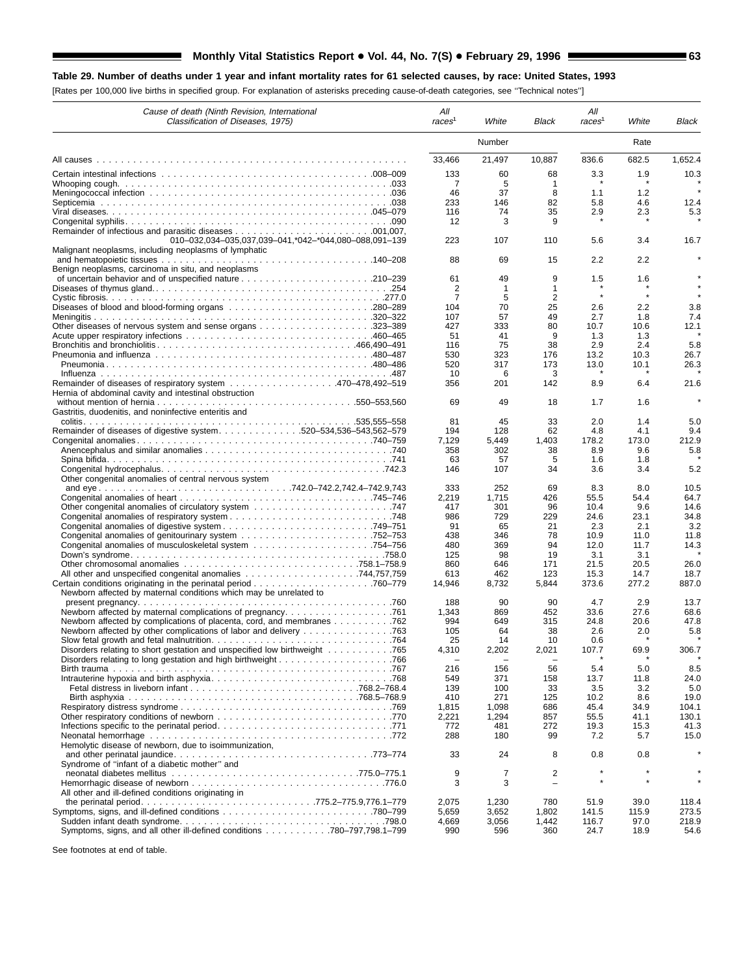## **Table 29. Number of deaths under 1 year and infant mortality rates for 61 selected causes, by race: United States, 1993**

[Rates per 100,000 live births in specified group. For explanation of asterisks preceding cause-of-death categories, see ''Technical notes'']

| Cause of death (Ninth Revision, International<br>Classification of Diseases, 1975)                                   | All<br>races <sup>1</sup> | White                    | Black                    | All<br>races <sup>1</sup> | White         | Black          |
|----------------------------------------------------------------------------------------------------------------------|---------------------------|--------------------------|--------------------------|---------------------------|---------------|----------------|
|                                                                                                                      |                           | Number                   |                          |                           | Rate          |                |
|                                                                                                                      | 33,466                    | 21,497                   | 10,887                   | 836.6                     | 682.5         | 1,652.4        |
|                                                                                                                      | 133                       | 60                       | 68                       | 3.3                       | 1.9           | 10.3           |
|                                                                                                                      | 7                         | 5                        | -1                       |                           |               |                |
|                                                                                                                      | 46<br>233                 | 37<br>146                | 8<br>82                  | 1.1<br>5.8                | 1.2<br>4.6    | 12.4           |
|                                                                                                                      | 116                       | 74                       | 35                       | 2.9                       | 2.3           | 5.3            |
|                                                                                                                      | 12                        | 3                        | 9                        |                           |               |                |
|                                                                                                                      |                           |                          |                          |                           |               |                |
| 010-032,034-035,037,039-041,*042-*044,080-088,091-139                                                                | 223                       | 107                      | 110                      | 5.6                       | 3.4           | 16.7           |
| Malignant neoplasms, including neoplasms of lymphatic                                                                |                           |                          |                          |                           |               |                |
|                                                                                                                      | 88                        | 69                       | 15                       | 2.2                       | 2.2           |                |
| Benign neoplasms, carcinoma in situ, and neoplasms                                                                   | 61                        | 49                       | 9                        | 1.5                       | 1.6           |                |
|                                                                                                                      | 2                         | $\mathbf{1}$             | 1                        |                           |               |                |
|                                                                                                                      | 7                         | 5                        | 2                        | $\star$                   |               |                |
|                                                                                                                      | 104                       | 70                       | 25                       | 2.6                       | 2.2           | 3.8            |
|                                                                                                                      | 107                       | 57                       | 49                       | 2.7                       | 1.8           | 7.4            |
|                                                                                                                      | 427                       | 333                      | 80                       | 10.7                      | 10.6          | 12.1           |
|                                                                                                                      | 51                        | 41                       | 9                        | 1.3                       | 1.3           |                |
|                                                                                                                      | 116                       | 75                       | 38                       | 2.9                       | 2.4           | 5.8            |
|                                                                                                                      | 530                       | 323                      | 176                      | 13.2                      | 10.3          | 26.7           |
|                                                                                                                      | 520                       | 317                      | 173                      | 13.0                      | 10.1          | 26.3           |
|                                                                                                                      | 10                        | 6                        | 3                        |                           |               |                |
| Remainder of diseases of respiratory system 470–478,492–519<br>Hernia of abdominal cavity and intestinal obstruction | 356                       | 201                      | 142                      | 8.9                       | 6.4           | 21.6           |
|                                                                                                                      | 69                        | 49                       | 18                       | 1.7                       | 1.6           |                |
| Gastritis, duodenitis, and noninfective enteritis and                                                                |                           |                          |                          |                           |               |                |
|                                                                                                                      | 81                        | 45                       | 33                       | 2.0                       | 1.4           | 5.0            |
| Remainder of diseases of digestive system. 520-534,536-543,562-579                                                   | 194                       | 128                      | 62                       | 4.8                       | 4.1           | 9.4            |
|                                                                                                                      | 7,129                     | 5,449                    | 1,403                    | 178.2                     | 173.0         | 212.9          |
|                                                                                                                      | 358                       | 302                      | 38                       | 8.9                       | 9.6           | 5.8            |
|                                                                                                                      | 63                        | 57                       | 5                        | 1.6                       | 1.8           |                |
|                                                                                                                      | 146                       | 107                      | 34                       | 3.6                       | 3.4           | 5.2            |
| Other congenital anomalies of central nervous system                                                                 | 333                       | 252                      | 69                       | 8.3                       | 8.0           | 10.5           |
|                                                                                                                      | 2.219                     | 1,715                    | 426                      | 55.5                      | 54.4          | 64.7           |
|                                                                                                                      | 417                       | 301                      | 96                       | 10.4                      | 9.6           | 14.6           |
|                                                                                                                      | 986                       | 729                      | 229                      | 24.6                      | 23.1          | 34.8           |
|                                                                                                                      | 91                        | 65                       | 21                       | 2.3                       | 2.1           | 3.2            |
|                                                                                                                      | 438                       | 346                      | 78                       | 10.9                      | 11.0          | 11.8           |
|                                                                                                                      | 480                       | 369                      | 94                       | 12.0                      | 11.7          | 14.3           |
|                                                                                                                      | 125                       | 98                       | 19                       | 3.1                       | 3.1           |                |
|                                                                                                                      | 860                       | 646                      | 171                      | 21.5                      | 20.5          | 26.0           |
| All other and unspecified congenital anomalies 744,757,759                                                           | 613                       | 462                      | 123                      | 15.3                      | 14.7          | 18.7           |
| Newborn affected by maternal conditions which may be unrelated to                                                    | 14,946                    | 8,732                    | 5,844                    | 373.6                     | 277.2         | 887.0          |
|                                                                                                                      | 188                       | 90                       | 90                       | 4.7                       | 2.9           | 13.7           |
|                                                                                                                      | 1,343                     | 869                      | 452                      | 33.6                      | 27.6          | 68.6           |
|                                                                                                                      | 994                       | 649                      | 315                      | 24.8                      | 20.6          | 47.8           |
| Newborn affected by other complications of labor and delivery 763                                                    | 105                       | 64                       | 38                       | 2.6                       | 2.0           | 5.8            |
|                                                                                                                      | 25                        | 14                       | 10                       | 0.6                       |               |                |
| Disorders relating to short gestation and unspecified low birthweight 765                                            | 4,310                     | 2,202                    | 2,021                    | 107.7                     | 69.9          | 306.7          |
|                                                                                                                      |                           | $\overline{\phantom{0}}$ | $\overline{\phantom{0}}$ |                           |               |                |
|                                                                                                                      | 216                       | 156                      | 56                       | 5.4                       | 5.0           | 8.5            |
|                                                                                                                      | 549                       | 371                      | 158                      | 13.7                      | 11.8          | 24.0           |
|                                                                                                                      | 139                       | 100                      | 33                       | 3.5                       | 3.2           | 5.0            |
|                                                                                                                      | 410<br>1,815              | 271<br>1,098             | 125<br>686               | 10.2<br>45.4              | 8.6<br>34.9   | 19.0<br>104.1  |
|                                                                                                                      | 2,221                     | 1,294                    | 857                      | 55.5                      | 41.1          | 130.1          |
|                                                                                                                      | 772                       | 481                      | 272                      | 19.3                      | 15.3          | 41.3           |
|                                                                                                                      | 288                       | 180                      | 99                       | 7.2                       | 5.7           | 15.0           |
| Hemolytic disease of newborn, due to isoimmunization,                                                                |                           |                          |                          |                           |               |                |
|                                                                                                                      | 33                        | 24                       | 8                        | 0.8                       | 0.8           |                |
| Syndrome of "infant of a diabetic mother" and                                                                        |                           |                          |                          |                           |               |                |
|                                                                                                                      | 9                         | 7                        | 2                        |                           |               |                |
|                                                                                                                      | 3                         | 3                        |                          |                           |               |                |
| All other and ill-defined conditions originating in                                                                  |                           |                          |                          |                           |               |                |
|                                                                                                                      | 2,075                     | 1,230                    | 780                      | 51.9                      | 39.0          | 118.4          |
|                                                                                                                      | 5,659<br>4,669            | 3,652<br>3,056           | 1,802<br>1,442           | 141.5<br>116.7            | 115.9<br>97.0 | 273.5<br>218.9 |
| Symptoms, signs, and all other ill-defined conditions 780–797,798.1–799                                              | 990                       | 596                      | 360                      | 24.7                      | 18.9          | 54.6           |

See footnotes at end of table.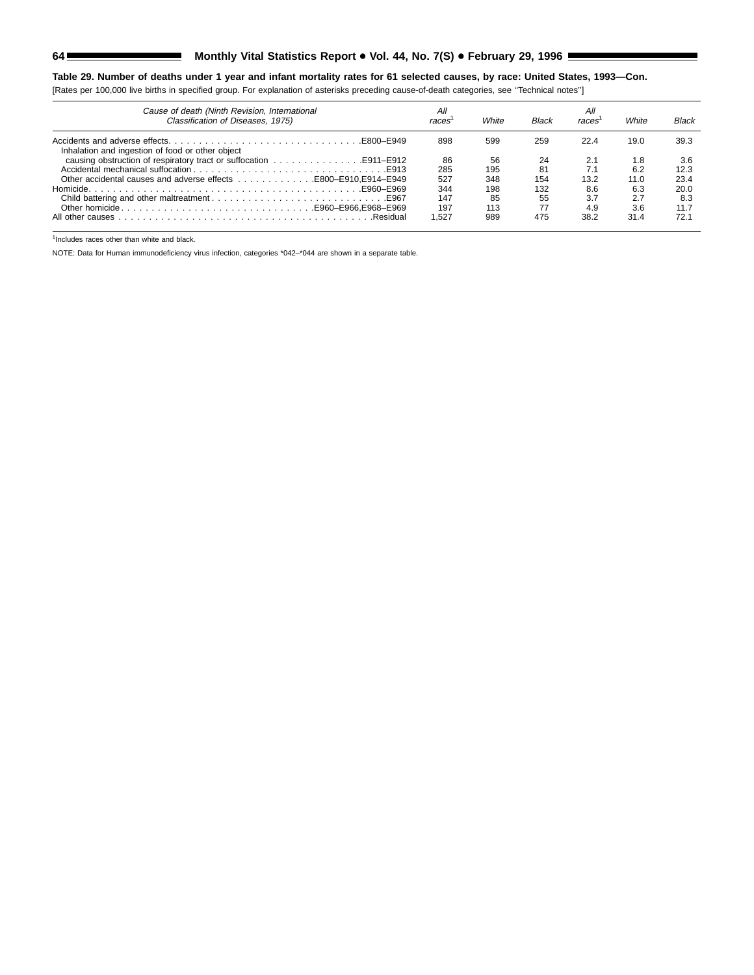## **64 Monthly Vital Statistics Report . Vol. 44, No. 7(S) . February 29, 1996 Statistics Report** . No. 7(S) . February 29, 1996

**Table 29. Number of deaths under 1 year and infant mortality rates for 61 selected causes, by race: United States, 1993—Con.** [Rates per 100,000 live births in specified group. For explanation of asterisks preceding cause-of-death categories, see ''Technical notes'']

| Cause of death (Ninth Revision, International<br>Classification of Diseases, 1975) | All<br>races | White | <b>Black</b> | All<br>races | White | <b>Black</b> |
|------------------------------------------------------------------------------------|--------------|-------|--------------|--------------|-------|--------------|
| Inhalation and ingestion of food or other object                                   | 898          | 599   | 259          | 22.4         | 19.0  | 39.3         |
|                                                                                    | 86           | 56    | 24           | 2.1          | 1.8   | 3.6          |
|                                                                                    | 285          | 195   | 81           | 7.1          | 6.2   | 12.3         |
|                                                                                    | 527          | 348   | 154          | 13.2         | 11.0  | 23.4         |
|                                                                                    | 344          | 198   | 132          | 8.6          | 6.3   | 20.0         |
|                                                                                    | 147          | 85    | 55           | 3.7          | 2.7   | 8.3          |
|                                                                                    | 197          | 113   | 77           | 4.9          | 3.6   | 11.7         |
|                                                                                    | .527         | 989   | 475          | 38.2         | 31.4  | 72.1         |

 $\frac{1}{1}$ Includes races other than white and black.

NOTE: Data for Human immunodeficiency virus infection, categories \*042–\*044 are shown in a separate table.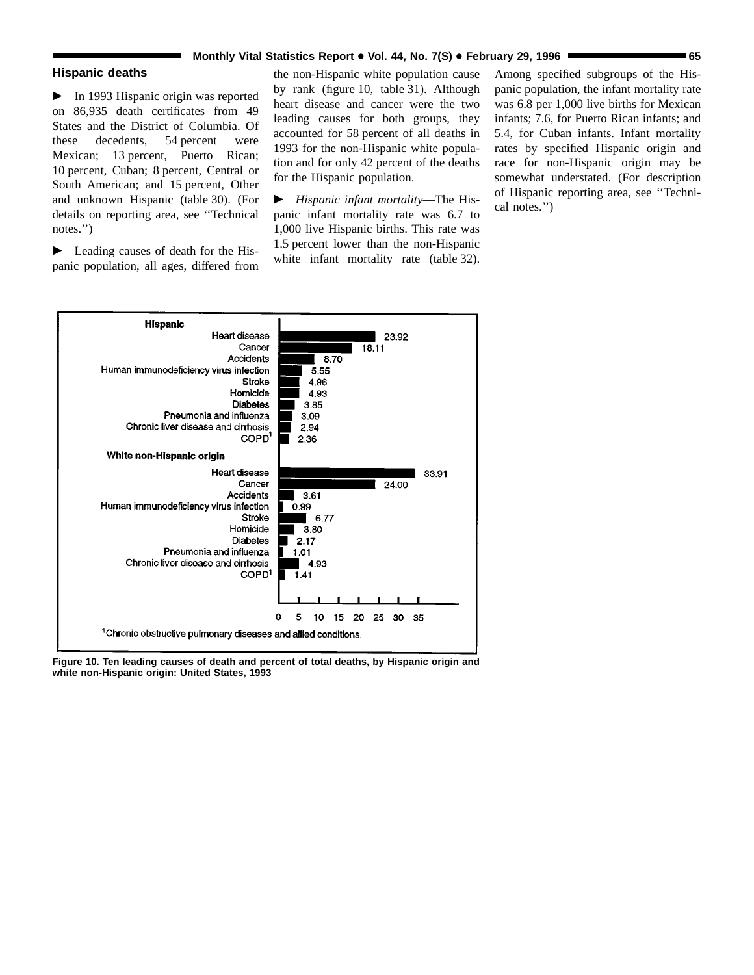### **Monthly Vital Statistics Report . Vol. 44, No. 7(S) . February 29, 1996 <b>65 1996**

### **Hispanic deaths**

 $\blacktriangleright$  In 1993 Hispanic origin was reported on 86,935 death certificates from 49 States and the District of Columbia. Of these decedents, 54 percent were Mexican; 13 percent, Puerto Rican; 10 percent, Cuban; 8 percent, Central or South American; and 15 percent, Other and unknown Hispanic (table 30). (For details on reporting area, see ''Technical notes.'')

 $\blacktriangleright$  Leading causes of death for the Hispanic population, all ages, differed from the non-Hispanic white population cause by rank (figure 10, table 31). Although heart disease and cancer were the two leading causes for both groups, they accounted for 58 percent of all deaths in 1993 for the non-Hispanic white population and for only 42 percent of the deaths for the Hispanic population.

c *Hispanic infant mortality*—The Hispanic infant mortality rate was 6.7 to 1,000 live Hispanic births. This rate was 1.5 percent lower than the non-Hispanic white infant mortality rate (table 32).

Among specified subgroups of the Hispanic population, the infant mortality rate was 6.8 per 1,000 live births for Mexican infants; 7.6, for Puerto Rican infants; and 5.4, for Cuban infants. Infant mortality rates by specified Hispanic origin and race for non-Hispanic origin may be somewhat understated. (For description of Hispanic reporting area, see ''Technical notes.'')



**Figure 10. Ten leading causes of death and percent of total deaths, by Hispanic origin and white non-Hispanic origin: United States, 1993**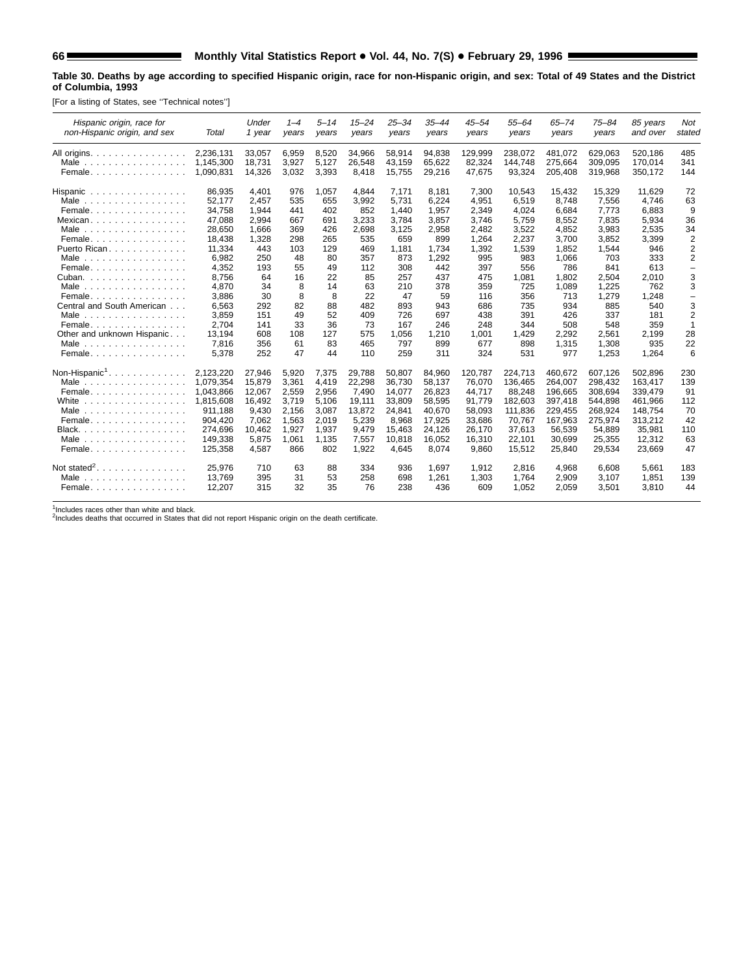Ξ

#### **Table 30. Deaths by age according to specified Hispanic origin, race for non-Hispanic origin, and sex: Total of 49 States and the District of Columbia, 1993**

[For a listing of States, see ''Technical notes'']

| Hispanic origin, race for<br>non-Hispanic origin, and sex                                                                                                                                                                                                                                                                                                                     | Total                                                                                                                                                                  | Under<br>1 year                                                                                                                     | $1 - 4$<br>years                                                                                               | 5–14<br>years                                                                                                     | $15 - 24$<br>years                                                                                                             | $25 - 34$<br>years                                                                                                                      | $35 - 44$<br>years                                                                                                                        | $45 - 54$<br>years                                                                                                                         | 55-64<br>years                                                                                                                                | $65 - 74$<br>years                                                                                                                                  | $75 - 84$<br>years                                                                                                                                    | 85 years<br>and over                                                                                                                            | Not<br>stated                                                                                                                                                      |
|-------------------------------------------------------------------------------------------------------------------------------------------------------------------------------------------------------------------------------------------------------------------------------------------------------------------------------------------------------------------------------|------------------------------------------------------------------------------------------------------------------------------------------------------------------------|-------------------------------------------------------------------------------------------------------------------------------------|----------------------------------------------------------------------------------------------------------------|-------------------------------------------------------------------------------------------------------------------|--------------------------------------------------------------------------------------------------------------------------------|-----------------------------------------------------------------------------------------------------------------------------------------|-------------------------------------------------------------------------------------------------------------------------------------------|--------------------------------------------------------------------------------------------------------------------------------------------|-----------------------------------------------------------------------------------------------------------------------------------------------|-----------------------------------------------------------------------------------------------------------------------------------------------------|-------------------------------------------------------------------------------------------------------------------------------------------------------|-------------------------------------------------------------------------------------------------------------------------------------------------|--------------------------------------------------------------------------------------------------------------------------------------------------------------------|
| All origins.<br>Male $\ldots \ldots \ldots \ldots \ldots$<br>Female                                                                                                                                                                                                                                                                                                           | 2,236,131<br>1.145.300<br>1,090,831                                                                                                                                    | 33,057<br>18,731<br>14,326                                                                                                          | 6,959<br>3,927<br>3,032                                                                                        | 8,520<br>5.127<br>3,393                                                                                           | 34,966<br>26.548<br>8,418                                                                                                      | 58,914<br>43.159<br>15,755                                                                                                              | 94,838<br>65.622<br>29,216                                                                                                                | 129,999<br>82.324<br>47,675                                                                                                                | 238,072<br>144.748<br>93,324                                                                                                                  | 481,072<br>275.664<br>205,408                                                                                                                       | 629.063<br>309.095<br>319,968                                                                                                                         | 520,186<br>170.014<br>350,172                                                                                                                   | 485<br>341<br>144                                                                                                                                                  |
| $H$ ispanic $\ldots$ $\ldots$ $\ldots$ $\ldots$ .<br>Male<br>.<br>Female<br>Mexican<br>Male $\ldots \ldots \ldots \ldots \ldots$<br>Female<br>Puerto Rican.<br>Male<br>.<br>Female<br>Cuban.<br>Male<br>.<br>Female<br>Central and South American<br>Male $\ldots$ , $\ldots$ , $\ldots$ , $\ldots$ , $\ldots$<br>Female<br>Other and unknown Hispanic<br>Male<br>.<br>Female | 86,935<br>52,177<br>34.758<br>47,088<br>28,650<br>18.438<br>11,334<br>6.982<br>4,352<br>8,756<br>4,870<br>3.886<br>6,563<br>3.859<br>2.704<br>13.194<br>7,816<br>5.378 | 4,401<br>2,457<br>1.944<br>2,994<br>1.666<br>1.328<br>443<br>250<br>193<br>64<br>34<br>30<br>292<br>151<br>141<br>608<br>356<br>252 | 976<br>535<br>441<br>667<br>369<br>298<br>103<br>48<br>55<br>16<br>8<br>8<br>82<br>49<br>33<br>108<br>61<br>47 | 1.057<br>655<br>402<br>691<br>426<br>265<br>129<br>80<br>49<br>22<br>14<br>8<br>88<br>52<br>36<br>127<br>83<br>44 | 4.844<br>3,992<br>852<br>3,233<br>2,698<br>535<br>469<br>357<br>112<br>85<br>63<br>22<br>482<br>409<br>73<br>575<br>465<br>110 | 7,171<br>5.731<br>1.440<br>3,784<br>3,125<br>659<br>1,181<br>873<br>308<br>257<br>210<br>47<br>893<br>726<br>167<br>1.056<br>797<br>259 | 8,181<br>6,224<br>1,957<br>3,857<br>2,958<br>899<br>1,734<br>1,292<br>442<br>437<br>378<br>59<br>943<br>697<br>246<br>1.210<br>899<br>311 | 7.300<br>4,951<br>2.349<br>3,746<br>2,482<br>1.264<br>1,392<br>995<br>397<br>475<br>359<br>116<br>686<br>438<br>248<br>1.001<br>677<br>324 | 10,543<br>6,519<br>4.024<br>5,759<br>3,522<br>2.237<br>1,539<br>983<br>556<br>1,081<br>725<br>356<br>735<br>391<br>344<br>1.429<br>898<br>531 | 15,432<br>8.748<br>6.684<br>8,552<br>4,852<br>3.700<br>1,852<br>1,066<br>786<br>1,802<br>1,089<br>713<br>934<br>426<br>508<br>2.292<br>1,315<br>977 | 15,329<br>7,556<br>7.773<br>7,835<br>3,983<br>3.852<br>1,544<br>703<br>841<br>2,504<br>1,225<br>1,279<br>885<br>337<br>548<br>2.561<br>1,308<br>1,253 | 11,629<br>4.746<br>6.883<br>5,934<br>2,535<br>3,399<br>946<br>333<br>613<br>2,010<br>762<br>1.248<br>540<br>181<br>359<br>2.199<br>935<br>1,264 | 72<br>63<br>9<br>36<br>34<br>2<br>2<br>2<br>$\overline{\phantom{0}}$<br>3<br>3<br>$\overline{\phantom{0}}$<br>3<br>$\overline{2}$<br>$\mathbf{1}$<br>28<br>22<br>6 |
| Non-Hispanic <sup>1</sup><br>Male $\ldots$<br>Female<br>White<br>.<br>Male $\ldots$<br>Female<br>Black.<br>Male<br>Female<br>Not stated <sup>2</sup><br>Male $\ldots$<br>Female                                                                                                                                                                                               | 2.123.220<br>1,079,354<br>1,043,866<br>1.815.608<br>911,188<br>904,420<br>274.696<br>149,338<br>125,358<br>25,976<br>13,769<br>12,207                                  | 27,946<br>15,879<br>12,067<br>16.492<br>9,430<br>7,062<br>10,462<br>5,875<br>4,587<br>710<br>395<br>315                             | 5,920<br>3,361<br>2,559<br>3.719<br>2,156<br>1,563<br>1,927<br>1,061<br>866<br>63<br>31<br>32                  | 7,375<br>4,419<br>2,956<br>5,106<br>3,087<br>2,019<br>1,937<br>1,135<br>802<br>88<br>53<br>35                     | 29,788<br>22,298<br>7,490<br>19,111<br>13,872<br>5,239<br>9,479<br>7,557<br>1,922<br>334<br>258<br>76                          | 50.807<br>36,730<br>14,077<br>33.809<br>24,841<br>8,968<br>15,463<br>10,818<br>4.645<br>936<br>698<br>238                               | 84,960<br>58,137<br>26,823<br>58,595<br>40,670<br>17,925<br>24,126<br>16,052<br>8.074<br>1.697<br>1,261<br>436                            | 120,787<br>76,070<br>44.717<br>91.779<br>58,093<br>33,686<br>26,170<br>16,310<br>9,860<br>1.912<br>1,303<br>609                            | 224.713<br>136,465<br>88.248<br>182.603<br>111,836<br>70,767<br>37,613<br>22,101<br>15,512<br>2.816<br>1,764<br>1,052                         | 460.672<br>264,007<br>196.665<br>397.418<br>229,455<br>167,963<br>56,539<br>30,699<br>25,840<br>4,968<br>2,909<br>2,059                             | 607.126<br>298,432<br>308.694<br>544,898<br>268,924<br>275,974<br>54,889<br>25,355<br>29,534<br>6.608<br>3,107<br>3,501                               | 502.896<br>163,417<br>339,479<br>461.966<br>148,754<br>313,212<br>35,981<br>12,312<br>23,669<br>5.661<br>1,851<br>3,810                         | 230<br>139<br>91<br>112<br>70<br>42<br>110<br>63<br>47<br>183<br>139<br>44                                                                                         |

<sup>1</sup>Includes races other than white and black.<br><sup>2</sup>Includes deaths that occurred in States that did not report Hispanic origin on the death certificate.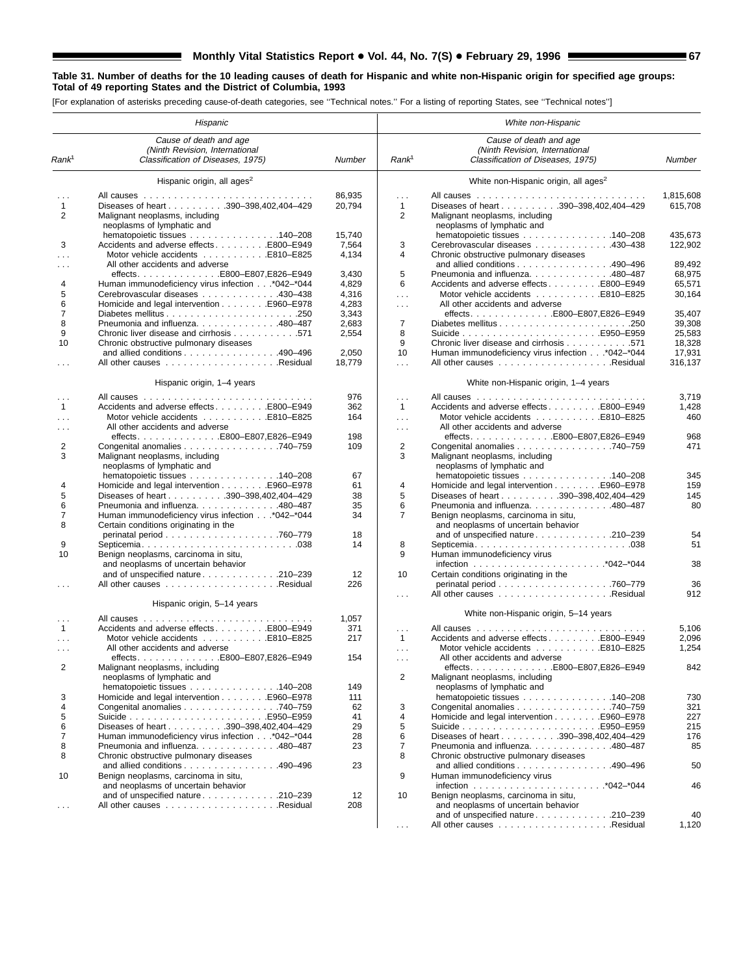#### **Table 31. Number of deaths for the 10 leading causes of death for Hispanic and white non-Hispanic origin for specified age groups: Total of 49 reporting States and the District of Columbia, 1993**

[For explanation of asterisks preceding cause-of-death categories, see ''Technical notes.'' For a listing of reporting States, see ''Technical notes'']

▀

|                   | Hispanic                                           |        |                   | White non-Hispanic                                |           |
|-------------------|----------------------------------------------------|--------|-------------------|---------------------------------------------------|-----------|
|                   | Cause of death and age                             |        |                   | Cause of death and age                            |           |
|                   | (Ninth Revision, International                     |        |                   | (Ninth Revision, International                    |           |
| Rank <sup>1</sup> | Classification of Diseases, 1975)                  | Number | Rank <sup>1</sup> | Classification of Diseases, 1975)                 | Number    |
|                   | Hispanic origin, all ages <sup>2</sup>             |        |                   | White non-Hispanic origin, all ages <sup>2</sup>  |           |
| .                 | All causes                                         | 86,935 | $\mathbf{1}$      |                                                   | 1,815,608 |
| $\mathbf{1}$      | Diseases of heart 390-398,402,404-429              | 20,794 | $\mathbf{1}$      | Diseases of heart 390-398,402,404-429             | 615,708   |
| 2                 | Malignant neoplasms, including                     |        | 2                 | Malignant neoplasms, including                    |           |
|                   | neoplasms of lymphatic and                         |        |                   | neoplasms of lymphatic and                        |           |
|                   | hematopoietic tissues 140–208                      | 15,740 |                   | hematopoietic tissues 140–208                     | 435.673   |
| 3                 | Accidents and adverse effectsE800-E949             | 7,564  | 3                 | Cerebrovascular diseases 430-438                  | 122,902   |
| $\cdots$          | Motor vehicle accidents E810-E825                  | 4,134  | 4                 | Chronic obstructive pulmonary diseases            |           |
|                   | All other accidents and adverse                    |        |                   | and allied conditions 490–496                     | 89,492    |
|                   |                                                    | 3,430  | 5                 | Pneumonia and influenza480-487                    | 68,975    |
|                   |                                                    |        | 6                 |                                                   | 65,571    |
| 4                 | Human immunodeficiency virus infection* 042 -* 044 | 4,829  |                   | Accidents and adverse effectsE800–E949            |           |
| 5                 | Cerebrovascular diseases 430-438                   | 4,316  | $\sim$ .          |                                                   | 30,164    |
| 6                 |                                                    | 4,283  | $\sim 100$        | All other accidents and adverse                   |           |
| $\overline{7}$    |                                                    | 3,343  |                   |                                                   | 35,407    |
| 8                 | Pneumonia and influenza. 480-487                   | 2,683  | $\overline{7}$    |                                                   | 39,308    |
| 9                 | Chronic liver disease and cirrhosis 571            | 2,554  | 8                 |                                                   | 25,583    |
| 10                | Chronic obstructive pulmonary diseases             |        | 9                 | Chronic liver disease and cirrhosis 571           | 18,328    |
|                   | and allied conditions 490-496                      | 2,050  | 10                | Human immunodeficiency virus infection* 042-* 044 | 17,931    |
| .                 |                                                    | 18,779 | $\sim 100$        |                                                   | 316.137   |
|                   | Hispanic origin, 1-4 years                         |        |                   | White non-Hispanic origin, 1-4 years              |           |
|                   |                                                    |        |                   |                                                   |           |
|                   |                                                    | 976    | $\ldots$          |                                                   | 3,719     |
| $\mathbf{1}$      | Accidents and adverse effects E800–E949            | 362    | $\mathbf{1}$      | Accidents and adverse effects E800-E949           | 1,428     |
| $\cdots$          |                                                    | 164    | $\sim 100$        |                                                   | 460       |
|                   | All other accidents and adverse                    |        | $\cdots$          | All other accidents and adverse                   |           |
|                   | effects. E800-E807,E826-E949                       | 198    |                   | effectsE800-E807,E826-E949                        | 968       |
| 2                 | Congenital anomalies 740–759                       | 109    | 2                 | Congenital anomalies 740–759                      | 471       |
| 3                 | Malignant neoplasms, including                     |        | 3                 | Malignant neoplasms, including                    |           |
|                   | neoplasms of lymphatic and                         |        |                   | neoplasms of lymphatic and                        |           |
|                   | hematopoietic tissues 140–208                      | 67     |                   | hematopoietic tissues 140–208                     | 345       |
| 4                 |                                                    | 61     | 4                 | Homicide and legal intervention E960–E978         | 159       |
| 5                 | Diseases of heart 390-398,402,404-429              | 38     | 5                 | Diseases of heart 390-398,402,404-429             | 145       |
| 6                 | Pneumonia and influenza. 480-487                   | 35     | 6                 | Pneumonia and influenza. 480–487                  | 80        |
| 7                 | Human immunodeficiency virus infection* 042-* 044  | 34     | $\overline{7}$    | Benign neoplasms, carcinoma in situ,              |           |
| 8                 | Certain conditions originating in the              |        |                   | and neoplasms of uncertain behavior               |           |
|                   |                                                    | 18     |                   | and of unspecified nature 210–239                 | 54        |
| 9                 |                                                    | 14     | 8                 |                                                   | 51        |
| 10                |                                                    |        | 9                 |                                                   |           |
|                   | Benign neoplasms, carcinoma in situ,               |        |                   | Human immunodeficiency virus                      | 38        |
|                   | and neoplasms of uncertain behavior                |        |                   |                                                   |           |
|                   | and of unspecified nature 210-239                  | 12     | 10                | Certain conditions originating in the             |           |
|                   |                                                    | 226    |                   |                                                   | 36        |
|                   | Hispanic origin, 5-14 years                        |        | $\sim 100$        |                                                   | 912       |
| .                 |                                                    | 1,057  |                   | White non-Hispanic origin, 5-14 years             |           |
| $\mathbf{1}$      | Accidents and adverse effectsE800–E949             | 371    | $\cdots$          |                                                   | 5,106     |
| $\sim 10$         |                                                    | 217    | $\mathbf{1}$      | Accidents and adverse effects E800–E949           | 2,096     |
|                   | All other accidents and adverse                    |        |                   | Motor vehicle accidents E810-E825                 | 1,254     |
| $\cdots$          | effects. E800–E807,E826–E949                       | 154    | $\sim 100$        | All other accidents and adverse                   |           |
|                   |                                                    |        | $\sim 100$        |                                                   |           |
| 2                 | Malignant neoplasms, including                     |        |                   |                                                   | 842       |
|                   | neoplasms of lymphatic and                         |        | $\overline{2}$    | Malignant neoplasms, including                    |           |
|                   | hematopoietic tissues 140–208                      | 149    |                   | neoplasms of lymphatic and                        |           |
| 3                 |                                                    | 111    |                   | hematopoietic tissues 140–208                     | 730       |
| 4                 | Congenital anomalies 740–759                       | 62     | 3                 | Congenital anomalies 740-759                      | 321       |
| 5                 |                                                    | 41     | 4                 |                                                   | 227       |
| 6                 | Diseases of heart 390-398,402,404-429              | 29     | 5                 |                                                   | 215       |
| 7                 | Human immunodeficiency virus infection* 042-* 044  | 28     | 6                 | Diseases of heart 390-398,402,404-429             | 176       |
| 8                 | Pneumonia and influenza. 480-487                   | 23     | $\overline{7}$    | Pneumonia and influenza. 480-487                  | 85        |
| 8                 | Chronic obstructive pulmonary diseases             |        | 8                 | Chronic obstructive pulmonary diseases            |           |
|                   | and allied conditions 490–496                      | 23     |                   | and allied conditions 490-496                     | 50        |
| 10                | Benign neoplasms, carcinoma in situ,               |        | 9                 | Human immunodeficiency virus                      |           |
|                   | and neoplasms of uncertain behavior                |        |                   |                                                   | 46        |
|                   | and of unspecified nature 210–239                  | 12     | 10                | Benign neoplasms, carcinoma in situ,              |           |
| $\cdots$          |                                                    | 208    |                   | and neoplasms of uncertain behavior               |           |
|                   |                                                    |        |                   | and of unspecified nature 210-239                 | 40        |
|                   |                                                    |        |                   |                                                   | 1,120     |
|                   |                                                    |        | $\sim 100$        |                                                   |           |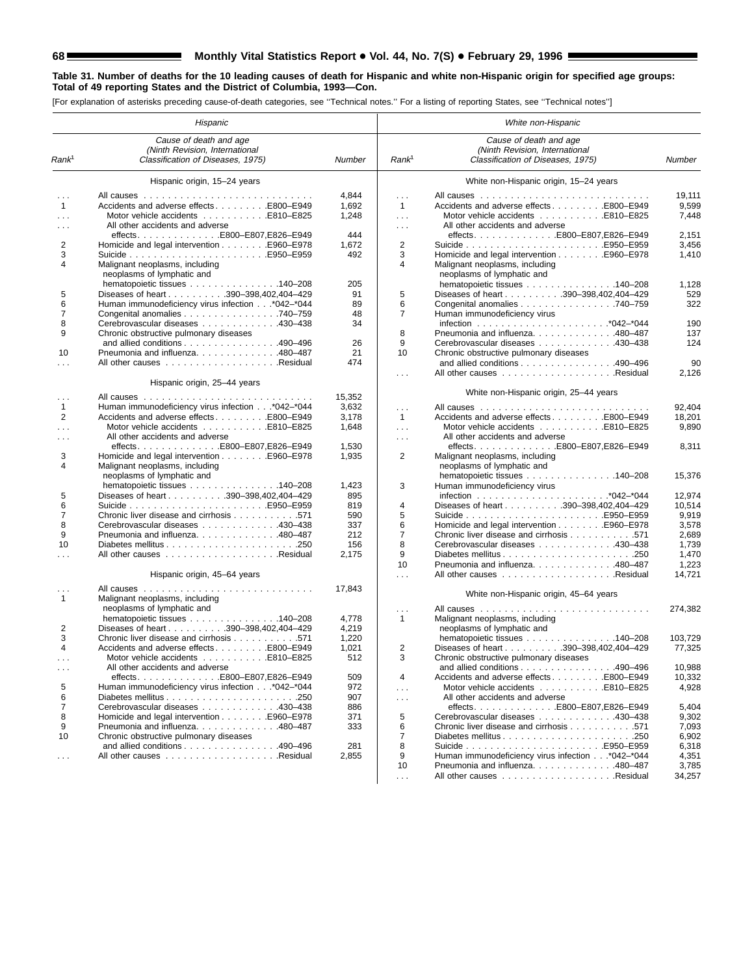## **68 Monthly Vital Statistics Report . Vol. 44, No. 7(S) . February 29, 1996 Monthly Vital Statistics Report . Wol. 44, No. 7(S) . February 29, 1996 MILE**

#### **Table 31. Number of deaths for the 10 leading causes of death for Hispanic and white non-Hispanic origin for specified age groups: Total of 49 reporting States and the District of Columbia, 1993—Con.**

[For explanation of asterisks preceding cause-of-death categories, see ''Technical notes.'' For a listing of reporting States, see ''Technical notes'']

|                      | Hispanic                                                     |                |                      | White non-Hispanic                                                 |         |
|----------------------|--------------------------------------------------------------|----------------|----------------------|--------------------------------------------------------------------|---------|
|                      | Cause of death and age<br>(Ninth Revision, International     |                |                      | Cause of death and age<br>(Ninth Revision, International           |         |
| Rank <sup>1</sup>    | Classification of Diseases, 1975)                            | Number         | Rank <sup>1</sup>    | Classification of Diseases, 1975)                                  | Number  |
|                      | Hispanic origin, 15-24 years                                 |                |                      | White non-Hispanic origin, 15-24 years                             |         |
| $\cdots$             |                                                              | 4,844          | $\sim$               |                                                                    | 19,111  |
| $\mathbf{1}$         | Accidents and adverse effectsE800-E949                       | 1,692          | $\mathbf{1}$         | Accidents and adverse effectsE800–E949                             | 9,599   |
| $\cdots$             | Motor vehicle accidents E810-E825                            | 1,248          | $\sim$ .             |                                                                    | 7,448   |
|                      |                                                              |                |                      |                                                                    |         |
| $\cdots$             | All other accidents and adverse                              |                | $\sim$ $\sim$ $\sim$ | All other accidents and adverse                                    |         |
|                      | effects. E800-E807.E826-E949                                 | 444            |                      | effects. E800-E807, E826-E949                                      | 2,151   |
| 2                    | Homicide and legal intervention E960–E978                    | 1,672          | 2                    |                                                                    | 3,456   |
| 3                    |                                                              | 492            | 3                    |                                                                    | 1,410   |
| 4                    | Malignant neoplasms, including<br>neoplasms of lymphatic and |                | 4                    | Malignant neoplasms, including<br>neoplasms of lymphatic and       |         |
|                      | hematopoietic tissues 140–208                                | 205            |                      | hematopoietic tissues 140–208                                      | 1,128   |
| 5                    | Diseases of heart 390-398,402,404-429                        | 91             | 5                    | Diseases of heart 390-398,402,404-429                              | 529     |
| 6                    | Human immunodeficiency virus infection* 042-* 044            | 89             | 6                    | Congenital anomalies 740–759                                       | 322     |
| 7                    | Congenital anomalies 740–759                                 | 48             | 7                    | Human immunodeficiency virus                                       |         |
| 8                    | Cerebrovascular diseases 430-438                             | 34             |                      |                                                                    | 190     |
| 9                    | Chronic obstructive pulmonary diseases                       |                | 8                    | Pneumonia and influenza. 480–487                                   | 137     |
|                      | and allied conditions 490–496                                | 26             | 9                    | Cerebrovascular diseases 430-438                                   | 124     |
| 10                   | Pneumonia and influenza. 480–487                             | 21             | 10                   | Chronic obstructive pulmonary diseases                             |         |
|                      |                                                              | 474            |                      | and allied conditions 490–496                                      | 90      |
|                      |                                                              |                |                      |                                                                    | 2,126   |
|                      | Hispanic origin, 25-44 years                                 |                | $\sim 100$           |                                                                    |         |
| $\cdots$             |                                                              | 15,352         |                      | White non-Hispanic origin, 25-44 years                             |         |
| $\mathbf{1}$         | Human immunodeficiency virus infection* 042-* 044            | 3,632          | $\sim$               |                                                                    | 92,404  |
| 2                    | Accidents and adverse effects E800–E949                      | 3,178          | $\mathbf{1}$         | Accidents and adverse effectsE800-E949                             | 18,201  |
| $\sim$               | Motor vehicle accidents E810–E825                            | 1,648          | $\sim 100$           |                                                                    | 9,890   |
|                      | All other accidents and adverse                              |                |                      | All other accidents and adverse                                    |         |
| $\cdots$             |                                                              |                | $\cdots$             | effects. E800-E807,E826-E949                                       |         |
| 3                    |                                                              | 1,530<br>1,935 | 2                    |                                                                    | 8,311   |
| 4                    | Homicide and legal intervention E960–E978                    |                |                      | Malignant neoplasms, including                                     |         |
|                      | Malignant neoplasms, including                               |                |                      | neoplasms of lymphatic and                                         |         |
|                      | neoplasms of lymphatic and                                   |                |                      | hematopoietic tissues 140–208                                      | 15,376  |
|                      | hematopoietic tissues 140-208                                | 1,423          | 3                    | Human immunodeficiency virus                                       |         |
| 5                    | Diseases of heart 390-398,402,404-429                        | 895            |                      |                                                                    | 12,974  |
| 6                    |                                                              | 819            | 4                    | Diseases of heart 390-398,402,404-429                              | 10,514  |
| $\overline{7}$       | Chronic liver disease and cirrhosis 571                      | 590            | 5                    |                                                                    | 9,919   |
| 8                    | Cerebrovascular diseases 430-438                             | 337            | 6                    | Homicide and legal intervention E960–E978                          | 3,578   |
| 9                    | Pneumonia and influenza. 480-487                             | 212            | 7                    | Chronic liver disease and cirrhosis 571                            | 2,689   |
| 10                   |                                                              | 156            | 8                    | Cerebrovascular diseases 430–438                                   | 1,739   |
|                      |                                                              | 2,175          | 9                    |                                                                    | 1,470   |
|                      |                                                              |                | 10                   | Pneumonia and influenza. 480-487                                   | 1,223   |
|                      | Hispanic origin, 45-64 years                                 |                | $\sim 100$           |                                                                    | 14.721  |
|                      |                                                              | 17,843         |                      |                                                                    |         |
|                      |                                                              |                |                      | White non-Hispanic origin, 45-64 years                             |         |
| $\mathbf{1}$         | Malignant neoplasms, including                               |                |                      |                                                                    |         |
|                      | neoplasms of lymphatic and<br>hematopoietic tissues 140-208  |                | $\cdots$             | All causes<br>.                                                    | 274,382 |
|                      |                                                              | 4,778          | $\mathbf{1}$         | Malignant neoplasms, including                                     |         |
| 2                    | Diseases of heart 390-398,402,404-429                        | 4,219          |                      | neoplasms of lymphatic and                                         |         |
| 3                    | Chronic liver disease and cirrhosis 571                      | 1,220          |                      | hematopoietic tissues 140–208                                      | 103,729 |
| 4                    | Accidents and adverse effectsE800–E949                       | 1,021          | 2                    | Diseases of heart 390-398,402,404-429                              | 77,325  |
|                      |                                                              | 512            | 3                    | Chronic obstructive pulmonary diseases                             |         |
| $\sim$ $\sim$ $\sim$ | All other accidents and adverse                              |                |                      | and allied conditions $\ldots \ldots \ldots \ldots \ldots$ 490-496 | 10,988  |
|                      |                                                              | 509            | 4                    | Accidents and adverse effectsE800–E949                             | 10,332  |
| 5                    | Human immunodeficiency virus infection* 042-* 044            | 972            | $\sim$ $\sim$ $\sim$ | Motor vehicle accidents E810-E825                                  | 4,928   |
| 6                    |                                                              | 907            | $\sim$ $\sim$ $\sim$ | All other accidents and adverse                                    |         |
| $\overline{7}$       | Cerebrovascular diseases 430-438                             | 886            |                      |                                                                    | 5,404   |
| 8                    | Homicide and legal intervention E960–E978                    | 371            | 5                    | Cerebrovascular diseases 430-438                                   | 9,302   |
| 9                    | Pneumonia and influenza. 480-487                             | 333            | 6                    | Chronic liver disease and cirrhosis 571                            | 7,093   |
| 10                   | Chronic obstructive pulmonary diseases                       |                | 7                    |                                                                    | 6,902   |
|                      | and allied conditions 490–496                                | 281            | 8                    |                                                                    | 6,318   |
| $\cdots$             |                                                              | 2,855          | 9                    | Human immunodeficiency virus infection* 042-* 044                  | 4,351   |
|                      |                                                              |                | 10                   | Pneumonia and influenza. 480-487                                   | 3,785   |
|                      |                                                              |                | $\sim 100$           |                                                                    | 34,257  |
|                      |                                                              |                |                      |                                                                    |         |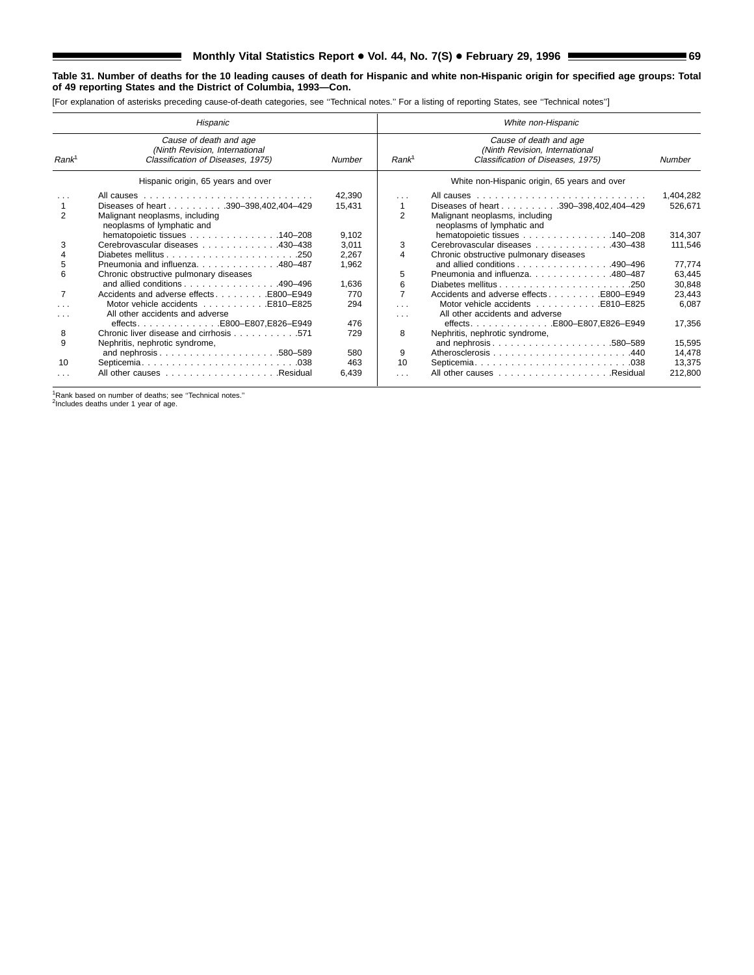### **Table 31. Number of deaths for the 10 leading causes of death for Hispanic and white non-Hispanic origin for specified age groups: Total of 49 reporting States and the District of Columbia, 1993—Con.**

[For explanation of asterisks preceding cause-of-death categories, see ''Technical notes.'' For a listing of reporting States, see ''Technical notes'']

|                           | Hispanic                                                                                                                                                |                         | White non-Hispanic              |                                                                                                                 |                             |  |  |  |  |  |
|---------------------------|---------------------------------------------------------------------------------------------------------------------------------------------------------|-------------------------|---------------------------------|-----------------------------------------------------------------------------------------------------------------|-----------------------------|--|--|--|--|--|
| Rank <sup>1</sup>         | Cause of death and age<br>(Ninth Revision, International<br>Classification of Diseases, 1975)                                                           | Number                  | Rank <sup>1</sup>               | Cause of death and age<br>(Ninth Revision, International<br>Classification of Diseases, 1975)                   | Number                      |  |  |  |  |  |
|                           | Hispanic origin, 65 years and over                                                                                                                      |                         |                                 | White non-Hispanic origin, 65 years and over                                                                    |                             |  |  |  |  |  |
| $\overline{2}$            | Diseases of heart 390-398,402,404-429<br>Malignant neoplasms, including<br>neoplasms of lymphatic and                                                   | 42,390<br>15,431        | $\cdots$<br>1<br>$\overline{2}$ | Diseases of heart 390-398,402,404-429<br>Malignant neoplasms, including<br>neoplasms of lymphatic and           | 1,404,282<br>526,671        |  |  |  |  |  |
| 3                         | hematopoietic tissues 140–208<br>Cerebrovascular diseases 430-438                                                                                       | 9,102<br>3.011<br>2,267 | 3<br>4                          | hematopoietic tissues 140–208<br>Cerebrovascular diseases 430-438<br>Chronic obstructive pulmonary diseases     | 314,307<br>111,546          |  |  |  |  |  |
| 5<br>6                    | Pneumonia and influenza. 480-487<br>Chronic obstructive pulmonary diseases<br>and allied conditions $\ldots$ , $\ldots$ , $\ldots$ , $\ldots$ , 490-496 | 1,962<br>1,636          | 5<br>6                          | and allied conditions 490-496<br>Pneumonia and influenza. 480-487                                               | 77,774<br>63,445<br>30,848  |  |  |  |  |  |
| 7<br>$\cdots$<br>$\cdots$ | Accidents and adverse effectsE800–E949<br>Motor vehicle accidents E810–E825<br>All other accidents and adverse                                          | 770<br>294              | $\overline{7}$<br>$\cdots$<br>. | Accidents and adverse effects E800–E949<br>Motor vehicle accidents E810–E825<br>All other accidents and adverse | 23,443<br>6,087             |  |  |  |  |  |
| 8<br>9                    | effectsE800-E807.E826-E949<br>Chronic liver disease and cirrhosis 571<br>Nephritis, nephrotic syndrome,                                                 | 476<br>729              | 8                               | Nephritis, nephrotic syndrome,<br>and nephrosis580-589                                                          | 17,356<br>15,595            |  |  |  |  |  |
| 10<br>$\cdots$            |                                                                                                                                                         | 580<br>463<br>6,439     | 9<br>10<br>$\cdots$             |                                                                                                                 | 14,478<br>13,375<br>212,800 |  |  |  |  |  |

<sup>1</sup>Rank based on number of deaths; see "Technical notes."<br><sup>2</sup>Includes deaths under 1 year of age.

۳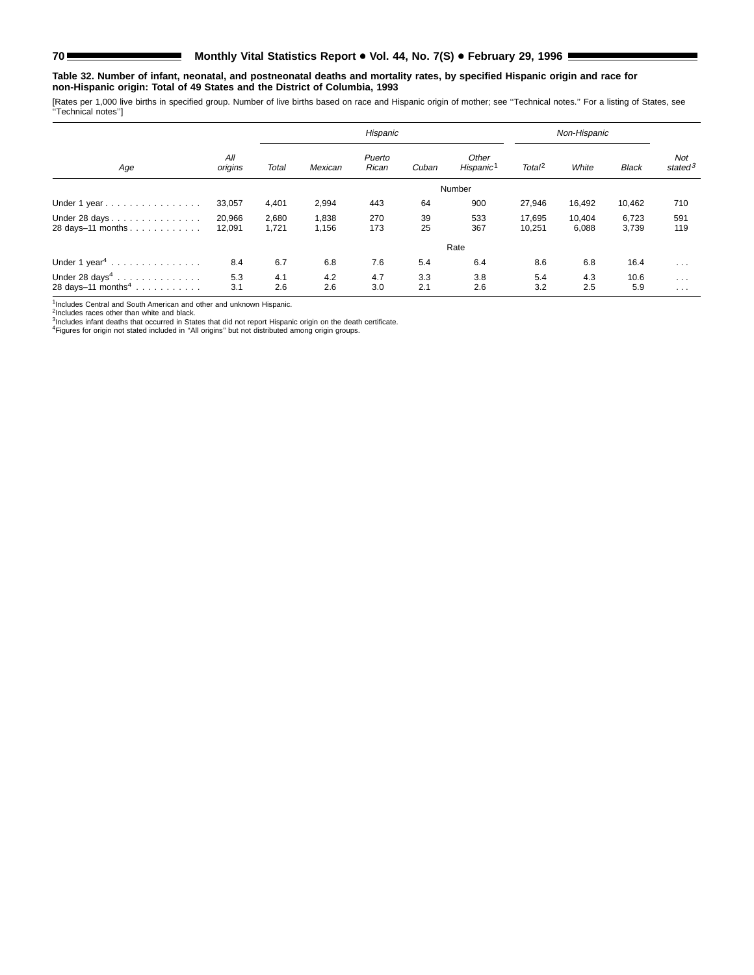### **Table 32. Number of infant, neonatal, and postneonatal deaths and mortality rates, by specified Hispanic origin and race for non-Hispanic origin: Total of 49 States and the District of Columbia, 1993**

[Rates per 1,000 live births in specified group. Number of live births based on race and Hispanic origin of mother; see ''Technical notes.'' For a listing of States, see ''Technical notes'']

|                                |                |       |         | Hispanic        | Non-Hispanic |                                |                    |        |              |                      |
|--------------------------------|----------------|-------|---------|-----------------|--------------|--------------------------------|--------------------|--------|--------------|----------------------|
| Age                            | All<br>origins | Total | Mexican | Puerto<br>Rican | Cuban        | Other<br>Hispanic <sup>1</sup> | Total <sup>2</sup> | White  | <b>Black</b> | Not<br>state $d^3$   |
|                                |                |       |         |                 |              | Number                         |                    |        |              |                      |
| Under 1 year                   | 33,057         | 4,401 | 2,994   | 443             | 64           | 900                            | 27,946             | 16,492 | 10,462       | 710                  |
| Under 28 days                  | 20,966         | 2,680 | 1,838   | 270             | 39           | 533                            | 17.695             | 10,404 | 6,723        | 591                  |
| 28 days-11 months              | 12,091         | 1,721 | 1,156   | 173             | 25           | 367                            | 10,251             | 6,088  | 3,739        | 119                  |
|                                |                |       |         |                 |              | Rate                           |                    |        |              |                      |
| Under 1 year <sup>4</sup>      | 8.4            | 6.7   | 6.8     | 7.6             | 5.4          | 6.4                            | 8.6                | 6.8    | 16.4         | $\cdots$             |
| Under 28 days <sup>4</sup>     | 5.3            | 4.1   | 4.2     | 4.7             | 3.3          | 3.8                            | 5.4                | 4.3    | 10.6         | $\cdots$             |
| 28 days-11 months <sup>4</sup> | 3.1            | 2.6   | 2.6     | 3.0             | 2.1          | 2.6                            | 3.2                | 2.5    | 5.9          | $\sim$ $\sim$ $\sim$ |

<sup>1</sup>Includes Central and South American and other and unknown Hispanic.<br><sup>2</sup>Includes races other than white and black.<br><sup>3</sup>Includes infant deaths that occurred in States that did not report Hispanic origin on the death certif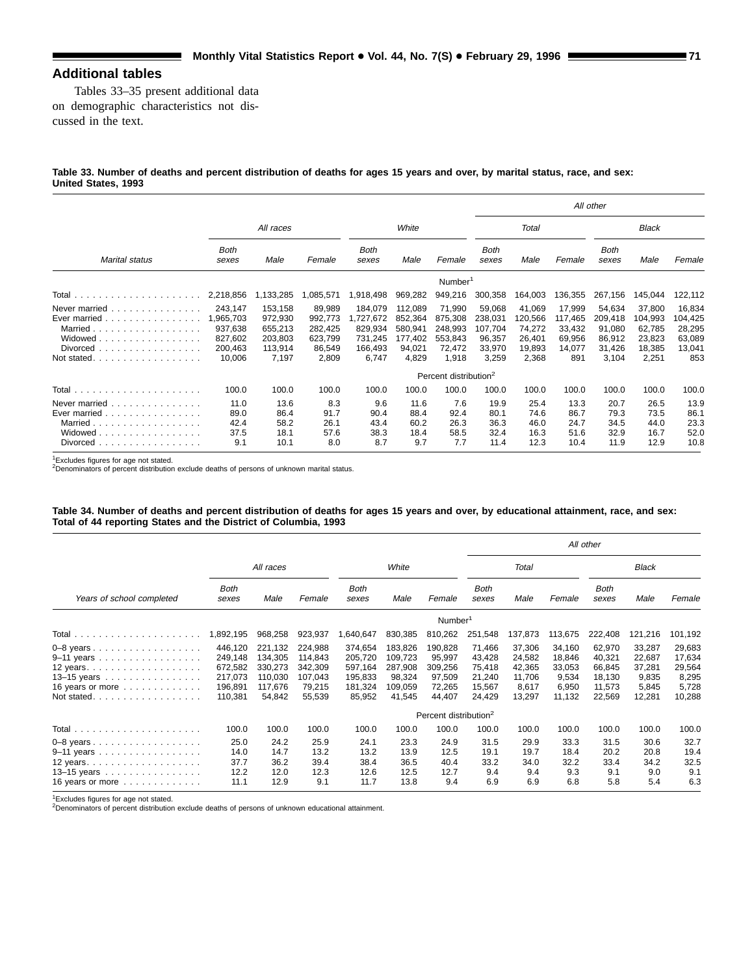# **Additional tables**

Tables 33–35 present additional data on demographic characteristics not discussed in the text.

### **Table 33. Number of deaths and percent distribution of deaths for ages 15 years and over, by marital status, race, and sex: United States, 1993**

|                                                                                                                                                          |                                                                 |                                                              |                                                            |                                                               |                                                             |                                                            |                                                           |                                                          |                                                        | All other                                                |                                                          |                                                        |
|----------------------------------------------------------------------------------------------------------------------------------------------------------|-----------------------------------------------------------------|--------------------------------------------------------------|------------------------------------------------------------|---------------------------------------------------------------|-------------------------------------------------------------|------------------------------------------------------------|-----------------------------------------------------------|----------------------------------------------------------|--------------------------------------------------------|----------------------------------------------------------|----------------------------------------------------------|--------------------------------------------------------|
|                                                                                                                                                          |                                                                 | All races                                                    |                                                            |                                                               | White                                                       |                                                            |                                                           | Total                                                    |                                                        |                                                          | Black                                                    |                                                        |
| Marital status                                                                                                                                           | Both<br>sexes                                                   | Male                                                         | Female                                                     | <b>Both</b><br>sexes                                          | Male                                                        | Female                                                     | <b>Both</b><br>sexes                                      | Male                                                     | Female                                                 | Both<br>sexes                                            | Male                                                     | Female                                                 |
|                                                                                                                                                          |                                                                 |                                                              |                                                            |                                                               |                                                             | Number <sup>1</sup>                                        |                                                           |                                                          |                                                        |                                                          |                                                          |                                                        |
|                                                                                                                                                          | 2,218,856                                                       | 1,133,285                                                    | 1,085,571                                                  | 1,918,498                                                     | 969,282                                                     | 949,216                                                    | 300,358                                                   | 164,003                                                  | 136,355                                                | 267,156                                                  | 145,044                                                  | 122,112                                                |
| Never married $\ldots$ , $\ldots$ , $\ldots$ , $\ldots$<br>Ever married<br>Married<br>Widowed<br>Divorced<br>.<br>Not stated.<br>.                       | 243,147<br>1,965,703<br>937,638<br>827,602<br>200,463<br>10,006 | 153,158<br>972,930<br>655,213<br>203,803<br>113,914<br>7,197 | 89,989<br>992,773<br>282,425<br>623,799<br>86,549<br>2,809 | 184,079<br>,727,672<br>829,934<br>731,245<br>166,493<br>6,747 | 112,089<br>852,364<br>580,941<br>177,402<br>94,021<br>4,829 | 71,990<br>875,308<br>248,993<br>553,843<br>72,472<br>1,918 | 59,068<br>238,031<br>107,704<br>96,357<br>33,970<br>3,259 | 41,069<br>120,566<br>74,272<br>26,401<br>19,893<br>2,368 | 17,999<br>117,465<br>33,432<br>69,956<br>14,077<br>891 | 54,634<br>209,418<br>91,080<br>86,912<br>31,426<br>3,104 | 37,800<br>104,993<br>62,785<br>23,823<br>18,385<br>2,251 | 16,834<br>104,425<br>28,295<br>63,089<br>13,041<br>853 |
|                                                                                                                                                          |                                                                 |                                                              |                                                            |                                                               |                                                             | Percent distribution <sup>2</sup>                          |                                                           |                                                          |                                                        |                                                          |                                                          |                                                        |
|                                                                                                                                                          | 100.0                                                           | 100.0                                                        | 100.0                                                      | 100.0                                                         | 100.0                                                       | 100.0                                                      | 100.0                                                     | 100.0                                                    | 100.0                                                  | 100.0                                                    | 100.0                                                    | 100.0                                                  |
| Never married<br>Ever married $\ldots$ , $\ldots$ , $\ldots$ , $\ldots$<br>Married<br>Widowed $\ldots$ , $\ldots$ , $\ldots$ , $\ldots$<br>Divorced<br>. | 11.0<br>89.0<br>42.4<br>37.5<br>9.1                             | 13.6<br>86.4<br>58.2<br>18.1<br>10.1                         | 8.3<br>91.7<br>26.1<br>57.6<br>8.0                         | 9.6<br>90.4<br>43.4<br>38.3<br>8.7                            | 11.6<br>88.4<br>60.2<br>18.4<br>9.7                         | 7.6<br>92.4<br>26.3<br>58.5<br>7.7                         | 19.9<br>80.1<br>36.3<br>32.4<br>11.4                      | 25.4<br>74.6<br>46.0<br>16.3<br>12.3                     | 13.3<br>86.7<br>24.7<br>51.6<br>10.4                   | 20.7<br>79.3<br>34.5<br>32.9<br>11.9                     | 26.5<br>73.5<br>44.0<br>16.7<br>12.9                     | 13.9<br>86.1<br>23.3<br>52.0<br>10.8                   |

1Excludes figures for age not stated.

2Denominators of percent distribution exclude deaths of persons of unknown marital status.

### **Table 34. Number of deaths and percent distribution of deaths for ages 15 years and over, by educational attainment, race, and sex: Total of 44 reporting States and the District of Columbia, 1993**

|                                                                                                                                                                 |                                                                |                                                               |                                                              |                                                               |                                                              |                                                            |                                                          |                                                         |                                                        | All other                                                |                                                        |                                                        |  |
|-----------------------------------------------------------------------------------------------------------------------------------------------------------------|----------------------------------------------------------------|---------------------------------------------------------------|--------------------------------------------------------------|---------------------------------------------------------------|--------------------------------------------------------------|------------------------------------------------------------|----------------------------------------------------------|---------------------------------------------------------|--------------------------------------------------------|----------------------------------------------------------|--------------------------------------------------------|--------------------------------------------------------|--|
|                                                                                                                                                                 | All races                                                      |                                                               |                                                              |                                                               | White                                                        |                                                            |                                                          | Total                                                   |                                                        |                                                          | Black                                                  |                                                        |  |
| Years of school completed                                                                                                                                       | Both<br>sexes                                                  | Male                                                          | Female                                                       | Both<br>sexes                                                 | Male                                                         | Female                                                     | Both<br>sexes                                            | Male                                                    | Female                                                 | Both<br>sexes                                            | Male                                                   | Female                                                 |  |
|                                                                                                                                                                 |                                                                |                                                               |                                                              |                                                               |                                                              | Number <sup>1</sup>                                        |                                                          |                                                         |                                                        |                                                          |                                                        |                                                        |  |
|                                                                                                                                                                 | 1,892,195                                                      | 968,258                                                       | 923,937                                                      | .640,647                                                      | 830,385                                                      | 810,262                                                    | 251,548                                                  | 137,873                                                 | 113,675                                                | 222,408                                                  | 121,216                                                | 101,192                                                |  |
| $0-8$ years<br>$9-11$ years<br>12 years. $\ldots$ . $\ldots$ . $\ldots$ . $\ldots$<br>13-15 years<br>16 years or more $\dots\dots\dots\dots\dots$<br>Not stated | 446,120<br>249,148<br>672,582<br>217,073<br>196,891<br>110,381 | 221,132<br>134,305<br>330,273<br>110,030<br>117,676<br>54,842 | 224,988<br>114,843<br>342,309<br>107,043<br>79,215<br>55,539 | 374,654<br>205,720<br>597,164<br>195,833<br>181,324<br>85,952 | 183,826<br>109,723<br>287,908<br>98,324<br>109,059<br>41,545 | 190,828<br>95,997<br>309,256<br>97,509<br>72,265<br>44,407 | 71,466<br>43,428<br>75,418<br>21,240<br>15,567<br>24,429 | 37,306<br>24,582<br>42,365<br>11,706<br>8,617<br>13,297 | 34,160<br>18,846<br>33,053<br>9,534<br>6,950<br>11,132 | 62,970<br>40,321<br>66,845<br>18,130<br>11,573<br>22,569 | 33,287<br>22,687<br>37,281<br>9,835<br>5,845<br>12,281 | 29,683<br>17,634<br>29,564<br>8,295<br>5,728<br>10,288 |  |
|                                                                                                                                                                 |                                                                |                                                               |                                                              |                                                               |                                                              | Percent distribution <sup>2</sup>                          |                                                          |                                                         |                                                        |                                                          |                                                        |                                                        |  |
| Total                                                                                                                                                           | 100.0                                                          | 100.0                                                         | 100.0                                                        | 100.0                                                         | 100.0                                                        | 100.0                                                      | 100.0                                                    | 100.0                                                   | 100.0                                                  | 100.0                                                    | 100.0                                                  | 100.0                                                  |  |
| $0-8$ years<br>9-11 years<br>12 years<br>13–15 years<br>16 years or more $\ldots \ldots \ldots \ldots$                                                          | 25.0<br>14.0<br>37.7<br>12.2<br>11.1                           | 24.2<br>14.7<br>36.2<br>12.0<br>12.9                          | 25.9<br>13.2<br>39.4<br>12.3<br>9.1                          | 24.1<br>13.2<br>38.4<br>12.6<br>11.7                          | 23.3<br>13.9<br>36.5<br>12.5<br>13.8                         | 24.9<br>12.5<br>40.4<br>12.7<br>9.4                        | 31.5<br>19.1<br>33.2<br>9.4<br>6.9                       | 29.9<br>19.7<br>34.0<br>9.4<br>6.9                      | 33.3<br>18.4<br>32.2<br>9.3<br>6.8                     | 31.5<br>20.2<br>33.4<br>9.1<br>5.8                       | 30.6<br>20.8<br>34.2<br>9.0<br>5.4                     | 32.7<br>19.4<br>32.5<br>9.1<br>6.3                     |  |

1Excludes figures for age not stated. 2Denominators of percent distribution exclude deaths of persons of unknown educational attainment.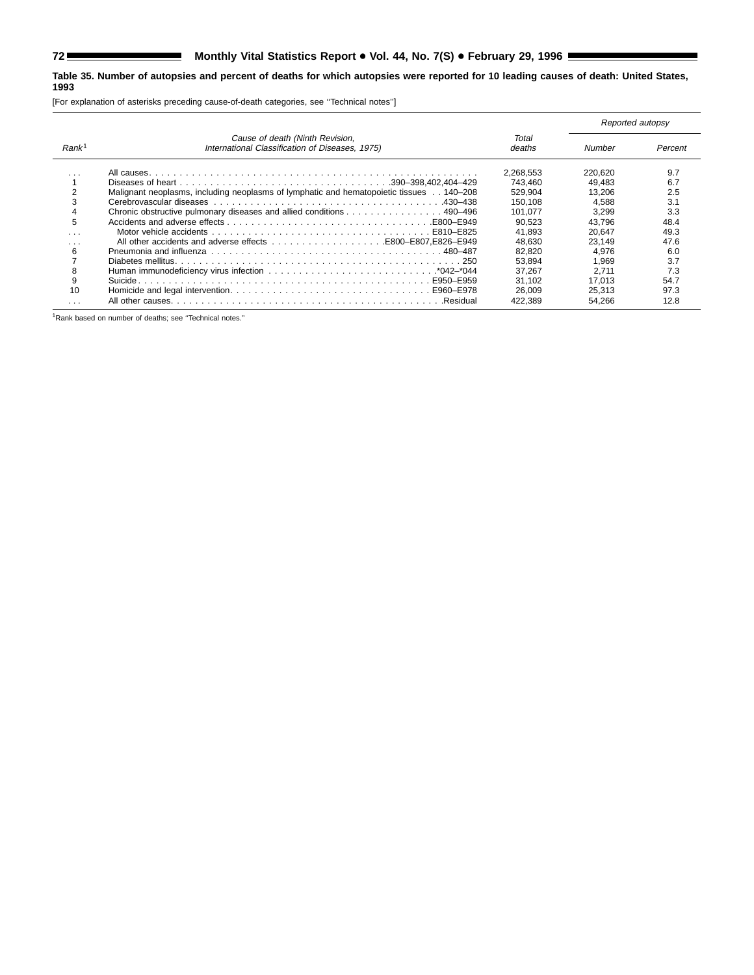۳

#### **Table 35. Number of autopsies and percent of deaths for which autopsies were reported for 10 leading causes of death: United States, 1993**

[For explanation of asterisks preceding cause-of-death categories, see ''Technical notes'']

|                   |                                                                                                          |                 | Reported autopsy |         |
|-------------------|----------------------------------------------------------------------------------------------------------|-----------------|------------------|---------|
| Rank <sup>1</sup> | Cause of death (Ninth Revision,<br>International Classification of Diseases, 1975)                       | Total<br>deaths | Number           | Percent |
|                   |                                                                                                          | 2.268.553       | 220.620          | 9.7     |
|                   |                                                                                                          | 743.460         | 49.483           | 6.7     |
|                   | Malignant neoplasms, including neoplasms of lymphatic and hematopoietic tissues 140–208                  | 529.904         | 13.206           | 2.5     |
| 3                 | Cerebrovascular diseases et al., et al., et al., et al., et al., et al., et al., et al., et al., 430–438 | 150.108         | 4.588            | 3.1     |
|                   | Chronic obstructive pulmonary diseases and allied conditions 490–496                                     | 101.077         | 3.299            | 3.3     |
| 5                 |                                                                                                          | 90.523          | 43.796           | 48.4    |
| .                 |                                                                                                          | 41.893          | 20.647           | 49.3    |
| .                 | All other accidents and adverse effects B800–E807.E826–E949                                              | 48.630          | 23.149           | 47.6    |
| 6                 |                                                                                                          | 82.820          | 4.976            | 6.0     |
|                   |                                                                                                          | 53.894          | ∣.969            | 3.7     |
| 8                 |                                                                                                          | 37.267          | 2.711            | 7.3     |
| 9                 |                                                                                                          | 31.102          | 17.013           | 54.7    |
| 10                |                                                                                                          | 26.009          | 25.313           | 97.3    |
|                   |                                                                                                          | 422.389         | 54.266           | 12.8    |

1Rank based on number of deaths; see ''Technical notes.''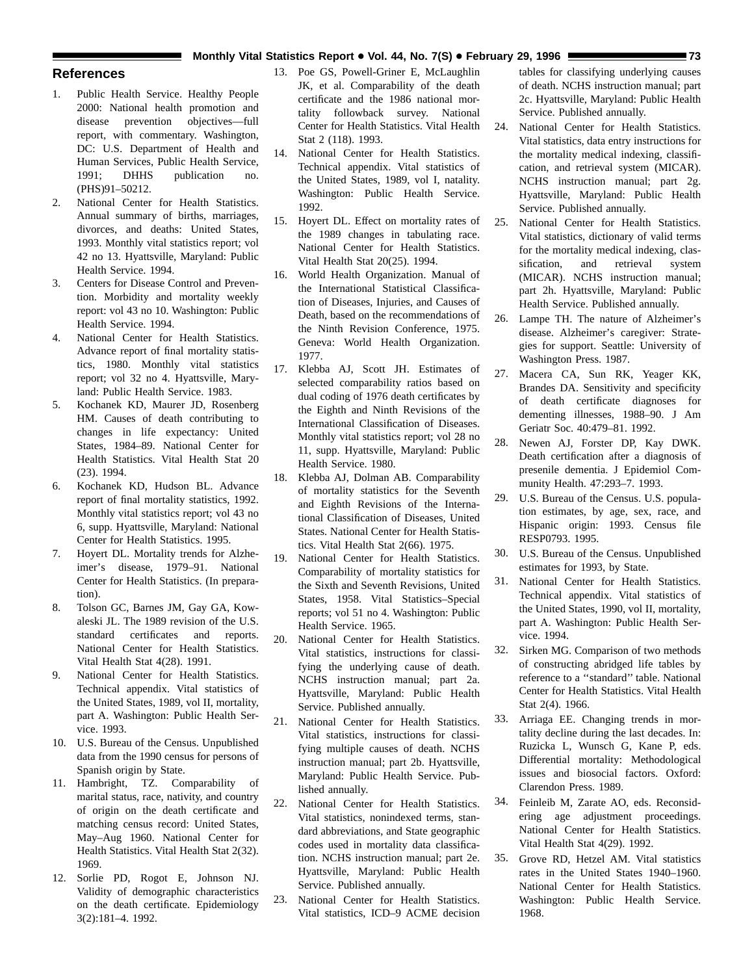## **Monthly Vital Statistics Report • Vol. 44, No. 7(S)** • February 29, 1996 **1988 73** 73

## <span id="page-72-0"></span>**References**

- 1. Public Health Service. Healthy People 2000: National health promotion and disease prevention objectives—full report, with commentary. Washington, DC: U.S. Department of Health and Human Services, Public Health Service, 1991; DHHS publication no. (PHS)91–50212.
- 2. National Center for Health Statistics. Annual summary of births, marriages, divorces, and deaths: United States, 1993. Monthly vital statistics report; vol 42 no 13. Hyattsville, Maryland: Public Health Service. 1994.
- 3. Centers for Disease Control and Prevention. Morbidity and mortality weekly report: vol 43 no 10. Washington: Public Health Service. 1994.
- 4. National Center for Health Statistics. Advance report of final mortality statistics, 1980. Monthly vital statistics report; vol 32 no 4. Hyattsville, Maryland: Public Health Service. 1983.
- 5. Kochanek KD, Maurer JD, Rosenberg HM. Causes of death contributing to changes in life expectancy: United States, 1984–89. National Center for Health Statistics. Vital Health Stat 20 (23). 1994.
- 6. Kochanek KD, Hudson BL. Advance report of final mortality statistics, 1992. Monthly vital statistics report; vol 43 no 6, supp. Hyattsville, Maryland: National Center for Health Statistics. 1995.
- 7. Hoyert DL. Mortality trends for Alzheimer's disease, 1979–91. National Center for Health Statistics. (In preparation).
- 8. Tolson GC, Barnes JM, Gay GA, Kowaleski JL. The 1989 revision of the U.S. standard certificates and reports. National Center for Health Statistics. Vital Health Stat 4(28). 1991.
- 9. National Center for Health Statistics. Technical appendix. Vital statistics of the United States, 1989, vol II, mortality, part A. Washington: Public Health Service. 1993.
- 10. U.S. Bureau of the Census. Unpublished data from the 1990 census for persons of Spanish origin by State.
- 11. Hambright, TZ. Comparability of marital status, race, nativity, and country of origin on the death certificate and matching census record: United States, May–Aug 1960. National Center for Health Statistics. Vital Health Stat 2(32). 1969.
- 12. Sorlie PD, Rogot E, Johnson NJ. Validity of demographic characteristics on the death certificate. Epidemiology 3(2):181–4. 1992.
- 13. Poe GS, Powell-Griner E, McLaughlin JK, et al. Comparability of the death certificate and the 1986 national mortality followback survey. National Center for Health Statistics. Vital Health Stat 2 (118). 1993.
- 14. National Center for Health Statistics. Technical appendix. Vital statistics of the United States, 1989, vol I, natality. Washington: Public Health Service. 1992.
- 15. Hoyert DL. Effect on mortality rates of the 1989 changes in tabulating race. National Center for Health Statistics. Vital Health Stat 20(25). 1994.
- 16. World Health Organization. Manual of the International Statistical Classification of Diseases, Injuries, and Causes of Death, based on the recommendations of the Ninth Revision Conference, 1975. Geneva: World Health Organization. 1977.
- 17. Klebba AJ, Scott JH. Estimates of selected comparability ratios based on dual coding of 1976 death certificates by the Eighth and Ninth Revisions of the International Classification of Diseases. Monthly vital statistics report; vol 28 no 11, supp. Hyattsville, Maryland: Public Health Service. 1980.
- 18. Klebba AJ, Dolman AB. Comparability of mortality statistics for the Seventh and Eighth Revisions of the International Classification of Diseases, United States. National Center for Health Statistics. Vital Health Stat 2(66). 1975.
- 19. National Center for Health Statistics. Comparability of mortality statistics for the Sixth and Seventh Revisions, United States, 1958. Vital Statistics–Special reports; vol 51 no 4. Washington: Public Health Service. 1965.
- 20. National Center for Health Statistics. Vital statistics, instructions for classifying the underlying cause of death. NCHS instruction manual; part 2a. Hyattsville, Maryland: Public Health Service. Published annually.
- 21. National Center for Health Statistics. Vital statistics, instructions for classifying multiple causes of death. NCHS instruction manual; part 2b. Hyattsville, Maryland: Public Health Service. Published annually.
- 22. National Center for Health Statistics. Vital statistics, nonindexed terms, standard abbreviations, and State geographic codes used in mortality data classification. NCHS instruction manual; part 2e. Hyattsville, Maryland: Public Health Service. Published annually.
- 23. National Center for Health Statistics. Vital statistics, ICD–9 ACME decision

tables for classifying underlying causes of death. NCHS instruction manual; part 2c. Hyattsville, Maryland: Public Health Service. Published annually.

- 24. National Center for Health Statistics. Vital statistics, data entry instructions for the mortality medical indexing, classification, and retrieval system (MICAR). NCHS instruction manual; part 2g. Hyattsville, Maryland: Public Health Service. Published annually.
- 25. National Center for Health Statistics. Vital statistics, dictionary of valid terms for the mortality medical indexing, classification, and retrieval system (MICAR). NCHS instruction manual; part 2h. Hyattsville, Maryland: Public Health Service. Published annually.
- 26. Lampe TH. The nature of Alzheimer's disease. Alzheimer's caregiver: Strategies for support. Seattle: University of Washington Press. 1987.
- 27. Macera CA, Sun RK, Yeager KK, Brandes DA. Sensitivity and specificity of death certificate diagnoses for dementing illnesses, 1988–90. J Am Geriatr Soc. 40:479–81. 1992.
- 28. Newen AJ, Forster DP, Kay DWK. Death certification after a diagnosis of presenile dementia. J Epidemiol Community Health. 47:293–7. 1993.
- 29. U.S. Bureau of the Census. U.S. population estimates, by age, sex, race, and Hispanic origin: 1993. Census file RESP0793. 1995.
- 30. U.S. Bureau of the Census. Unpublished estimates for 1993, by State.
- 31. National Center for Health Statistics. Technical appendix. Vital statistics of the United States, 1990, vol II, mortality, part A. Washington: Public Health Service. 1994.
- 32. Sirken MG. Comparison of two methods of constructing abridged life tables by reference to a ''standard'' table. National Center for Health Statistics. Vital Health Stat 2(4). 1966.
- 33. Arriaga EE. Changing trends in mortality decline during the last decades. In: Ruzicka L, Wunsch G, Kane P, eds. Differential mortality: Methodological issues and biosocial factors. Oxford: Clarendon Press. 1989.
- 34. Feinleib M, Zarate AO, eds. Reconsidering age adjustment proceedings. National Center for Health Statistics. Vital Health Stat 4(29). 1992.
- 35. Grove RD, Hetzel AM. Vital statistics rates in the United States 1940–1960. National Center for Health Statistics. Washington: Public Health Service. 1968.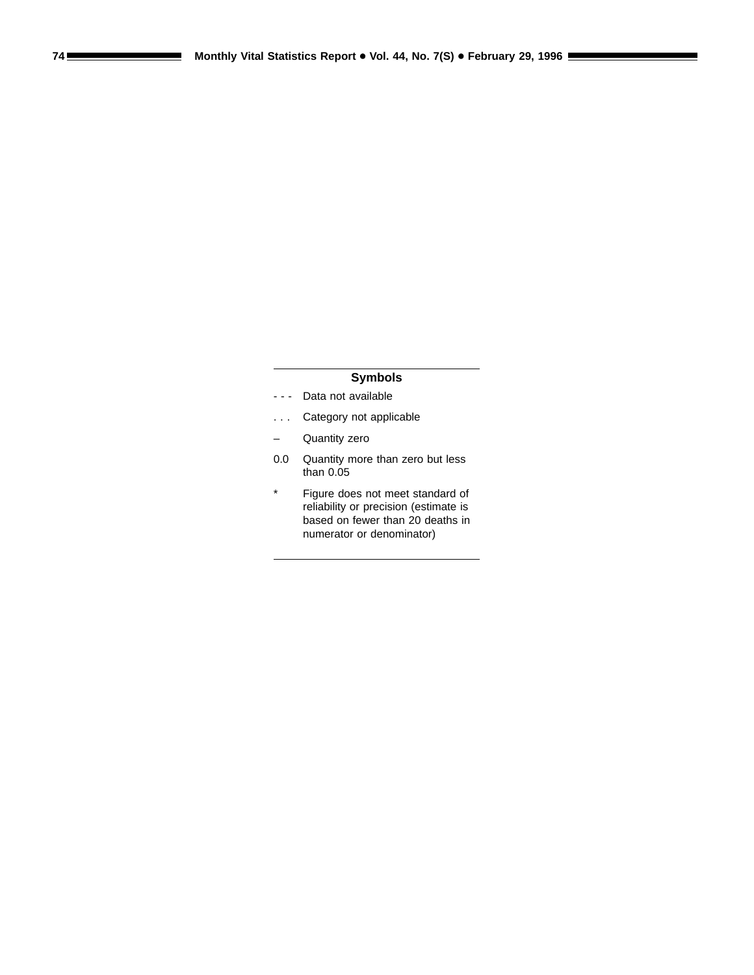# **Symbols**

- - Data not available
- . . . Category not applicable
- Quantity zero
- 0.0 Quantity more than zero but less than 0.05
- \* Figure does not meet standard of reliability or precision (estimate is based on fewer than 20 deaths in numerator or denominator)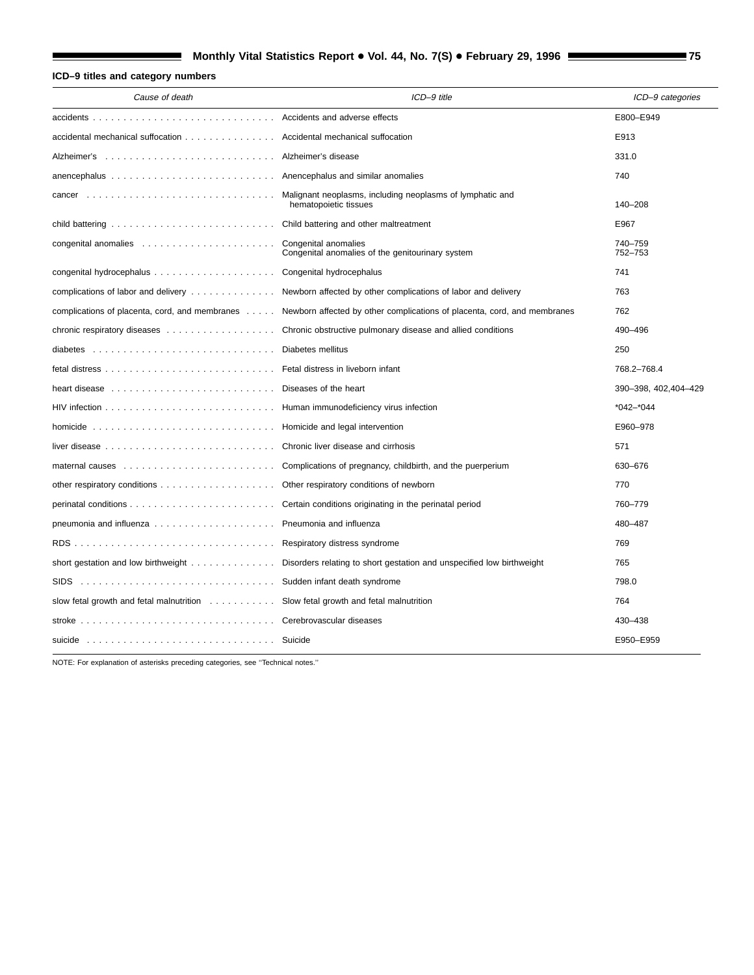# **Monthly Vital Statistics Report • Vol. 44, No. 7(S) • February 29, 1996 <b>1988** 75

# **ICD–9 titles and category numbers**

| Cause of death                                                                                         | ICD-9 title                                                                                                             | ICD-9 categories      |
|--------------------------------------------------------------------------------------------------------|-------------------------------------------------------------------------------------------------------------------------|-----------------------|
|                                                                                                        |                                                                                                                         | E800-E949             |
| accidental mechanical suffocation Accidental mechanical suffocation                                    |                                                                                                                         | E913                  |
| Alzheimer's  Alzheimer's disease                                                                       |                                                                                                                         | 331.0                 |
|                                                                                                        |                                                                                                                         | 740                   |
|                                                                                                        | Malignant neoplasms, including neoplasms of lymphatic and<br>hematopoietic tissues                                      | 140-208               |
|                                                                                                        |                                                                                                                         | E967                  |
|                                                                                                        | Congenital anomalies of the genitourinary system                                                                        | 740-759<br>752-753    |
|                                                                                                        |                                                                                                                         | 741                   |
|                                                                                                        | complications of labor and delivery  Newborn affected by other complications of labor and delivery                      | 763                   |
|                                                                                                        | complications of placenta, cord, and membranes Newborn affected by other complications of placenta, cord, and membranes | 762                   |
|                                                                                                        | chronic respiratory diseases Chronic obstructive pulmonary disease and allied conditions                                | 490-496               |
|                                                                                                        | Diabetes mellitus                                                                                                       | 250                   |
|                                                                                                        | Fetal distress in liveborn infant                                                                                       | 768.2-768.4           |
| heart disease entitled in the series of the heart                                                      |                                                                                                                         | 390-398, 402, 404-429 |
|                                                                                                        |                                                                                                                         | $*042 - *044$         |
| homicide $\ldots \ldots \ldots \ldots \ldots \ldots \ldots \ldots \ldots$                              | Homicide and legal intervention                                                                                         | E960-978              |
| liver disease $\ldots \ldots \ldots \ldots \ldots \ldots \ldots \ldots$                                | Chronic liver disease and cirrhosis                                                                                     | 571                   |
|                                                                                                        | Complications of pregnancy, childbirth, and the puerperium                                                              | 630-676               |
|                                                                                                        | Other respiratory conditions of newborn                                                                                 | 770                   |
|                                                                                                        | Certain conditions originating in the perinatal period                                                                  | 760-779               |
|                                                                                                        | Pneumonia and influenza                                                                                                 | 480-487               |
|                                                                                                        | Respiratory distress syndrome                                                                                           | 769                   |
| short gestation and low birthweight $\ldots \ldots \ldots \ldots$                                      | Disorders relating to short gestation and unspecified low birthweight                                                   | 765                   |
| state of the syndrome state in fant death syndrome state in the syndrome state in the syndrome<br>SIDS |                                                                                                                         | 798.0                 |
| slow fetal growth and fetal malnutrition Slow fetal growth and fetal malnutrition                      |                                                                                                                         | 764                   |
| stroke $\ldots \ldots \ldots \ldots \ldots \ldots \ldots \ldots \ldots \ldots \ldots$                  | Cerebrovascular diseases                                                                                                | 430-438               |
|                                                                                                        |                                                                                                                         | E950-E959             |

NOTE: For explanation of asterisks preceding categories, see ''Technical notes.''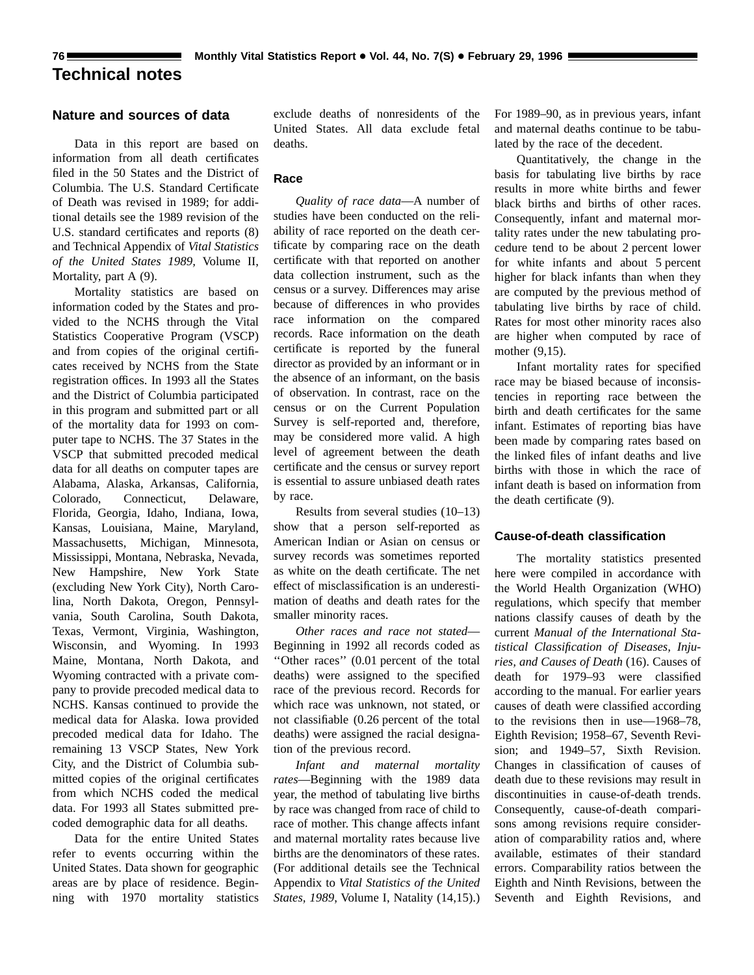# <span id="page-75-0"></span>**Technical notes**

# **Nature and sources of data**

Data in this report are based on information from all death certificates filed in the 50 States and the District of Columbia. The U.S. Standard Certificate of Death was revised in 1989; for additional details see the 1989 revision of the U.S. standard certificates and reports (8) and Technical Appendix of *Vital Statistics of the United States 1989,* Volume II, Mortality, part A (9).

Mortality statistics are based on information coded by the States and provided to the NCHS through the Vital Statistics Cooperative Program (VSCP) and from copies of the original certificates received by NCHS from the State registration offices. In 1993 all the States and the District of Columbia participated in this program and submitted part or all of the mortality data for 1993 on computer tape to NCHS. The 37 States in the VSCP that submitted precoded medical data for all deaths on computer tapes are Alabama, Alaska, Arkansas, California, Colorado, Connecticut, Delaware, Florida, Georgia, Idaho, Indiana, Iowa, Kansas, Louisiana, Maine, Maryland, Massachusetts, Michigan, Minnesota, Mississippi, Montana, Nebraska, Nevada, New Hampshire, New York State (excluding New York City), North Carolina, North Dakota, Oregon, Pennsylvania, South Carolina, South Dakota, Texas, Vermont, Virginia, Washington, Wisconsin, and Wyoming. In 1993 Maine, Montana, North Dakota, and Wyoming contracted with a private company to provide precoded medical data to NCHS. Kansas continued to provide the medical data for Alaska. Iowa provided precoded medical data for Idaho. The remaining 13 VSCP States, New York City, and the District of Columbia submitted copies of the original certificates from which NCHS coded the medical data. For 1993 all States submitted precoded demographic data for all deaths.

Data for the entire United States refer to events occurring within the United States. Data shown for geographic areas are by place of residence. Beginning with 1970 mortality statistics

exclude deaths of nonresidents of the United States. All data exclude fetal deaths.

### **Race**

*Quality of race data*—A number of studies have been conducted on the reliability of race reported on the death certificate by comparing race on the death certificate with that reported on another data collection instrument, such as the census or a survey. Differences may arise because of differences in who provides race information on the compared records. Race information on the death certificate is reported by the funeral director as provided by an informant or in the absence of an informant, on the basis of observation. In contrast, race on the census or on the Current Population Survey is self-reported and, therefore, may be considered more valid. A high level of agreement between the death certificate and the census or survey report is essential to assure unbiased death rates by race.

Results from several studies (10–13) show that a person self-reported as American Indian or Asian on census or survey records was sometimes reported as white on the death certificate. The net effect of misclassification is an underestimation of deaths and death rates for the smaller minority races.

*Other races and race not stated*— Beginning in 1992 all records coded as ''Other races'' (0.01 percent of the total deaths) were assigned to the specified race of the previous record. Records for which race was unknown, not stated, or not classifiable (0.26 percent of the total deaths) were assigned the racial designation of the previous record.

*Infant and maternal mortality rates*—Beginning with the 1989 data year, the method of tabulating live births by race was changed from race of child to race of mother. This change affects infant and maternal mortality rates because live births are the denominators of these rates. (For additional details see the Technical Appendix to *Vital Statistics of the United States, 1989*, Volume I, Natality (14,15).) For 1989–90, as in previous years, infant and maternal deaths continue to be tabulated by the race of the decedent.

Quantitatively, the change in the basis for tabulating live births by race results in more white births and fewer black births and births of other races. Consequently, infant and maternal mortality rates under the new tabulating procedure tend to be about 2 percent lower for white infants and about 5 percent higher for black infants than when they are computed by the previous method of tabulating live births by race of child. Rates for most other minority races also are higher when computed by race of mother (9,15).

Infant mortality rates for specified race may be biased because of inconsistencies in reporting race between the birth and death certificates for the same infant. Estimates of reporting bias have been made by comparing rates based on the linked files of infant deaths and live births with those in which the race of infant death is based on information from the death certificate (9).

### **Cause-of-death classification**

The mortality statistics presented here were compiled in accordance with the World Health Organization (WHO) regulations, which specify that member nations classify causes of death by the current *Manual of the International Statistical Classification of Diseases, Injuries, and Causes of Death* (16). Causes of death for 1979–93 were classified according to the manual. For earlier years causes of death were classified according to the revisions then in use—1968–78, Eighth Revision; 1958–67, Seventh Revision; and 1949–57, Sixth Revision. Changes in classification of causes of death due to these revisions may result in discontinuities in cause-of-death trends. Consequently, cause-of-death comparisons among revisions require consideration of comparability ratios and, where available, estimates of their standard errors. Comparability ratios between the Eighth and Ninth Revisions, between the Seventh and Eighth Revisions, and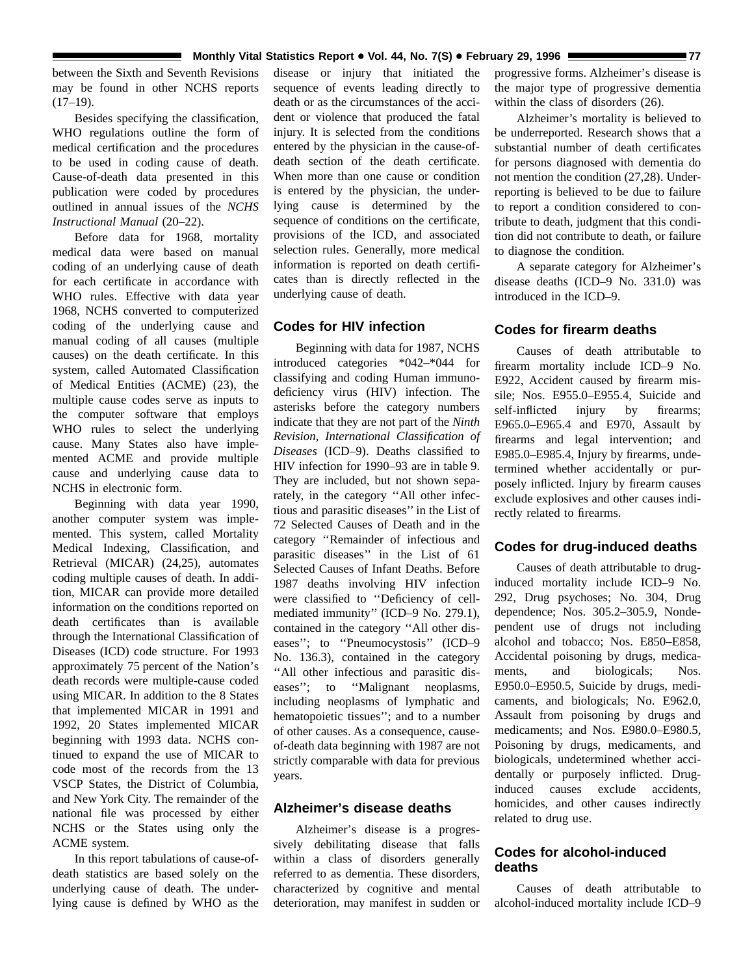between the Sixth and Seventh Revisions may be found in other NCHS reports  $(17-19)$ .

Besides specifying the classification, WHO regulations outline the form of medical certification and the procedures to be used in coding cause of death. Cause-of-death data presented in this publication were coded by procedures outlined in annual issues of the *NCHS Instructional Manual* (20–22).

Before data for 1968, mortality medical data were based on manual coding of an underlying cause of death for each certificate in accordance with WHO rules. Effective with data year 1968, NCHS converted to computerized coding of the underlying cause and manual coding of all causes (multiple causes) on the death certificate. In this system, called Automated Classification of Medical Entities (ACME) (23), the multiple cause codes serve as inputs to the computer software that employs WHO rules to select the underlying cause. Many States also have implemented ACME and provide multiple cause and underlying cause data to NCHS in electronic form.

Beginning with data year 1990, another computer system was implemented. This system, called Mortality Medical Indexing, Classification, and Retrieval (MICAR) (24,25), automates coding multiple causes of death. In addition, MICAR can provide more detailed information on the conditions reported on death certificates than is available through the International Classification of Diseases (ICD) code structure. For 1993 approximately 75 percent of the Nation's death records were multiple-cause coded using MICAR. In addition to the 8 States that implemented MICAR in 1991 and 1992, 20 States implemented MICAR beginning with 1993 data. NCHS continued to expand the use of MICAR to code most of the records from the 13 VSCP States, the District of Columbia, and New York City. The remainder of the national file was processed by either NCHS or the States using only the ACME system.

In this report tabulations of cause-ofdeath statistics are based solely on the underlying cause of death. The underlying cause is defined by WHO as the disease or injury that initiated the sequence of events leading directly to death or as the circumstances of the accident or violence that produced the fatal injury. It is selected from the conditions entered by the physician in the cause-ofdeath section of the death certificate. When more than one cause or condition is entered by the physician, the underlying cause is determined by the sequence of conditions on the certificate, provisions of the ICD, and associated selection rules. Generally, more medical information is reported on death certificates than is directly reflected in the underlying cause of death.

# **Codes for HIV infection**

Beginning with data for 1987, NCHS introduced categories \*042–\*044 for classifying and coding Human immunodeficiency virus (HIV) infection. The asterisks before the category numbers indicate that they are not part of the *Ninth Revision, International Classification of Diseases* (ICD–9). Deaths classified to HIV infection for 1990–93 are in table 9. They are included, but not shown separately, in the category ''All other infectious and parasitic diseases'' in the List of 72 Selected Causes of Death and in the category ''Remainder of infectious and parasitic diseases'' in the List of 61 Selected Causes of Infant Deaths. Before 1987 deaths involving HIV infection were classified to ''Deficiency of cellmediated immunity'' (ICD–9 No. 279.1), contained in the category ''All other diseases''; to ''Pneumocystosis'' (ICD–9 No. 136.3), contained in the category ''All other infectious and parasitic diseases"; to "Malignant neoplasms, including neoplasms of lymphatic and hematopoietic tissues''; and to a number of other causes. As a consequence, causeof-death data beginning with 1987 are not strictly comparable with data for previous years.

## **Alzheimer's disease deaths**

Alzheimer's disease is a progressively debilitating disease that falls within a class of disorders generally referred to as dementia. These disorders, characterized by cognitive and mental deterioration, may manifest in sudden or

progressive forms. Alzheimer's disease is the major type of progressive dementia within the class of disorders (26).

Alzheimer's mortality is believed to be underreported. Research shows that a substantial number of death certificates for persons diagnosed with dementia do not mention the condition (27,28). Underreporting is believed to be due to failure to report a condition considered to contribute to death, judgment that this condition did not contribute to death, or failure to diagnose the condition.

A separate category for Alzheimer's disease deaths (ICD–9 No. 331.0) was introduced in the ICD–9.

#### **Codes for firearm deaths**

Causes of death attributable to firearm mortality include ICD–9 No. E922, Accident caused by firearm missile; Nos. E955.0–E955.4, Suicide and self-inflicted injury by firearms; E965.0–E965.4 and E970, Assault by firearms and legal intervention; and E985.0–E985.4, Injury by firearms, undetermined whether accidentally or purposely inflicted. Injury by firearm causes exclude explosives and other causes indirectly related to firearms.

### **Codes for drug-induced deaths**

Causes of death attributable to druginduced mortality include ICD–9 No. 292, Drug psychoses; No. 304, Drug dependence; Nos. 305.2–305.9, Nondependent use of drugs not including alcohol and tobacco; Nos. E850–E858, Accidental poisoning by drugs, medicaments, and biologicals; Nos. E950.0–E950.5, Suicide by drugs, medicaments, and biologicals; No. E962.0, Assault from poisoning by drugs and medicaments; and Nos. E980.0–E980.5, Poisoning by drugs, medicaments, and biologicals, undetermined whether accidentally or purposely inflicted. Druginduced causes exclude accidents, homicides, and other causes indirectly related to drug use.

# **Codes for alcohol-induced deaths**

Causes of death attributable to alcohol-induced mortality include ICD–9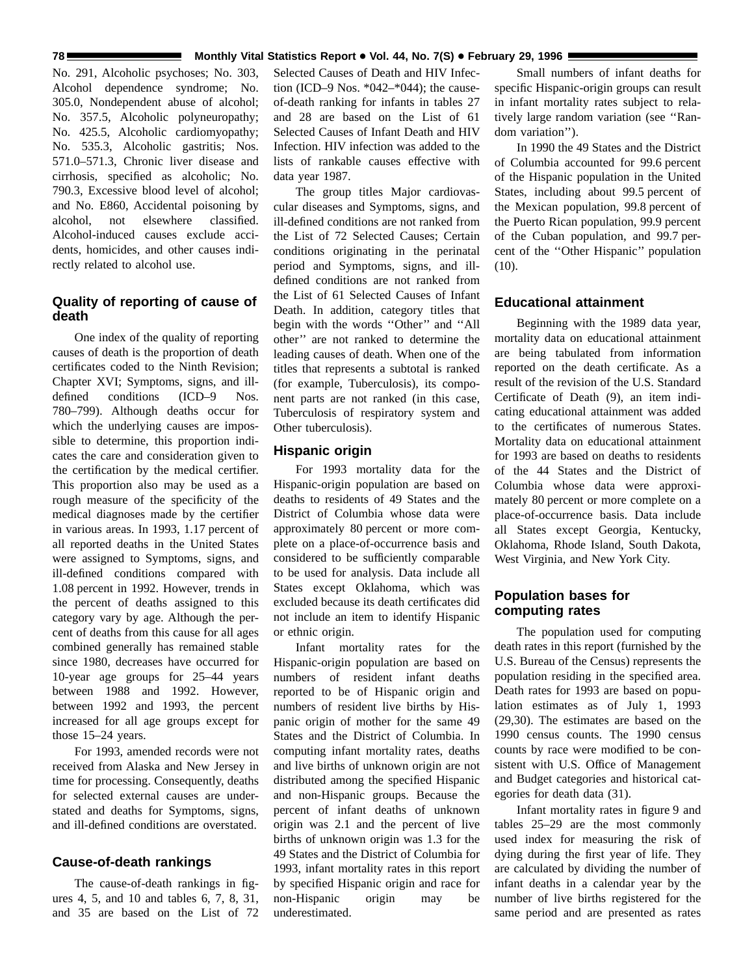#### **78 Monthly Vital Statistics Report . Vol. 44, No. 7(S)** . February 29, 1996 **February 29, 1996**

No. 291, Alcoholic psychoses; No. 303, Alcohol dependence syndrome; No. 305.0, Nondependent abuse of alcohol; No. 357.5, Alcoholic polyneuropathy; No. 425.5, Alcoholic cardiomyopathy; No. 535.3, Alcoholic gastritis; Nos. 571.0–571.3, Chronic liver disease and cirrhosis, specified as alcoholic; No. 790.3, Excessive blood level of alcohol; and No. E860, Accidental poisoning by alcohol, not elsewhere classified. Alcohol-induced causes exclude accidents, homicides, and other causes indirectly related to alcohol use.

# **Quality of reporting of cause of death**

One index of the quality of reporting causes of death is the proportion of death certificates coded to the Ninth Revision; Chapter XVI; Symptoms, signs, and illdefined conditions (ICD–9 Nos. 780–799). Although deaths occur for which the underlying causes are impossible to determine, this proportion indicates the care and consideration given to the certification by the medical certifier. This proportion also may be used as a rough measure of the specificity of the medical diagnoses made by the certifier in various areas. In 1993, 1.17 percent of all reported deaths in the United States were assigned to Symptoms, signs, and ill-defined conditions compared with 1.08 percent in 1992. However, trends in the percent of deaths assigned to this category vary by age. Although the percent of deaths from this cause for all ages combined generally has remained stable since 1980, decreases have occurred for 10-year age groups for 25–44 years between 1988 and 1992. However, between 1992 and 1993, the percent increased for all age groups except for those 15–24 years.

For 1993, amended records were not received from Alaska and New Jersey in time for processing. Consequently, deaths for selected external causes are understated and deaths for Symptoms, signs, and ill-defined conditions are overstated.

# **Cause-of-death rankings**

The cause-of-death rankings in figures 4, 5, and 10 and tables 6, 7, 8, 31, and 35 are based on the List of 72

Selected Causes of Death and HIV Infection (ICD–9 Nos. \*042–\*044); the causeof-death ranking for infants in tables 27 and 28 are based on the List of 61 Selected Causes of Infant Death and HIV Infection. HIV infection was added to the lists of rankable causes effective with data year 1987.

The group titles Major cardiovascular diseases and Symptoms, signs, and ill-defined conditions are not ranked from the List of 72 Selected Causes; Certain conditions originating in the perinatal period and Symptoms, signs, and illdefined conditions are not ranked from the List of 61 Selected Causes of Infant Death. In addition, category titles that begin with the words ''Other'' and ''All other'' are not ranked to determine the leading causes of death. When one of the titles that represents a subtotal is ranked (for example, Tuberculosis), its component parts are not ranked (in this case, Tuberculosis of respiratory system and Other tuberculosis).

## **Hispanic origin**

For 1993 mortality data for the Hispanic-origin population are based on deaths to residents of 49 States and the District of Columbia whose data were approximately 80 percent or more complete on a place-of-occurrence basis and considered to be sufficiently comparable to be used for analysis. Data include all States except Oklahoma, which was excluded because its death certificates did not include an item to identify Hispanic or ethnic origin.

Infant mortality rates for the Hispanic-origin population are based on numbers of resident infant deaths reported to be of Hispanic origin and numbers of resident live births by Hispanic origin of mother for the same 49 States and the District of Columbia. In computing infant mortality rates, deaths and live births of unknown origin are not distributed among the specified Hispanic and non-Hispanic groups. Because the percent of infant deaths of unknown origin was 2.1 and the percent of live births of unknown origin was 1.3 for the 49 States and the District of Columbia for 1993, infant mortality rates in this report by specified Hispanic origin and race for non-Hispanic origin may be underestimated.

Small numbers of infant deaths for specific Hispanic-origin groups can result in infant mortality rates subject to relatively large random variation (see ''Random variation'').

In 1990 the 49 States and the District of Columbia accounted for 99.6 percent of the Hispanic population in the United States, including about 99.5 percent of the Mexican population, 99.8 percent of the Puerto Rican population, 99.9 percent of the Cuban population, and 99.7 percent of the ''Other Hispanic'' population  $(10).$ 

# **Educational attainment**

Beginning with the 1989 data year, mortality data on educational attainment are being tabulated from information reported on the death certificate. As a result of the revision of the U.S. Standard Certificate of Death (9), an item indicating educational attainment was added to the certificates of numerous States. Mortality data on educational attainment for 1993 are based on deaths to residents of the 44 States and the District of Columbia whose data were approximately 80 percent or more complete on a place-of-occurrence basis. Data include all States except Georgia, Kentucky, Oklahoma, Rhode Island, South Dakota, West Virginia, and New York City.

# **Population bases for computing rates**

The population used for computing death rates in this report (furnished by the U.S. Bureau of the Census) represents the population residing in the specified area. Death rates for 1993 are based on population estimates as of July 1, 1993 (29,30). The estimates are based on the 1990 census counts. The 1990 census counts by race were modified to be consistent with U.S. Office of Management and Budget categories and historical categories for death data (31).

Infant mortality rates in figure 9 and tables 25–29 are the most commonly used index for measuring the risk of dying during the first year of life. They are calculated by dividing the number of infant deaths in a calendar year by the number of live births registered for the same period and are presented as rates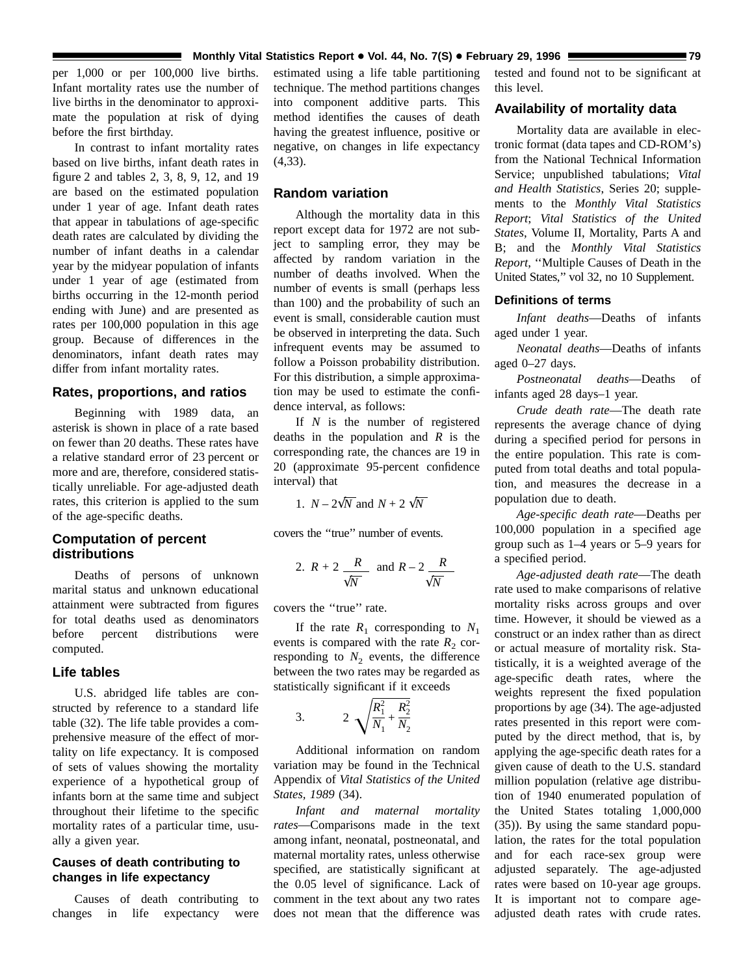#### **Monthly Vital Statistics Report • Vol. 44, No. 7(S) • February 29, 1996 Monthly Vital Statistics Report • Vol. 44, No. 7(S) • February 29, 1996**

per 1,000 or per 100,000 live births. Infant mortality rates use the number of live births in the denominator to approximate the population at risk of dying before the first birthday.

In contrast to infant mortality rates based on live births, infant death rates in figure 2 and tables 2, 3, 8, 9, 12, and 19 are based on the estimated population under 1 year of age. Infant death rates that appear in tabulations of age-specific death rates are calculated by dividing the number of infant deaths in a calendar year by the midyear population of infants under 1 year of age (estimated from births occurring in the 12-month period ending with June) and are presented as rates per 100,000 population in this age group. Because of differences in the denominators, infant death rates may differ from infant mortality rates.

#### **Rates, proportions, and ratios**

Beginning with 1989 data, an asterisk is shown in place of a rate based on fewer than 20 deaths. These rates have a relative standard error of 23 percent or more and are, therefore, considered statistically unreliable. For age-adjusted death rates, this criterion is applied to the sum of the age-specific deaths.

# **Computation of percent distributions**

Deaths of persons of unknown marital status and unknown educational attainment were subtracted from figures for total deaths used as denominators before percent distributions were computed.

#### **Life tables**

U.S. abridged life tables are constructed by reference to a standard life table (32). The life table provides a comprehensive measure of the effect of mortality on life expectancy. It is composed of sets of values showing the mortality experience of a hypothetical group of infants born at the same time and subject throughout their lifetime to the specific mortality rates of a particular time, usually a given year.

## **Causes of death contributing to changes in life expectancy**

Causes of death contributing to changes in life expectancy were

estimated using a life table partitioning technique. The method partitions changes into component additive parts. This method identifies the causes of death having the greatest influence, positive or negative, on changes in life expectancy (4,33).

# **Random variation**

Although the mortality data in this report except data for 1972 are not subject to sampling error, they may be affected by random variation in the number of deaths involved. When the number of events is small (perhaps less than 100) and the probability of such an event is small, considerable caution must be observed in interpreting the data. Such infrequent events may be assumed to follow a Poisson probability distribution. For this distribution, a simple approximation may be used to estimate the confidence interval, as follows:

If *N* is the number of registered deaths in the population and *R* is the corresponding rate, the chances are 19 in 20 (approximate 95-percent confidence interval) that

1. *N* –  $2\sqrt{N}$  and *N* + 2  $\sqrt{N}$ 

covers the ''true'' number of events.

2. 
$$
R + 2 \frac{R}{\sqrt{N}}
$$
 and  $R - 2 \frac{R}{\sqrt{N}}$ 

covers the ''true'' rate.

If the rate  $R_1$  corresponding to  $N_1$ events is compared with the rate  $R_2$  corresponding to  $N_2$  events, the difference between the two rates may be regarded as statistically significant if it exceeds

3. 
$$
2 \sqrt{\frac{R_1^2}{N_1} + \frac{R_2^2}{N_2}}
$$

Additional information on random variation may be found in the Technical Appendix of *Vital Statistics of the United States, 1989* (34).

*Infant and maternal mortality rates*—Comparisons made in the text among infant, neonatal, postneonatal, and maternal mortality rates, unless otherwise specified, are statistically significant at the 0.05 level of significance. Lack of comment in the text about any two rates does not mean that the difference was

tested and found not to be significant at this level.

## **Availability of mortality data**

Mortality data are available in electronic format (data tapes and CD-ROM's) from the National Technical Information Service; unpublished tabulations; *Vital and Health Statistics*, Series 20; supplements to the *Monthly Vital Statistics Report*; *Vital Statistics of the United States*, Volume II, Mortality, Parts A and B; and the *Monthly Vital Statistics Report*, ''Multiple Causes of Death in the United States,'' vol 32, no 10 Supplement.

## **Definitions of terms**

*Infant deaths*—Deaths of infants aged under 1 year.

*Neonatal deaths*—Deaths of infants aged 0–27 days.

*Postneonatal deaths*—Deaths of infants aged 28 days–1 year.

*Crude death rate*—The death rate represents the average chance of dying during a specified period for persons in the entire population. This rate is computed from total deaths and total population, and measures the decrease in a population due to death.

*Age-specific death rate*—Deaths per 100,000 population in a specified age group such as 1–4 years or 5–9 years for a specified period.

*Age-adjusted death rate*—The death rate used to make comparisons of relative mortality risks across groups and over time. However, it should be viewed as a construct or an index rather than as direct or actual measure of mortality risk. Statistically, it is a weighted average of the age-specific death rates, where the weights represent the fixed population proportions by age (34). The age-adjusted rates presented in this report were computed by the direct method, that is, by applying the age-specific death rates for a given cause of death to the U.S. standard million population (relative age distribution of 1940 enumerated population of the United States totaling 1,000,000 (35)). By using the same standard population, the rates for the total population and for each race-sex group were adjusted separately. The age-adjusted rates were based on 10-year age groups. It is important not to compare ageadjusted death rates with crude rates.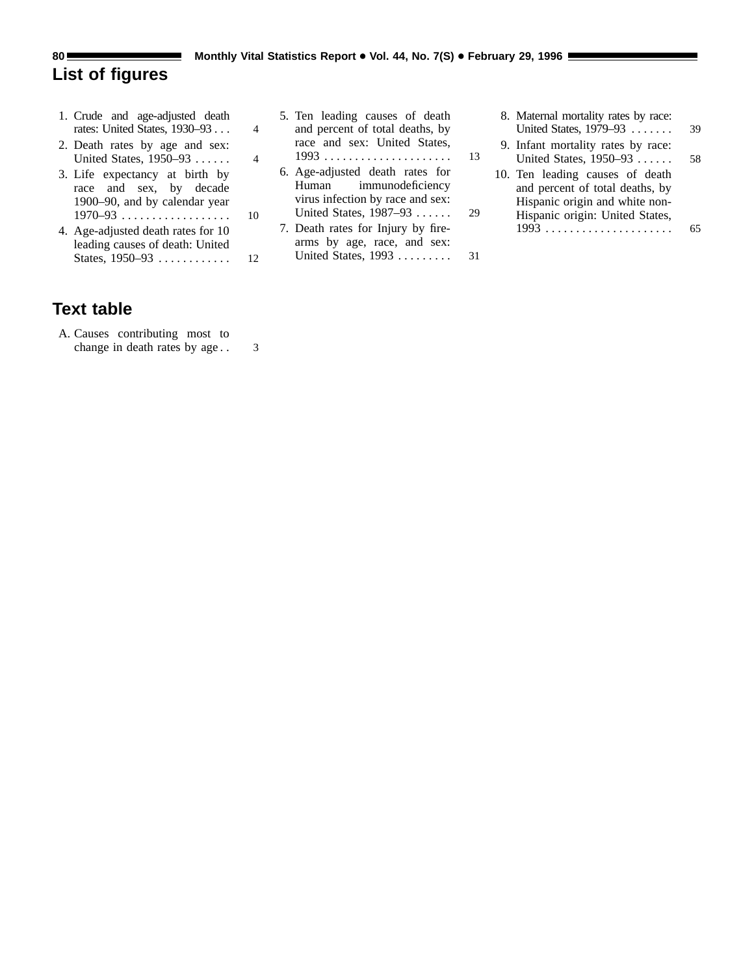# <span id="page-79-0"></span>**List of figures**

- [1. Crude and age-adjusted death](#page-3-0) rates: United States, 1930–93 . . . 4
- [2. Death rates by age and sex:](#page-3-0) United States, 1950–93 ...... 4
- [3. Life expectancy at birth by](#page-9-0) race and sex, by decade 1900–90, and by calendar year 1970–93 .................. 10
- [4. Age-adjusted death rates for 10](#page-11-0) leading causes of death: United States, 1950–93 ............ 12

# **Text table**

- [A. Causes contributing most to](#page-2-0) change in death rates by age . . 3
- [5. Ten leading causes of death](#page-12-0) and percent of total deaths, by race and sex: United States, 1993 ..................... 13 [6. Age-adjusted death rates for](#page-28-0) Human immunodeficiency virus infection by race and sex: United States, 1987–93 ...... 29 [7. Death rates for Injury by fire](#page-30-0)
	- arms by age, race, and sex: United States, 1993 ......... 31
- [8. Maternal mortality rates by race:](#page-38-0) United States, 1979–93 ....... 39 [9. Infant mortality rates by race:](#page-57-0) United States, 1950–93 ...... 58
- [10. Ten leading causes of death](#page-64-0) and percent of total deaths, by Hispanic origin and white non-Hispanic origin: United States, 1993 ..................... 65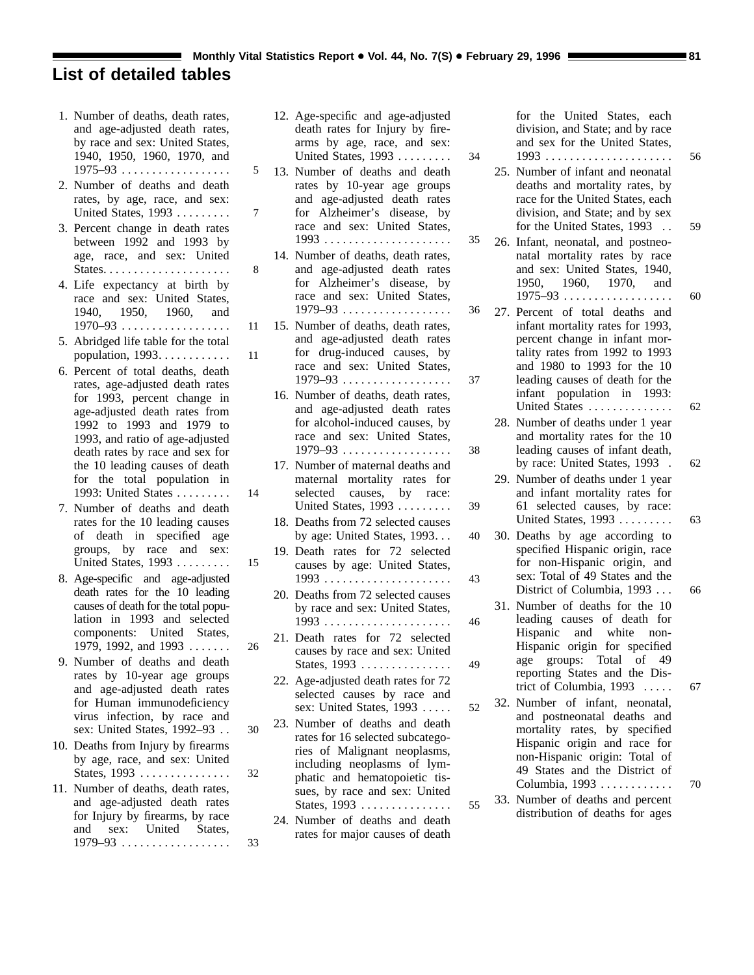# <span id="page-80-0"></span>**List of detailed tables**

- [1. Number of deaths, death rates,](#page-4-0) and age-adjusted death rates, by race and sex: United States, 1940, 1950, 1960, 1970, and 1975–93 .................. 5
- [2. Number of deaths and death](#page-6-0) rates, by age, race, and sex: United States, 1993 ......... 7
- [3. Percent change in death rates](#page-7-0) between 1992 and 1993 by age, race, and sex: United States..................... 8
- [4. Life expectancy at birth by](#page-10-0) race and sex: United States, 1940, 1950, 1960, and 1970–93 .................. 11
- [5. Abridged life table for the total](#page-10-0) population, 1993............ 11
- [6. Percent of total deaths, death](#page-13-0) rates, age-adjusted death rates for 1993, percent change in age-adjusted death rates from 1992 to 1993 and 1979 to 1993, and ratio of age-adjusted death rates by race and sex for the 10 leading causes of death for the total population in 1993: United States ......... 14
- [7. Number of deaths and death](#page-14-0) rates for the 10 leading causes of death in specified age groups, by race and sex: United States, 1993 ......... 15
- [8. Age-specific and age-adjusted](#page-25-0) death rates for the 10 leading causes of death for the total population in 1993 and selected components: United States, 1979, 1992, and 1993 ....... 26
- [9. Number of deaths and death](#page-29-0) rates by 10-year age groups and age-adjusted death rates for Human immunodeficiency virus infection, by race and sex: United States, 1992–93 . . 30
- [10. Deaths from Injury by firearms](#page-31-0) by age, race, and sex: United States, 1993 ............... 32
- [11. Number of deaths, death rates,](#page-32-0) and age-adjusted death rates for Injury by firearms, by race and sex: United States, 1979–93 .................. 33
- [12. Age-specific and age-adjusted](#page-33-0) death rates for Injury by firearms by age, race, and sex: United States, 1993 ......... 34
- [13. Number of deaths and death](#page-34-0) rates by 10-year age groups and age-adjusted death rates for Alzheimer's disease, by race and sex: United States, 1993 ..................... 35
- [14. Number of deaths, death rates,](#page-35-0) and age-adjusted death rates for Alzheimer's disease, by race and sex: United States, 1979–93 .................. 36
- [15. Number of deaths, death rates,](#page-36-0) and age-adjusted death rates for drug-induced causes, by race and sex: United States, 1979–93 .................. 37
- [16. Number of deaths, death rates,](#page-37-0) and age-adjusted death rates for alcohol-induced causes, by race and sex: United States, 1979–93 .................. 38
- [17. Number of maternal deaths and](#page-38-0) maternal mortality rates for selected causes, by race: United States, 1993 ......... 39
- [18. Deaths from 72 selected causes](#page-39-0) by age: United States, 1993... 40
- [19. Death rates for 72 selected](#page-42-0) causes by age: United States, 1993 ..................... 43
- [20. Deaths from 72 selected causes](#page-45-0) by race and sex: United States, 1993 ..................... 46
- [21. Death rates for 72 selected](#page-48-0) causes by race and sex: United States, 1993 ............... 49
	- [22. Age-adjusted death rates for 72](#page-51-0) selected causes by race and sex: United States, 1993 ..... 52
- [23. Number of deaths and death](#page-54-0) rates for 16 selected subcategories of Malignant neoplasms, including neoplasms of lymphatic and hematopoietic tissues, by race and sex: United States, 1993 ............... 55
- [24. Number of deaths and death](#page-55-0) rates for major causes of death

[for the United States, each](#page-55-0) division, and State; and by race and sex for the United States, 1993 ..................... 56

- [25. Number of infant and neonatal](#page-58-0) deaths and mortality rates, by race for the United States, each division, and State; and by sex for the United States, 1993 . . 59
- [26. Infant, neonatal, and postneo](#page-59-0)natal mortality rates by race and sex: United States, 1940, 1950, 1960, 1970, and 1975–93 .................. 60
- [27. Percent of total deaths and](#page-61-0) infant mortality rates for 1993, percent change in infant mortality rates from 1992 to 1993 and 1980 to 1993 for the 10 leading causes of death for the infant population in 1993: United States .............. 62
	- [28. Number of deaths under 1 year](#page-61-0) and mortality rates for the 10 leading causes of infant death, by race: United States, 1993 . 62
	- [29. Number of deaths under 1 year](#page-62-0) and infant mortality rates for 61 selected causes, by race: United States, 1993 ......... 63
- [30. Deaths by age according to](#page-65-0) specified Hispanic origin, race for non-Hispanic origin, and sex: Total of 49 States and the District of Columbia, 1993 ... 66
- [31. Number of deaths for the 10](#page-66-0) leading causes of death for Hispanic and white non-Hispanic origin for specified age groups: Total of 49 reporting States and the District of Columbia, 1993 ..... 67
- [32. Number of infant, neonatal,](#page-69-0) and postneonatal deaths and mortality rates, by specified Hispanic origin and race for non-Hispanic origin: Total of 49 States and the District of Columbia, 1993 ............ 70
- [33. Number of deaths and percent](#page-70-0) distribution of deaths for ages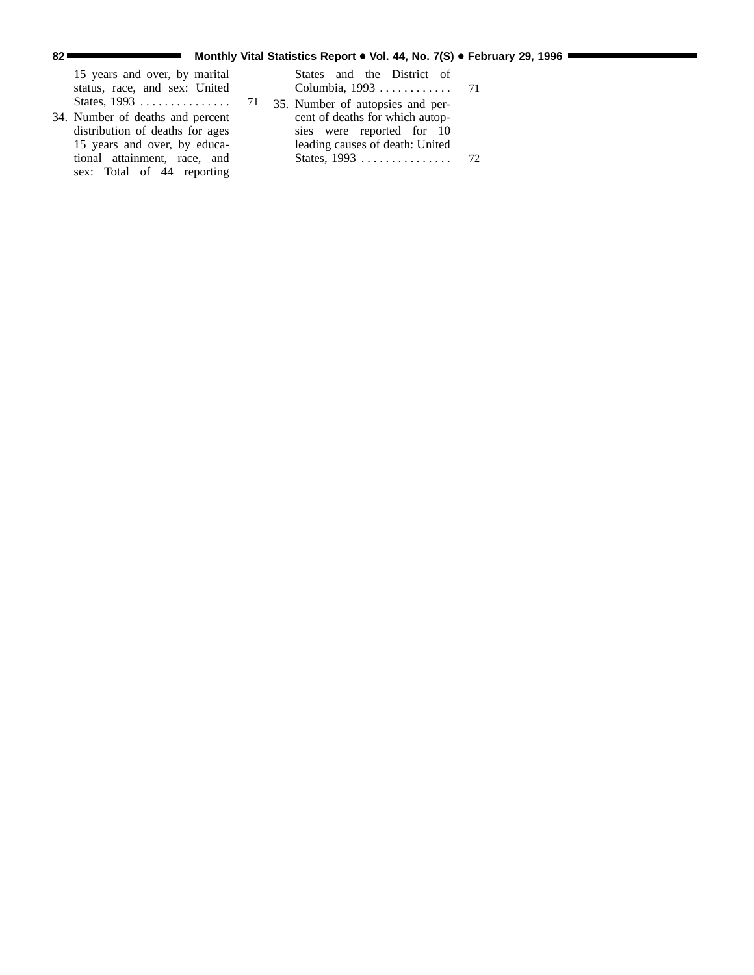| 15 years and over, by marital<br>status, race, and sex: United | States and the District of<br>Columbia, 1993 71 |  |
|----------------------------------------------------------------|-------------------------------------------------|--|
|                                                                | 35. Number of autopsies and per-                |  |
| 34. Number of deaths and percent                               | cent of deaths for which autop-                 |  |
| distribution of deaths for ages                                | sies were reported for 10                       |  |
| 15 years and over, by educa-                                   | leading causes of death: United                 |  |
| tional attainment, race, and                                   |                                                 |  |

sex: Total of 44 reporting